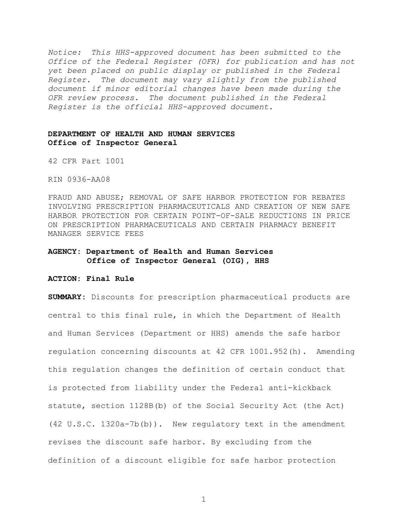*Notice: This HHS-approved document has been submitted to the Office of the Federal Register (OFR) for publication and has not yet been placed on public display or published in the Federal Register. The document may vary slightly from the published document if minor editorial changes have been made during the OFR review process. The document published in the Federal Register is the official HHS-approved document.*

# **DEPARTMENT OF HEALTH AND HUMAN SERVICES Office of Inspector General**

42 CFR Part 1001

RIN 0936-AA08

FRAUD AND ABUSE; REMOVAL OF SAFE HARBOR PROTECTION FOR REBATES INVOLVING PRESCRIPTION PHARMACEUTICALS AND CREATION OF NEW SAFE HARBOR PROTECTION FOR CERTAIN POINT-OF-SALE REDUCTIONS IN PRICE ON PRESCRIPTION PHARMACEUTICALS AND CERTAIN PHARMACY BENEFIT MANAGER SERVICE FEES

# **AGENCY: Department of Health and Human Services Office of Inspector General (OIG), HHS**

**ACTION: Final Rule**

**SUMMARY:** Discounts for prescription pharmaceutical products are central to this final rule, in which the Department of Health and Human Services (Department or HHS) amends the safe harbor regulation concerning discounts at 42 CFR 1001.952(h). Amending this regulation changes the definition of certain conduct that is protected from liability under the Federal anti-kickback statute, section 1128B(b) of the Social Security Act (the Act) (42 U.S.C. 1320a-7b(b)). New regulatory text in the amendment revises the discount safe harbor. By excluding from the definition of a discount eligible for safe harbor protection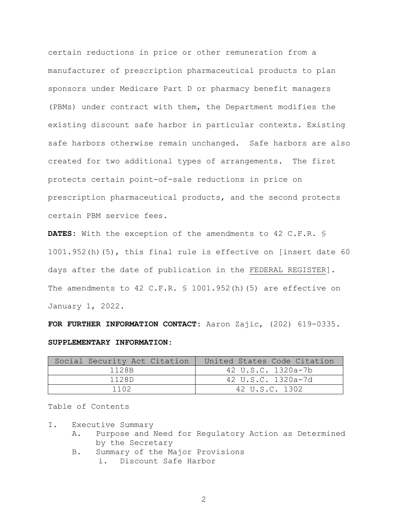certain reductions in price or other remuneration from a manufacturer of prescription pharmaceutical products to plan sponsors under Medicare Part D or pharmacy benefit managers (PBMs) under contract with them, the Department modifies the existing discount safe harbor in particular contexts. Existing safe harbors otherwise remain unchanged. Safe harbors are also created for two additional types of arrangements. The first protects certain point-of-sale reductions in price on prescription pharmaceutical products, and the second protects certain PBM service fees.

**DATES:** With the exception of the amendments to 42 C.F.R. § 1001.952(h)(5), this final rule is effective on [insert date 60 days after the date of publication in the FEDERAL REGISTER]. The amendments to 42 C.F.R. § 1001.952(h)(5) are effective on January 1, 2022.

**FOR FURTHER INFORMATION CONTACT:** Aaron Zajic, (202) 619-0335. **SUPPLEMENTARY INFORMATION:** 

| Social Security Act Citation | United States Code Citation |
|------------------------------|-----------------------------|
| 1128B                        | 42 U.S.C. 1320a-7b          |
| 1128D                        | 42 U.S.C. 1320a-7d          |
| 1102                         | 42 U.S.C. 1302              |

Table of Contents

- I. Executive Summary
	- A. Purpose and Need for Regulatory Action as Determined by the Secretary
	- B. Summary of the Major Provisions i. Discount Safe Harbor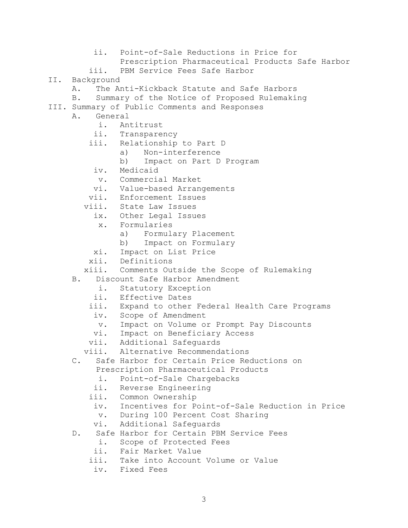Prescription Pharmaceutical Products Safe Harbor iii. PBM Service Fees Safe Harbor II. Background<br>A. The Ar The Anti-Kickback Statute and Safe Harbors B. Summary of the Notice of Proposed Rulemaking III. Summary of Public Comments and Responses A. General i. Antitrust ii. Transparency iii. Relationship to Part D a) Non-interference<br>b) Impact on Part D Impact on Part D Program iv. Medicaid v. Commercial Market vi. Value-based Arrangements vii. Enforcement Issues viii. State Law Issues ix. Other Legal Issues x. Formularies a) Formulary Placement b) Impact on Formulary xi. Impact on List Price xii. Definitions xiii. Comments Outside the Scope of Rulemaking B. Discount Safe Harbor Amendment i. Statutory Exception ii. Effective Dates iii. Expand to other Federal Health Care Programs iv. Scope of Amendment v. Impact on Volume or Prompt Pay Discounts vi. Impact on Beneficiary Access vii. Additional Safeguards viii. Alternative Recommendations C. Safe Harbor for Certain Price Reductions on Prescription Pharmaceutical Products i. Point-of-Sale Chargebacks ii. Reverse Engineering iii. Common Ownership iv. Incentives for Point-of-Sale Reduction in Price v. During 100 Percent Cost Sharing vi. Additional Safeguards D. Safe Harbor for Certain PBM Service Fees i. Scope of Protected Fees ii. Fair Market Value iii. Take into Account Volume or Value iv. Fixed Fees

ii. Point-of-Sale Reductions in Price for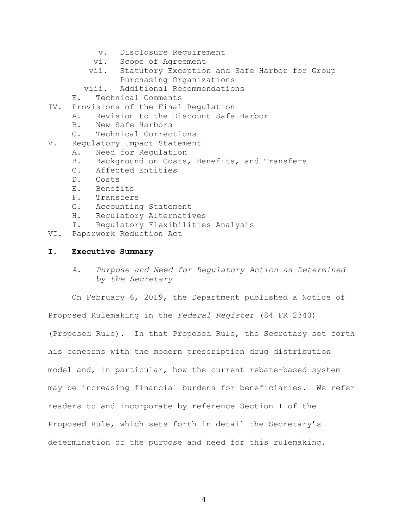- v. Disclosure Requirement
- vi. Scope of Agreement<br>vii. Statutory Exception
- Statutory Exception and Safe Harbor for Group Purchasing Organizations
- viii. Additional Recommendations
- E. Technical Comments
- IV. Provisions of the Final Regulation
	- A. Revision to the Discount Safe Harbor<br>B. New Safe Harbors
		- New Safe Harbors
		- C. Technical Corrections
- V. Regulatory Impact Statement
	- A. Need for Regulation<br>B. Background on Costs.
	- B. Background on Costs, Benefits, and Transfers<br>C. Affected Entities
	- C. Affected Entities<br>D. Costs
	- Costs
	- E. Benefits
	- F. Transfers<br>G. Accountine
	- G. Accounting Statement<br>H. Regulatory Alternati
	- H. Regulatory Alternatives<br>I. Regulatory Flexibilitie
	- Regulatory Flexibilities Analysis
- VI. Paperwork Reduction Act

## **I. Executive Summary**

*A. Purpose and Need for Regulatory Action as Determined by the Secretary*

On February 6, 2019, the Department published a Notice of Proposed Rulemaking in the *Federal Register* (84 FR 2340) (Proposed Rule). In that Proposed Rule, the Secretary set forth his concerns with the modern prescription drug distribution model and, in particular, how the current rebate-based system may be increasing financial burdens for beneficiaries. We refer readers to and incorporate by reference Section I of the Proposed Rule, which sets forth in detail the Secretary's determination of the purpose and need for this rulemaking.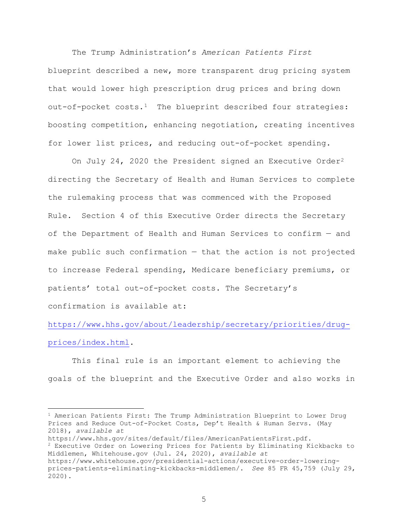The Trump Administration's *American Patients First* blueprint described a new, more transparent drug pricing system that would lower high prescription drug prices and bring down out-of-pocket  $costs.1$  $costs.1$  The blueprint described four strategies: boosting competition, enhancing negotiation, creating incentives for lower list prices, and reducing out-of-pocket spending.

On July [2](#page-4-1)4, 2020 the President signed an Executive Order<sup>2</sup> directing the Secretary of Health and Human Services to complete the rulemaking process that was commenced with the Proposed Rule. Section 4 of this Executive Order directs the Secretary of the Department of Health and Human Services to confirm — and make public such confirmation — that the action is not projected to increase Federal spending, Medicare beneficiary premiums, or patients' total out-of-pocket costs. The Secretary's

confirmation is available at:

 $\overline{a}$ 

[https://www.hhs.gov/about/leadership/secretary/priorities/drug](https://gcc02.safelinks.protection.outlook.com/?url=https%3A%2F%2Fwww.hhs.gov%2Fabout%2Fleadership%2Fsecretary%2Fpriorities%2Fdrug-prices%2Findex.html&data=04%7C01%7CVicki.Robinson%40oig.hhs.gov%7C9de8e85c9afa4883158108d889c7ebd9%7Cdad5f89453094df69e48232fdf1502ab%7C0%7C1%7C637410839044222295%7CUnknown%7CTWFpbGZsb3d8eyJWIjoiMC4wLjAwMDAiLCJQIjoiV2luMzIiLCJBTiI6Ik1haWwiLCJXVCI6Mn0%3D%7C1000&sdata=fHhOP8SyADtEcXkkOmN8dmiVmJoSzw8D8ffIgYub7%2Bs%3D&reserved=0)[prices/index.html.](https://gcc02.safelinks.protection.outlook.com/?url=https%3A%2F%2Fwww.hhs.gov%2Fabout%2Fleadership%2Fsecretary%2Fpriorities%2Fdrug-prices%2Findex.html&data=04%7C01%7CVicki.Robinson%40oig.hhs.gov%7C9de8e85c9afa4883158108d889c7ebd9%7Cdad5f89453094df69e48232fdf1502ab%7C0%7C1%7C637410839044222295%7CUnknown%7CTWFpbGZsb3d8eyJWIjoiMC4wLjAwMDAiLCJQIjoiV2luMzIiLCJBTiI6Ik1haWwiLCJXVCI6Mn0%3D%7C1000&sdata=fHhOP8SyADtEcXkkOmN8dmiVmJoSzw8D8ffIgYub7%2Bs%3D&reserved=0)

This final rule is an important element to achieving the goals of the blueprint and the Executive Order and also works in

<span id="page-4-0"></span> $1$  American Patients First: The Trump Administration Blueprint to Lower Drug Prices and Reduce Out-of-Pocket Costs, Dep't Health & Human Servs. (May 2018), *available at* 

https://www.hhs.gov/sites/default/files/AmericanPatientsFirst.pdf.

<span id="page-4-1"></span><sup>2</sup> Executive Order on Lowering Prices for Patients by Eliminating Kickbacks to Middlemen, Whitehouse.gov (Jul. 24, 2020), *available at*

https://www.whitehouse.gov/presidential-actions/executive-order-loweringprices-patients-eliminating-kickbacks-middlemen/. *See* 85 FR 45,759 (July 29, 2020).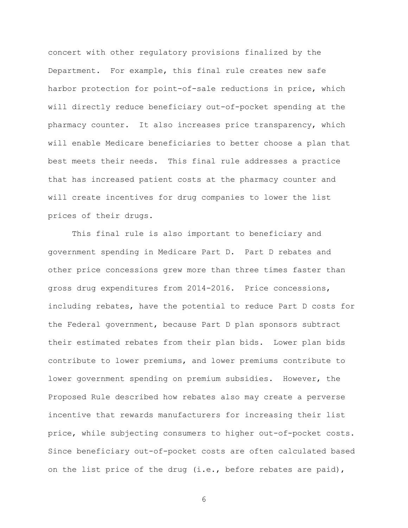concert with other regulatory provisions finalized by the Department. For example, this final rule creates new safe harbor protection for point-of-sale reductions in price, which will directly reduce beneficiary out-of-pocket spending at the pharmacy counter. It also increases price transparency, which will enable Medicare beneficiaries to better choose a plan that best meets their needs. This final rule addresses a practice that has increased patient costs at the pharmacy counter and will create incentives for drug companies to lower the list prices of their drugs.

This final rule is also important to beneficiary and government spending in Medicare Part D. Part D rebates and other price concessions grew more than three times faster than gross drug expenditures from 2014-2016. Price concessions, including rebates, have the potential to reduce Part D costs for the Federal government, because Part D plan sponsors subtract their estimated rebates from their plan bids. Lower plan bids contribute to lower premiums, and lower premiums contribute to lower government spending on premium subsidies. However, the Proposed Rule described how rebates also may create a perverse incentive that rewards manufacturers for increasing their list price, while subjecting consumers to higher out-of-pocket costs. Since beneficiary out-of-pocket costs are often calculated based on the list price of the drug (i.e., before rebates are paid),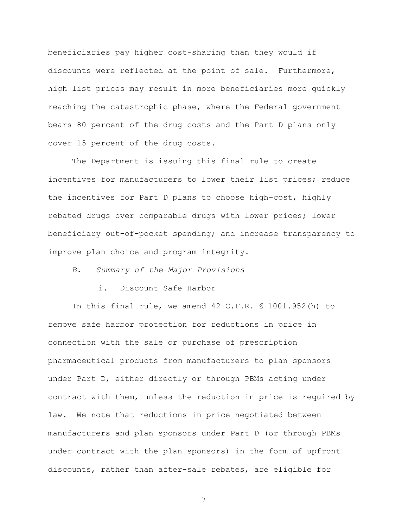beneficiaries pay higher cost-sharing than they would if discounts were reflected at the point of sale. Furthermore, high list prices may result in more beneficiaries more quickly reaching the catastrophic phase, where the Federal government bears 80 percent of the drug costs and the Part D plans only cover 15 percent of the drug costs.

The Department is issuing this final rule to create incentives for manufacturers to lower their list prices; reduce the incentives for Part D plans to choose high-cost, highly rebated drugs over comparable drugs with lower prices; lower beneficiary out-of-pocket spending; and increase transparency to improve plan choice and program integrity.

*B. Summary of the Major Provisions*

i. Discount Safe Harbor

In this final rule, we amend 42 C.F.R. § 1001.952(h) to remove safe harbor protection for reductions in price in connection with the sale or purchase of prescription pharmaceutical products from manufacturers to plan sponsors under Part D, either directly or through PBMs acting under contract with them, unless the reduction in price is required by law. We note that reductions in price negotiated between manufacturers and plan sponsors under Part D (or through PBMs under contract with the plan sponsors) in the form of upfront discounts, rather than after-sale rebates, are eligible for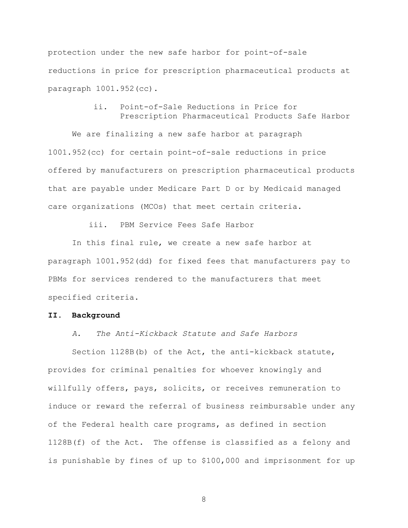protection under the new safe harbor for point-of-sale reductions in price for prescription pharmaceutical products at paragraph 1001.952(cc).

> ii. Point-of-Sale Reductions in Price for Prescription Pharmaceutical Products Safe Harbor

We are finalizing a new safe harbor at paragraph 1001.952(cc) for certain point-of-sale reductions in price offered by manufacturers on prescription pharmaceutical products that are payable under Medicare Part D or by Medicaid managed care organizations (MCOs) that meet certain criteria.

iii. PBM Service Fees Safe Harbor

In this final rule, we create a new safe harbor at paragraph 1001.952(dd) for fixed fees that manufacturers pay to PBMs for services rendered to the manufacturers that meet specified criteria.

### **II. Background**

# *A. The Anti-Kickback Statute and Safe Harbors*

Section 1128B(b) of the Act, the anti-kickback statute, provides for criminal penalties for whoever knowingly and willfully offers, pays, solicits, or receives remuneration to induce or reward the referral of business reimbursable under any of the Federal health care programs, as defined in section 1128B(f) of the Act. The offense is classified as a felony and is punishable by fines of up to \$100,000 and imprisonment for up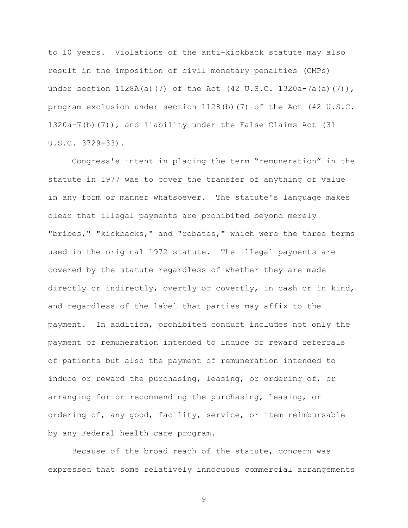to 10 years. Violations of the anti-kickback statute may also result in the imposition of civil monetary penalties (CMPs) under section 1128A(a)(7) of the Act (42 U.S.C. 1320a-7a(a)(7)), program exclusion under section 1128(b)(7) of the Act (42 U.S.C. 1320a-7(b)(7)), and liability under the False Claims Act (31 U.S.C. 3729-33).

Congress's intent in placing the term "remuneration" in the statute in 1977 was to cover the transfer of anything of value in any form or manner whatsoever. The statute's language makes clear that illegal payments are prohibited beyond merely "bribes," "kickbacks," and "rebates," which were the three terms used in the original 1972 statute. The illegal payments are covered by the statute regardless of whether they are made directly or indirectly, overtly or covertly, in cash or in kind, and regardless of the label that parties may affix to the payment. In addition, prohibited conduct includes not only the payment of remuneration intended to induce or reward referrals of patients but also the payment of remuneration intended to induce or reward the purchasing, leasing, or ordering of, or arranging for or recommending the purchasing, leasing, or ordering of, any good, facility, service, or item reimbursable by any Federal health care program.

Because of the broad reach of the statute, concern was expressed that some relatively innocuous commercial arrangements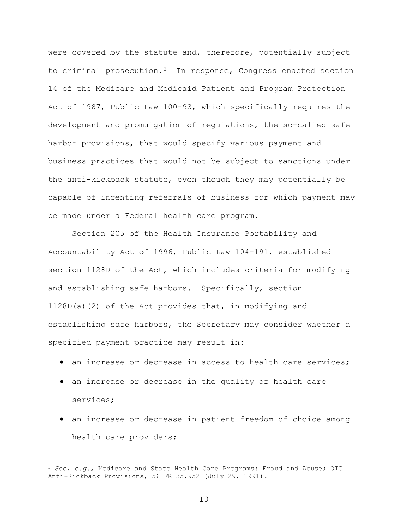were covered by the statute and, therefore, potentially subject to criminal prosecution.[3](#page-9-0) In response, Congress enacted section 14 of the Medicare and Medicaid Patient and Program Protection Act of 1987, Public Law 100-93, which specifically requires the development and promulgation of regulations, the so-called safe harbor provisions, that would specify various payment and business practices that would not be subject to sanctions under the anti-kickback statute, even though they may potentially be capable of incenting referrals of business for which payment may be made under a Federal health care program.

Section 205 of the Health Insurance Portability and Accountability Act of 1996, Public Law 104-191, established section 1128D of the Act, which includes criteria for modifying and establishing safe harbors. Specifically, section 1128D(a)(2) of the Act provides that, in modifying and establishing safe harbors, the Secretary may consider whether a specified payment practice may result in:

- an increase or decrease in access to health care services;
- an increase or decrease in the quality of health care services;
- an increase or decrease in patient freedom of choice among health care providers;

 $\overline{a}$ 

<span id="page-9-0"></span><sup>3</sup> *See*, *e.g.*, Medicare and State Health Care Programs: Fraud and Abuse; OIG Anti-Kickback Provisions, 56 FR 35,952 (July 29, 1991).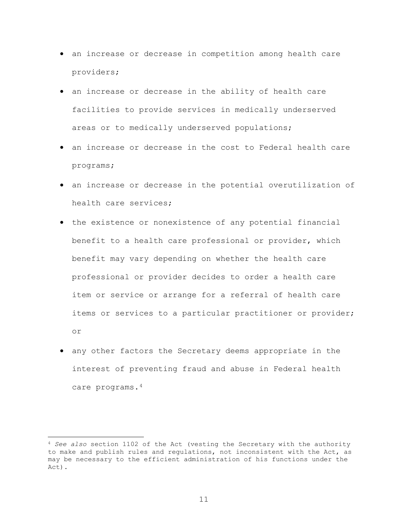- an increase or decrease in competition among health care providers;
- an increase or decrease in the ability of health care facilities to provide services in medically underserved areas or to medically underserved populations;
- an increase or decrease in the cost to Federal health care programs;
- an increase or decrease in the potential overutilization of health care services;
- the existence or nonexistence of any potential financial benefit to a health care professional or provider, which benefit may vary depending on whether the health care professional or provider decides to order a health care item or service or arrange for a referral of health care items or services to a particular practitioner or provider; or
- any other factors the Secretary deems appropriate in the interest of preventing fraud and abuse in Federal health care programs.[4](#page-10-0)

 $\overline{a}$ 

<span id="page-10-0"></span><sup>4</sup> *See also* section 1102 of the Act (vesting the Secretary with the authority to make and publish rules and regulations, not inconsistent with the Act, as may be necessary to the efficient administration of his functions under the Act).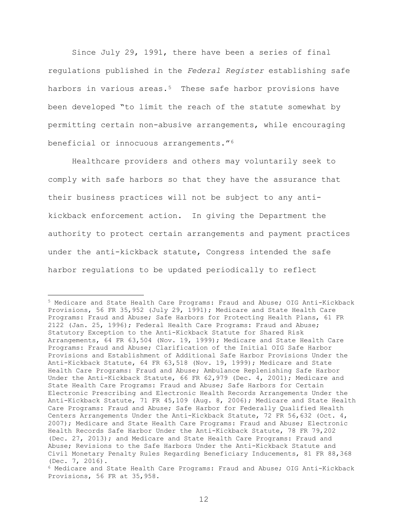Since July 29, 1991, there have been a series of final regulations published in the *Federal Register* establishing safe harbors in various areas. $5$  These safe harbor provisions have been developed "to limit the reach of the statute somewhat by permitting certain non-abusive arrangements, while encouraging beneficial or innocuous arrangements."[6](#page-11-1) 

Healthcare providers and others may voluntarily seek to comply with safe harbors so that they have the assurance that their business practices will not be subject to any antikickback enforcement action. In giving the Department the authority to protect certain arrangements and payment practices under the anti-kickback statute, Congress intended the safe harbor regulations to be updated periodically to reflect

 $\overline{a}$ 

<span id="page-11-0"></span><sup>5</sup> Medicare and State Health Care Programs: Fraud and Abuse; OIG Anti-Kickback Provisions, 56 FR 35,952 (July 29, 1991); Medicare and State Health Care Programs: Fraud and Abuse; Safe Harbors for Protecting Health Plans, 61 FR 2122 (Jan. 25, 1996); Federal Health Care Programs: Fraud and Abuse; Statutory Exception to the Anti-Kickback Statute for Shared Risk Arrangements, 64 FR 63,504 (Nov. 19, 1999); Medicare and State Health Care Programs: Fraud and Abuse; Clarification of the Initial OIG Safe Harbor Provisions and Establishment of Additional Safe Harbor Provisions Under the Anti-Kickback Statute, 64 FR 63,518 (Nov. 19, 1999); Medicare and State Health Care Programs: Fraud and Abuse; Ambulance Replenishing Safe Harbor Under the Anti-Kickback Statute, 66 FR 62,979 (Dec. 4, 2001); Medicare and State Health Care Programs: Fraud and Abuse; Safe Harbors for Certain Electronic Prescribing and Electronic Health Records Arrangements Under the Anti-Kickback Statute, 71 FR 45,109 (Aug. 8, 2006); Medicare and State Health Care Programs: Fraud and Abuse; Safe Harbor for Federally Qualified Health Centers Arrangements Under the Anti-Kickback Statute, 72 FR 56,632 (Oct. 4, 2007); Medicare and State Health Care Programs: Fraud and Abuse; Electronic Health Records Safe Harbor Under the Anti-Kickback Statute, 78 FR 79,202 (Dec. 27, 2013); and Medicare and State Health Care Programs: Fraud and Abuse; Revisions to the Safe Harbors Under the Anti-Kickback Statute and Civil Monetary Penalty Rules Regarding Beneficiary Inducements, 81 FR 88,368 (Dec. 7, 2016).

<span id="page-11-1"></span><sup>6</sup> Medicare and State Health Care Programs: Fraud and Abuse; OIG Anti-Kickback Provisions, 56 FR at 35,958.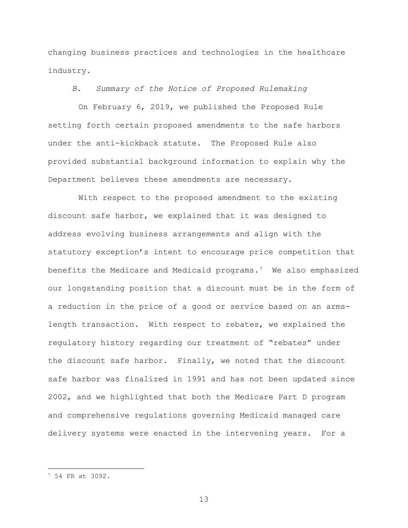changing business practices and technologies in the healthcare industry.

*B. Summary of the Notice of Proposed Rulemaking*

On February 6, 2019, we published the Proposed Rule setting forth certain proposed amendments to the safe harbors under the anti-kickback statute. The Proposed Rule also provided substantial background information to explain why the Department believes these amendments are necessary.

With respect to the proposed amendment to the existing discount safe harbor, we explained that it was designed to address evolving business arrangements and align with the statutory exception's intent to encourage price competition that benefits the Medicare and Medicaid programs.<sup>[7](#page-12-0)</sup> We also emphasized our longstanding position that a discount must be in the form of a reduction in the price of a good or service based on an armslength transaction. With respect to rebates, we explained the regulatory history regarding our treatment of "rebates" under the discount safe harbor. Finally, we noted that the discount safe harbor was finalized in 1991 and has not been updated since 2002, and we highlighted that both the Medicare Part D program and comprehensive regulations governing Medicaid managed care delivery systems were enacted in the intervening years. For a

 $\overline{a}$ 

<span id="page-12-0"></span><sup>7</sup> 54 FR at 3092.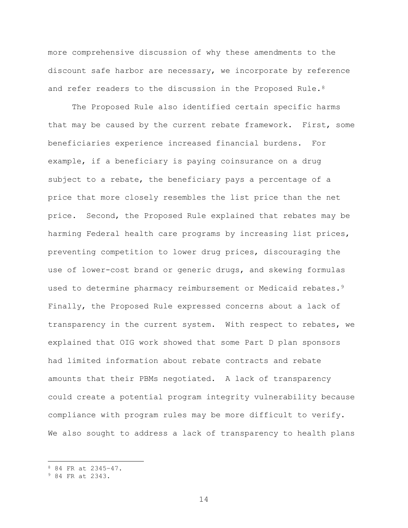more comprehensive discussion of why these amendments to the discount safe harbor are necessary, we incorporate by reference and refer readers to the discussion in the Proposed Rule.  $8$ 

The Proposed Rule also identified certain specific harms that may be caused by the current rebate framework. First, some beneficiaries experience increased financial burdens. For example, if a beneficiary is paying coinsurance on a drug subject to a rebate, the beneficiary pays a percentage of a price that more closely resembles the list price than the net price. Second, the Proposed Rule explained that rebates may be harming Federal health care programs by increasing list prices, preventing competition to lower drug prices, discouraging the use of lower-cost brand or generic drugs, and skewing formulas used to determine pharmacy reimbursement or Medicaid rebates.<sup>9</sup> Finally, the Proposed Rule expressed concerns about a lack of transparency in the current system. With respect to rebates, we explained that OIG work showed that some Part D plan sponsors had limited information about rebate contracts and rebate amounts that their PBMs negotiated. A lack of transparency could create a potential program integrity vulnerability because compliance with program rules may be more difficult to verify. We also sought to address a lack of transparency to health plans

 $\overline{a}$ 

<span id="page-13-0"></span><sup>8</sup> 84 FR at 2345–47.

<span id="page-13-1"></span><sup>9</sup> 84 FR at 2343.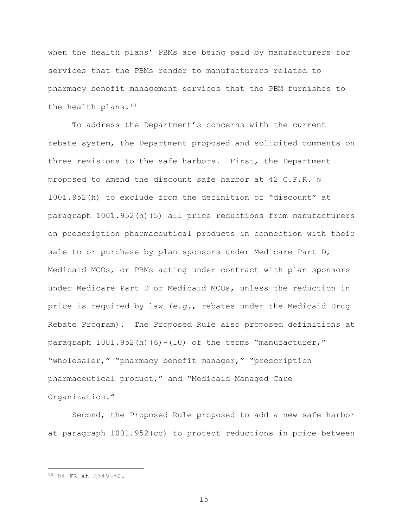when the health plans' PBMs are being paid by manufacturers for services that the PBMs render to manufacturers related to pharmacy benefit management services that the PBM furnishes to the health plans.[10](#page-14-0)

To address the Department's concerns with the current rebate system, the Department proposed and solicited comments on three revisions to the safe harbors. First, the Department proposed to amend the discount safe harbor at 42 C.F.R. § 1001.952(h) to exclude from the definition of "discount" at paragraph 1001.952(h)(5) all price reductions from manufacturers on prescription pharmaceutical products in connection with their sale to or purchase by plan sponsors under Medicare Part D, Medicaid MCOs, or PBMs acting under contract with plan sponsors under Medicare Part D or Medicaid MCOs, unless the reduction in price is required by law (*e.g.*, rebates under the Medicaid Drug Rebate Program). The Proposed Rule also proposed definitions at paragraph 1001.952(h)(6)-(10) of the terms "manufacturer," "wholesaler," "pharmacy benefit manager," "prescription pharmaceutical product," and "Medicaid Managed Care Organization."

Second, the Proposed Rule proposed to add a new safe harbor at paragraph 1001.952(cc) to protect reductions in price between

 $\overline{a}$ 

<span id="page-14-0"></span><sup>10</sup> 84 FR at 2349-50.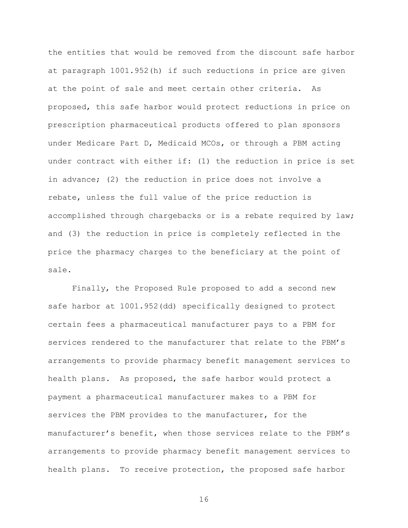the entities that would be removed from the discount safe harbor at paragraph 1001.952(h) if such reductions in price are given at the point of sale and meet certain other criteria. As proposed, this safe harbor would protect reductions in price on prescription pharmaceutical products offered to plan sponsors under Medicare Part D, Medicaid MCOs, or through a PBM acting under contract with either if: (1) the reduction in price is set in advance; (2) the reduction in price does not involve a rebate, unless the full value of the price reduction is accomplished through chargebacks or is a rebate required by law; and (3) the reduction in price is completely reflected in the price the pharmacy charges to the beneficiary at the point of sale.

Finally, the Proposed Rule proposed to add a second new safe harbor at 1001.952(dd) specifically designed to protect certain fees a pharmaceutical manufacturer pays to a PBM for services rendered to the manufacturer that relate to the PBM's arrangements to provide pharmacy benefit management services to health plans. As proposed, the safe harbor would protect a payment a pharmaceutical manufacturer makes to a PBM for services the PBM provides to the manufacturer, for the manufacturer's benefit, when those services relate to the PBM's arrangements to provide pharmacy benefit management services to health plans. To receive protection, the proposed safe harbor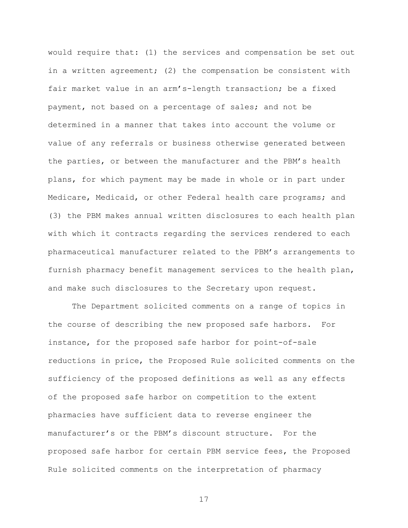would require that: (1) the services and compensation be set out in a written agreement; (2) the compensation be consistent with fair market value in an arm's-length transaction; be a fixed payment, not based on a percentage of sales; and not be determined in a manner that takes into account the volume or value of any referrals or business otherwise generated between the parties, or between the manufacturer and the PBM's health plans, for which payment may be made in whole or in part under Medicare, Medicaid, or other Federal health care programs; and (3) the PBM makes annual written disclosures to each health plan with which it contracts regarding the services rendered to each pharmaceutical manufacturer related to the PBM's arrangements to furnish pharmacy benefit management services to the health plan, and make such disclosures to the Secretary upon request.

The Department solicited comments on a range of topics in the course of describing the new proposed safe harbors. For instance, for the proposed safe harbor for point-of-sale reductions in price, the Proposed Rule solicited comments on the sufficiency of the proposed definitions as well as any effects of the proposed safe harbor on competition to the extent pharmacies have sufficient data to reverse engineer the manufacturer's or the PBM's discount structure. For the proposed safe harbor for certain PBM service fees, the Proposed Rule solicited comments on the interpretation of pharmacy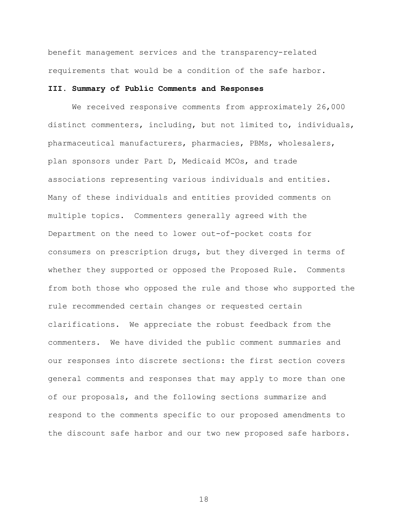benefit management services and the transparency-related requirements that would be a condition of the safe harbor.

# **III. Summary of Public Comments and Responses**

We received responsive comments from approximately 26,000 distinct commenters, including, but not limited to, individuals, pharmaceutical manufacturers, pharmacies, PBMs, wholesalers, plan sponsors under Part D, Medicaid MCOs, and trade associations representing various individuals and entities. Many of these individuals and entities provided comments on multiple topics. Commenters generally agreed with the Department on the need to lower out-of-pocket costs for consumers on prescription drugs, but they diverged in terms of whether they supported or opposed the Proposed Rule. Comments from both those who opposed the rule and those who supported the rule recommended certain changes or requested certain clarifications. We appreciate the robust feedback from the commenters. We have divided the public comment summaries and our responses into discrete sections: the first section covers general comments and responses that may apply to more than one of our proposals, and the following sections summarize and respond to the comments specific to our proposed amendments to the discount safe harbor and our two new proposed safe harbors.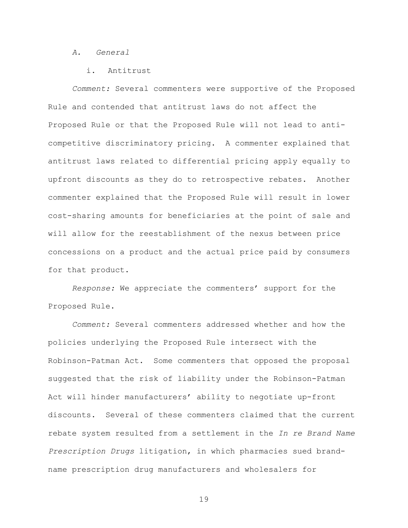#### *A. General*

# i. Antitrust

*Comment:* Several commenters were supportive of the Proposed Rule and contended that antitrust laws do not affect the Proposed Rule or that the Proposed Rule will not lead to anticompetitive discriminatory pricing. A commenter explained that antitrust laws related to differential pricing apply equally to upfront discounts as they do to retrospective rebates. Another commenter explained that the Proposed Rule will result in lower cost-sharing amounts for beneficiaries at the point of sale and will allow for the reestablishment of the nexus between price concessions on a product and the actual price paid by consumers for that product.

*Response:* We appreciate the commenters' support for the Proposed Rule.

*Comment:* Several commenters addressed whether and how the policies underlying the Proposed Rule intersect with the Robinson-Patman Act. Some commenters that opposed the proposal suggested that the risk of liability under the Robinson-Patman Act will hinder manufacturers' ability to negotiate up-front discounts. Several of these commenters claimed that the current rebate system resulted from a settlement in the *In re Brand Name Prescription Drugs* litigation, in which pharmacies sued brandname prescription drug manufacturers and wholesalers for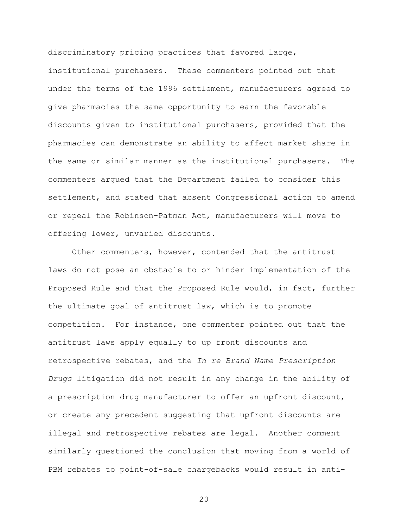discriminatory pricing practices that favored large, institutional purchasers. These commenters pointed out that under the terms of the 1996 settlement, manufacturers agreed to give pharmacies the same opportunity to earn the favorable discounts given to institutional purchasers, provided that the pharmacies can demonstrate an ability to affect market share in the same or similar manner as the institutional purchasers. The commenters argued that the Department failed to consider this settlement, and stated that absent Congressional action to amend or repeal the Robinson-Patman Act, manufacturers will move to offering lower, unvaried discounts.

Other commenters, however, contended that the antitrust laws do not pose an obstacle to or hinder implementation of the Proposed Rule and that the Proposed Rule would, in fact, further the ultimate goal of antitrust law, which is to promote competition. For instance, one commenter pointed out that the antitrust laws apply equally to up front discounts and retrospective rebates, and the *In re Brand Name Prescription Drugs* litigation did not result in any change in the ability of a prescription drug manufacturer to offer an upfront discount, or create any precedent suggesting that upfront discounts are illegal and retrospective rebates are legal. Another comment similarly questioned the conclusion that moving from a world of PBM rebates to point-of-sale chargebacks would result in anti-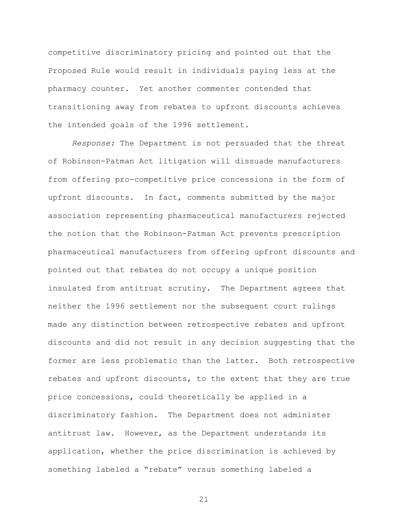competitive discriminatory pricing and pointed out that the Proposed Rule would result in individuals paying less at the pharmacy counter. Yet another commenter contended that transitioning away from rebates to upfront discounts achieves the intended goals of the 1996 settlement.

*Response:* The Department is not persuaded that the threat of Robinson-Patman Act litigation will dissuade manufacturers from offering pro-competitive price concessions in the form of upfront discounts. In fact, comments submitted by the major association representing pharmaceutical manufacturers rejected the notion that the Robinson-Patman Act prevents prescription pharmaceutical manufacturers from offering upfront discounts and pointed out that rebates do not occupy a unique position insulated from antitrust scrutiny. The Department agrees that neither the 1996 settlement nor the subsequent court rulings made any distinction between retrospective rebates and upfront discounts and did not result in any decision suggesting that the former are less problematic than the latter. Both retrospective rebates and upfront discounts, to the extent that they are true price concessions, could theoretically be applied in a discriminatory fashion. The Department does not administer antitrust law. However, as the Department understands its application, whether the price discrimination is achieved by something labeled a "rebate" versus something labeled a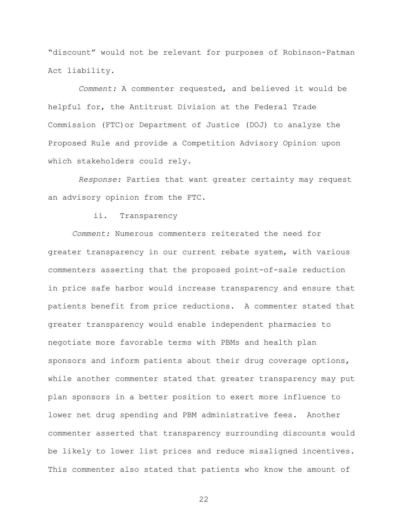"discount" would not be relevant for purposes of Robinson-Patman Act liability.

*Comment:* A commenter requested, and believed it would be helpful for, the Antitrust Division at the Federal Trade Commission (FTC)or Department of Justice (DOJ) to analyze the Proposed Rule and provide a Competition Advisory Opinion upon which stakeholders could rely.

*Response:* Parties that want greater certainty may request an advisory opinion from the FTC.

ii. Transparency

*Comment:* Numerous commenters reiterated the need for greater transparency in our current rebate system, with various commenters asserting that the proposed point-of-sale reduction in price safe harbor would increase transparency and ensure that patients benefit from price reductions. A commenter stated that greater transparency would enable independent pharmacies to negotiate more favorable terms with PBMs and health plan sponsors and inform patients about their drug coverage options, while another commenter stated that greater transparency may put plan sponsors in a better position to exert more influence to lower net drug spending and PBM administrative fees. Another commenter asserted that transparency surrounding discounts would be likely to lower list prices and reduce misaligned incentives. This commenter also stated that patients who know the amount of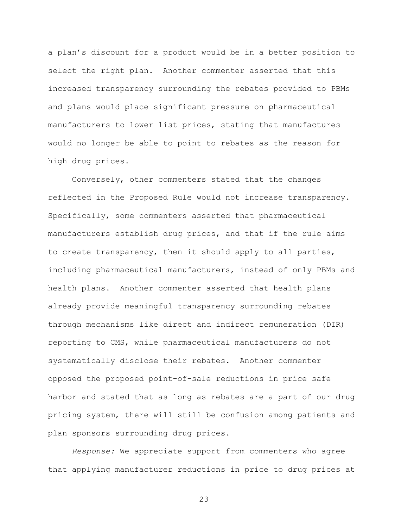a plan's discount for a product would be in a better position to select the right plan. Another commenter asserted that this increased transparency surrounding the rebates provided to PBMs and plans would place significant pressure on pharmaceutical manufacturers to lower list prices, stating that manufactures would no longer be able to point to rebates as the reason for high drug prices.

Conversely, other commenters stated that the changes reflected in the Proposed Rule would not increase transparency. Specifically, some commenters asserted that pharmaceutical manufacturers establish drug prices, and that if the rule aims to create transparency, then it should apply to all parties, including pharmaceutical manufacturers, instead of only PBMs and health plans. Another commenter asserted that health plans already provide meaningful transparency surrounding rebates through mechanisms like direct and indirect remuneration (DIR) reporting to CMS, while pharmaceutical manufacturers do not systematically disclose their rebates. Another commenter opposed the proposed point-of-sale reductions in price safe harbor and stated that as long as rebates are a part of our drug pricing system, there will still be confusion among patients and plan sponsors surrounding drug prices.

*Response:* We appreciate support from commenters who agree that applying manufacturer reductions in price to drug prices at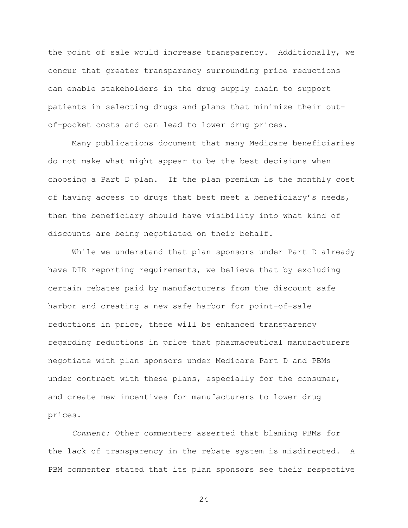the point of sale would increase transparency. Additionally, we concur that greater transparency surrounding price reductions can enable stakeholders in the drug supply chain to support patients in selecting drugs and plans that minimize their outof-pocket costs and can lead to lower drug prices.

Many publications document that many Medicare beneficiaries do not make what might appear to be the best decisions when choosing a Part D plan. If the plan premium is the monthly cost of having access to drugs that best meet a beneficiary's needs, then the beneficiary should have visibility into what kind of discounts are being negotiated on their behalf.

While we understand that plan sponsors under Part D already have DIR reporting requirements, we believe that by excluding certain rebates paid by manufacturers from the discount safe harbor and creating a new safe harbor for point-of-sale reductions in price, there will be enhanced transparency regarding reductions in price that pharmaceutical manufacturers negotiate with plan sponsors under Medicare Part D and PBMs under contract with these plans, especially for the consumer, and create new incentives for manufacturers to lower drug prices.

*Comment:* Other commenters asserted that blaming PBMs for the lack of transparency in the rebate system is misdirected. A PBM commenter stated that its plan sponsors see their respective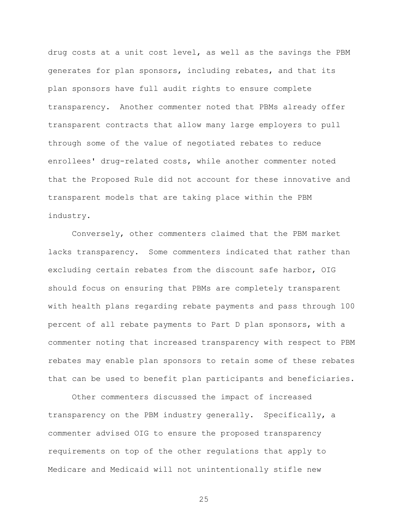drug costs at a unit cost level, as well as the savings the PBM generates for plan sponsors, including rebates, and that its plan sponsors have full audit rights to ensure complete transparency. Another commenter noted that PBMs already offer transparent contracts that allow many large employers to pull through some of the value of negotiated rebates to reduce enrollees' drug-related costs, while another commenter noted that the Proposed Rule did not account for these innovative and transparent models that are taking place within the PBM industry.

Conversely, other commenters claimed that the PBM market lacks transparency. Some commenters indicated that rather than excluding certain rebates from the discount safe harbor, OIG should focus on ensuring that PBMs are completely transparent with health plans regarding rebate payments and pass through 100 percent of all rebate payments to Part D plan sponsors, with a commenter noting that increased transparency with respect to PBM rebates may enable plan sponsors to retain some of these rebates that can be used to benefit plan participants and beneficiaries.

Other commenters discussed the impact of increased transparency on the PBM industry generally. Specifically, a commenter advised OIG to ensure the proposed transparency requirements on top of the other regulations that apply to Medicare and Medicaid will not unintentionally stifle new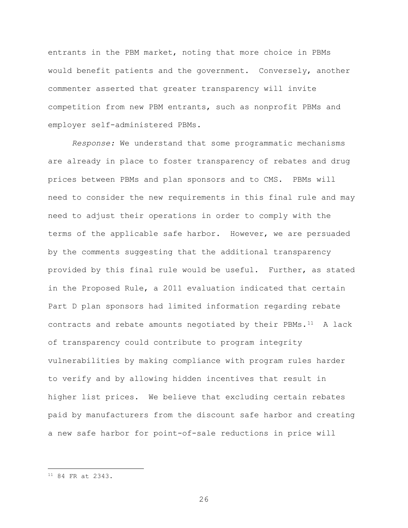entrants in the PBM market, noting that more choice in PBMs would benefit patients and the government. Conversely, another commenter asserted that greater transparency will invite competition from new PBM entrants, such as nonprofit PBMs and employer self-administered PBMs.

*Response:* We understand that some programmatic mechanisms are already in place to foster transparency of rebates and drug prices between PBMs and plan sponsors and to CMS. PBMs will need to consider the new requirements in this final rule and may need to adjust their operations in order to comply with the terms of the applicable safe harbor. However, we are persuaded by the comments suggesting that the additional transparency provided by this final rule would be useful. Further, as stated in the Proposed Rule, a 2011 evaluation indicated that certain Part D plan sponsors had limited information regarding rebate contracts and rebate amounts negotiated by their PBMs. $^{11}$  A lack of transparency could contribute to program integrity vulnerabilities by making compliance with program rules harder to verify and by allowing hidden incentives that result in higher list prices. We believe that excluding certain rebates paid by manufacturers from the discount safe harbor and creating a new safe harbor for point-of-sale reductions in price will

 $\overline{a}$ 

<span id="page-25-0"></span><sup>11</sup> 84 FR at 2343.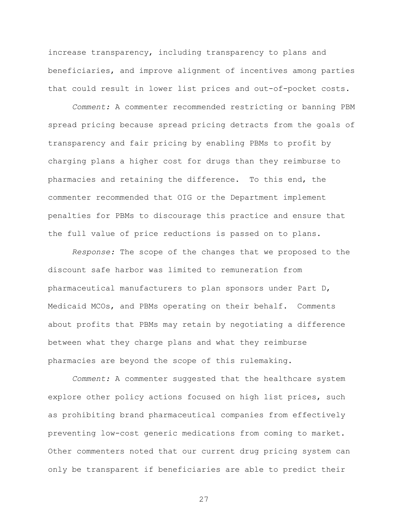increase transparency, including transparency to plans and beneficiaries, and improve alignment of incentives among parties that could result in lower list prices and out-of-pocket costs.

*Comment:* A commenter recommended restricting or banning PBM spread pricing because spread pricing detracts from the goals of transparency and fair pricing by enabling PBMs to profit by charging plans a higher cost for drugs than they reimburse to pharmacies and retaining the difference. To this end, the commenter recommended that OIG or the Department implement penalties for PBMs to discourage this practice and ensure that the full value of price reductions is passed on to plans.

*Response:* The scope of the changes that we proposed to the discount safe harbor was limited to remuneration from pharmaceutical manufacturers to plan sponsors under Part D, Medicaid MCOs, and PBMs operating on their behalf. Comments about profits that PBMs may retain by negotiating a difference between what they charge plans and what they reimburse pharmacies are beyond the scope of this rulemaking.

*Comment:* A commenter suggested that the healthcare system explore other policy actions focused on high list prices, such as prohibiting brand pharmaceutical companies from effectively preventing low-cost generic medications from coming to market. Other commenters noted that our current drug pricing system can only be transparent if beneficiaries are able to predict their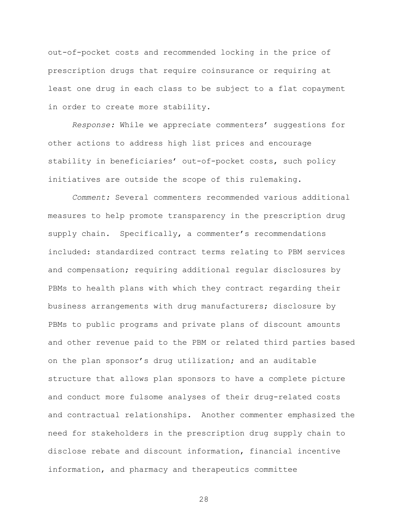out-of-pocket costs and recommended locking in the price of prescription drugs that require coinsurance or requiring at least one drug in each class to be subject to a flat copayment in order to create more stability.

*Response:* While we appreciate commenters' suggestions for other actions to address high list prices and encourage stability in beneficiaries' out-of-pocket costs, such policy initiatives are outside the scope of this rulemaking.

*Comment:* Several commenters recommended various additional measures to help promote transparency in the prescription drug supply chain. Specifically, a commenter's recommendations included: standardized contract terms relating to PBM services and compensation; requiring additional regular disclosures by PBMs to health plans with which they contract regarding their business arrangements with drug manufacturers; disclosure by PBMs to public programs and private plans of discount amounts and other revenue paid to the PBM or related third parties based on the plan sponsor's drug utilization; and an auditable structure that allows plan sponsors to have a complete picture and conduct more fulsome analyses of their drug-related costs and contractual relationships. Another commenter emphasized the need for stakeholders in the prescription drug supply chain to disclose rebate and discount information, financial incentive information, and pharmacy and therapeutics committee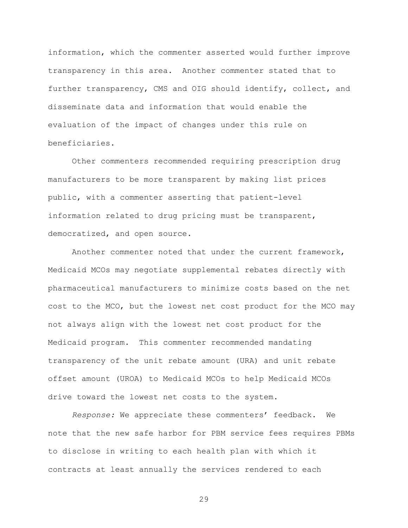information, which the commenter asserted would further improve transparency in this area. Another commenter stated that to further transparency, CMS and OIG should identify, collect, and disseminate data and information that would enable the evaluation of the impact of changes under this rule on beneficiaries.

Other commenters recommended requiring prescription drug manufacturers to be more transparent by making list prices public, with a commenter asserting that patient-level information related to drug pricing must be transparent, democratized, and open source.

Another commenter noted that under the current framework, Medicaid MCOs may negotiate supplemental rebates directly with pharmaceutical manufacturers to minimize costs based on the net cost to the MCO, but the lowest net cost product for the MCO may not always align with the lowest net cost product for the Medicaid program. This commenter recommended mandating transparency of the unit rebate amount (URA) and unit rebate offset amount (UROA) to Medicaid MCOs to help Medicaid MCOs drive toward the lowest net costs to the system.

*Response:* We appreciate these commenters' feedback. We note that the new safe harbor for PBM service fees requires PBMs to disclose in writing to each health plan with which it contracts at least annually the services rendered to each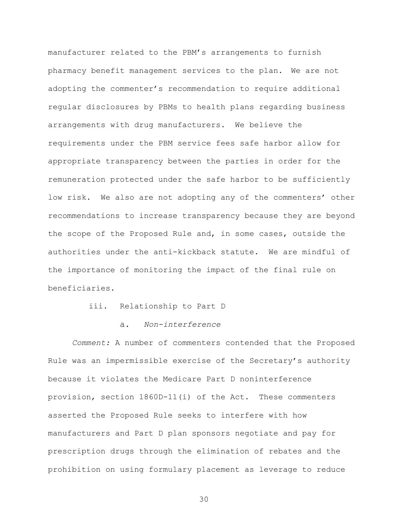manufacturer related to the PBM's arrangements to furnish pharmacy benefit management services to the plan. We are not adopting the commenter's recommendation to require additional regular disclosures by PBMs to health plans regarding business arrangements with drug manufacturers. We believe the requirements under the PBM service fees safe harbor allow for appropriate transparency between the parties in order for the remuneration protected under the safe harbor to be sufficiently low risk. We also are not adopting any of the commenters' other recommendations to increase transparency because they are beyond the scope of the Proposed Rule and, in some cases, outside the authorities under the anti-kickback statute. We are mindful of the importance of monitoring the impact of the final rule on beneficiaries.

- iii. Relationship to Part D
	- $\overline{a}$ . *Non-interference*

*Comment:* A number of commenters contended that the Proposed Rule was an impermissible exercise of the Secretary's authority because it violates the Medicare Part D noninterference provision, section 1860D-11(i) of the Act. These commenters asserted the Proposed Rule seeks to interfere with how manufacturers and Part D plan sponsors negotiate and pay for prescription drugs through the elimination of rebates and the prohibition on using formulary placement as leverage to reduce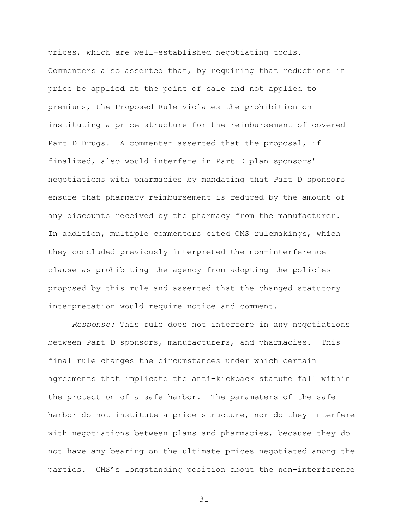prices, which are well-established negotiating tools. Commenters also asserted that, by requiring that reductions in price be applied at the point of sale and not applied to premiums, the Proposed Rule violates the prohibition on instituting a price structure for the reimbursement of covered Part D Drugs. A commenter asserted that the proposal, if finalized, also would interfere in Part D plan sponsors' negotiations with pharmacies by mandating that Part D sponsors ensure that pharmacy reimbursement is reduced by the amount of any discounts received by the pharmacy from the manufacturer. In addition, multiple commenters cited CMS rulemakings, which they concluded previously interpreted the non-interference clause as prohibiting the agency from adopting the policies proposed by this rule and asserted that the changed statutory interpretation would require notice and comment.

*Response:* This rule does not interfere in any negotiations between Part D sponsors, manufacturers, and pharmacies. This final rule changes the circumstances under which certain agreements that implicate the anti-kickback statute fall within the protection of a safe harbor. The parameters of the safe harbor do not institute a price structure, nor do they interfere with negotiations between plans and pharmacies, because they do not have any bearing on the ultimate prices negotiated among the parties. CMS's longstanding position about the non-interference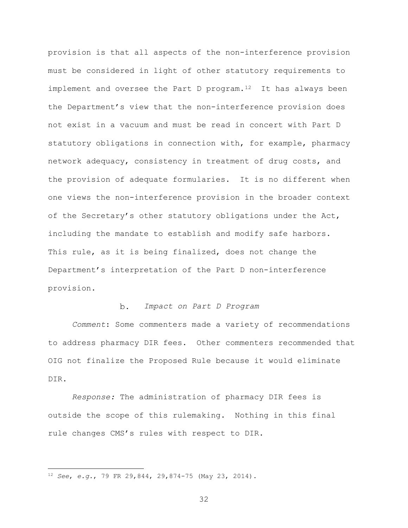provision is that all aspects of the non-interference provision must be considered in light of other statutory requirements to implement and oversee the Part D program.<sup>[12](#page-31-0)</sup> It has always been the Department's view that the non-interference provision does not exist in a vacuum and must be read in concert with Part D statutory obligations in connection with, for example, pharmacy network adequacy, consistency in treatment of drug costs, and the provision of adequate formularies. It is no different when one views the non-interference provision in the broader context of the Secretary's other statutory obligations under the Act, including the mandate to establish and modify safe harbors. This rule, as it is being finalized, does not change the Department's interpretation of the Part D non-interference provision.

#### *Impact on Part D Program*  $b$ .

*Comment*: Some commenters made a variety of recommendations to address pharmacy DIR fees. Other commenters recommended that OIG not finalize the Proposed Rule because it would eliminate DIR.

*Response:* The administration of pharmacy DIR fees is outside the scope of this rulemaking. Nothing in this final rule changes CMS's rules with respect to DIR.

 $\overline{a}$ 

<span id="page-31-0"></span><sup>12</sup> *See*, *e.g.*, 79 FR 29,844, 29,874-75 (May 23, 2014).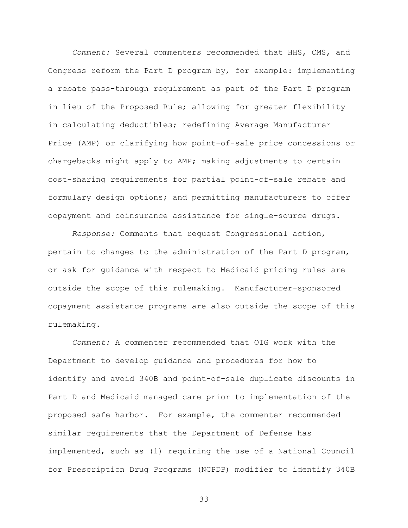*Comment:* Several commenters recommended that HHS, CMS, and Congress reform the Part D program by, for example: implementing a rebate pass-through requirement as part of the Part D program in lieu of the Proposed Rule; allowing for greater flexibility in calculating deductibles; redefining Average Manufacturer Price (AMP) or clarifying how point-of-sale price concessions or chargebacks might apply to AMP; making adjustments to certain cost-sharing requirements for partial point-of-sale rebate and formulary design options; and permitting manufacturers to offer copayment and coinsurance assistance for single-source drugs.

*Response:* Comments that request Congressional action, pertain to changes to the administration of the Part D program, or ask for guidance with respect to Medicaid pricing rules are outside the scope of this rulemaking. Manufacturer-sponsored copayment assistance programs are also outside the scope of this rulemaking.

*Comment:* A commenter recommended that OIG work with the Department to develop guidance and procedures for how to identify and avoid 340B and point-of-sale duplicate discounts in Part D and Medicaid managed care prior to implementation of the proposed safe harbor. For example, the commenter recommended similar requirements that the Department of Defense has implemented, such as (1) requiring the use of a National Council for Prescription Drug Programs (NCPDP) modifier to identify 340B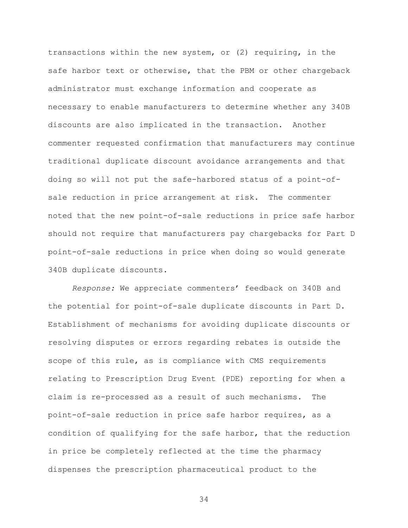transactions within the new system, or (2) requiring, in the safe harbor text or otherwise, that the PBM or other chargeback administrator must exchange information and cooperate as necessary to enable manufacturers to determine whether any 340B discounts are also implicated in the transaction. Another commenter requested confirmation that manufacturers may continue traditional duplicate discount avoidance arrangements and that doing so will not put the safe-harbored status of a point-ofsale reduction in price arrangement at risk. The commenter noted that the new point-of-sale reductions in price safe harbor should not require that manufacturers pay chargebacks for Part D point-of-sale reductions in price when doing so would generate 340B duplicate discounts.

*Response:* We appreciate commenters' feedback on 340B and the potential for point-of-sale duplicate discounts in Part D. Establishment of mechanisms for avoiding duplicate discounts or resolving disputes or errors regarding rebates is outside the scope of this rule, as is compliance with CMS requirements relating to Prescription Drug Event (PDE) reporting for when a claim is re-processed as a result of such mechanisms. The point-of-sale reduction in price safe harbor requires, as a condition of qualifying for the safe harbor, that the reduction in price be completely reflected at the time the pharmacy dispenses the prescription pharmaceutical product to the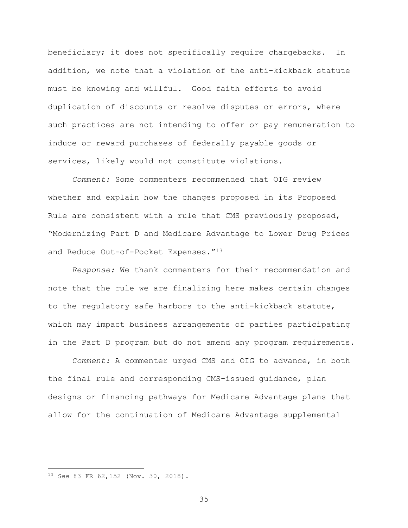beneficiary; it does not specifically require chargebacks. In addition, we note that a violation of the anti-kickback statute must be knowing and willful. Good faith efforts to avoid duplication of discounts or resolve disputes or errors, where such practices are not intending to offer or pay remuneration to induce or reward purchases of federally payable goods or services, likely would not constitute violations.

*Comment:* Some commenters recommended that OIG review whether and explain how the changes proposed in its Proposed Rule are consistent with a rule that CMS previously proposed, "Modernizing Part D and Medicare Advantage to Lower Drug Prices and Reduce Out-of-Pocket Expenses."[13](#page-34-0)

*Response:* We thank commenters for their recommendation and note that the rule we are finalizing here makes certain changes to the regulatory safe harbors to the anti-kickback statute, which may impact business arrangements of parties participating in the Part D program but do not amend any program requirements.

*Comment:* A commenter urged CMS and OIG to advance, in both the final rule and corresponding CMS-issued guidance, plan designs or financing pathways for Medicare Advantage plans that allow for the continuation of Medicare Advantage supplemental

 $\overline{a}$ 

<span id="page-34-0"></span><sup>13</sup> *See* 83 FR 62,152 (Nov. 30, 2018).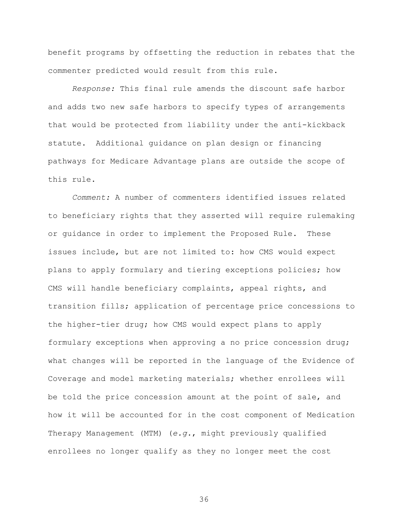benefit programs by offsetting the reduction in rebates that the commenter predicted would result from this rule.

*Response:* This final rule amends the discount safe harbor and adds two new safe harbors to specify types of arrangements that would be protected from liability under the anti-kickback statute. Additional guidance on plan design or financing pathways for Medicare Advantage plans are outside the scope of this rule.

*Comment:* A number of commenters identified issues related to beneficiary rights that they asserted will require rulemaking or guidance in order to implement the Proposed Rule. These issues include, but are not limited to: how CMS would expect plans to apply formulary and tiering exceptions policies; how CMS will handle beneficiary complaints, appeal rights, and transition fills; application of percentage price concessions to the higher-tier drug; how CMS would expect plans to apply formulary exceptions when approving a no price concession drug; what changes will be reported in the language of the Evidence of Coverage and model marketing materials; whether enrollees will be told the price concession amount at the point of sale, and how it will be accounted for in the cost component of Medication Therapy Management (MTM) (*e.g.*, might previously qualified enrollees no longer qualify as they no longer meet the cost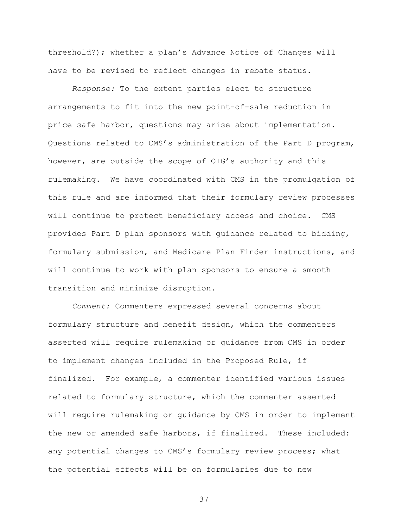threshold?); whether a plan's Advance Notice of Changes will have to be revised to reflect changes in rebate status.

*Response:* To the extent parties elect to structure arrangements to fit into the new point-of-sale reduction in price safe harbor, questions may arise about implementation. Questions related to CMS's administration of the Part D program, however, are outside the scope of OIG's authority and this rulemaking. We have coordinated with CMS in the promulgation of this rule and are informed that their formulary review processes will continue to protect beneficiary access and choice. CMS provides Part D plan sponsors with guidance related to bidding, formulary submission, and Medicare Plan Finder instructions, and will continue to work with plan sponsors to ensure a smooth transition and minimize disruption.

*Comment:* Commenters expressed several concerns about formulary structure and benefit design, which the commenters asserted will require rulemaking or guidance from CMS in order to implement changes included in the Proposed Rule, if finalized. For example, a commenter identified various issues related to formulary structure, which the commenter asserted will require rulemaking or guidance by CMS in order to implement the new or amended safe harbors, if finalized. These included: any potential changes to CMS's formulary review process; what the potential effects will be on formularies due to new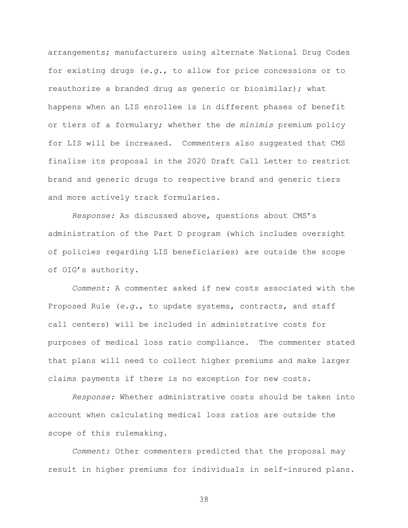arrangements; manufacturers using alternate National Drug Codes for existing drugs (*e.g.*, to allow for price concessions or to reauthorize a branded drug as generic or biosimilar); what happens when an LIS enrollee is in different phases of benefit or tiers of a formulary; whether the *de minimis* premium policy for LIS will be increased. Commenters also suggested that CMS finalize its proposal in the 2020 Draft Call Letter to restrict brand and generic drugs to respective brand and generic tiers and more actively track formularies.

*Response:* As discussed above, questions about CMS's administration of the Part D program (which includes oversight of policies regarding LIS beneficiaries) are outside the scope of OIG's authority.

*Comment:* A commenter asked if new costs associated with the Proposed Rule (*e.g.*, to update systems, contracts, and staff call centers) will be included in administrative costs for purposes of medical loss ratio compliance. The commenter stated that plans will need to collect higher premiums and make larger claims payments if there is no exception for new costs.

*Response:* Whether administrative costs should be taken into account when calculating medical loss ratios are outside the scope of this rulemaking.

*Comment:* Other commenters predicted that the proposal may result in higher premiums for individuals in self-insured plans.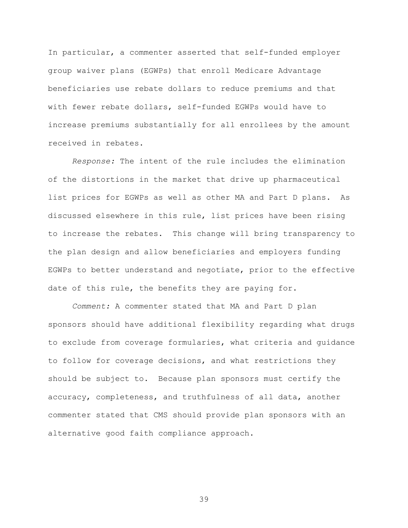In particular, a commenter asserted that self-funded employer group waiver plans (EGWPs) that enroll Medicare Advantage beneficiaries use rebate dollars to reduce premiums and that with fewer rebate dollars, self-funded EGWPs would have to increase premiums substantially for all enrollees by the amount received in rebates.

*Response:* The intent of the rule includes the elimination of the distortions in the market that drive up pharmaceutical list prices for EGWPs as well as other MA and Part D plans. As discussed elsewhere in this rule, list prices have been rising to increase the rebates. This change will bring transparency to the plan design and allow beneficiaries and employers funding EGWPs to better understand and negotiate, prior to the effective date of this rule, the benefits they are paying for.

*Comment:* A commenter stated that MA and Part D plan sponsors should have additional flexibility regarding what drugs to exclude from coverage formularies, what criteria and guidance to follow for coverage decisions, and what restrictions they should be subject to. Because plan sponsors must certify the accuracy, completeness, and truthfulness of all data, another commenter stated that CMS should provide plan sponsors with an alternative good faith compliance approach.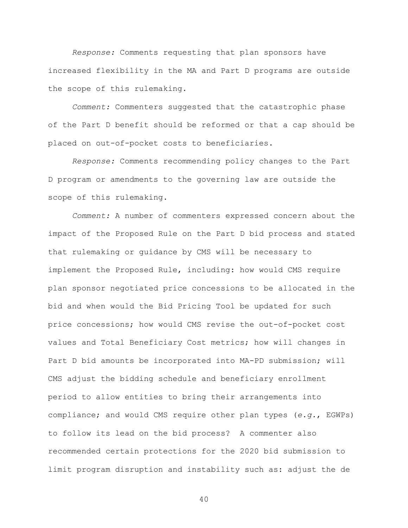*Response:* Comments requesting that plan sponsors have increased flexibility in the MA and Part D programs are outside the scope of this rulemaking.

*Comment:* Commenters suggested that the catastrophic phase of the Part D benefit should be reformed or that a cap should be placed on out-of-pocket costs to beneficiaries.

*Response:* Comments recommending policy changes to the Part D program or amendments to the governing law are outside the scope of this rulemaking.

*Comment:* A number of commenters expressed concern about the impact of the Proposed Rule on the Part D bid process and stated that rulemaking or guidance by CMS will be necessary to implement the Proposed Rule, including: how would CMS require plan sponsor negotiated price concessions to be allocated in the bid and when would the Bid Pricing Tool be updated for such price concessions; how would CMS revise the out-of-pocket cost values and Total Beneficiary Cost metrics; how will changes in Part D bid amounts be incorporated into MA-PD submission; will CMS adjust the bidding schedule and beneficiary enrollment period to allow entities to bring their arrangements into compliance; and would CMS require other plan types (*e.g.*, EGWPs) to follow its lead on the bid process? A commenter also recommended certain protections for the 2020 bid submission to limit program disruption and instability such as: adjust the de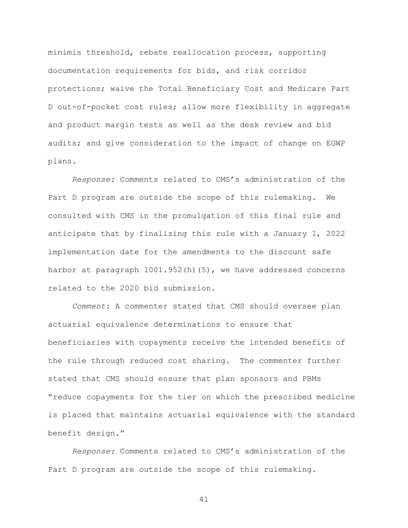minimis threshold, rebate reallocation process, supporting documentation requirements for bids, and risk corridor protections; waive the Total Beneficiary Cost and Medicare Part D out-of-pocket cost rules; allow more flexibility in aggregate and product margin tests as well as the desk review and bid audits; and give consideration to the impact of change on EGWP plans.

*Response:* Comments related to CMS's administration of the Part D program are outside the scope of this rulemaking. We consulted with CMS in the promulgation of this final rule and anticipate that by finalizing this rule with a January 1, 2022 implementation date for the amendments to the discount safe harbor at paragraph 1001.952(h)(5), we have addressed concerns related to the 2020 bid submission.

*Comment:* A commenter stated that CMS should oversee plan actuarial equivalence determinations to ensure that beneficiaries with copayments receive the intended benefits of the rule through reduced cost sharing. The commenter further stated that CMS should ensure that plan sponsors and PBMs "reduce copayments for the tier on which the prescribed medicine is placed that maintains actuarial equivalence with the standard benefit design."

*Response:* Comments related to CMS's administration of the Part D program are outside the scope of this rulemaking.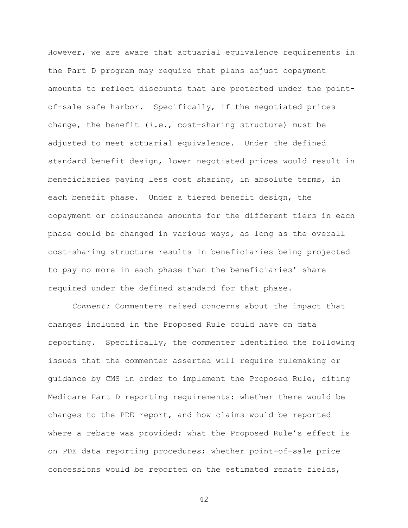However, we are aware that actuarial equivalence requirements in the Part D program may require that plans adjust copayment amounts to reflect discounts that are protected under the pointof-sale safe harbor. Specifically, if the negotiated prices change, the benefit (*i.e.*, cost-sharing structure) must be adjusted to meet actuarial equivalence. Under the defined standard benefit design, lower negotiated prices would result in beneficiaries paying less cost sharing, in absolute terms, in each benefit phase. Under a tiered benefit design, the copayment or coinsurance amounts for the different tiers in each phase could be changed in various ways, as long as the overall cost-sharing structure results in beneficiaries being projected to pay no more in each phase than the beneficiaries' share required under the defined standard for that phase.

*Comment:* Commenters raised concerns about the impact that changes included in the Proposed Rule could have on data reporting. Specifically, the commenter identified the following issues that the commenter asserted will require rulemaking or guidance by CMS in order to implement the Proposed Rule, citing Medicare Part D reporting requirements: whether there would be changes to the PDE report, and how claims would be reported where a rebate was provided; what the Proposed Rule's effect is on PDE data reporting procedures; whether point-of-sale price concessions would be reported on the estimated rebate fields,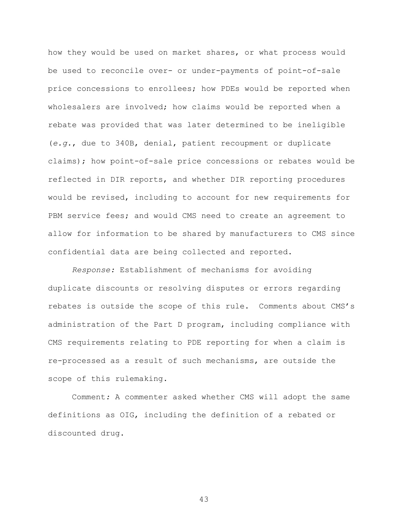how they would be used on market shares, or what process would be used to reconcile over- or under-payments of point-of-sale price concessions to enrollees; how PDEs would be reported when wholesalers are involved; how claims would be reported when a rebate was provided that was later determined to be ineligible (*e.g.*, due to 340B, denial, patient recoupment or duplicate claims); how point-of-sale price concessions or rebates would be reflected in DIR reports, and whether DIR reporting procedures would be revised, including to account for new requirements for PBM service fees; and would CMS need to create an agreement to allow for information to be shared by manufacturers to CMS since confidential data are being collected and reported.

*Response:* Establishment of mechanisms for avoiding duplicate discounts or resolving disputes or errors regarding rebates is outside the scope of this rule. Comments about CMS's administration of the Part D program, including compliance with CMS requirements relating to PDE reporting for when a claim is re-processed as a result of such mechanisms, are outside the scope of this rulemaking.

Comment*:* A commenter asked whether CMS will adopt the same definitions as OIG, including the definition of a rebated or discounted drug.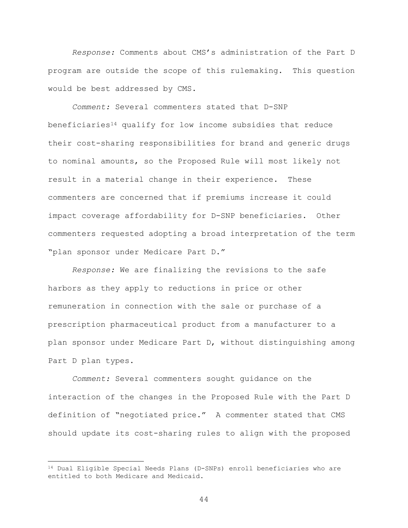*Response:* Comments about CMS's administration of the Part D program are outside the scope of this rulemaking. This question would be best addressed by CMS.

*Comment:* Several commenters stated that D-SNP beneficiaries<sup>[14](#page-43-0)</sup> qualify for low income subsidies that reduce their cost-sharing responsibilities for brand and generic drugs to nominal amounts, so the Proposed Rule will most likely not result in a material change in their experience. These commenters are concerned that if premiums increase it could impact coverage affordability for D-SNP beneficiaries. Other commenters requested adopting a broad interpretation of the term "plan sponsor under Medicare Part D."

*Response:* We are finalizing the revisions to the safe harbors as they apply to reductions in price or other remuneration in connection with the sale or purchase of a prescription pharmaceutical product from a manufacturer to a plan sponsor under Medicare Part D, without distinguishing among Part D plan types.

*Comment:* Several commenters sought guidance on the interaction of the changes in the Proposed Rule with the Part D definition of "negotiated price." A commenter stated that CMS should update its cost-sharing rules to align with the proposed

 $\overline{a}$ 

<span id="page-43-0"></span><sup>&</sup>lt;sup>14</sup> Dual Eligible Special Needs Plans (D-SNPs) enroll beneficiaries who are entitled to both Medicare and Medicaid.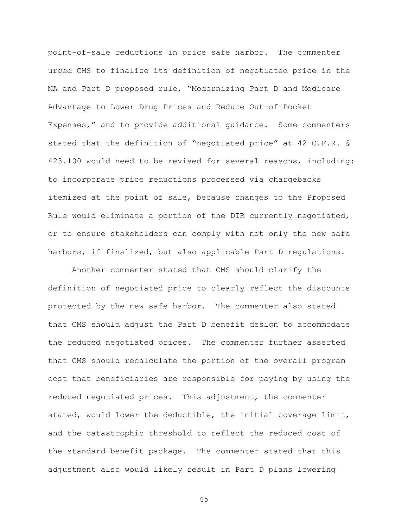point-of-sale reductions in price safe harbor. The commenter urged CMS to finalize its definition of negotiated price in the MA and Part D proposed rule, "Modernizing Part D and Medicare Advantage to Lower Drug Prices and Reduce Out-of-Pocket Expenses," and to provide additional guidance. Some commenters stated that the definition of "negotiated price" at 42 C.F.R. § 423.100 would need to be revised for several reasons, including: to incorporate price reductions processed via chargebacks itemized at the point of sale, because changes to the Proposed Rule would eliminate a portion of the DIR currently negotiated, or to ensure stakeholders can comply with not only the new safe harbors, if finalized, but also applicable Part D regulations.

Another commenter stated that CMS should clarify the definition of negotiated price to clearly reflect the discounts protected by the new safe harbor. The commenter also stated that CMS should adjust the Part D benefit design to accommodate the reduced negotiated prices. The commenter further asserted that CMS should recalculate the portion of the overall program cost that beneficiaries are responsible for paying by using the reduced negotiated prices. This adjustment, the commenter stated, would lower the deductible, the initial coverage limit, and the catastrophic threshold to reflect the reduced cost of the standard benefit package. The commenter stated that this adjustment also would likely result in Part D plans lowering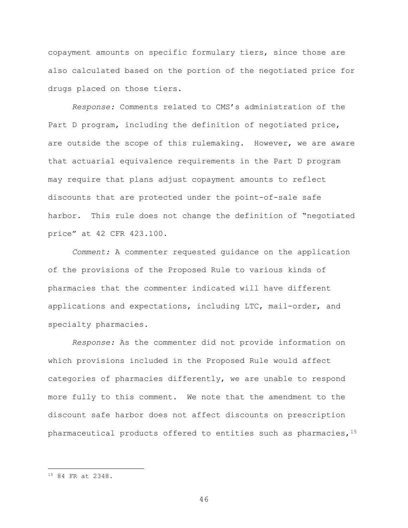copayment amounts on specific formulary tiers, since those are also calculated based on the portion of the negotiated price for drugs placed on those tiers.

*Response:* Comments related to CMS's administration of the Part D program, including the definition of negotiated price, are outside the scope of this rulemaking. However, we are aware that actuarial equivalence requirements in the Part D program may require that plans adjust copayment amounts to reflect discounts that are protected under the point-of-sale safe harbor. This rule does not change the definition of "negotiated price" at 42 CFR 423.100.

*Comment:* A commenter requested guidance on the application of the provisions of the Proposed Rule to various kinds of pharmacies that the commenter indicated will have different applications and expectations, including LTC, mail-order, and specialty pharmacies.

*Response:* As the commenter did not provide information on which provisions included in the Proposed Rule would affect categories of pharmacies differently, we are unable to respond more fully to this comment. We note that the amendment to the discount safe harbor does not affect discounts on prescription pharmaceutical products offered to entities such as pharmacies,[15](#page-45-0)

 $\overline{a}$ 

<span id="page-45-0"></span><sup>15</sup> 84 FR at 2348.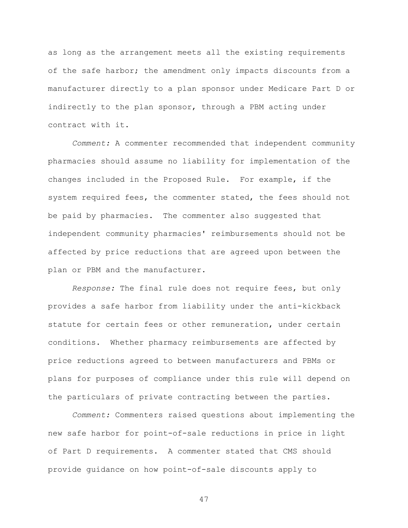as long as the arrangement meets all the existing requirements of the safe harbor; the amendment only impacts discounts from a manufacturer directly to a plan sponsor under Medicare Part D or indirectly to the plan sponsor, through a PBM acting under contract with it.

*Comment:* A commenter recommended that independent community pharmacies should assume no liability for implementation of the changes included in the Proposed Rule. For example, if the system required fees, the commenter stated, the fees should not be paid by pharmacies. The commenter also suggested that independent community pharmacies' reimbursements should not be affected by price reductions that are agreed upon between the plan or PBM and the manufacturer.

*Response:* The final rule does not require fees, but only provides a safe harbor from liability under the anti-kickback statute for certain fees or other remuneration, under certain conditions. Whether pharmacy reimbursements are affected by price reductions agreed to between manufacturers and PBMs or plans for purposes of compliance under this rule will depend on the particulars of private contracting between the parties.

*Comment:* Commenters raised questions about implementing the new safe harbor for point-of-sale reductions in price in light of Part D requirements. A commenter stated that CMS should provide guidance on how point-of-sale discounts apply to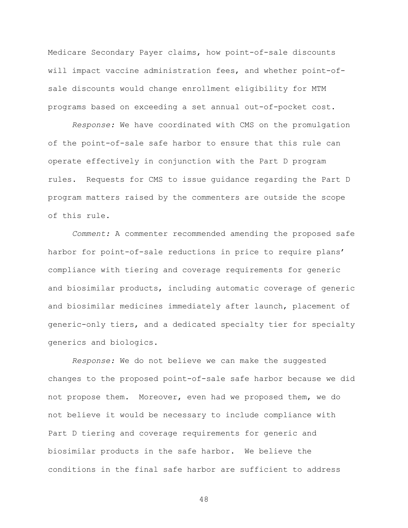Medicare Secondary Payer claims, how point-of-sale discounts will impact vaccine administration fees, and whether point-ofsale discounts would change enrollment eligibility for MTM programs based on exceeding a set annual out-of-pocket cost.

*Response:* We have coordinated with CMS on the promulgation of the point-of-sale safe harbor to ensure that this rule can operate effectively in conjunction with the Part D program rules. Requests for CMS to issue guidance regarding the Part D program matters raised by the commenters are outside the scope of this rule.

*Comment:* A commenter recommended amending the proposed safe harbor for point-of-sale reductions in price to require plans' compliance with tiering and coverage requirements for generic and biosimilar products, including automatic coverage of generic and biosimilar medicines immediately after launch, placement of generic-only tiers, and a dedicated specialty tier for specialty generics and biologics.

*Response:* We do not believe we can make the suggested changes to the proposed point-of-sale safe harbor because we did not propose them. Moreover, even had we proposed them, we do not believe it would be necessary to include compliance with Part D tiering and coverage requirements for generic and biosimilar products in the safe harbor. We believe the conditions in the final safe harbor are sufficient to address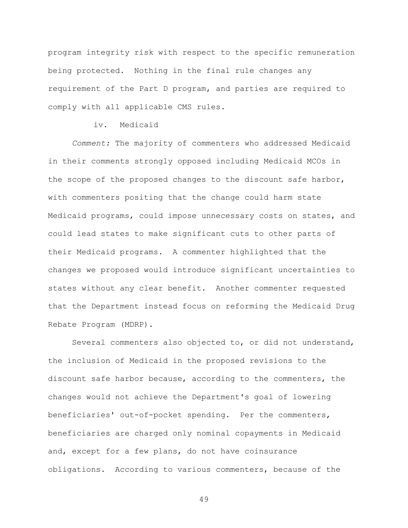program integrity risk with respect to the specific remuneration being protected. Nothing in the final rule changes any requirement of the Part D program, and parties are required to comply with all applicable CMS rules.

## iv. Medicaid

*Comment:* The majority of commenters who addressed Medicaid in their comments strongly opposed including Medicaid MCOs in the scope of the proposed changes to the discount safe harbor, with commenters positing that the change could harm state Medicaid programs, could impose unnecessary costs on states, and could lead states to make significant cuts to other parts of their Medicaid programs. A commenter highlighted that the changes we proposed would introduce significant uncertainties to states without any clear benefit. Another commenter requested that the Department instead focus on reforming the Medicaid Drug Rebate Program (MDRP).

Several commenters also objected to, or did not understand, the inclusion of Medicaid in the proposed revisions to the discount safe harbor because, according to the commenters, the changes would not achieve the Department's goal of lowering beneficiaries' out-of-pocket spending. Per the commenters, beneficiaries are charged only nominal copayments in Medicaid and, except for a few plans, do not have coinsurance obligations. According to various commenters, because of the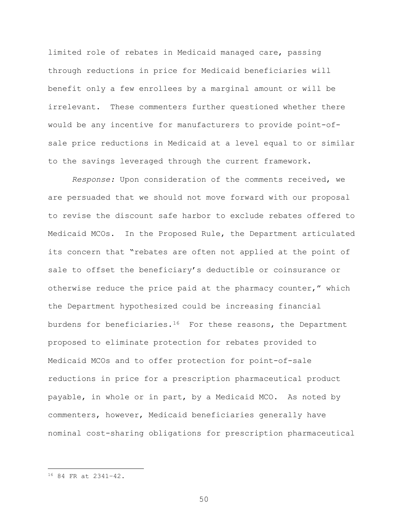limited role of rebates in Medicaid managed care, passing through reductions in price for Medicaid beneficiaries will benefit only a few enrollees by a marginal amount or will be irrelevant. These commenters further questioned whether there would be any incentive for manufacturers to provide point-ofsale price reductions in Medicaid at a level equal to or similar to the savings leveraged through the current framework.

*Response:* Upon consideration of the comments received, we are persuaded that we should not move forward with our proposal to revise the discount safe harbor to exclude rebates offered to Medicaid MCOs. In the Proposed Rule, the Department articulated its concern that "rebates are often not applied at the point of sale to offset the beneficiary's deductible or coinsurance or otherwise reduce the price paid at the pharmacy counter," which the Department hypothesized could be increasing financial burdens for beneficiaries.[16](#page-49-0) For these reasons, the Department proposed to eliminate protection for rebates provided to Medicaid MCOs and to offer protection for point-of-sale reductions in price for a prescription pharmaceutical product payable, in whole or in part, by a Medicaid MCO. As noted by commenters, however, Medicaid beneficiaries generally have nominal cost-sharing obligations for prescription pharmaceutical

 $\overline{a}$ 

<span id="page-49-0"></span><sup>16</sup> 84 FR at 2341–42.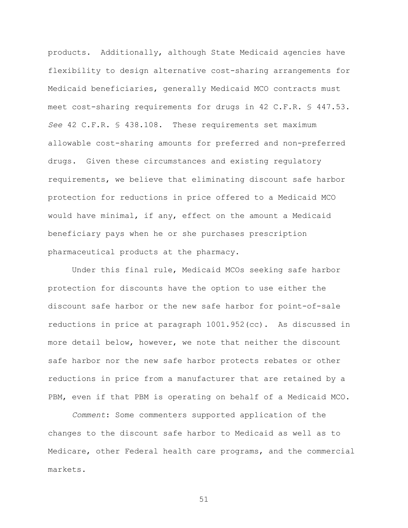products. Additionally, although State Medicaid agencies have flexibility to design alternative cost-sharing arrangements for Medicaid beneficiaries, generally Medicaid MCO contracts must meet cost-sharing requirements for drugs in 42 C.F.R. § 447.53. *See* 42 C.F.R. § 438.108. These requirements set maximum allowable cost-sharing amounts for preferred and non-preferred drugs. Given these circumstances and existing regulatory requirements, we believe that eliminating discount safe harbor protection for reductions in price offered to a Medicaid MCO would have minimal, if any, effect on the amount a Medicaid beneficiary pays when he or she purchases prescription pharmaceutical products at the pharmacy.

Under this final rule, Medicaid MCOs seeking safe harbor protection for discounts have the option to use either the discount safe harbor or the new safe harbor for point-of-sale reductions in price at paragraph 1001.952(cc). As discussed in more detail below, however, we note that neither the discount safe harbor nor the new safe harbor protects rebates or other reductions in price from a manufacturer that are retained by a PBM, even if that PBM is operating on behalf of a Medicaid MCO.

*Comment*: Some commenters supported application of the changes to the discount safe harbor to Medicaid as well as to Medicare, other Federal health care programs, and the commercial markets.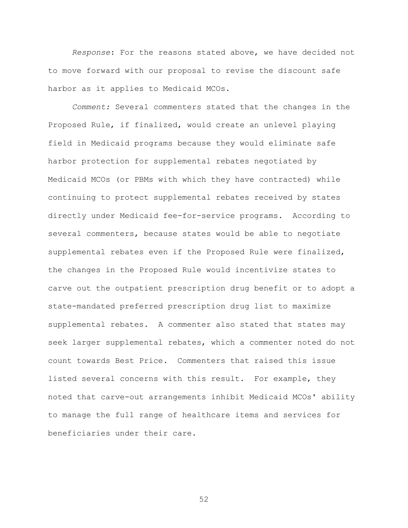*Response*: For the reasons stated above, we have decided not to move forward with our proposal to revise the discount safe harbor as it applies to Medicaid MCOs.

*Comment:* Several commenters stated that the changes in the Proposed Rule, if finalized, would create an unlevel playing field in Medicaid programs because they would eliminate safe harbor protection for supplemental rebates negotiated by Medicaid MCOs (or PBMs with which they have contracted) while continuing to protect supplemental rebates received by states directly under Medicaid fee-for-service programs. According to several commenters, because states would be able to negotiate supplemental rebates even if the Proposed Rule were finalized, the changes in the Proposed Rule would incentivize states to carve out the outpatient prescription drug benefit or to adopt a state-mandated preferred prescription drug list to maximize supplemental rebates. A commenter also stated that states may seek larger supplemental rebates, which a commenter noted do not count towards Best Price. Commenters that raised this issue listed several concerns with this result. For example, they noted that carve-out arrangements inhibit Medicaid MCOs' ability to manage the full range of healthcare items and services for beneficiaries under their care.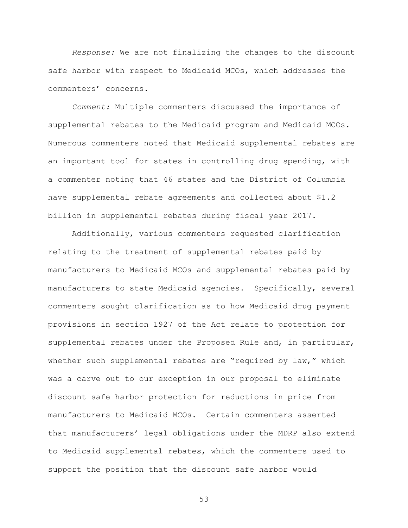*Response:* We are not finalizing the changes to the discount safe harbor with respect to Medicaid MCOs, which addresses the commenters' concerns.

*Comment:* Multiple commenters discussed the importance of supplemental rebates to the Medicaid program and Medicaid MCOs. Numerous commenters noted that Medicaid supplemental rebates are an important tool for states in controlling drug spending, with a commenter noting that 46 states and the District of Columbia have supplemental rebate agreements and collected about \$1.2 billion in supplemental rebates during fiscal year 2017.

Additionally, various commenters requested clarification relating to the treatment of supplemental rebates paid by manufacturers to Medicaid MCOs and supplemental rebates paid by manufacturers to state Medicaid agencies. Specifically, several commenters sought clarification as to how Medicaid drug payment provisions in section 1927 of the Act relate to protection for supplemental rebates under the Proposed Rule and, in particular, whether such supplemental rebates are "required by law," which was a carve out to our exception in our proposal to eliminate discount safe harbor protection for reductions in price from manufacturers to Medicaid MCOs. Certain commenters asserted that manufacturers' legal obligations under the MDRP also extend to Medicaid supplemental rebates, which the commenters used to support the position that the discount safe harbor would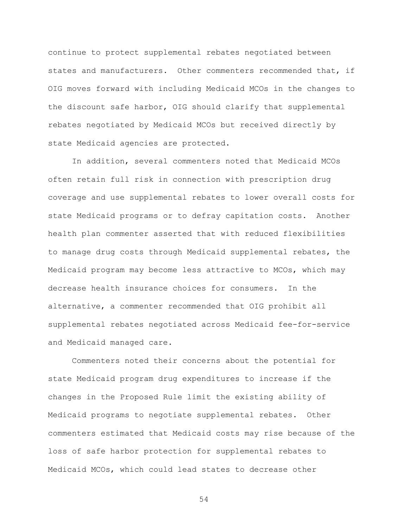continue to protect supplemental rebates negotiated between states and manufacturers. Other commenters recommended that, if OIG moves forward with including Medicaid MCOs in the changes to the discount safe harbor, OIG should clarify that supplemental rebates negotiated by Medicaid MCOs but received directly by state Medicaid agencies are protected.

In addition, several commenters noted that Medicaid MCOs often retain full risk in connection with prescription drug coverage and use supplemental rebates to lower overall costs for state Medicaid programs or to defray capitation costs. Another health plan commenter asserted that with reduced flexibilities to manage drug costs through Medicaid supplemental rebates, the Medicaid program may become less attractive to MCOs, which may decrease health insurance choices for consumers. In the alternative, a commenter recommended that OIG prohibit all supplemental rebates negotiated across Medicaid fee-for-service and Medicaid managed care.

Commenters noted their concerns about the potential for state Medicaid program drug expenditures to increase if the changes in the Proposed Rule limit the existing ability of Medicaid programs to negotiate supplemental rebates. Other commenters estimated that Medicaid costs may rise because of the loss of safe harbor protection for supplemental rebates to Medicaid MCOs, which could lead states to decrease other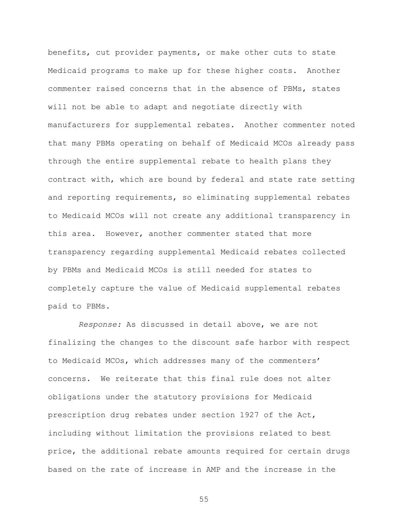benefits, cut provider payments, or make other cuts to state Medicaid programs to make up for these higher costs. Another commenter raised concerns that in the absence of PBMs, states will not be able to adapt and negotiate directly with manufacturers for supplemental rebates. Another commenter noted that many PBMs operating on behalf of Medicaid MCOs already pass through the entire supplemental rebate to health plans they contract with, which are bound by federal and state rate setting and reporting requirements, so eliminating supplemental rebates to Medicaid MCOs will not create any additional transparency in this area. However, another commenter stated that more transparency regarding supplemental Medicaid rebates collected by PBMs and Medicaid MCOs is still needed for states to completely capture the value of Medicaid supplemental rebates paid to PBMs.

*Response:* As discussed in detail above, we are not finalizing the changes to the discount safe harbor with respect to Medicaid MCOs, which addresses many of the commenters' concerns. We reiterate that this final rule does not alter obligations under the statutory provisions for Medicaid prescription drug rebates under section 1927 of the Act, including without limitation the provisions related to best price, the additional rebate amounts required for certain drugs based on the rate of increase in AMP and the increase in the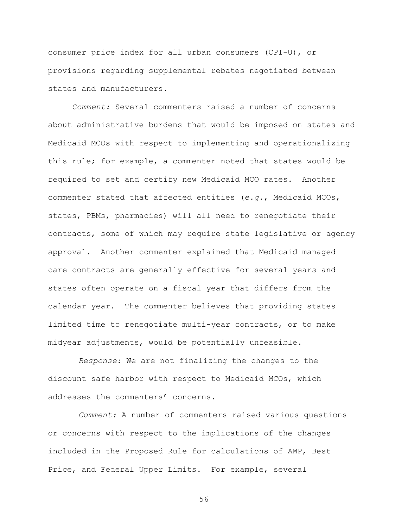consumer price index for all urban consumers (CPI-U), or provisions regarding supplemental rebates negotiated between states and manufacturers.

*Comment:* Several commenters raised a number of concerns about administrative burdens that would be imposed on states and Medicaid MCOs with respect to implementing and operationalizing this rule; for example, a commenter noted that states would be required to set and certify new Medicaid MCO rates. Another commenter stated that affected entities (*e.g.*, Medicaid MCOs, states, PBMs, pharmacies) will all need to renegotiate their contracts, some of which may require state legislative or agency approval. Another commenter explained that Medicaid managed care contracts are generally effective for several years and states often operate on a fiscal year that differs from the calendar year. The commenter believes that providing states limited time to renegotiate multi-year contracts, or to make midyear adjustments, would be potentially unfeasible.

*Response:* We are not finalizing the changes to the discount safe harbor with respect to Medicaid MCOs, which addresses the commenters' concerns.

*Comment:* A number of commenters raised various questions or concerns with respect to the implications of the changes included in the Proposed Rule for calculations of AMP, Best Price, and Federal Upper Limits. For example, several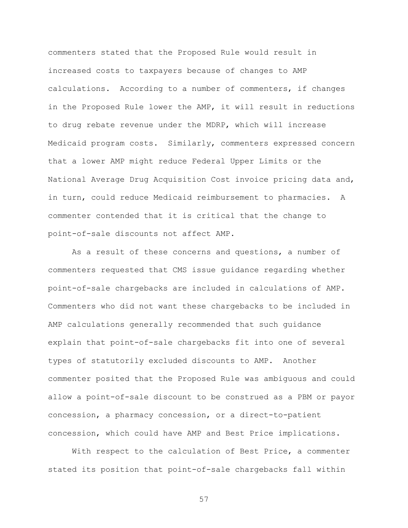commenters stated that the Proposed Rule would result in increased costs to taxpayers because of changes to AMP calculations. According to a number of commenters, if changes in the Proposed Rule lower the AMP, it will result in reductions to drug rebate revenue under the MDRP, which will increase Medicaid program costs. Similarly, commenters expressed concern that a lower AMP might reduce Federal Upper Limits or the National Average Drug Acquisition Cost invoice pricing data and, in turn, could reduce Medicaid reimbursement to pharmacies. A commenter contended that it is critical that the change to point-of-sale discounts not affect AMP.

As a result of these concerns and questions, a number of commenters requested that CMS issue guidance regarding whether point-of-sale chargebacks are included in calculations of AMP. Commenters who did not want these chargebacks to be included in AMP calculations generally recommended that such guidance explain that point-of-sale chargebacks fit into one of several types of statutorily excluded discounts to AMP. Another commenter posited that the Proposed Rule was ambiguous and could allow a point-of-sale discount to be construed as a PBM or payor concession, a pharmacy concession, or a direct-to-patient concession, which could have AMP and Best Price implications.

With respect to the calculation of Best Price, a commenter stated its position that point-of-sale chargebacks fall within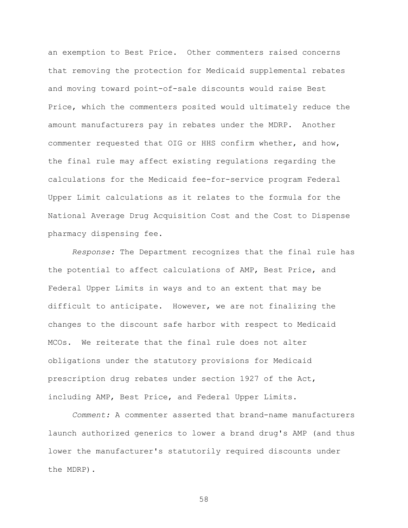an exemption to Best Price. Other commenters raised concerns that removing the protection for Medicaid supplemental rebates and moving toward point-of-sale discounts would raise Best Price, which the commenters posited would ultimately reduce the amount manufacturers pay in rebates under the MDRP. Another commenter requested that OIG or HHS confirm whether, and how, the final rule may affect existing regulations regarding the calculations for the Medicaid fee-for-service program Federal Upper Limit calculations as it relates to the formula for the National Average Drug Acquisition Cost and the Cost to Dispense pharmacy dispensing fee.

*Response:* The Department recognizes that the final rule has the potential to affect calculations of AMP, Best Price, and Federal Upper Limits in ways and to an extent that may be difficult to anticipate. However, we are not finalizing the changes to the discount safe harbor with respect to Medicaid MCOs. We reiterate that the final rule does not alter obligations under the statutory provisions for Medicaid prescription drug rebates under section 1927 of the Act, including AMP, Best Price, and Federal Upper Limits.

*Comment:* A commenter asserted that brand-name manufacturers launch authorized generics to lower a brand drug's AMP (and thus lower the manufacturer's statutorily required discounts under the MDRP).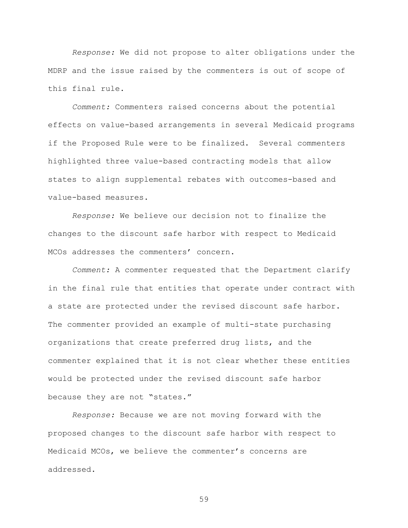*Response:* We did not propose to alter obligations under the MDRP and the issue raised by the commenters is out of scope of this final rule.

*Comment:* Commenters raised concerns about the potential effects on value-based arrangements in several Medicaid programs if the Proposed Rule were to be finalized. Several commenters highlighted three value-based contracting models that allow states to align supplemental rebates with outcomes-based and value-based measures.

*Response:* We believe our decision not to finalize the changes to the discount safe harbor with respect to Medicaid MCOs addresses the commenters' concern.

*Comment:* A commenter requested that the Department clarify in the final rule that entities that operate under contract with a state are protected under the revised discount safe harbor. The commenter provided an example of multi-state purchasing organizations that create preferred drug lists, and the commenter explained that it is not clear whether these entities would be protected under the revised discount safe harbor because they are not "states."

*Response:* Because we are not moving forward with the proposed changes to the discount safe harbor with respect to Medicaid MCOs, we believe the commenter's concerns are addressed.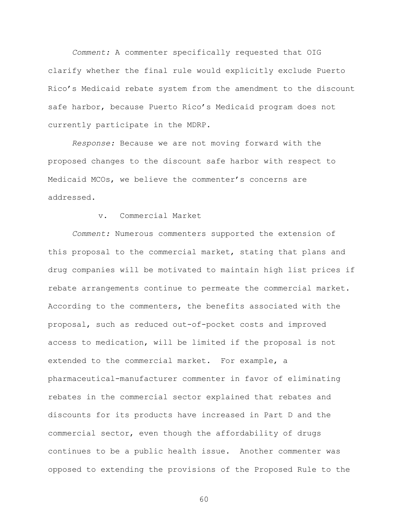*Comment:* A commenter specifically requested that OIG clarify whether the final rule would explicitly exclude Puerto Rico's Medicaid rebate system from the amendment to the discount safe harbor, because Puerto Rico's Medicaid program does not currently participate in the MDRP.

*Response:* Because we are not moving forward with the proposed changes to the discount safe harbor with respect to Medicaid MCOs, we believe the commenter's concerns are addressed.

## v. Commercial Market

*Comment:* Numerous commenters supported the extension of this proposal to the commercial market, stating that plans and drug companies will be motivated to maintain high list prices if rebate arrangements continue to permeate the commercial market. According to the commenters, the benefits associated with the proposal, such as reduced out-of-pocket costs and improved access to medication, will be limited if the proposal is not extended to the commercial market. For example, a pharmaceutical-manufacturer commenter in favor of eliminating rebates in the commercial sector explained that rebates and discounts for its products have increased in Part D and the commercial sector, even though the affordability of drugs continues to be a public health issue. Another commenter was opposed to extending the provisions of the Proposed Rule to the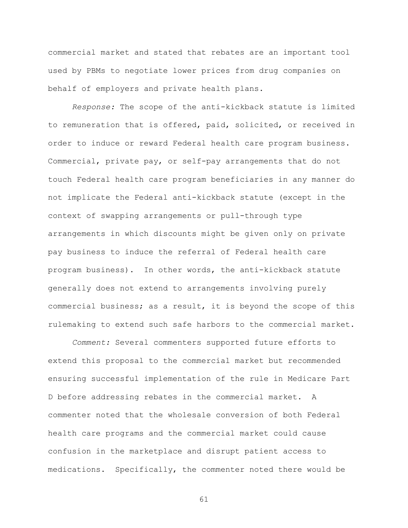commercial market and stated that rebates are an important tool used by PBMs to negotiate lower prices from drug companies on behalf of employers and private health plans.

*Response:* The scope of the anti-kickback statute is limited to remuneration that is offered, paid, solicited, or received in order to induce or reward Federal health care program business. Commercial, private pay, or self-pay arrangements that do not touch Federal health care program beneficiaries in any manner do not implicate the Federal anti-kickback statute (except in the context of swapping arrangements or pull-through type arrangements in which discounts might be given only on private pay business to induce the referral of Federal health care program business). In other words, the anti-kickback statute generally does not extend to arrangements involving purely commercial business; as a result, it is beyond the scope of this rulemaking to extend such safe harbors to the commercial market.

*Comment:* Several commenters supported future efforts to extend this proposal to the commercial market but recommended ensuring successful implementation of the rule in Medicare Part D before addressing rebates in the commercial market. A commenter noted that the wholesale conversion of both Federal health care programs and the commercial market could cause confusion in the marketplace and disrupt patient access to medications. Specifically, the commenter noted there would be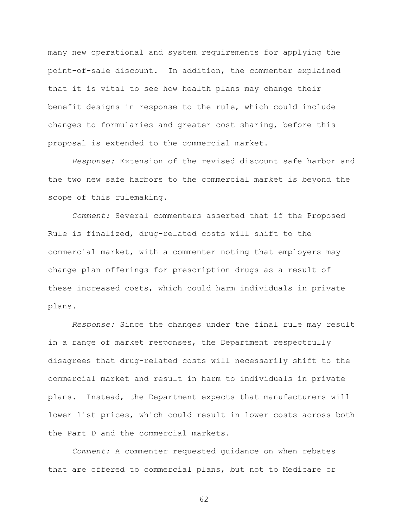many new operational and system requirements for applying the point-of-sale discount. In addition, the commenter explained that it is vital to see how health plans may change their benefit designs in response to the rule, which could include changes to formularies and greater cost sharing, before this proposal is extended to the commercial market.

*Response:* Extension of the revised discount safe harbor and the two new safe harbors to the commercial market is beyond the scope of this rulemaking.

*Comment:* Several commenters asserted that if the Proposed Rule is finalized, drug-related costs will shift to the commercial market, with a commenter noting that employers may change plan offerings for prescription drugs as a result of these increased costs, which could harm individuals in private plans.

*Response:* Since the changes under the final rule may result in a range of market responses, the Department respectfully disagrees that drug-related costs will necessarily shift to the commercial market and result in harm to individuals in private plans. Instead, the Department expects that manufacturers will lower list prices, which could result in lower costs across both the Part D and the commercial markets.

*Comment:* A commenter requested guidance on when rebates that are offered to commercial plans, but not to Medicare or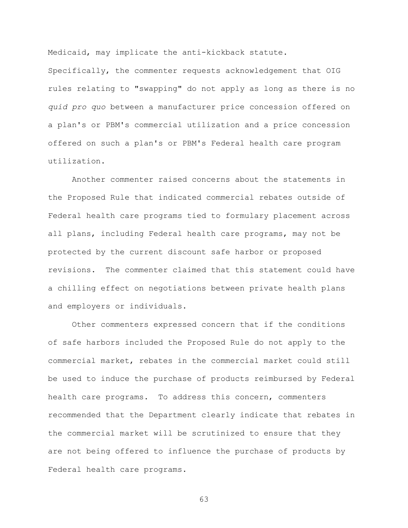Medicaid, may implicate the anti-kickback statute.

Specifically, the commenter requests acknowledgement that OIG rules relating to "swapping" do not apply as long as there is no *quid pro quo* between a manufacturer price concession offered on a plan's or PBM's commercial utilization and a price concession offered on such a plan's or PBM's Federal health care program utilization.

Another commenter raised concerns about the statements in the Proposed Rule that indicated commercial rebates outside of Federal health care programs tied to formulary placement across all plans, including Federal health care programs, may not be protected by the current discount safe harbor or proposed revisions. The commenter claimed that this statement could have a chilling effect on negotiations between private health plans and employers or individuals.

Other commenters expressed concern that if the conditions of safe harbors included the Proposed Rule do not apply to the commercial market, rebates in the commercial market could still be used to induce the purchase of products reimbursed by Federal health care programs. To address this concern, commenters recommended that the Department clearly indicate that rebates in the commercial market will be scrutinized to ensure that they are not being offered to influence the purchase of products by Federal health care programs.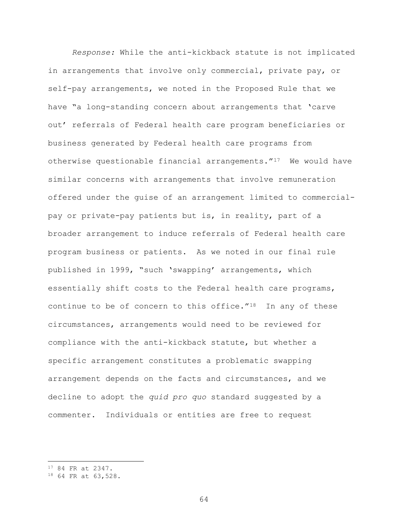*Response:* While the anti-kickback statute is not implicated in arrangements that involve only commercial, private pay, or self-pay arrangements, we noted in the Proposed Rule that we have "a long-standing concern about arrangements that 'carve out' referrals of Federal health care program beneficiaries or business generated by Federal health care programs from otherwise questionable financial arrangements."[17](#page-63-0) We would have similar concerns with arrangements that involve remuneration offered under the guise of an arrangement limited to commercialpay or private-pay patients but is, in reality, part of a broader arrangement to induce referrals of Federal health care program business or patients. As we noted in our final rule published in 1999, "such 'swapping' arrangements, which essentially shift costs to the Federal health care programs, continue to be of concern to this office. $''^{18}$  $''^{18}$  $''^{18}$  In any of these circumstances, arrangements would need to be reviewed for compliance with the anti-kickback statute, but whether a specific arrangement constitutes a problematic swapping arrangement depends on the facts and circumstances, and we decline to adopt the *quid pro quo* standard suggested by a commenter. Individuals or entities are free to request

 $\overline{a}$ 

<span id="page-63-0"></span><sup>17</sup> 84 FR at 2347.

<span id="page-63-1"></span><sup>18</sup> 64 FR at 63,528.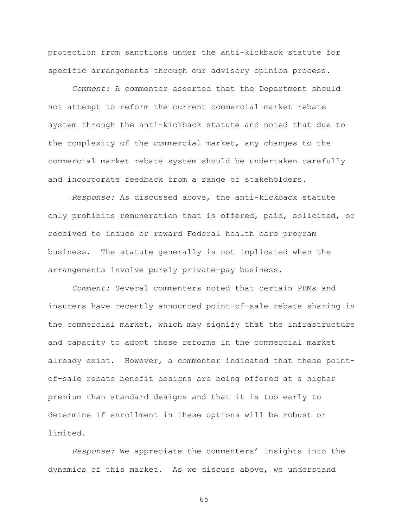protection from sanctions under the anti-kickback statute for specific arrangements through our advisory opinion process.

*Comment:* A commenter asserted that the Department should not attempt to reform the current commercial market rebate system through the anti-kickback statute and noted that due to the complexity of the commercial market, any changes to the commercial market rebate system should be undertaken carefully and incorporate feedback from a range of stakeholders.

*Response:* As discussed above, the anti-kickback statute only prohibits remuneration that is offered, paid, solicited, or received to induce or reward Federal health care program business. The statute generally is not implicated when the arrangements involve purely private-pay business.

*Comment:* Several commenters noted that certain PBMs and insurers have recently announced point-of-sale rebate sharing in the commercial market, which may signify that the infrastructure and capacity to adopt these reforms in the commercial market already exist. However, a commenter indicated that these pointof-sale rebate benefit designs are being offered at a higher premium than standard designs and that it is too early to determine if enrollment in these options will be robust or limited.

*Response:* We appreciate the commenters' insights into the dynamics of this market. As we discuss above, we understand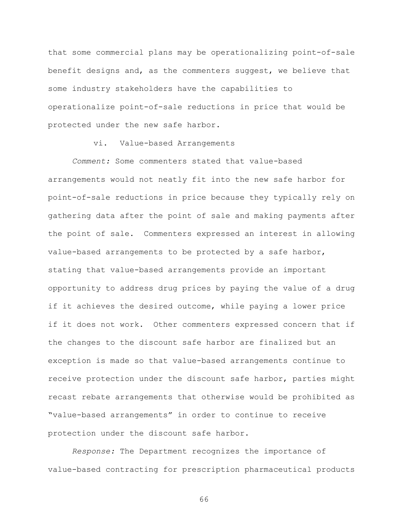that some commercial plans may be operationalizing point-of-sale benefit designs and, as the commenters suggest, we believe that some industry stakeholders have the capabilities to operationalize point-of-sale reductions in price that would be protected under the new safe harbor.

vi. Value-based Arrangements

*Comment:* Some commenters stated that value-based arrangements would not neatly fit into the new safe harbor for point-of-sale reductions in price because they typically rely on gathering data after the point of sale and making payments after the point of sale. Commenters expressed an interest in allowing value-based arrangements to be protected by a safe harbor, stating that value-based arrangements provide an important opportunity to address drug prices by paying the value of a drug if it achieves the desired outcome, while paying a lower price if it does not work. Other commenters expressed concern that if the changes to the discount safe harbor are finalized but an exception is made so that value-based arrangements continue to receive protection under the discount safe harbor, parties might recast rebate arrangements that otherwise would be prohibited as "value-based arrangements" in order to continue to receive protection under the discount safe harbor.

*Response:* The Department recognizes the importance of value-based contracting for prescription pharmaceutical products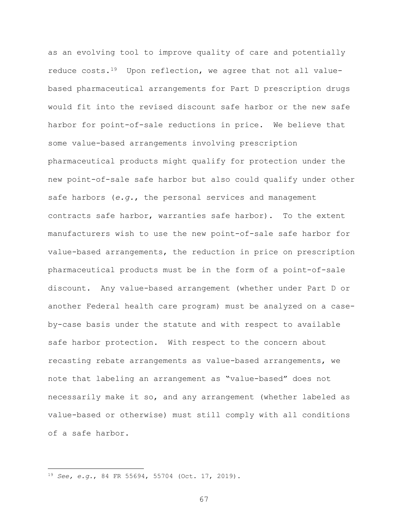as an evolving tool to improve quality of care and potentially reduce costs.[19](#page-66-0) Upon reflection, we agree that not all valuebased pharmaceutical arrangements for Part D prescription drugs would fit into the revised discount safe harbor or the new safe harbor for point-of-sale reductions in price. We believe that some value-based arrangements involving prescription pharmaceutical products might qualify for protection under the new point-of-sale safe harbor but also could qualify under other safe harbors (*e.g.*, the personal services and management contracts safe harbor, warranties safe harbor). To the extent manufacturers wish to use the new point-of-sale safe harbor for value-based arrangements, the reduction in price on prescription pharmaceutical products must be in the form of a point-of-sale discount. Any value-based arrangement (whether under Part D or another Federal health care program) must be analyzed on a caseby-case basis under the statute and with respect to available safe harbor protection. With respect to the concern about recasting rebate arrangements as value-based arrangements, we note that labeling an arrangement as "value-based" does not necessarily make it so, and any arrangement (whether labeled as value-based or otherwise) must still comply with all conditions of a safe harbor.

 $\overline{a}$ 

<span id="page-66-0"></span><sup>19</sup> *See, e.g.*, 84 FR 55694, 55704 (Oct. 17, 2019).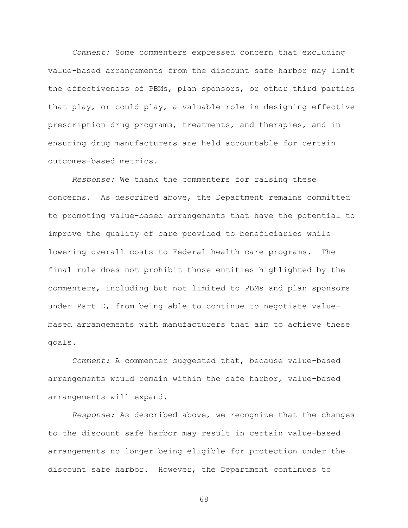*Comment:* Some commenters expressed concern that excluding value-based arrangements from the discount safe harbor may limit the effectiveness of PBMs, plan sponsors, or other third parties that play, or could play, a valuable role in designing effective prescription drug programs, treatments, and therapies, and in ensuring drug manufacturers are held accountable for certain outcomes-based metrics.

*Response:* We thank the commenters for raising these concerns. As described above, the Department remains committed to promoting value-based arrangements that have the potential to improve the quality of care provided to beneficiaries while lowering overall costs to Federal health care programs. The final rule does not prohibit those entities highlighted by the commenters, including but not limited to PBMs and plan sponsors under Part D, from being able to continue to negotiate valuebased arrangements with manufacturers that aim to achieve these goals.

*Comment:* A commenter suggested that, because value-based arrangements would remain within the safe harbor, value-based arrangements will expand.

*Response:* As described above, we recognize that the changes to the discount safe harbor may result in certain value-based arrangements no longer being eligible for protection under the discount safe harbor. However, the Department continues to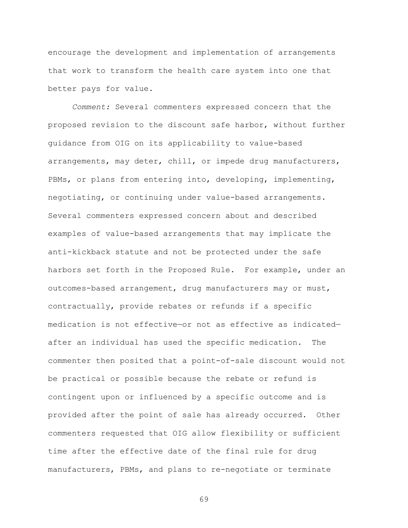encourage the development and implementation of arrangements that work to transform the health care system into one that better pays for value.

*Comment:* Several commenters expressed concern that the proposed revision to the discount safe harbor, without further guidance from OIG on its applicability to value-based arrangements, may deter, chill, or impede drug manufacturers, PBMs, or plans from entering into, developing, implementing, negotiating, or continuing under value-based arrangements. Several commenters expressed concern about and described examples of value-based arrangements that may implicate the anti-kickback statute and not be protected under the safe harbors set forth in the Proposed Rule. For example, under an outcomes-based arrangement, drug manufacturers may or must, contractually, provide rebates or refunds if a specific medication is not effective—or not as effective as indicated after an individual has used the specific medication. The commenter then posited that a point-of-sale discount would not be practical or possible because the rebate or refund is contingent upon or influenced by a specific outcome and is provided after the point of sale has already occurred. Other commenters requested that OIG allow flexibility or sufficient time after the effective date of the final rule for drug manufacturers, PBMs, and plans to re-negotiate or terminate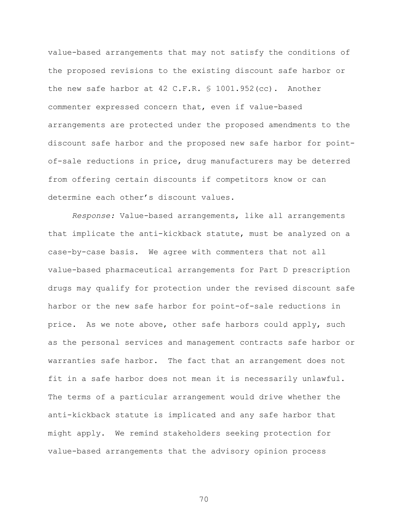value-based arrangements that may not satisfy the conditions of the proposed revisions to the existing discount safe harbor or the new safe harbor at 42 C.F.R. § 1001.952(cc). Another commenter expressed concern that, even if value-based arrangements are protected under the proposed amendments to the discount safe harbor and the proposed new safe harbor for pointof-sale reductions in price, drug manufacturers may be deterred from offering certain discounts if competitors know or can determine each other's discount values.

*Response:* Value-based arrangements, like all arrangements that implicate the anti-kickback statute, must be analyzed on a case-by-case basis. We agree with commenters that not all value-based pharmaceutical arrangements for Part D prescription drugs may qualify for protection under the revised discount safe harbor or the new safe harbor for point-of-sale reductions in price. As we note above, other safe harbors could apply, such as the personal services and management contracts safe harbor or warranties safe harbor. The fact that an arrangement does not fit in a safe harbor does not mean it is necessarily unlawful. The terms of a particular arrangement would drive whether the anti-kickback statute is implicated and any safe harbor that might apply. We remind stakeholders seeking protection for value-based arrangements that the advisory opinion process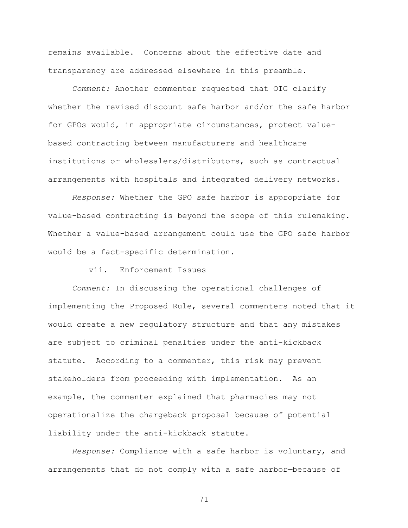remains available. Concerns about the effective date and transparency are addressed elsewhere in this preamble.

*Comment:* Another commenter requested that OIG clarify whether the revised discount safe harbor and/or the safe harbor for GPOs would, in appropriate circumstances, protect valuebased contracting between manufacturers and healthcare institutions or wholesalers/distributors, such as contractual arrangements with hospitals and integrated delivery networks.

*Response:* Whether the GPO safe harbor is appropriate for value-based contracting is beyond the scope of this rulemaking. Whether a value-based arrangement could use the GPO safe harbor would be a fact-specific determination.

## vii. Enforcement Issues

*Comment:* In discussing the operational challenges of implementing the Proposed Rule, several commenters noted that it would create a new regulatory structure and that any mistakes are subject to criminal penalties under the anti-kickback statute. According to a commenter, this risk may prevent stakeholders from proceeding with implementation. As an example, the commenter explained that pharmacies may not operationalize the chargeback proposal because of potential liability under the anti-kickback statute.

*Response:* Compliance with a safe harbor is voluntary, and arrangements that do not comply with a safe harbor—because of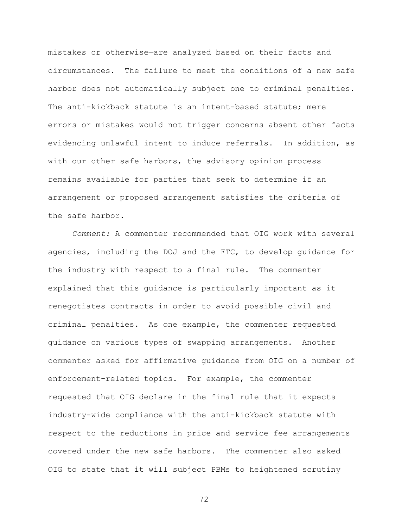mistakes or otherwise—are analyzed based on their facts and circumstances. The failure to meet the conditions of a new safe harbor does not automatically subject one to criminal penalties. The anti-kickback statute is an intent-based statute; mere errors or mistakes would not trigger concerns absent other facts evidencing unlawful intent to induce referrals. In addition, as with our other safe harbors, the advisory opinion process remains available for parties that seek to determine if an arrangement or proposed arrangement satisfies the criteria of the safe harbor.

*Comment:* A commenter recommended that OIG work with several agencies, including the DOJ and the FTC, to develop guidance for the industry with respect to a final rule. The commenter explained that this guidance is particularly important as it renegotiates contracts in order to avoid possible civil and criminal penalties. As one example, the commenter requested guidance on various types of swapping arrangements. Another commenter asked for affirmative guidance from OIG on a number of enforcement-related topics. For example, the commenter requested that OIG declare in the final rule that it expects industry-wide compliance with the anti-kickback statute with respect to the reductions in price and service fee arrangements covered under the new safe harbors. The commenter also asked OIG to state that it will subject PBMs to heightened scrutiny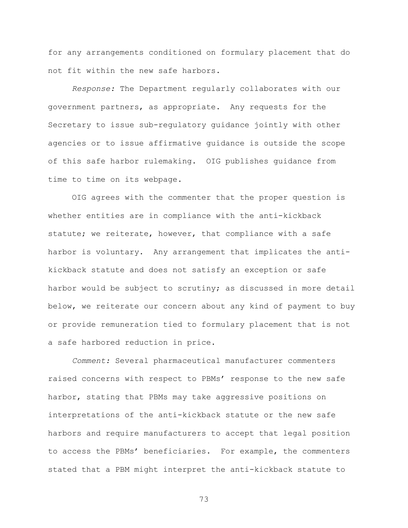for any arrangements conditioned on formulary placement that do not fit within the new safe harbors.

*Response:* The Department regularly collaborates with our government partners, as appropriate. Any requests for the Secretary to issue sub-regulatory guidance jointly with other agencies or to issue affirmative guidance is outside the scope of this safe harbor rulemaking. OIG publishes guidance from time to time on its webpage.

OIG agrees with the commenter that the proper question is whether entities are in compliance with the anti-kickback statute; we reiterate, however, that compliance with a safe harbor is voluntary. Any arrangement that implicates the antikickback statute and does not satisfy an exception or safe harbor would be subject to scrutiny; as discussed in more detail below, we reiterate our concern about any kind of payment to buy or provide remuneration tied to formulary placement that is not a safe harbored reduction in price.

*Comment:* Several pharmaceutical manufacturer commenters raised concerns with respect to PBMs' response to the new safe harbor, stating that PBMs may take aggressive positions on interpretations of the anti-kickback statute or the new safe harbors and require manufacturers to accept that legal position to access the PBMs' beneficiaries. For example, the commenters stated that a PBM might interpret the anti-kickback statute to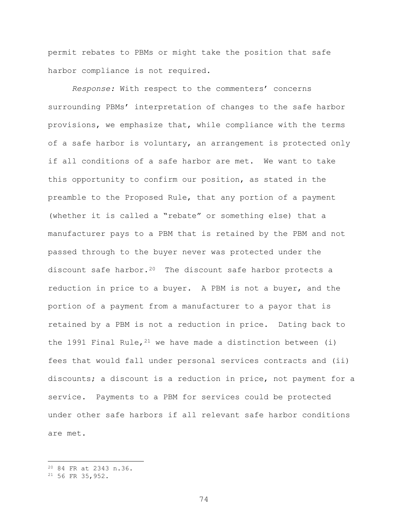permit rebates to PBMs or might take the position that safe harbor compliance is not required.

*Response:* With respect to the commenters' concerns surrounding PBMs' interpretation of changes to the safe harbor provisions, we emphasize that, while compliance with the terms of a safe harbor is voluntary, an arrangement is protected only if all conditions of a safe harbor are met. We want to take this opportunity to confirm our position, as stated in the preamble to the Proposed Rule, that any portion of a payment (whether it is called a "rebate" or something else) that a manufacturer pays to a PBM that is retained by the PBM and not passed through to the buyer never was protected under the discount safe harbor.<sup>[20](#page-73-0)</sup> The discount safe harbor protects a reduction in price to a buyer. A PBM is not a buyer, and the portion of a payment from a manufacturer to a payor that is retained by a PBM is not a reduction in price. Dating back to the 1991 Final Rule,  $2^1$  we have made a distinction between (i) fees that would fall under personal services contracts and (ii) discounts; a discount is a reduction in price, not payment for a service. Payments to a PBM for services could be protected under other safe harbors if all relevant safe harbor conditions are met.

 $\overline{a}$ 

<span id="page-73-0"></span><sup>20</sup> 84 FR at 2343 n.36.

<span id="page-73-1"></span><sup>21</sup> 56 FR 35,952.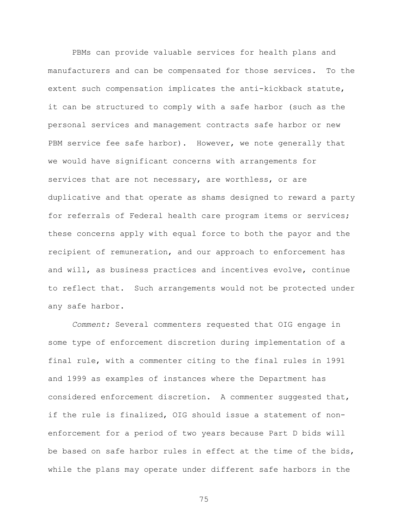PBMs can provide valuable services for health plans and manufacturers and can be compensated for those services. To the extent such compensation implicates the anti-kickback statute, it can be structured to comply with a safe harbor (such as the personal services and management contracts safe harbor or new PBM service fee safe harbor). However, we note generally that we would have significant concerns with arrangements for services that are not necessary, are worthless, or are duplicative and that operate as shams designed to reward a party for referrals of Federal health care program items or services; these concerns apply with equal force to both the payor and the recipient of remuneration, and our approach to enforcement has and will, as business practices and incentives evolve, continue to reflect that. Such arrangements would not be protected under any safe harbor.

*Comment:* Several commenters requested that OIG engage in some type of enforcement discretion during implementation of a final rule, with a commenter citing to the final rules in 1991 and 1999 as examples of instances where the Department has considered enforcement discretion. A commenter suggested that, if the rule is finalized, OIG should issue a statement of nonenforcement for a period of two years because Part D bids will be based on safe harbor rules in effect at the time of the bids, while the plans may operate under different safe harbors in the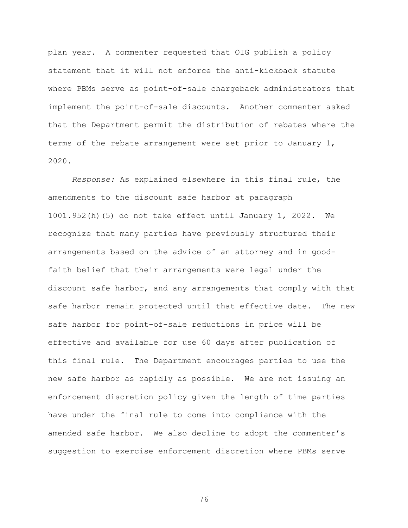plan year. A commenter requested that OIG publish a policy statement that it will not enforce the anti-kickback statute where PBMs serve as point-of-sale chargeback administrators that implement the point-of-sale discounts. Another commenter asked that the Department permit the distribution of rebates where the terms of the rebate arrangement were set prior to January 1, 2020.

*Response:* As explained elsewhere in this final rule, the amendments to the discount safe harbor at paragraph 1001.952(h)(5) do not take effect until January 1, 2022. We recognize that many parties have previously structured their arrangements based on the advice of an attorney and in goodfaith belief that their arrangements were legal under the discount safe harbor, and any arrangements that comply with that safe harbor remain protected until that effective date. The new safe harbor for point-of-sale reductions in price will be effective and available for use 60 days after publication of this final rule. The Department encourages parties to use the new safe harbor as rapidly as possible. We are not issuing an enforcement discretion policy given the length of time parties have under the final rule to come into compliance with the amended safe harbor. We also decline to adopt the commenter's suggestion to exercise enforcement discretion where PBMs serve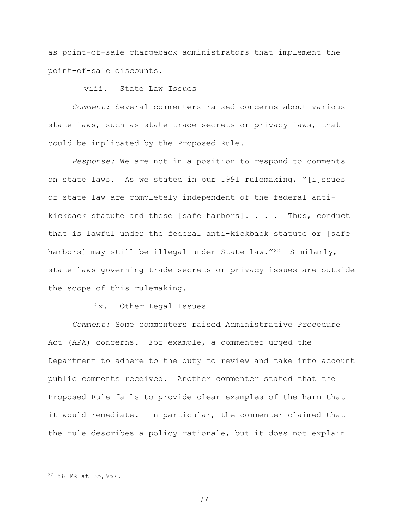as point-of-sale chargeback administrators that implement the point-of-sale discounts.

viii. State Law Issues

*Comment:* Several commenters raised concerns about various state laws, such as state trade secrets or privacy laws, that could be implicated by the Proposed Rule.

*Response:* We are not in a position to respond to comments on state laws. As we stated in our 1991 rulemaking, "[i]ssues of state law are completely independent of the federal antikickback statute and these [safe harbors]. . . . Thus, conduct that is lawful under the federal anti-kickback statute or [safe harbors] may still be illegal under State law."<sup>22</sup> Similarly, state laws governing trade secrets or privacy issues are outside the scope of this rulemaking.

ix. Other Legal Issues

*Comment:* Some commenters raised Administrative Procedure Act (APA) concerns. For example, a commenter urged the Department to adhere to the duty to review and take into account public comments received. Another commenter stated that the Proposed Rule fails to provide clear examples of the harm that it would remediate. In particular, the commenter claimed that the rule describes a policy rationale, but it does not explain

 $\overline{a}$ 

<span id="page-76-0"></span><sup>22</sup> 56 FR at 35,957.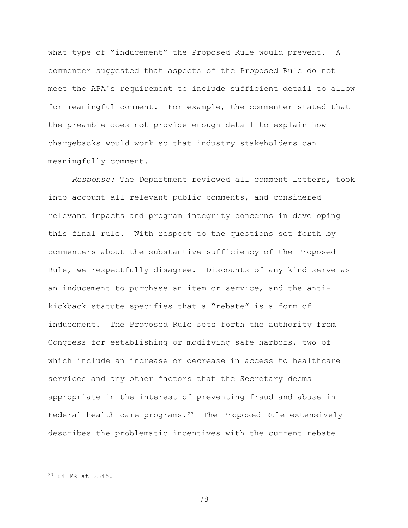what type of "inducement" the Proposed Rule would prevent. A commenter suggested that aspects of the Proposed Rule do not meet the APA's requirement to include sufficient detail to allow for meaningful comment. For example, the commenter stated that the preamble does not provide enough detail to explain how chargebacks would work so that industry stakeholders can meaningfully comment.

*Response:* The Department reviewed all comment letters, took into account all relevant public comments, and considered relevant impacts and program integrity concerns in developing this final rule. With respect to the questions set forth by commenters about the substantive sufficiency of the Proposed Rule, we respectfully disagree. Discounts of any kind serve as an inducement to purchase an item or service, and the antikickback statute specifies that a "rebate" is a form of inducement. The Proposed Rule sets forth the authority from Congress for establishing or modifying safe harbors, two of which include an increase or decrease in access to healthcare services and any other factors that the Secretary deems appropriate in the interest of preventing fraud and abuse in Federal health care programs.<sup>[23](#page-77-0)</sup> The Proposed Rule extensively describes the problematic incentives with the current rebate

 $\overline{a}$ 

<span id="page-77-0"></span><sup>23</sup> 84 FR at 2345.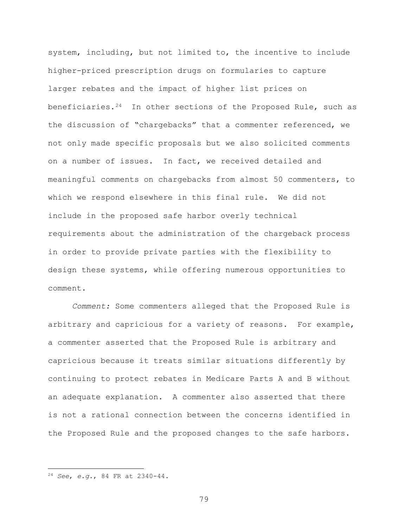system, including, but not limited to, the incentive to include higher-priced prescription drugs on formularies to capture larger rebates and the impact of higher list prices on beneficiaries.<sup>24</sup> In other sections of the Proposed Rule, such as the discussion of "chargebacks" that a commenter referenced, we not only made specific proposals but we also solicited comments on a number of issues. In fact, we received detailed and meaningful comments on chargebacks from almost 50 commenters, to which we respond elsewhere in this final rule. We did not include in the proposed safe harbor overly technical requirements about the administration of the chargeback process in order to provide private parties with the flexibility to design these systems, while offering numerous opportunities to comment.

*Comment:* Some commenters alleged that the Proposed Rule is arbitrary and capricious for a variety of reasons. For example, a commenter asserted that the Proposed Rule is arbitrary and capricious because it treats similar situations differently by continuing to protect rebates in Medicare Parts A and B without an adequate explanation. A commenter also asserted that there is not a rational connection between the concerns identified in the Proposed Rule and the proposed changes to the safe harbors.

 $\overline{a}$ 

<span id="page-78-0"></span><sup>24</sup> *See*, *e.g.*, 84 FR at 2340-44.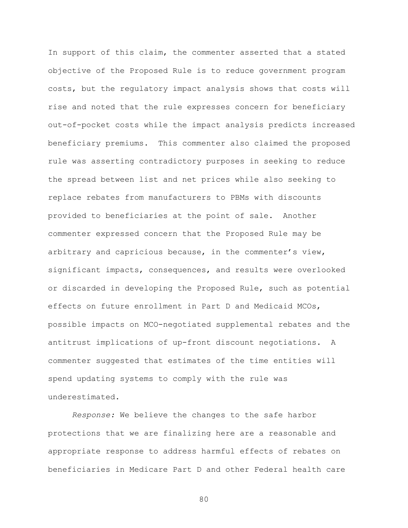In support of this claim, the commenter asserted that a stated objective of the Proposed Rule is to reduce government program costs, but the regulatory impact analysis shows that costs will rise and noted that the rule expresses concern for beneficiary out-of-pocket costs while the impact analysis predicts increased beneficiary premiums. This commenter also claimed the proposed rule was asserting contradictory purposes in seeking to reduce the spread between list and net prices while also seeking to replace rebates from manufacturers to PBMs with discounts provided to beneficiaries at the point of sale. Another commenter expressed concern that the Proposed Rule may be arbitrary and capricious because, in the commenter's view, significant impacts, consequences, and results were overlooked or discarded in developing the Proposed Rule, such as potential effects on future enrollment in Part D and Medicaid MCOs, possible impacts on MCO-negotiated supplemental rebates and the antitrust implications of up-front discount negotiations. A commenter suggested that estimates of the time entities will spend updating systems to comply with the rule was underestimated.

*Response:* We believe the changes to the safe harbor protections that we are finalizing here are a reasonable and appropriate response to address harmful effects of rebates on beneficiaries in Medicare Part D and other Federal health care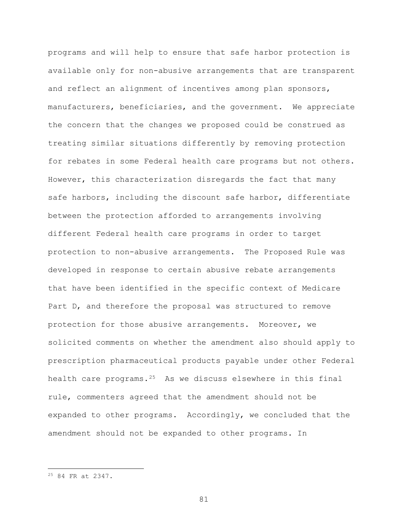programs and will help to ensure that safe harbor protection is available only for non-abusive arrangements that are transparent and reflect an alignment of incentives among plan sponsors, manufacturers, beneficiaries, and the government. We appreciate the concern that the changes we proposed could be construed as treating similar situations differently by removing protection for rebates in some Federal health care programs but not others. However, this characterization disregards the fact that many safe harbors, including the discount safe harbor, differentiate between the protection afforded to arrangements involving different Federal health care programs in order to target protection to non-abusive arrangements. The Proposed Rule was developed in response to certain abusive rebate arrangements that have been identified in the specific context of Medicare Part D, and therefore the proposal was structured to remove protection for those abusive arrangements. Moreover, we solicited comments on whether the amendment also should apply to prescription pharmaceutical products payable under other Federal health care programs. $25$  As we discuss elsewhere in this final rule, commenters agreed that the amendment should not be expanded to other programs. Accordingly, we concluded that the amendment should not be expanded to other programs. In

 $\overline{a}$ 

<span id="page-80-0"></span><sup>25</sup> 84 FR at 2347.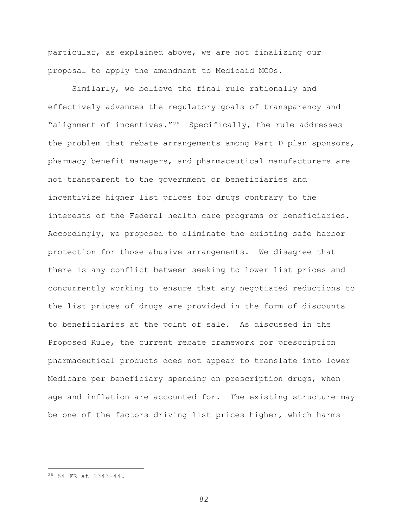particular, as explained above, we are not finalizing our proposal to apply the amendment to Medicaid MCOs.

Similarly, we believe the final rule rationally and effectively advances the regulatory goals of transparency and "alignment of incentives."<sup>[26](#page-81-0)</sup> Specifically, the rule addresses the problem that rebate arrangements among Part D plan sponsors, pharmacy benefit managers, and pharmaceutical manufacturers are not transparent to the government or beneficiaries and incentivize higher list prices for drugs contrary to the interests of the Federal health care programs or beneficiaries. Accordingly, we proposed to eliminate the existing safe harbor protection for those abusive arrangements. We disagree that there is any conflict between seeking to lower list prices and concurrently working to ensure that any negotiated reductions to the list prices of drugs are provided in the form of discounts to beneficiaries at the point of sale. As discussed in the Proposed Rule, the current rebate framework for prescription pharmaceutical products does not appear to translate into lower Medicare per beneficiary spending on prescription drugs, when age and inflation are accounted for. The existing structure may be one of the factors driving list prices higher, which harms

 $\overline{a}$ 

<span id="page-81-0"></span><sup>26</sup> 84 FR at 2343-44.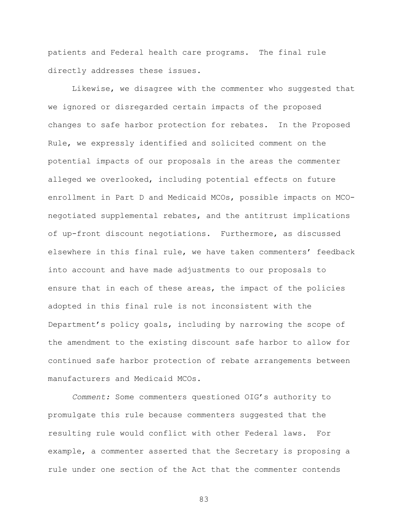patients and Federal health care programs. The final rule directly addresses these issues.

Likewise, we disagree with the commenter who suggested that we ignored or disregarded certain impacts of the proposed changes to safe harbor protection for rebates. In the Proposed Rule, we expressly identified and solicited comment on the potential impacts of our proposals in the areas the commenter alleged we overlooked, including potential effects on future enrollment in Part D and Medicaid MCOs, possible impacts on MCOnegotiated supplemental rebates, and the antitrust implications of up-front discount negotiations. Furthermore, as discussed elsewhere in this final rule, we have taken commenters' feedback into account and have made adjustments to our proposals to ensure that in each of these areas, the impact of the policies adopted in this final rule is not inconsistent with the Department's policy goals, including by narrowing the scope of the amendment to the existing discount safe harbor to allow for continued safe harbor protection of rebate arrangements between manufacturers and Medicaid MCOs.

*Comment:* Some commenters questioned OIG's authority to promulgate this rule because commenters suggested that the resulting rule would conflict with other Federal laws. For example, a commenter asserted that the Secretary is proposing a rule under one section of the Act that the commenter contends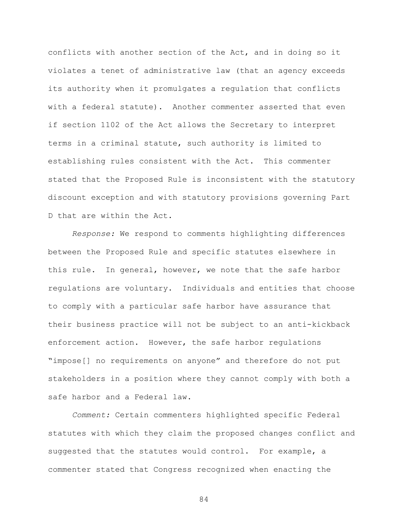conflicts with another section of the Act, and in doing so it violates a tenet of administrative law (that an agency exceeds its authority when it promulgates a regulation that conflicts with a federal statute). Another commenter asserted that even if section 1102 of the Act allows the Secretary to interpret terms in a criminal statute, such authority is limited to establishing rules consistent with the Act. This commenter stated that the Proposed Rule is inconsistent with the statutory discount exception and with statutory provisions governing Part D that are within the Act.

*Response:* We respond to comments highlighting differences between the Proposed Rule and specific statutes elsewhere in this rule. In general, however, we note that the safe harbor regulations are voluntary. Individuals and entities that choose to comply with a particular safe harbor have assurance that their business practice will not be subject to an anti-kickback enforcement action. However, the safe harbor regulations "impose[] no requirements on anyone" and therefore do not put stakeholders in a position where they cannot comply with both a safe harbor and a Federal law.

*Comment:* Certain commenters highlighted specific Federal statutes with which they claim the proposed changes conflict and suggested that the statutes would control. For example, a commenter stated that Congress recognized when enacting the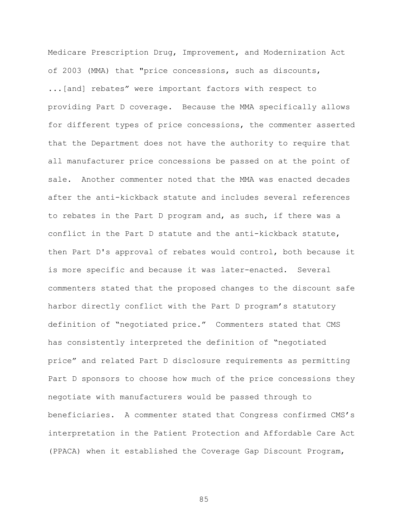Medicare Prescription Drug, Improvement, and Modernization Act of 2003 (MMA) that "price concessions, such as discounts, ...[and] rebates" were important factors with respect to providing Part D coverage. Because the MMA specifically allows for different types of price concessions, the commenter asserted that the Department does not have the authority to require that all manufacturer price concessions be passed on at the point of sale. Another commenter noted that the MMA was enacted decades after the anti-kickback statute and includes several references to rebates in the Part D program and, as such, if there was a conflict in the Part D statute and the anti-kickback statute, then Part D's approval of rebates would control, both because it is more specific and because it was later-enacted. Several commenters stated that the proposed changes to the discount safe harbor directly conflict with the Part D program's statutory definition of "negotiated price." Commenters stated that CMS has consistently interpreted the definition of "negotiated price" and related Part D disclosure requirements as permitting Part D sponsors to choose how much of the price concessions they negotiate with manufacturers would be passed through to beneficiaries. A commenter stated that Congress confirmed CMS's interpretation in the Patient Protection and Affordable Care Act (PPACA) when it established the Coverage Gap Discount Program,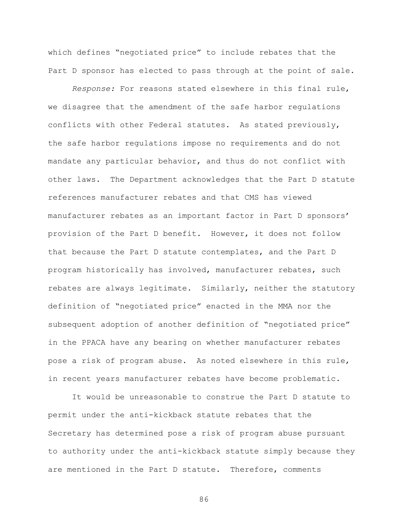which defines "negotiated price" to include rebates that the Part D sponsor has elected to pass through at the point of sale.

*Response:* For reasons stated elsewhere in this final rule, we disagree that the amendment of the safe harbor regulations conflicts with other Federal statutes. As stated previously, the safe harbor regulations impose no requirements and do not mandate any particular behavior, and thus do not conflict with other laws. The Department acknowledges that the Part D statute references manufacturer rebates and that CMS has viewed manufacturer rebates as an important factor in Part D sponsors' provision of the Part D benefit. However, it does not follow that because the Part D statute contemplates, and the Part D program historically has involved, manufacturer rebates, such rebates are always legitimate. Similarly, neither the statutory definition of "negotiated price" enacted in the MMA nor the subsequent adoption of another definition of "negotiated price" in the PPACA have any bearing on whether manufacturer rebates pose a risk of program abuse. As noted elsewhere in this rule, in recent years manufacturer rebates have become problematic.

It would be unreasonable to construe the Part D statute to permit under the anti-kickback statute rebates that the Secretary has determined pose a risk of program abuse pursuant to authority under the anti-kickback statute simply because they are mentioned in the Part D statute. Therefore, comments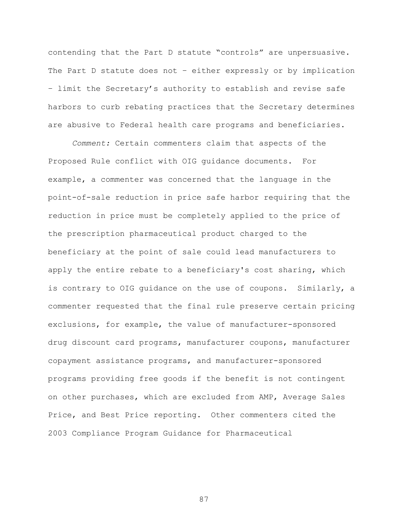contending that the Part D statute "controls" are unpersuasive. The Part D statute does not – either expressly or by implication – limit the Secretary's authority to establish and revise safe harbors to curb rebating practices that the Secretary determines are abusive to Federal health care programs and beneficiaries.

*Comment:* Certain commenters claim that aspects of the Proposed Rule conflict with OIG guidance documents. For example, a commenter was concerned that the language in the point-of-sale reduction in price safe harbor requiring that the reduction in price must be completely applied to the price of the prescription pharmaceutical product charged to the beneficiary at the point of sale could lead manufacturers to apply the entire rebate to a beneficiary's cost sharing, which is contrary to OIG guidance on the use of coupons. Similarly, a commenter requested that the final rule preserve certain pricing exclusions, for example, the value of manufacturer-sponsored drug discount card programs, manufacturer coupons, manufacturer copayment assistance programs, and manufacturer-sponsored programs providing free goods if the benefit is not contingent on other purchases, which are excluded from AMP, Average Sales Price, and Best Price reporting. Other commenters cited the 2003 Compliance Program Guidance for Pharmaceutical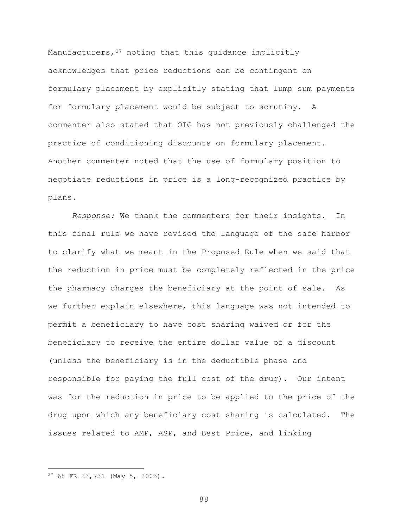Manufacturers, <sup>[27](#page-87-0)</sup> noting that this guidance implicitly acknowledges that price reductions can be contingent on formulary placement by explicitly stating that lump sum payments for formulary placement would be subject to scrutiny. A commenter also stated that OIG has not previously challenged the practice of conditioning discounts on formulary placement. Another commenter noted that the use of formulary position to negotiate reductions in price is a long-recognized practice by plans.

*Response:* We thank the commenters for their insights. In this final rule we have revised the language of the safe harbor to clarify what we meant in the Proposed Rule when we said that the reduction in price must be completely reflected in the price the pharmacy charges the beneficiary at the point of sale. As we further explain elsewhere, this language was not intended to permit a beneficiary to have cost sharing waived or for the beneficiary to receive the entire dollar value of a discount (unless the beneficiary is in the deductible phase and responsible for paying the full cost of the drug). Our intent was for the reduction in price to be applied to the price of the drug upon which any beneficiary cost sharing is calculated. The issues related to AMP, ASP, and Best Price, and linking

 $\overline{a}$ 

<span id="page-87-0"></span><sup>27</sup> 68 FR 23,731 (May 5, 2003).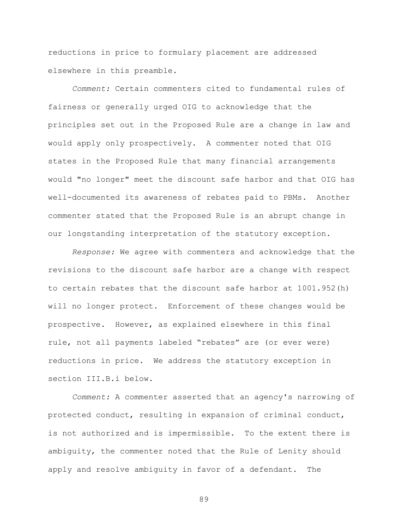reductions in price to formulary placement are addressed elsewhere in this preamble.

*Comment:* Certain commenters cited to fundamental rules of fairness or generally urged OIG to acknowledge that the principles set out in the Proposed Rule are a change in law and would apply only prospectively. A commenter noted that OIG states in the Proposed Rule that many financial arrangements would "no longer" meet the discount safe harbor and that OIG has well-documented its awareness of rebates paid to PBMs. Another commenter stated that the Proposed Rule is an abrupt change in our longstanding interpretation of the statutory exception.

*Response:* We agree with commenters and acknowledge that the revisions to the discount safe harbor are a change with respect to certain rebates that the discount safe harbor at 1001.952(h) will no longer protect. Enforcement of these changes would be prospective. However, as explained elsewhere in this final rule, not all payments labeled "rebates" are (or ever were) reductions in price. We address the statutory exception in section III.B.i below.

*Comment:* A commenter asserted that an agency's narrowing of protected conduct, resulting in expansion of criminal conduct, is not authorized and is impermissible. To the extent there is ambiguity, the commenter noted that the Rule of Lenity should apply and resolve ambiguity in favor of a defendant. The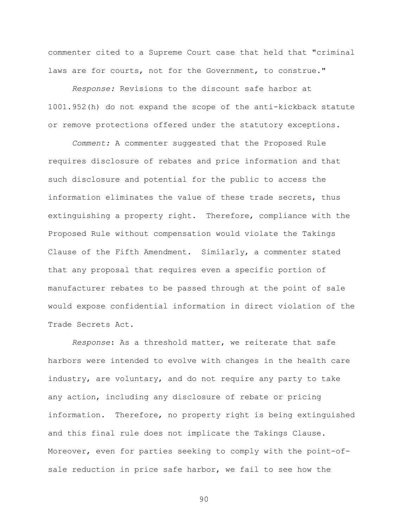commenter cited to a Supreme Court case that held that "criminal laws are for courts, not for the Government, to construe."

*Response:* Revisions to the discount safe harbor at 1001.952(h) do not expand the scope of the anti-kickback statute or remove protections offered under the statutory exceptions.

*Comment:* A commenter suggested that the Proposed Rule requires disclosure of rebates and price information and that such disclosure and potential for the public to access the information eliminates the value of these trade secrets, thus extinguishing a property right. Therefore, compliance with the Proposed Rule without compensation would violate the Takings Clause of the Fifth Amendment. Similarly, a commenter stated that any proposal that requires even a specific portion of manufacturer rebates to be passed through at the point of sale would expose confidential information in direct violation of the Trade Secrets Act.

*Response*: As a threshold matter, we reiterate that safe harbors were intended to evolve with changes in the health care industry, are voluntary, and do not require any party to take any action, including any disclosure of rebate or pricing information. Therefore, no property right is being extinguished and this final rule does not implicate the Takings Clause. Moreover, even for parties seeking to comply with the point-ofsale reduction in price safe harbor, we fail to see how the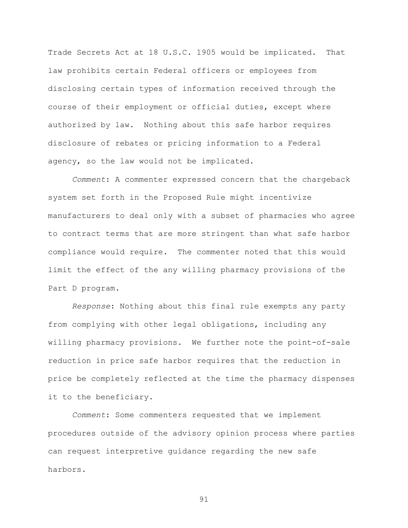Trade Secrets Act at 18 U.S.C. 1905 would be implicated. That law prohibits certain Federal officers or employees from disclosing certain types of information received through the course of their employment or official duties, except where authorized by law. Nothing about this safe harbor requires disclosure of rebates or pricing information to a Federal agency, so the law would not be implicated.

*Comment*: A commenter expressed concern that the chargeback system set forth in the Proposed Rule might incentivize manufacturers to deal only with a subset of pharmacies who agree to contract terms that are more stringent than what safe harbor compliance would require. The commenter noted that this would limit the effect of the any willing pharmacy provisions of the Part D program.

*Response*: Nothing about this final rule exempts any party from complying with other legal obligations, including any willing pharmacy provisions. We further note the point-of-sale reduction in price safe harbor requires that the reduction in price be completely reflected at the time the pharmacy dispenses it to the beneficiary.

*Comment*: Some commenters requested that we implement procedures outside of the advisory opinion process where parties can request interpretive guidance regarding the new safe harbors.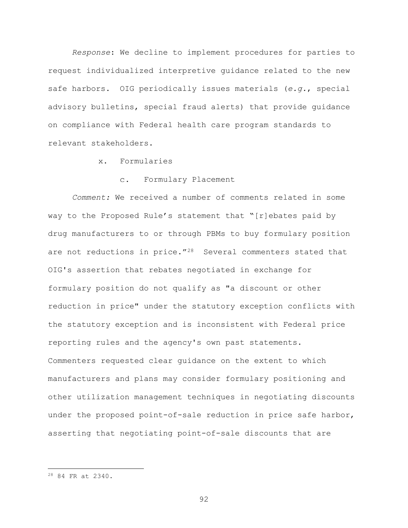*Response*: We decline to implement procedures for parties to request individualized interpretive guidance related to the new safe harbors. OIG periodically issues materials (*e.g.*, special advisory bulletins, special fraud alerts) that provide guidance on compliance with Federal health care program standards to relevant stakeholders.

## x. Formularies

## Formulary Placement

*Comment:* We received a number of comments related in some way to the Proposed Rule's statement that "[r]ebates paid by drug manufacturers to or through PBMs to buy formulary position are not reductions in price."<sup>28</sup> Several commenters stated that OIG's assertion that rebates negotiated in exchange for formulary position do not qualify as "a discount or other reduction in price" under the statutory exception conflicts with the statutory exception and is inconsistent with Federal price reporting rules and the agency's own past statements. Commenters requested clear guidance on the extent to which manufacturers and plans may consider formulary positioning and other utilization management techniques in negotiating discounts under the proposed point-of-sale reduction in price safe harbor, asserting that negotiating point-of-sale discounts that are

 $\overline{a}$ 

<span id="page-91-0"></span><sup>28</sup> 84 FR at 2340.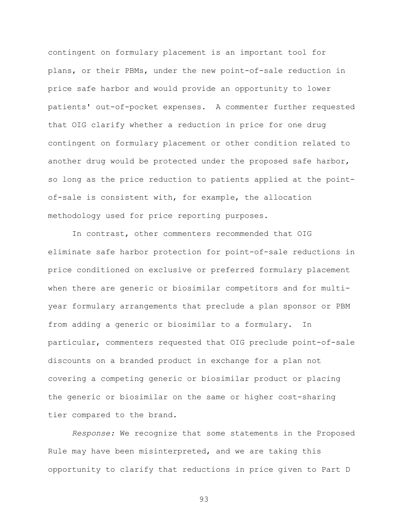contingent on formulary placement is an important tool for plans, or their PBMs, under the new point-of-sale reduction in price safe harbor and would provide an opportunity to lower patients' out-of-pocket expenses. A commenter further requested that OIG clarify whether a reduction in price for one drug contingent on formulary placement or other condition related to another drug would be protected under the proposed safe harbor, so long as the price reduction to patients applied at the pointof-sale is consistent with, for example, the allocation methodology used for price reporting purposes.

In contrast, other commenters recommended that OIG eliminate safe harbor protection for point-of-sale reductions in price conditioned on exclusive or preferred formulary placement when there are generic or biosimilar competitors and for multiyear formulary arrangements that preclude a plan sponsor or PBM from adding a generic or biosimilar to a formulary. In particular, commenters requested that OIG preclude point-of-sale discounts on a branded product in exchange for a plan not covering a competing generic or biosimilar product or placing the generic or biosimilar on the same or higher cost-sharing tier compared to the brand.

*Response:* We recognize that some statements in the Proposed Rule may have been misinterpreted, and we are taking this opportunity to clarify that reductions in price given to Part D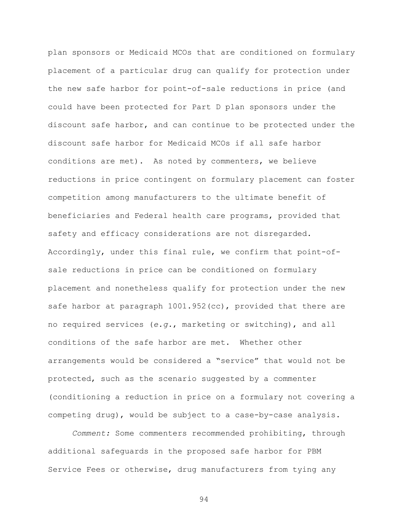plan sponsors or Medicaid MCOs that are conditioned on formulary placement of a particular drug can qualify for protection under the new safe harbor for point-of-sale reductions in price (and could have been protected for Part D plan sponsors under the discount safe harbor, and can continue to be protected under the discount safe harbor for Medicaid MCOs if all safe harbor conditions are met). As noted by commenters, we believe reductions in price contingent on formulary placement can foster competition among manufacturers to the ultimate benefit of beneficiaries and Federal health care programs, provided that safety and efficacy considerations are not disregarded. Accordingly, under this final rule, we confirm that point-ofsale reductions in price can be conditioned on formulary placement and nonetheless qualify for protection under the new safe harbor at paragraph  $1001.952$  (cc), provided that there are no required services (*e.g.*, marketing or switching), and all conditions of the safe harbor are met. Whether other arrangements would be considered a "service" that would not be protected, such as the scenario suggested by a commenter (conditioning a reduction in price on a formulary not covering a competing drug), would be subject to a case-by-case analysis.

*Comment:* Some commenters recommended prohibiting, through additional safeguards in the proposed safe harbor for PBM Service Fees or otherwise, drug manufacturers from tying any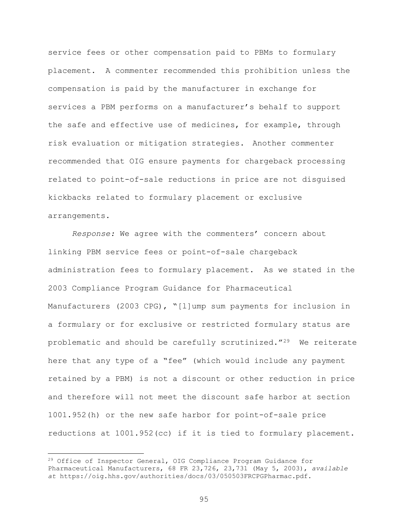service fees or other compensation paid to PBMs to formulary placement. A commenter recommended this prohibition unless the compensation is paid by the manufacturer in exchange for services a PBM performs on a manufacturer's behalf to support the safe and effective use of medicines, for example, through risk evaluation or mitigation strategies. Another commenter recommended that OIG ensure payments for chargeback processing related to point-of-sale reductions in price are not disguised kickbacks related to formulary placement or exclusive arrangements.

*Response:* We agree with the commenters' concern about linking PBM service fees or point-of-sale chargeback administration fees to formulary placement. As we stated in the 2003 Compliance Program Guidance for Pharmaceutical Manufacturers (2003 CPG), "[l]ump sum payments for inclusion in a formulary or for exclusive or restricted formulary status are problematic and should be carefully scrutinized."[29](#page-94-0) We reiterate here that any type of a "fee" (which would include any payment retained by a PBM) is not a discount or other reduction in price and therefore will not meet the discount safe harbor at section 1001.952(h) or the new safe harbor for point-of-sale price reductions at 1001.952(cc) if it is tied to formulary placement.

 $\overline{a}$ 

<span id="page-94-0"></span><sup>&</sup>lt;sup>29</sup> Office of Inspector General, OIG Compliance Program Guidance for Pharmaceutical Manufacturers, 68 FR 23,726, 23,731 (May 5, 2003), *available at* https://oig.hhs.gov/authorities/docs/03/050503FRCPGPharmac.pdf.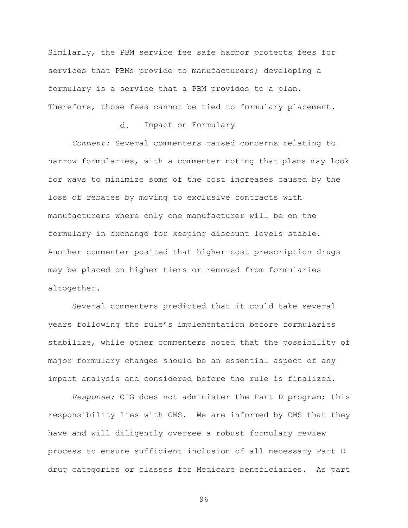Similarly, the PBM service fee safe harbor protects fees for services that PBMs provide to manufacturers; developing a formulary is a service that a PBM provides to a plan. Therefore, those fees cannot be tied to formulary placement.

## d. Impact on Formulary

 *Comment:* Several commenters raised concerns relating to narrow formularies, with a commenter noting that plans may look for ways to minimize some of the cost increases caused by the loss of rebates by moving to exclusive contracts with manufacturers where only one manufacturer will be on the formulary in exchange for keeping discount levels stable. Another commenter posited that higher-cost prescription drugs may be placed on higher tiers or removed from formularies altogether.

Several commenters predicted that it could take several years following the rule's implementation before formularies stabilize, while other commenters noted that the possibility of major formulary changes should be an essential aspect of any impact analysis and considered before the rule is finalized.

*Response:* OIG does not administer the Part D program; this responsibility lies with CMS. We are informed by CMS that they have and will diligently oversee a robust formulary review process to ensure sufficient inclusion of all necessary Part D drug categories or classes for Medicare beneficiaries. As part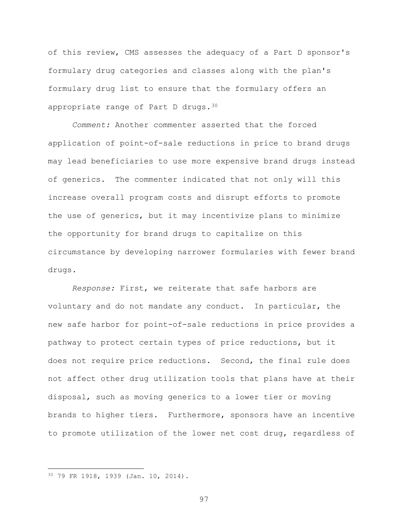of this review, CMS assesses the adequacy of a Part D sponsor's formulary drug categories and classes along with the plan's formulary drug list to ensure that the formulary offers an appropriate range of Part D drugs.[30](#page-96-0)

*Comment:* Another commenter asserted that the forced application of point-of-sale reductions in price to brand drugs may lead beneficiaries to use more expensive brand drugs instead of generics. The commenter indicated that not only will this increase overall program costs and disrupt efforts to promote the use of generics, but it may incentivize plans to minimize the opportunity for brand drugs to capitalize on this circumstance by developing narrower formularies with fewer brand drugs.

*Response:* First, we reiterate that safe harbors are voluntary and do not mandate any conduct. In particular, the new safe harbor for point-of-sale reductions in price provides a pathway to protect certain types of price reductions, but it does not require price reductions. Second, the final rule does not affect other drug utilization tools that plans have at their disposal, such as moving generics to a lower tier or moving brands to higher tiers. Furthermore, sponsors have an incentive to promote utilization of the lower net cost drug, regardless of

 $\overline{a}$ 

<span id="page-96-0"></span><sup>30</sup> 79 FR 1918, 1939 (Jan. 10, 2014).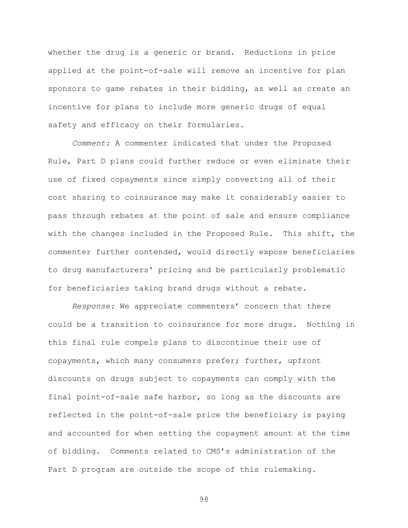whether the drug is a generic or brand. Reductions in price applied at the point-of-sale will remove an incentive for plan sponsors to game rebates in their bidding, as well as create an incentive for plans to include more generic drugs of equal safety and efficacy on their formularies.

*Comment:* A commenter indicated that under the Proposed Rule, Part D plans could further reduce or even eliminate their use of fixed copayments since simply converting all of their cost sharing to coinsurance may make it considerably easier to pass through rebates at the point of sale and ensure compliance with the changes included in the Proposed Rule. This shift, the commenter further contended, would directly expose beneficiaries to drug manufacturers' pricing and be particularly problematic for beneficiaries taking brand drugs without a rebate.

*Response:* We appreciate commenters' concern that there could be a transition to coinsurance for more drugs. Nothing in this final rule compels plans to discontinue their use of copayments, which many consumers prefer; further, upfront discounts on drugs subject to copayments can comply with the final point-of-sale safe harbor, so long as the discounts are reflected in the point-of-sale price the beneficiary is paying and accounted for when setting the copayment amount at the time of bidding. Comments related to CMS's administration of the Part D program are outside the scope of this rulemaking.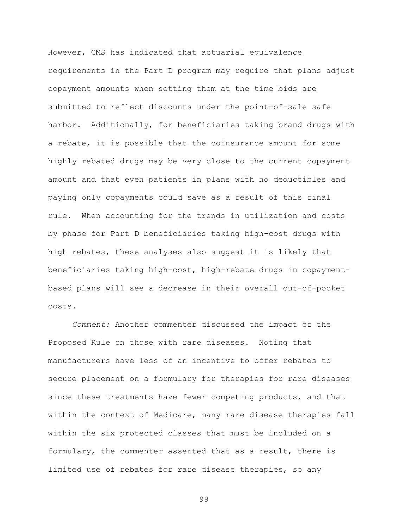However, CMS has indicated that actuarial equivalence requirements in the Part D program may require that plans adjust copayment amounts when setting them at the time bids are submitted to reflect discounts under the point-of-sale safe harbor. Additionally, for beneficiaries taking brand drugs with a rebate, it is possible that the coinsurance amount for some highly rebated drugs may be very close to the current copayment amount and that even patients in plans with no deductibles and paying only copayments could save as a result of this final rule. When accounting for the trends in utilization and costs by phase for Part D beneficiaries taking high-cost drugs with high rebates, these analyses also suggest it is likely that beneficiaries taking high-cost, high-rebate drugs in copaymentbased plans will see a decrease in their overall out-of-pocket costs.

*Comment:* Another commenter discussed the impact of the Proposed Rule on those with rare diseases. Noting that manufacturers have less of an incentive to offer rebates to secure placement on a formulary for therapies for rare diseases since these treatments have fewer competing products, and that within the context of Medicare, many rare disease therapies fall within the six protected classes that must be included on a formulary, the commenter asserted that as a result, there is limited use of rebates for rare disease therapies, so any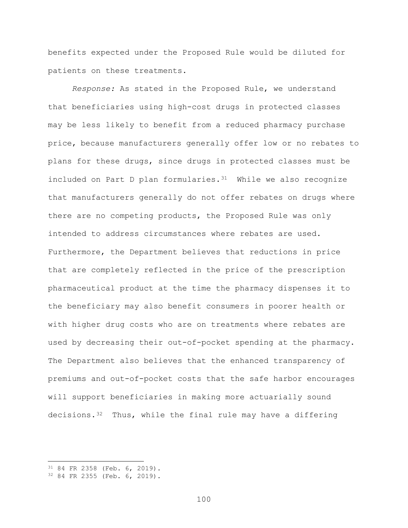benefits expected under the Proposed Rule would be diluted for patients on these treatments.

*Response:* As stated in the Proposed Rule, we understand that beneficiaries using high-cost drugs in protected classes may be less likely to benefit from a reduced pharmacy purchase price, because manufacturers generally offer low or no rebates to plans for these drugs, since drugs in protected classes must be included on Part D plan formularies. $31$  While we also recognize that manufacturers generally do not offer rebates on drugs where there are no competing products, the Proposed Rule was only intended to address circumstances where rebates are used. Furthermore, the Department believes that reductions in price that are completely reflected in the price of the prescription pharmaceutical product at the time the pharmacy dispenses it to the beneficiary may also benefit consumers in poorer health or with higher drug costs who are on treatments where rebates are used by decreasing their out-of-pocket spending at the pharmacy. The Department also believes that the enhanced transparency of premiums and out-of-pocket costs that the safe harbor encourages will support beneficiaries in making more actuarially sound decisions. $3^2$  Thus, while the final rule may have a differing

 $\overline{a}$ 

<span id="page-99-0"></span><sup>31</sup> 84 FR 2358 (Feb. 6, 2019).

<span id="page-99-1"></span><sup>32</sup> 84 FR 2355 (Feb. 6, 2019).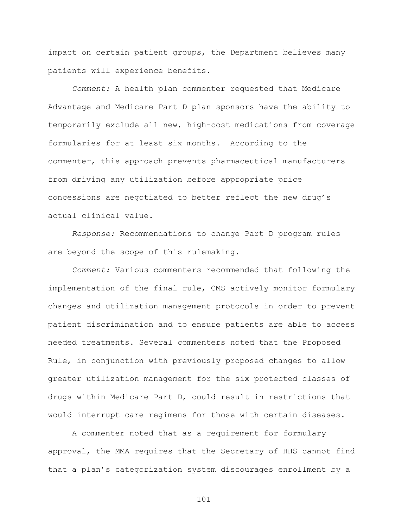impact on certain patient groups, the Department believes many patients will experience benefits.

*Comment:* A health plan commenter requested that Medicare Advantage and Medicare Part D plan sponsors have the ability to temporarily exclude all new, high-cost medications from coverage formularies for at least six months. According to the commenter, this approach prevents pharmaceutical manufacturers from driving any utilization before appropriate price concessions are negotiated to better reflect the new drug's actual clinical value.

*Response:* Recommendations to change Part D program rules are beyond the scope of this rulemaking.

*Comment:* Various commenters recommended that following the implementation of the final rule, CMS actively monitor formulary changes and utilization management protocols in order to prevent patient discrimination and to ensure patients are able to access needed treatments. Several commenters noted that the Proposed Rule, in conjunction with previously proposed changes to allow greater utilization management for the six protected classes of drugs within Medicare Part D, could result in restrictions that would interrupt care regimens for those with certain diseases.

A commenter noted that as a requirement for formulary approval, the MMA requires that the Secretary of HHS cannot find that a plan's categorization system discourages enrollment by a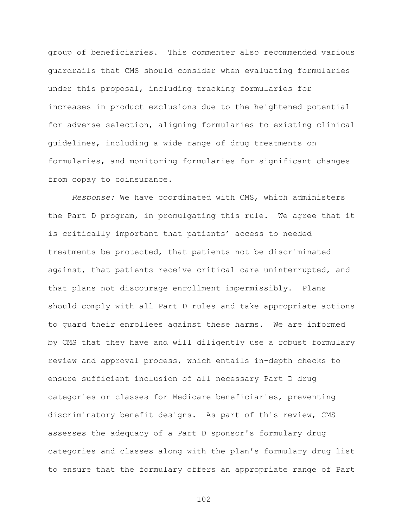group of beneficiaries. This commenter also recommended various guardrails that CMS should consider when evaluating formularies under this proposal, including tracking formularies for increases in product exclusions due to the heightened potential for adverse selection, aligning formularies to existing clinical guidelines, including a wide range of drug treatments on formularies, and monitoring formularies for significant changes from copay to coinsurance.

*Response:* We have coordinated with CMS, which administers the Part D program, in promulgating this rule. We agree that it is critically important that patients' access to needed treatments be protected, that patients not be discriminated against, that patients receive critical care uninterrupted, and that plans not discourage enrollment impermissibly. Plans should comply with all Part D rules and take appropriate actions to guard their enrollees against these harms. We are informed by CMS that they have and will diligently use a robust formulary review and approval process, which entails in-depth checks to ensure sufficient inclusion of all necessary Part D drug categories or classes for Medicare beneficiaries, preventing discriminatory benefit designs. As part of this review, CMS assesses the adequacy of a Part D sponsor's formulary drug categories and classes along with the plan's formulary drug list to ensure that the formulary offers an appropriate range of Part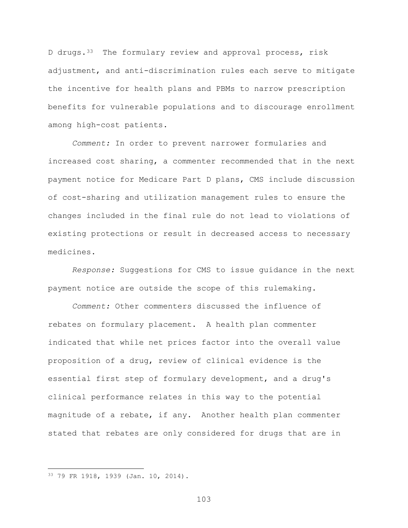D drugs.<sup>33</sup> The formulary review and approval process, risk adjustment, and anti-discrimination rules each serve to mitigate the incentive for health plans and PBMs to narrow prescription benefits for vulnerable populations and to discourage enrollment among high-cost patients.

*Comment:* In order to prevent narrower formularies and increased cost sharing, a commenter recommended that in the next payment notice for Medicare Part D plans, CMS include discussion of cost-sharing and utilization management rules to ensure the changes included in the final rule do not lead to violations of existing protections or result in decreased access to necessary medicines.

*Response:* Suggestions for CMS to issue guidance in the next payment notice are outside the scope of this rulemaking.

*Comment:* Other commenters discussed the influence of rebates on formulary placement. A health plan commenter indicated that while net prices factor into the overall value proposition of a drug, review of clinical evidence is the essential first step of formulary development, and a drug's clinical performance relates in this way to the potential magnitude of a rebate, if any. Another health plan commenter stated that rebates are only considered for drugs that are in

 $\overline{a}$ 

<span id="page-102-0"></span><sup>33</sup> 79 FR 1918, 1939 (Jan. 10, 2014).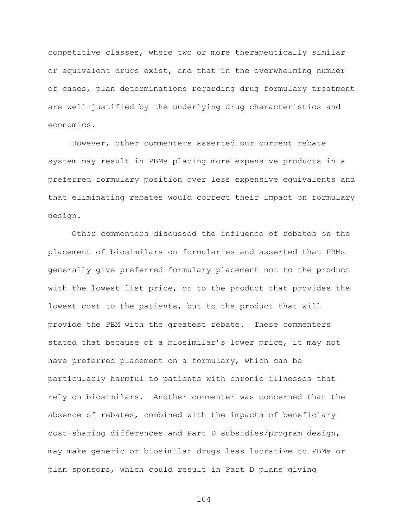competitive classes, where two or more therapeutically similar or equivalent drugs exist, and that in the overwhelming number of cases, plan determinations regarding drug formulary treatment are well-justified by the underlying drug characteristics and economics.

However, other commenters asserted our current rebate system may result in PBMs placing more expensive products in a preferred formulary position over less expensive equivalents and that eliminating rebates would correct their impact on formulary design.

Other commenters discussed the influence of rebates on the placement of biosimilars on formularies and asserted that PBMs generally give preferred formulary placement not to the product with the lowest list price, or to the product that provides the lowest cost to the patients, but to the product that will provide the PBM with the greatest rebate. These commenters stated that because of a biosimilar's lower price, it may not have preferred placement on a formulary, which can be particularly harmful to patients with chronic illnesses that rely on biosimilars. Another commenter was concerned that the absence of rebates, combined with the impacts of beneficiary cost-sharing differences and Part D subsidies/program design, may make generic or biosimilar drugs less lucrative to PBMs or plan sponsors, which could result in Part D plans giving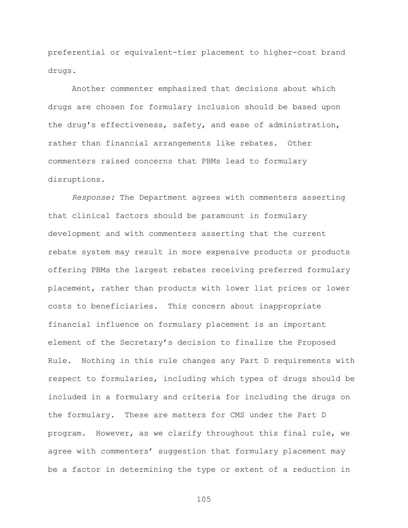preferential or equivalent-tier placement to higher-cost brand drugs.

Another commenter emphasized that decisions about which drugs are chosen for formulary inclusion should be based upon the drug's effectiveness, safety, and ease of administration, rather than financial arrangements like rebates. Other commenters raised concerns that PBMs lead to formulary disruptions.

*Response:* The Department agrees with commenters asserting that clinical factors should be paramount in formulary development and with commenters asserting that the current rebate system may result in more expensive products or products offering PBMs the largest rebates receiving preferred formulary placement, rather than products with lower list prices or lower costs to beneficiaries. This concern about inappropriate financial influence on formulary placement is an important element of the Secretary's decision to finalize the Proposed Rule. Nothing in this rule changes any Part D requirements with respect to formularies, including which types of drugs should be included in a formulary and criteria for including the drugs on the formulary. These are matters for CMS under the Part D program. However, as we clarify throughout this final rule, we agree with commenters' suggestion that formulary placement may be a factor in determining the type or extent of a reduction in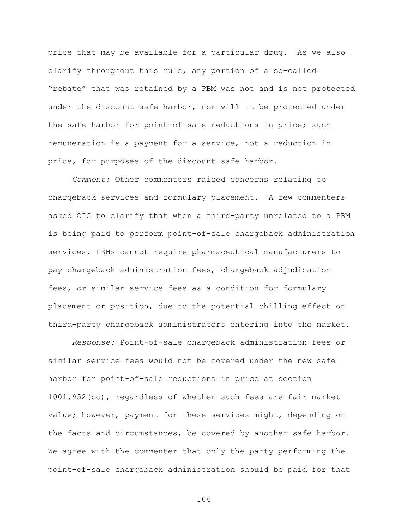price that may be available for a particular drug. As we also clarify throughout this rule, any portion of a so-called "rebate" that was retained by a PBM was not and is not protected under the discount safe harbor, nor will it be protected under the safe harbor for point-of-sale reductions in price; such remuneration is a payment for a service, not a reduction in price, for purposes of the discount safe harbor.

*Comment:* Other commenters raised concerns relating to chargeback services and formulary placement. A few commenters asked OIG to clarify that when a third-party unrelated to a PBM is being paid to perform point-of-sale chargeback administration services, PBMs cannot require pharmaceutical manufacturers to pay chargeback administration fees, chargeback adjudication fees, or similar service fees as a condition for formulary placement or position, due to the potential chilling effect on third-party chargeback administrators entering into the market.

*Response:* Point-of-sale chargeback administration fees or similar service fees would not be covered under the new safe harbor for point-of-sale reductions in price at section 1001.952(cc), regardless of whether such fees are fair market value; however, payment for these services might, depending on the facts and circumstances, be covered by another safe harbor. We agree with the commenter that only the party performing the point-of-sale chargeback administration should be paid for that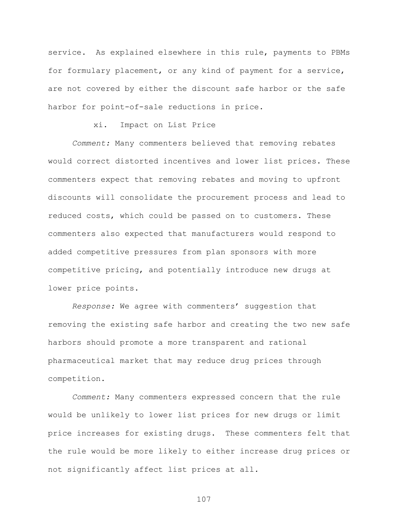service. As explained elsewhere in this rule, payments to PBMs for formulary placement, or any kind of payment for a service, are not covered by either the discount safe harbor or the safe harbor for point-of-sale reductions in price.

xi. Impact on List Price

*Comment:* Many commenters believed that removing rebates would correct distorted incentives and lower list prices. These commenters expect that removing rebates and moving to upfront discounts will consolidate the procurement process and lead to reduced costs, which could be passed on to customers. These commenters also expected that manufacturers would respond to added competitive pressures from plan sponsors with more competitive pricing, and potentially introduce new drugs at lower price points.

*Response:* We agree with commenters' suggestion that removing the existing safe harbor and creating the two new safe harbors should promote a more transparent and rational pharmaceutical market that may reduce drug prices through competition.

*Comment:* Many commenters expressed concern that the rule would be unlikely to lower list prices for new drugs or limit price increases for existing drugs. These commenters felt that the rule would be more likely to either increase drug prices or not significantly affect list prices at all*.*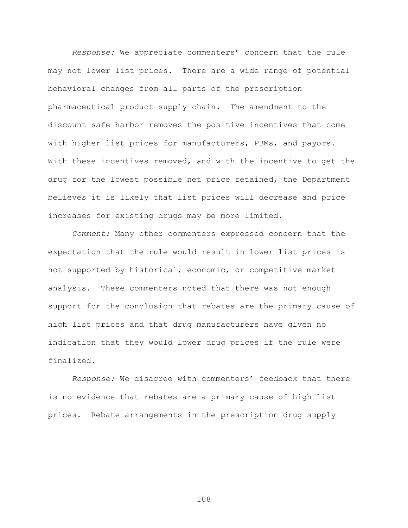*Response:* We appreciate commenters' concern that the rule may not lower list prices. There are a wide range of potential behavioral changes from all parts of the prescription pharmaceutical product supply chain. The amendment to the discount safe harbor removes the positive incentives that come with higher list prices for manufacturers, PBMs, and payors. With these incentives removed, and with the incentive to get the drug for the lowest possible net price retained, the Department believes it is likely that list prices will decrease and price increases for existing drugs may be more limited.

*Comment:* Many other commenters expressed concern that the expectation that the rule would result in lower list prices is not supported by historical, economic, or competitive market analysis. These commenters noted that there was not enough support for the conclusion that rebates are the primary cause of high list prices and that drug manufacturers have given no indication that they would lower drug prices if the rule were finalized.

*Response:* We disagree with commenters' feedback that there is no evidence that rebates are a primary cause of high list prices. Rebate arrangements in the prescription drug supply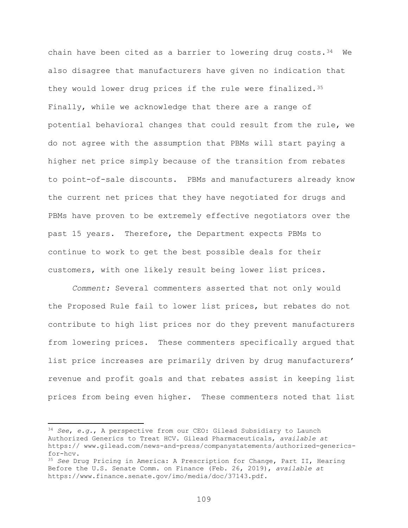chain have been cited as a barrier to lowering drug costs. $34$  We also disagree that manufacturers have given no indication that they would lower drug prices if the rule were finalized.[35](#page-108-1) Finally, while we acknowledge that there are a range of potential behavioral changes that could result from the rule, we do not agree with the assumption that PBMs will start paying a higher net price simply because of the transition from rebates to point-of-sale discounts. PBMs and manufacturers already know the current net prices that they have negotiated for drugs and PBMs have proven to be extremely effective negotiators over the past 15 years. Therefore, the Department expects PBMs to continue to work to get the best possible deals for their customers, with one likely result being lower list prices.

*Comment:* Several commenters asserted that not only would the Proposed Rule fail to lower list prices, but rebates do not contribute to high list prices nor do they prevent manufacturers from lowering prices. These commenters specifically argued that list price increases are primarily driven by drug manufacturers' revenue and profit goals and that rebates assist in keeping list prices from being even higher. These commenters noted that list

<span id="page-108-0"></span><sup>34</sup> *See*, *e.g.*, A perspective from our CEO: Gilead Subsidiary to Launch Authorized Generics to Treat HCV. Gilead Pharmaceuticals, *available at* https:// www.gilead.com/news-and-press/companystatements/authorized-genericsfor-hcv.

<span id="page-108-1"></span><sup>35</sup> *See* Drug Pricing in America: A Prescription for Change, Part II, Hearing Before the U.S. Senate Comm. on Finance (Feb. 26, 2019), *available at*  https://www.finance.senate.gov/imo/media/doc/37143.pdf.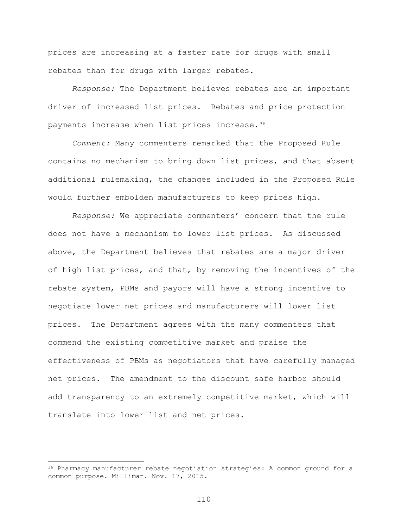prices are increasing at a faster rate for drugs with small rebates than for drugs with larger rebates.

*Response:* The Department believes rebates are an important driver of increased list prices. Rebates and price protection payments increase when list prices increase.[36](#page-109-0)

*Comment:* Many commenters remarked that the Proposed Rule contains no mechanism to bring down list prices, and that absent additional rulemaking, the changes included in the Proposed Rule would further embolden manufacturers to keep prices high.

*Response:* We appreciate commenters' concern that the rule does not have a mechanism to lower list prices. As discussed above, the Department believes that rebates are a major driver of high list prices, and that, by removing the incentives of the rebate system, PBMs and payors will have a strong incentive to negotiate lower net prices and manufacturers will lower list prices. The Department agrees with the many commenters that commend the existing competitive market and praise the effectiveness of PBMs as negotiators that have carefully managed net prices. The amendment to the discount safe harbor should add transparency to an extremely competitive market, which will translate into lower list and net prices.

<span id="page-109-0"></span><sup>&</sup>lt;sup>36</sup> Pharmacy manufacturer rebate negotiation strategies: A common ground for a common purpose. Milliman. Nov. 17, 2015.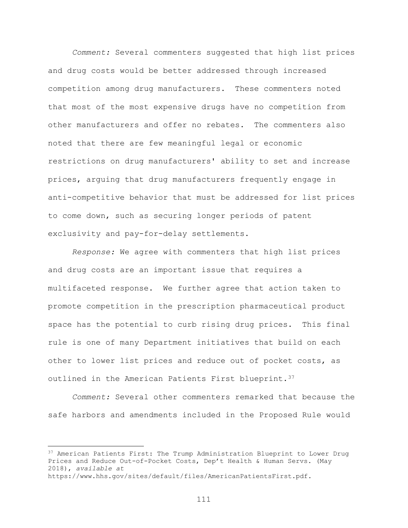*Comment:* Several commenters suggested that high list prices and drug costs would be better addressed through increased competition among drug manufacturers. These commenters noted that most of the most expensive drugs have no competition from other manufacturers and offer no rebates. The commenters also noted that there are few meaningful legal or economic restrictions on drug manufacturers' ability to set and increase prices, arguing that drug manufacturers frequently engage in anti-competitive behavior that must be addressed for list prices to come down, such as securing longer periods of patent exclusivity and pay-for-delay settlements.

*Response:* We agree with commenters that high list prices and drug costs are an important issue that requires a multifaceted response. We further agree that action taken to promote competition in the prescription pharmaceutical product space has the potential to curb rising drug prices. This final rule is one of many Department initiatives that build on each other to lower list prices and reduce out of pocket costs, as outlined in the American Patients First blueprint. [37](#page-110-0)

*Comment:* Several other commenters remarked that because the safe harbors and amendments included in the Proposed Rule would

<span id="page-110-0"></span><sup>&</sup>lt;sup>37</sup> American Patients First: The Trump Administration Blueprint to Lower Drug Prices and Reduce Out-of-Pocket Costs, Dep't Health & Human Servs. (May 2018), *available at*

https://www.hhs.gov/sites/default/files/AmericanPatientsFirst.pdf.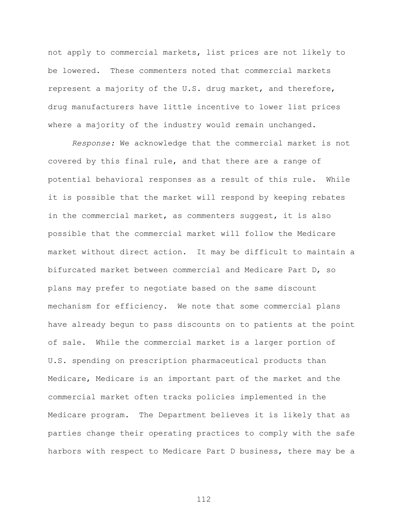not apply to commercial markets, list prices are not likely to be lowered. These commenters noted that commercial markets represent a majority of the U.S. drug market, and therefore, drug manufacturers have little incentive to lower list prices where a majority of the industry would remain unchanged.

*Response:* We acknowledge that the commercial market is not covered by this final rule, and that there are a range of potential behavioral responses as a result of this rule. While it is possible that the market will respond by keeping rebates in the commercial market, as commenters suggest, it is also possible that the commercial market will follow the Medicare market without direct action. It may be difficult to maintain a bifurcated market between commercial and Medicare Part D, so plans may prefer to negotiate based on the same discount mechanism for efficiency. We note that some commercial plans have already begun to pass discounts on to patients at the point of sale. While the commercial market is a larger portion of U.S. spending on prescription pharmaceutical products than Medicare, Medicare is an important part of the market and the commercial market often tracks policies implemented in the Medicare program. The Department believes it is likely that as parties change their operating practices to comply with the safe harbors with respect to Medicare Part D business, there may be a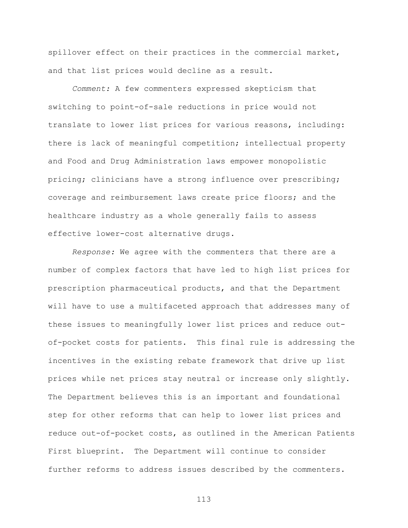spillover effect on their practices in the commercial market, and that list prices would decline as a result.

*Comment:* A few commenters expressed skepticism that switching to point-of-sale reductions in price would not translate to lower list prices for various reasons, including: there is lack of meaningful competition; intellectual property and Food and Drug Administration laws empower monopolistic pricing; clinicians have a strong influence over prescribing; coverage and reimbursement laws create price floors; and the healthcare industry as a whole generally fails to assess effective lower-cost alternative drugs.

*Response:* We agree with the commenters that there are a number of complex factors that have led to high list prices for prescription pharmaceutical products, and that the Department will have to use a multifaceted approach that addresses many of these issues to meaningfully lower list prices and reduce outof-pocket costs for patients. This final rule is addressing the incentives in the existing rebate framework that drive up list prices while net prices stay neutral or increase only slightly. The Department believes this is an important and foundational step for other reforms that can help to lower list prices and reduce out-of-pocket costs, as outlined in the American Patients First blueprint. The Department will continue to consider further reforms to address issues described by the commenters.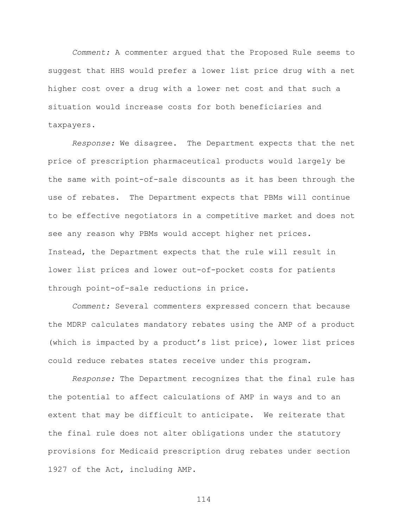*Comment:* A commenter argued that the Proposed Rule seems to suggest that HHS would prefer a lower list price drug with a net higher cost over a drug with a lower net cost and that such a situation would increase costs for both beneficiaries and taxpayers.

*Response:* We disagree. The Department expects that the net price of prescription pharmaceutical products would largely be the same with point-of-sale discounts as it has been through the use of rebates. The Department expects that PBMs will continue to be effective negotiators in a competitive market and does not see any reason why PBMs would accept higher net prices. Instead, the Department expects that the rule will result in lower list prices and lower out-of-pocket costs for patients through point-of-sale reductions in price.

*Comment:* Several commenters expressed concern that because the MDRP calculates mandatory rebates using the AMP of a product (which is impacted by a product's list price), lower list prices could reduce rebates states receive under this program.

*Response:* The Department recognizes that the final rule has the potential to affect calculations of AMP in ways and to an extent that may be difficult to anticipate. We reiterate that the final rule does not alter obligations under the statutory provisions for Medicaid prescription drug rebates under section 1927 of the Act, including AMP.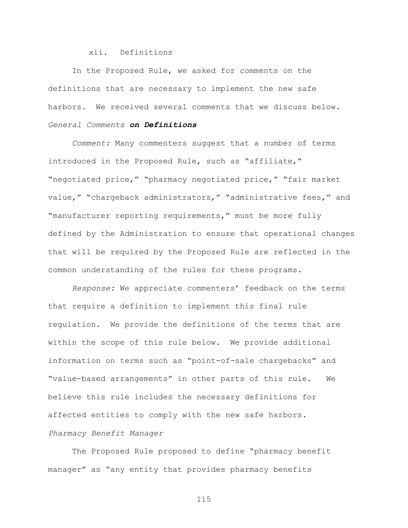xii. Definitions

In the Proposed Rule, we asked for comments on the definitions that are necessary to implement the new safe harbors. We received several comments that we discuss below. *General Comments on Definitions*

*Comment:* Many commenters suggest that a number of terms introduced in the Proposed Rule, such as "affiliate," "negotiated price," "pharmacy negotiated price," "fair market value," "chargeback administrators," "administrative fees," and "manufacturer reporting requirements," must be more fully defined by the Administration to ensure that operational changes that will be required by the Proposed Rule are reflected in the common understanding of the rules for these programs.

*Response:* We appreciate commenters' feedback on the terms that require a definition to implement this final rule regulation. We provide the definitions of the terms that are within the scope of this rule below. We provide additional information on terms such as "point-of-sale chargebacks" and "value-based arrangements" in other parts of this rule. We believe this rule includes the necessary definitions for affected entities to comply with the new safe harbors. *Pharmacy Benefit Manager*

The Proposed Rule proposed to define "pharmacy benefit manager" as "any entity that provides pharmacy benefits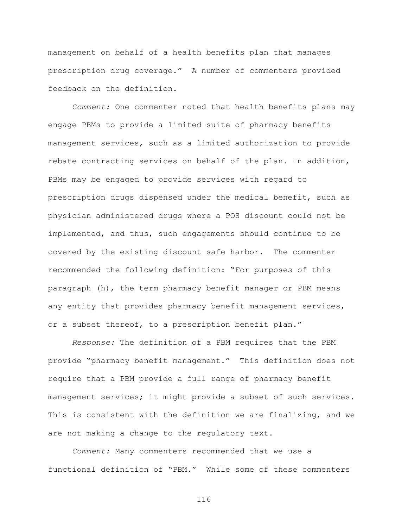management on behalf of a health benefits plan that manages prescription drug coverage." A number of commenters provided feedback on the definition.

*Comment:* One commenter noted that health benefits plans may engage PBMs to provide a limited suite of pharmacy benefits management services, such as a limited authorization to provide rebate contracting services on behalf of the plan. In addition, PBMs may be engaged to provide services with regard to prescription drugs dispensed under the medical benefit, such as physician administered drugs where a POS discount could not be implemented, and thus, such engagements should continue to be covered by the existing discount safe harbor. The commenter recommended the following definition: "For purposes of this paragraph (h), the term pharmacy benefit manager or PBM means any entity that provides pharmacy benefit management services, or a subset thereof, to a prescription benefit plan."

*Response:* The definition of a PBM requires that the PBM provide "pharmacy benefit management." This definition does not require that a PBM provide a full range of pharmacy benefit management services; it might provide a subset of such services. This is consistent with the definition we are finalizing, and we are not making a change to the regulatory text.

*Comment:* Many commenters recommended that we use a functional definition of "PBM." While some of these commenters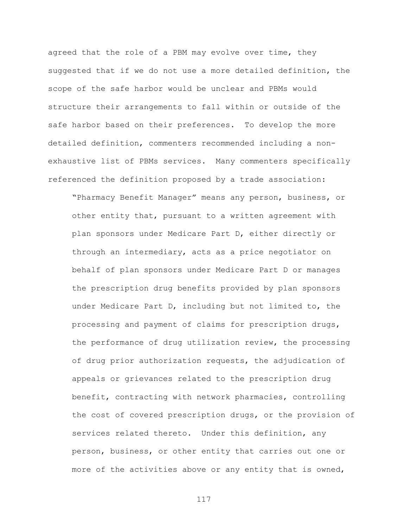agreed that the role of a PBM may evolve over time, they suggested that if we do not use a more detailed definition, the scope of the safe harbor would be unclear and PBMs would structure their arrangements to fall within or outside of the safe harbor based on their preferences. To develop the more detailed definition, commenters recommended including a nonexhaustive list of PBMs services. Many commenters specifically referenced the definition proposed by a trade association:

"Pharmacy Benefit Manager" means any person, business, or other entity that, pursuant to a written agreement with plan sponsors under Medicare Part D, either directly or through an intermediary, acts as a price negotiator on behalf of plan sponsors under Medicare Part D or manages the prescription drug benefits provided by plan sponsors under Medicare Part D, including but not limited to, the processing and payment of claims for prescription drugs, the performance of drug utilization review, the processing of drug prior authorization requests, the adjudication of appeals or grievances related to the prescription drug benefit, contracting with network pharmacies, controlling the cost of covered prescription drugs, or the provision of services related thereto. Under this definition, any person, business, or other entity that carries out one or more of the activities above or any entity that is owned,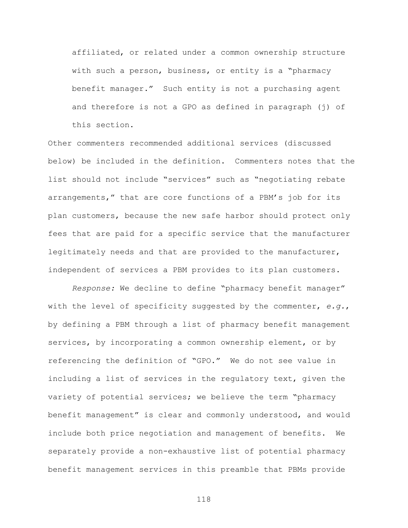affiliated, or related under a common ownership structure with such a person, business, or entity is a "pharmacy benefit manager." Such entity is not a purchasing agent and therefore is not a GPO as defined in paragraph (j) of this section.

Other commenters recommended additional services (discussed below) be included in the definition. Commenters notes that the list should not include "services" such as "negotiating rebate arrangements," that are core functions of a PBM's job for its plan customers, because the new safe harbor should protect only fees that are paid for a specific service that the manufacturer legitimately needs and that are provided to the manufacturer, independent of services a PBM provides to its plan customers.

*Response:* We decline to define "pharmacy benefit manager" with the level of specificity suggested by the commenter, *e.g.*, by defining a PBM through a list of pharmacy benefit management services, by incorporating a common ownership element, or by referencing the definition of "GPO." We do not see value in including a list of services in the regulatory text, given the variety of potential services; we believe the term "pharmacy benefit management" is clear and commonly understood, and would include both price negotiation and management of benefits. We separately provide a non-exhaustive list of potential pharmacy benefit management services in this preamble that PBMs provide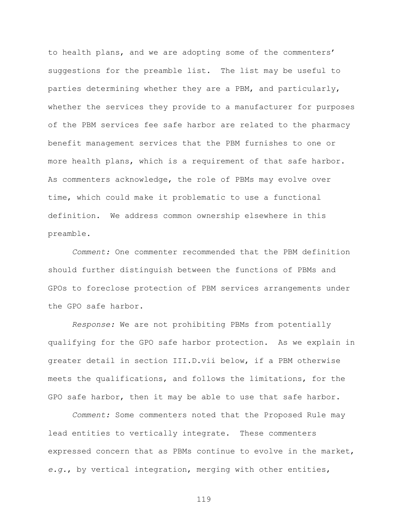to health plans, and we are adopting some of the commenters' suggestions for the preamble list. The list may be useful to parties determining whether they are a PBM, and particularly, whether the services they provide to a manufacturer for purposes of the PBM services fee safe harbor are related to the pharmacy benefit management services that the PBM furnishes to one or more health plans, which is a requirement of that safe harbor. As commenters acknowledge, the role of PBMs may evolve over time, which could make it problematic to use a functional definition. We address common ownership elsewhere in this preamble.

*Comment:* One commenter recommended that the PBM definition should further distinguish between the functions of PBMs and GPOs to foreclose protection of PBM services arrangements under the GPO safe harbor.

*Response:* We are not prohibiting PBMs from potentially qualifying for the GPO safe harbor protection. As we explain in greater detail in section III.D.vii below, if a PBM otherwise meets the qualifications, and follows the limitations, for the GPO safe harbor, then it may be able to use that safe harbor.

*Comment:* Some commenters noted that the Proposed Rule may lead entities to vertically integrate. These commenters expressed concern that as PBMs continue to evolve in the market, *e.g.*, by vertical integration, merging with other entities,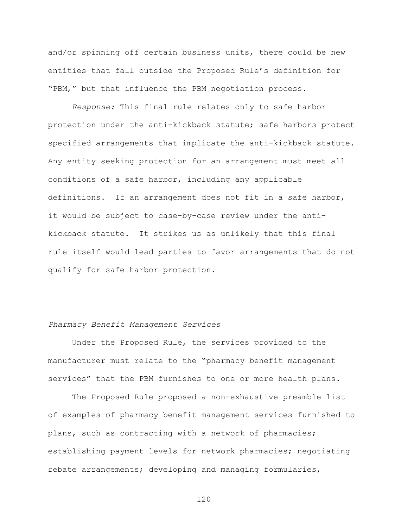and/or spinning off certain business units, there could be new entities that fall outside the Proposed Rule's definition for "PBM," but that influence the PBM negotiation process.

*Response:* This final rule relates only to safe harbor protection under the anti-kickback statute; safe harbors protect specified arrangements that implicate the anti-kickback statute. Any entity seeking protection for an arrangement must meet all conditions of a safe harbor, including any applicable definitions. If an arrangement does not fit in a safe harbor, it would be subject to case-by-case review under the antikickback statute. It strikes us as unlikely that this final rule itself would lead parties to favor arrangements that do not qualify for safe harbor protection.

## *Pharmacy Benefit Management Services*

Under the Proposed Rule, the services provided to the manufacturer must relate to the "pharmacy benefit management services" that the PBM furnishes to one or more health plans.

The Proposed Rule proposed a non-exhaustive preamble list of examples of pharmacy benefit management services furnished to plans, such as contracting with a network of pharmacies; establishing payment levels for network pharmacies; negotiating rebate arrangements; developing and managing formularies,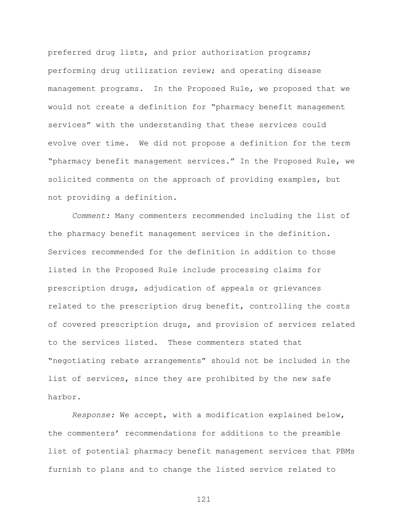preferred drug lists, and prior authorization programs; performing drug utilization review; and operating disease management programs. In the Proposed Rule, we proposed that we would not create a definition for "pharmacy benefit management services" with the understanding that these services could evolve over time. We did not propose a definition for the term "pharmacy benefit management services." In the Proposed Rule, we solicited comments on the approach of providing examples, but not providing a definition.

*Comment:* Many commenters recommended including the list of the pharmacy benefit management services in the definition. Services recommended for the definition in addition to those listed in the Proposed Rule include processing claims for prescription drugs, adjudication of appeals or grievances related to the prescription drug benefit, controlling the costs of covered prescription drugs, and provision of services related to the services listed. These commenters stated that "negotiating rebate arrangements" should not be included in the list of services, since they are prohibited by the new safe harbor.

*Response:* We accept, with a modification explained below, the commenters' recommendations for additions to the preamble list of potential pharmacy benefit management services that PBMs furnish to plans and to change the listed service related to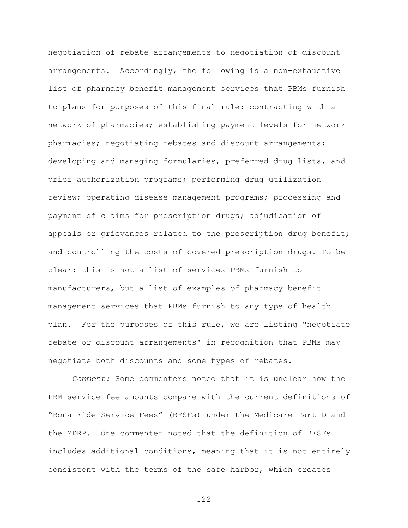negotiation of rebate arrangements to negotiation of discount arrangements. Accordingly, the following is a non-exhaustive list of pharmacy benefit management services that PBMs furnish to plans for purposes of this final rule: contracting with a network of pharmacies; establishing payment levels for network pharmacies; negotiating rebates and discount arrangements; developing and managing formularies, preferred drug lists, and prior authorization programs; performing drug utilization review; operating disease management programs; processing and payment of claims for prescription drugs; adjudication of appeals or grievances related to the prescription drug benefit; and controlling the costs of covered prescription drugs. To be clear: this is not a list of services PBMs furnish to manufacturers, but a list of examples of pharmacy benefit management services that PBMs furnish to any type of health plan. For the purposes of this rule, we are listing "negotiate rebate or discount arrangements" in recognition that PBMs may negotiate both discounts and some types of rebates.

*Comment:* Some commenters noted that it is unclear how the PBM service fee amounts compare with the current definitions of "Bona Fide Service Fees" (BFSFs) under the Medicare Part D and the MDRP. One commenter noted that the definition of BFSFs includes additional conditions, meaning that it is not entirely consistent with the terms of the safe harbor, which creates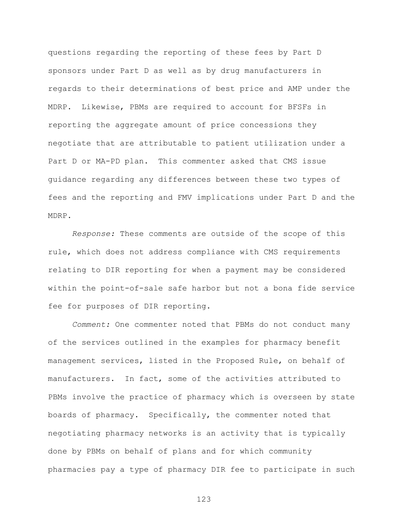questions regarding the reporting of these fees by Part D sponsors under Part D as well as by drug manufacturers in regards to their determinations of best price and AMP under the MDRP. Likewise, PBMs are required to account for BFSFs in reporting the aggregate amount of price concessions they negotiate that are attributable to patient utilization under a Part D or MA-PD plan. This commenter asked that CMS issue guidance regarding any differences between these two types of fees and the reporting and FMV implications under Part D and the MDRP.

*Response:* These comments are outside of the scope of this rule, which does not address compliance with CMS requirements relating to DIR reporting for when a payment may be considered within the point-of-sale safe harbor but not a bona fide service fee for purposes of DIR reporting.

*Comment:* One commenter noted that PBMs do not conduct many of the services outlined in the examples for pharmacy benefit management services, listed in the Proposed Rule, on behalf of manufacturers. In fact, some of the activities attributed to PBMs involve the practice of pharmacy which is overseen by state boards of pharmacy. Specifically, the commenter noted that negotiating pharmacy networks is an activity that is typically done by PBMs on behalf of plans and for which community pharmacies pay a type of pharmacy DIR fee to participate in such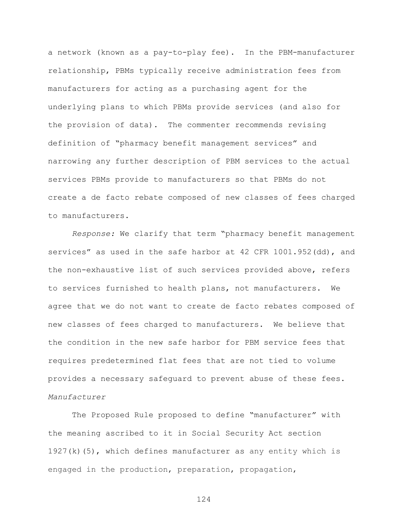a network (known as a pay-to-play fee). In the PBM-manufacturer relationship, PBMs typically receive administration fees from manufacturers for acting as a purchasing agent for the underlying plans to which PBMs provide services (and also for the provision of data). The commenter recommends revising definition of "pharmacy benefit management services" and narrowing any further description of PBM services to the actual services PBMs provide to manufacturers so that PBMs do not create a de facto rebate composed of new classes of fees charged to manufacturers.

*Response:* We clarify that term "pharmacy benefit management services" as used in the safe harbor at 42 CFR 1001.952(dd), and the non-exhaustive list of such services provided above, refers to services furnished to health plans, not manufacturers. We agree that we do not want to create de facto rebates composed of new classes of fees charged to manufacturers. We believe that the condition in the new safe harbor for PBM service fees that requires predetermined flat fees that are not tied to volume provides a necessary safeguard to prevent abuse of these fees. *Manufacturer*

The Proposed Rule proposed to define "manufacturer" with the meaning ascribed to it in Social Security Act section 1927(k)(5), which defines manufacturer as any entity which is engaged in the production, preparation, propagation,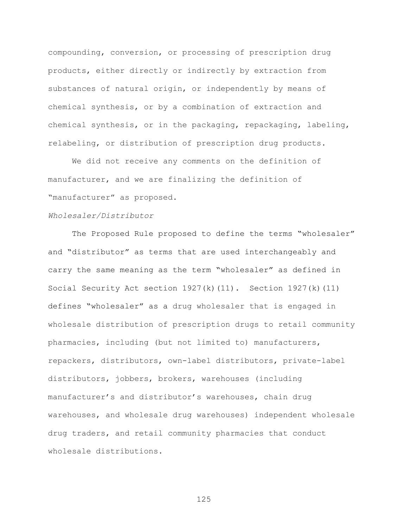compounding, conversion, or processing of prescription drug products, either directly or indirectly by extraction from substances of natural origin, or independently by means of chemical synthesis, or by a combination of extraction and chemical synthesis, or in the packaging, repackaging, labeling, relabeling, or distribution of prescription drug products.

We did not receive any comments on the definition of manufacturer, and we are finalizing the definition of "manufacturer" as proposed.

## *Wholesaler/Distributor*

The Proposed Rule proposed to define the terms "wholesaler" and "distributor" as terms that are used interchangeably and carry the same meaning as the term "wholesaler" as defined in Social Security Act section  $1927(k)(11)$ . Section 1927(k)(11) defines "wholesaler" as a drug wholesaler that is engaged in wholesale distribution of prescription drugs to retail community pharmacies, including (but not limited to) manufacturers, repackers, distributors, own-label distributors, private-label distributors, jobbers, brokers, warehouses (including manufacturer's and distributor's warehouses, chain drug warehouses, and wholesale drug warehouses) independent wholesale drug traders, and retail community pharmacies that conduct wholesale distributions.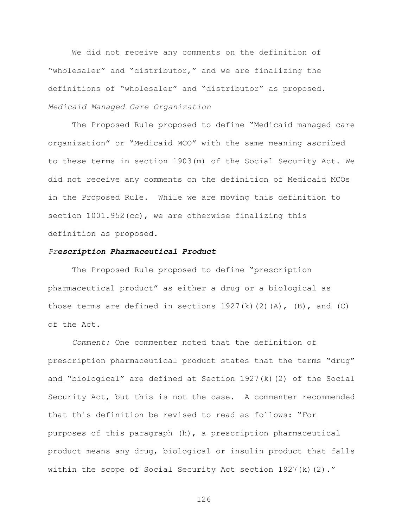We did not receive any comments on the definition of "wholesaler" and "distributor," and we are finalizing the definitions of "wholesaler" and "distributor" as proposed. *Medicaid Managed Care Organization*

The Proposed Rule proposed to define "Medicaid managed care organization" or "Medicaid MCO" with the same meaning ascribed to these terms in section 1903(m) of the Social Security Act. We did not receive any comments on the definition of Medicaid MCOs in the Proposed Rule. While we are moving this definition to section  $1001.952$  (cc), we are otherwise finalizing this definition as proposed.

## *Prescription Pharmaceutical Product*

The Proposed Rule proposed to define "prescription pharmaceutical product" as either a drug or a biological as those terms are defined in sections  $1927(k)(2)(A)$ ,  $(B)$ , and  $(C)$ of the Act.

*Comment:* One commenter noted that the definition of prescription pharmaceutical product states that the terms "drug" and "biological" are defined at Section  $1927(k)(2)$  of the Social Security Act, but this is not the case. A commenter recommended that this definition be revised to read as follows: "For purposes of this paragraph (h), a prescription pharmaceutical product means any drug, biological or insulin product that falls within the scope of Social Security Act section 1927(k)(2)."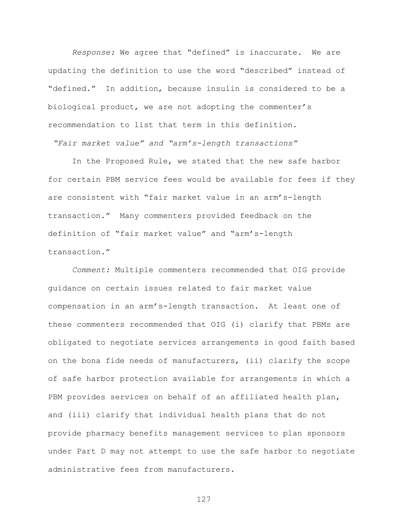*Response:* We agree that "defined" is inaccurate. We are updating the definition to use the word "described" instead of "defined." In addition, because insulin is considered to be a biological product, we are not adopting the commenter's recommendation to list that term in this definition.

*"Fair market value" and "arm's-length transactions"*

In the Proposed Rule, we stated that the new safe harbor for certain PBM service fees would be available for fees if they are consistent with "fair market value in an arm's-length transaction." Many commenters provided feedback on the definition of "fair market value" and "arm's-length transaction."

*Comment:* Multiple commenters recommended that OIG provide guidance on certain issues related to fair market value compensation in an arm's-length transaction. At least one of these commenters recommended that OIG (i) clarify that PBMs are obligated to negotiate services arrangements in good faith based on the bona fide needs of manufacturers, (ii) clarify the scope of safe harbor protection available for arrangements in which a PBM provides services on behalf of an affiliated health plan, and (iii) clarify that individual health plans that do not provide pharmacy benefits management services to plan sponsors under Part D may not attempt to use the safe harbor to negotiate administrative fees from manufacturers.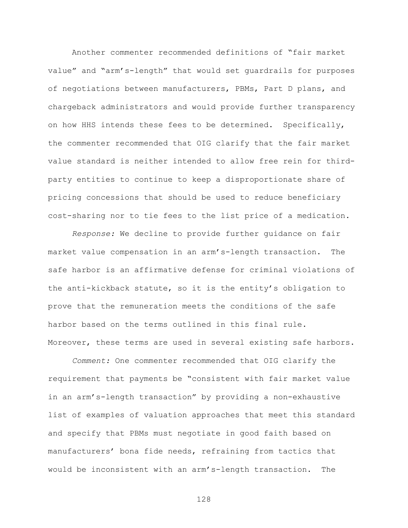Another commenter recommended definitions of "fair market value" and "arm's-length" that would set guardrails for purposes of negotiations between manufacturers, PBMs, Part D plans, and chargeback administrators and would provide further transparency on how HHS intends these fees to be determined. Specifically, the commenter recommended that OIG clarify that the fair market value standard is neither intended to allow free rein for thirdparty entities to continue to keep a disproportionate share of pricing concessions that should be used to reduce beneficiary cost-sharing nor to tie fees to the list price of a medication.

*Response:* We decline to provide further guidance on fair market value compensation in an arm's-length transaction. The safe harbor is an affirmative defense for criminal violations of the anti-kickback statute, so it is the entity's obligation to prove that the remuneration meets the conditions of the safe harbor based on the terms outlined in this final rule. Moreover, these terms are used in several existing safe harbors.

*Comment:* One commenter recommended that OIG clarify the requirement that payments be "consistent with fair market value in an arm's-length transaction" by providing a non-exhaustive list of examples of valuation approaches that meet this standard and specify that PBMs must negotiate in good faith based on manufacturers' bona fide needs, refraining from tactics that would be inconsistent with an arm's-length transaction. The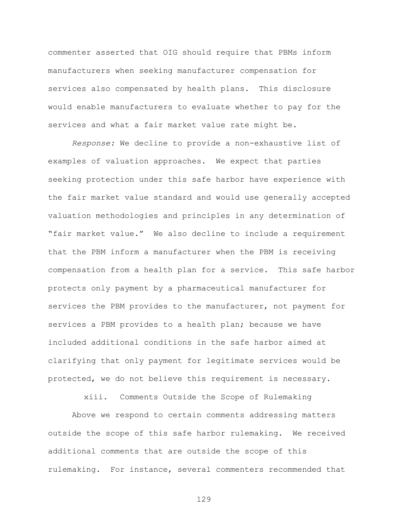commenter asserted that OIG should require that PBMs inform manufacturers when seeking manufacturer compensation for services also compensated by health plans. This disclosure would enable manufacturers to evaluate whether to pay for the services and what a fair market value rate might be.

*Response:* We decline to provide a non-exhaustive list of examples of valuation approaches. We expect that parties seeking protection under this safe harbor have experience with the fair market value standard and would use generally accepted valuation methodologies and principles in any determination of "fair market value." We also decline to include a requirement that the PBM inform a manufacturer when the PBM is receiving compensation from a health plan for a service. This safe harbor protects only payment by a pharmaceutical manufacturer for services the PBM provides to the manufacturer, not payment for services a PBM provides to a health plan; because we have included additional conditions in the safe harbor aimed at clarifying that only payment for legitimate services would be protected, we do not believe this requirement is necessary.

xiii. Comments Outside the Scope of Rulemaking

Above we respond to certain comments addressing matters outside the scope of this safe harbor rulemaking. We received additional comments that are outside the scope of this rulemaking. For instance, several commenters recommended that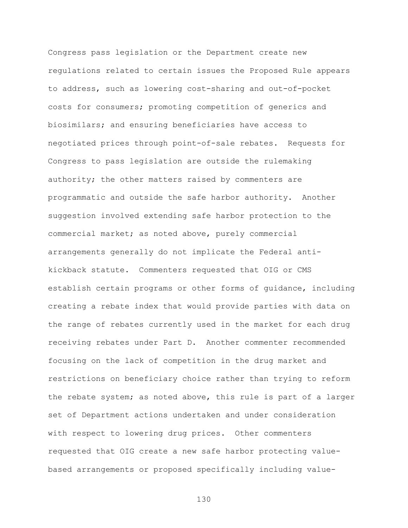Congress pass legislation or the Department create new regulations related to certain issues the Proposed Rule appears to address, such as lowering cost-sharing and out-of-pocket costs for consumers; promoting competition of generics and biosimilars; and ensuring beneficiaries have access to negotiated prices through point-of-sale rebates. Requests for Congress to pass legislation are outside the rulemaking authority; the other matters raised by commenters are programmatic and outside the safe harbor authority. Another suggestion involved extending safe harbor protection to the commercial market; as noted above, purely commercial arrangements generally do not implicate the Federal antikickback statute. Commenters requested that OIG or CMS establish certain programs or other forms of guidance, including creating a rebate index that would provide parties with data on the range of rebates currently used in the market for each drug receiving rebates under Part D. Another commenter recommended focusing on the lack of competition in the drug market and restrictions on beneficiary choice rather than trying to reform the rebate system; as noted above, this rule is part of a larger set of Department actions undertaken and under consideration with respect to lowering drug prices. Other commenters requested that OIG create a new safe harbor protecting valuebased arrangements or proposed specifically including value-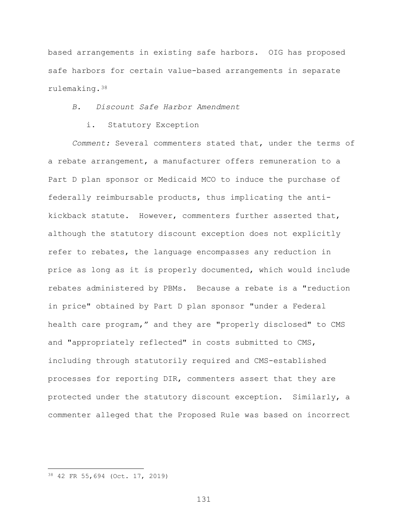based arrangements in existing safe harbors. OIG has proposed safe harbors for certain value-based arrangements in separate rulemaking.[38](#page-130-0)

*B. Discount Safe Harbor Amendment*

i. Statutory Exception

*Comment:* Several commenters stated that, under the terms of a rebate arrangement, a manufacturer offers remuneration to a Part D plan sponsor or Medicaid MCO to induce the purchase of federally reimbursable products, thus implicating the antikickback statute. However, commenters further asserted that, although the statutory discount exception does not explicitly refer to rebates, the language encompasses any reduction in price as long as it is properly documented, which would include rebates administered by PBMs. Because a rebate is a "reduction in price" obtained by Part D plan sponsor "under a Federal health care program," and they are "properly disclosed" to CMS and "appropriately reflected" in costs submitted to CMS, including through statutorily required and CMS-established processes for reporting DIR, commenters assert that they are protected under the statutory discount exception. Similarly, a commenter alleged that the Proposed Rule was based on incorrect

 $\overline{a}$ 

<span id="page-130-0"></span><sup>38</sup> 42 FR 55,694 (Oct. 17, 2019)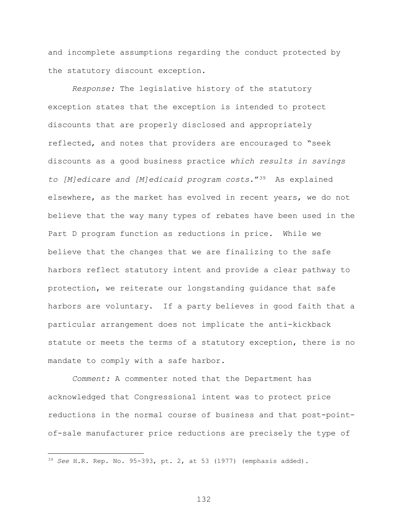and incomplete assumptions regarding the conduct protected by the statutory discount exception.

*Response:* The legislative history of the statutory exception states that the exception is intended to protect discounts that are properly disclosed and appropriately reflected, and notes that providers are encouraged to "seek discounts as a good business practice *which results in savings to [M]edicare and [M]edicaid program costs*."[39](#page-131-0) As explained elsewhere, as the market has evolved in recent years, we do not believe that the way many types of rebates have been used in the Part D program function as reductions in price. While we believe that the changes that we are finalizing to the safe harbors reflect statutory intent and provide a clear pathway to protection, we reiterate our longstanding guidance that safe harbors are voluntary. If a party believes in good faith that a particular arrangement does not implicate the anti-kickback statute or meets the terms of a statutory exception, there is no mandate to comply with a safe harbor.

*Comment:* A commenter noted that the Department has acknowledged that Congressional intent was to protect price reductions in the normal course of business and that post-pointof-sale manufacturer price reductions are precisely the type of

 $\overline{a}$ 

<span id="page-131-0"></span><sup>39</sup> *See* H.R. Rep. No. 95-393, pt. 2, at 53 (1977) (emphasis added).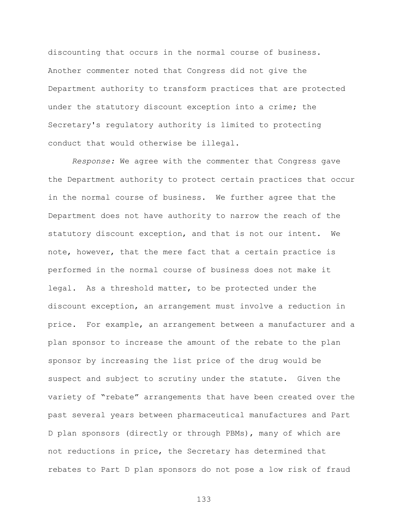discounting that occurs in the normal course of business. Another commenter noted that Congress did not give the Department authority to transform practices that are protected under the statutory discount exception into a crime; the Secretary's regulatory authority is limited to protecting conduct that would otherwise be illegal.

*Response:* We agree with the commenter that Congress gave the Department authority to protect certain practices that occur in the normal course of business. We further agree that the Department does not have authority to narrow the reach of the statutory discount exception, and that is not our intent. We note, however, that the mere fact that a certain practice is performed in the normal course of business does not make it legal. As a threshold matter, to be protected under the discount exception, an arrangement must involve a reduction in price. For example, an arrangement between a manufacturer and a plan sponsor to increase the amount of the rebate to the plan sponsor by increasing the list price of the drug would be suspect and subject to scrutiny under the statute. Given the variety of "rebate" arrangements that have been created over the past several years between pharmaceutical manufactures and Part D plan sponsors (directly or through PBMs), many of which are not reductions in price, the Secretary has determined that rebates to Part D plan sponsors do not pose a low risk of fraud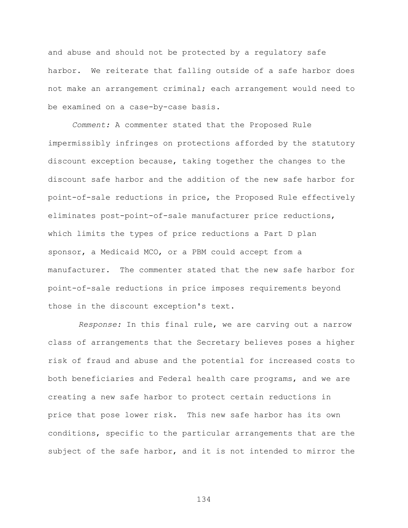and abuse and should not be protected by a regulatory safe harbor. We reiterate that falling outside of a safe harbor does not make an arrangement criminal; each arrangement would need to be examined on a case-by-case basis.

*Comment:* A commenter stated that the Proposed Rule impermissibly infringes on protections afforded by the statutory discount exception because, taking together the changes to the discount safe harbor and the addition of the new safe harbor for point-of-sale reductions in price, the Proposed Rule effectively eliminates post-point-of-sale manufacturer price reductions, which limits the types of price reductions a Part D plan sponsor, a Medicaid MCO, or a PBM could accept from a manufacturer. The commenter stated that the new safe harbor for point-of-sale reductions in price imposes requirements beyond those in the discount exception's text.

*Response:* In this final rule, we are carving out a narrow class of arrangements that the Secretary believes poses a higher risk of fraud and abuse and the potential for increased costs to both beneficiaries and Federal health care programs, and we are creating a new safe harbor to protect certain reductions in price that pose lower risk. This new safe harbor has its own conditions, specific to the particular arrangements that are the subject of the safe harbor, and it is not intended to mirror the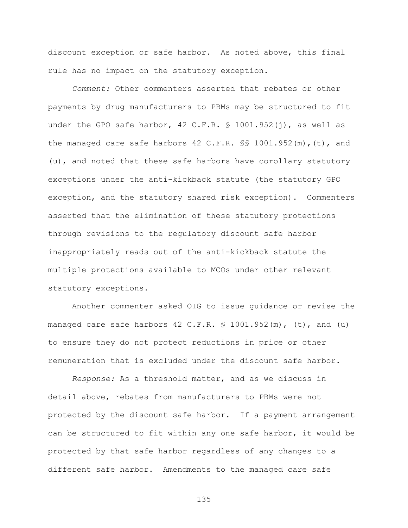discount exception or safe harbor. As noted above, this final rule has no impact on the statutory exception.

*Comment:* Other commenters asserted that rebates or other payments by drug manufacturers to PBMs may be structured to fit under the GPO safe harbor,  $42$  C.F.R. § 1001.952(j), as well as the managed care safe harbors 42 C.F.R. §§ 1001.952(m),(t), and (u), and noted that these safe harbors have corollary statutory exceptions under the anti-kickback statute (the statutory GPO exception, and the statutory shared risk exception). Commenters asserted that the elimination of these statutory protections through revisions to the regulatory discount safe harbor inappropriately reads out of the anti-kickback statute the multiple protections available to MCOs under other relevant statutory exceptions.

Another commenter asked OIG to issue guidance or revise the managed care safe harbors  $42 \text{ C.F.R. }$  \$  $1001.952 \text{ (m)}$ , (t), and (u) to ensure they do not protect reductions in price or other remuneration that is excluded under the discount safe harbor.

*Response:* As a threshold matter, and as we discuss in detail above, rebates from manufacturers to PBMs were not protected by the discount safe harbor. If a payment arrangement can be structured to fit within any one safe harbor, it would be protected by that safe harbor regardless of any changes to a different safe harbor. Amendments to the managed care safe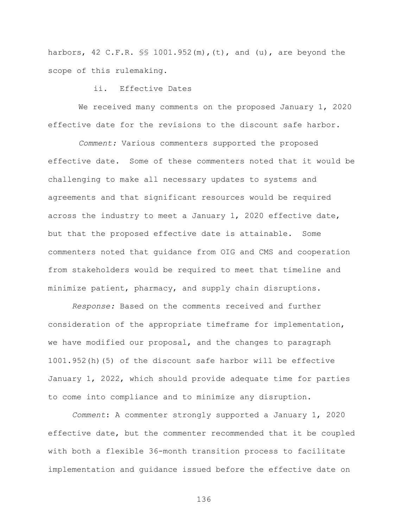harbors, 42 C.F.R. §§ 1001.952(m),(t), and (u), are beyond the scope of this rulemaking.

## ii. Effective Dates

We received many comments on the proposed January 1, 2020 effective date for the revisions to the discount safe harbor.

*Comment:* Various commenters supported the proposed effective date. Some of these commenters noted that it would be challenging to make all necessary updates to systems and agreements and that significant resources would be required across the industry to meet a January 1, 2020 effective date, but that the proposed effective date is attainable. Some commenters noted that guidance from OIG and CMS and cooperation from stakeholders would be required to meet that timeline and minimize patient, pharmacy, and supply chain disruptions.

*Response:* Based on the comments received and further consideration of the appropriate timeframe for implementation, we have modified our proposal, and the changes to paragraph 1001.952(h)(5) of the discount safe harbor will be effective January 1, 2022, which should provide adequate time for parties to come into compliance and to minimize any disruption.

*Comment*: A commenter strongly supported a January 1, 2020 effective date, but the commenter recommended that it be coupled with both a flexible 36-month transition process to facilitate implementation and guidance issued before the effective date on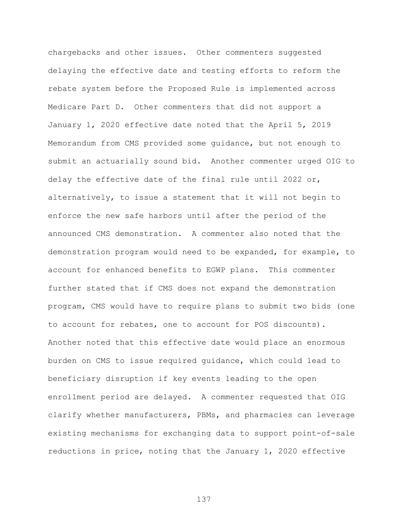chargebacks and other issues. Other commenters suggested delaying the effective date and testing efforts to reform the rebate system before the Proposed Rule is implemented across Medicare Part D. Other commenters that did not support a January 1, 2020 effective date noted that the April 5, 2019 Memorandum from CMS provided some guidance, but not enough to submit an actuarially sound bid. Another commenter urged OIG to delay the effective date of the final rule until 2022 or, alternatively, to issue a statement that it will not begin to enforce the new safe harbors until after the period of the announced CMS demonstration. A commenter also noted that the demonstration program would need to be expanded, for example, to account for enhanced benefits to EGWP plans. This commenter further stated that if CMS does not expand the demonstration program, CMS would have to require plans to submit two bids (one to account for rebates, one to account for POS discounts). Another noted that this effective date would place an enormous burden on CMS to issue required guidance, which could lead to beneficiary disruption if key events leading to the open enrollment period are delayed. A commenter requested that OIG clarify whether manufacturers, PBMs, and pharmacies can leverage existing mechanisms for exchanging data to support point-of-sale reductions in price, noting that the January 1, 2020 effective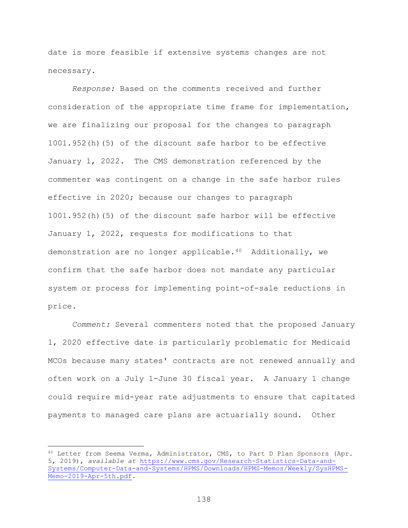date is more feasible if extensive systems changes are not necessary.

*Response:* Based on the comments received and further consideration of the appropriate time frame for implementation, we are finalizing our proposal for the changes to paragraph 1001.952(h)(5) of the discount safe harbor to be effective January 1, 2022. The CMS demonstration referenced by the commenter was contingent on a change in the safe harbor rules effective in 2020; because our changes to paragraph 1001.952(h)(5) of the discount safe harbor will be effective January 1, 2022, requests for modifications to that demonstration are no longer applicable.[40](#page-137-0) Additionally, we confirm that the safe harbor does not mandate any particular system or process for implementing point-of-sale reductions in price.

*Comment:* Several commenters noted that the proposed January 1, 2020 effective date is particularly problematic for Medicaid MCOs because many states' contracts are not renewed annually and often work on a July 1-June 30 fiscal year. A January 1 change could require mid-year rate adjustments to ensure that capitated payments to managed care plans are actuarially sound. Other

<span id="page-137-0"></span><sup>40</sup> Letter from Seema Verma, Administrator, CMS, to Part D Plan Sponsors (Apr. 5, 2019), *available at* [https://www.cms.gov/Research-Statistics-Data-and-](https://www.cms.gov/Research-Statistics-Data-and-Systems/Computer-Data-and-Systems/HPMS/Downloads/HPMS-Memos/Weekly/SysHPMS-Memo-2019-Apr-5th.pdf)[Systems/Computer-Data-and-Systems/HPMS/Downloads/HPMS-Memos/Weekly/SysHPMS-](https://www.cms.gov/Research-Statistics-Data-and-Systems/Computer-Data-and-Systems/HPMS/Downloads/HPMS-Memos/Weekly/SysHPMS-Memo-2019-Apr-5th.pdf)[Memo-2019-Apr-5th.pdf.](https://www.cms.gov/Research-Statistics-Data-and-Systems/Computer-Data-and-Systems/HPMS/Downloads/HPMS-Memos/Weekly/SysHPMS-Memo-2019-Apr-5th.pdf)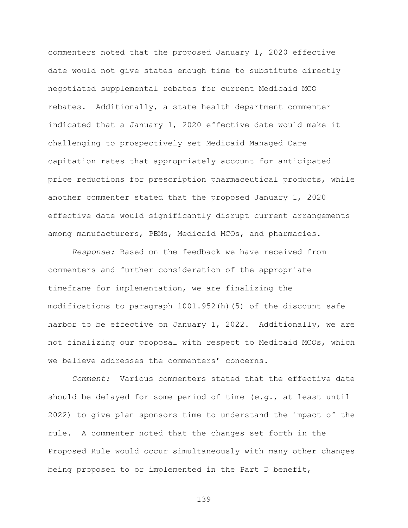commenters noted that the proposed January 1, 2020 effective date would not give states enough time to substitute directly negotiated supplemental rebates for current Medicaid MCO rebates. Additionally, a state health department commenter indicated that a January 1, 2020 effective date would make it challenging to prospectively set Medicaid Managed Care capitation rates that appropriately account for anticipated price reductions for prescription pharmaceutical products, while another commenter stated that the proposed January 1, 2020 effective date would significantly disrupt current arrangements among manufacturers, PBMs, Medicaid MCOs, and pharmacies.

*Response:* Based on the feedback we have received from commenters and further consideration of the appropriate timeframe for implementation, we are finalizing the modifications to paragraph 1001.952(h)(5) of the discount safe harbor to be effective on January 1, 2022. Additionally, we are not finalizing our proposal with respect to Medicaid MCOs, which we believe addresses the commenters' concerns.

*Comment:* Various commenters stated that the effective date should be delayed for some period of time (*e.g.*, at least until 2022) to give plan sponsors time to understand the impact of the rule. A commenter noted that the changes set forth in the Proposed Rule would occur simultaneously with many other changes being proposed to or implemented in the Part D benefit,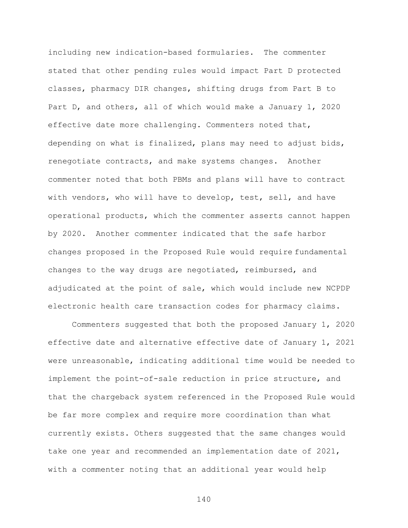including new indication-based formularies. The commenter stated that other pending rules would impact Part D protected classes, pharmacy DIR changes, shifting drugs from Part B to Part D, and others, all of which would make a January 1, 2020 effective date more challenging. Commenters noted that, depending on what is finalized, plans may need to adjust bids, renegotiate contracts, and make systems changes. Another commenter noted that both PBMs and plans will have to contract with vendors, who will have to develop, test, sell, and have operational products, which the commenter asserts cannot happen by 2020. Another commenter indicated that the safe harbor changes proposed in the Proposed Rule would require fundamental changes to the way drugs are negotiated, reimbursed, and adjudicated at the point of sale, which would include new NCPDP electronic health care transaction codes for pharmacy claims.

Commenters suggested that both the proposed January 1, 2020 effective date and alternative effective date of January 1, 2021 were unreasonable, indicating additional time would be needed to implement the point-of-sale reduction in price structure, and that the chargeback system referenced in the Proposed Rule would be far more complex and require more coordination than what currently exists. Others suggested that the same changes would take one year and recommended an implementation date of 2021, with a commenter noting that an additional year would help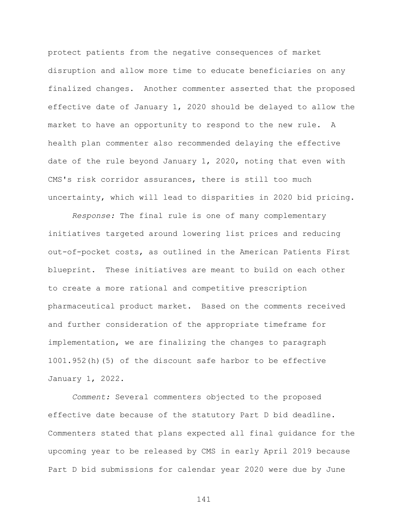protect patients from the negative consequences of market disruption and allow more time to educate beneficiaries on any finalized changes. Another commenter asserted that the proposed effective date of January 1, 2020 should be delayed to allow the market to have an opportunity to respond to the new rule. A health plan commenter also recommended delaying the effective date of the rule beyond January 1, 2020, noting that even with CMS's risk corridor assurances, there is still too much uncertainty, which will lead to disparities in 2020 bid pricing.

*Response:* The final rule is one of many complementary initiatives targeted around lowering list prices and reducing out-of-pocket costs, as outlined in the American Patients First blueprint. These initiatives are meant to build on each other to create a more rational and competitive prescription pharmaceutical product market. Based on the comments received and further consideration of the appropriate timeframe for implementation, we are finalizing the changes to paragraph 1001.952(h)(5) of the discount safe harbor to be effective January 1, 2022.

*Comment:* Several commenters objected to the proposed effective date because of the statutory Part D bid deadline. Commenters stated that plans expected all final guidance for the upcoming year to be released by CMS in early April 2019 because Part D bid submissions for calendar year 2020 were due by June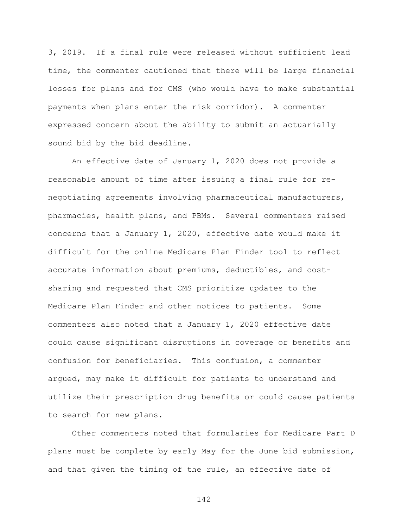3, 2019. If a final rule were released without sufficient lead time, the commenter cautioned that there will be large financial losses for plans and for CMS (who would have to make substantial payments when plans enter the risk corridor). A commenter expressed concern about the ability to submit an actuarially sound bid by the bid deadline.

An effective date of January 1, 2020 does not provide a reasonable amount of time after issuing a final rule for renegotiating agreements involving pharmaceutical manufacturers, pharmacies, health plans, and PBMs. Several commenters raised concerns that a January 1, 2020, effective date would make it difficult for the online Medicare Plan Finder tool to reflect accurate information about premiums, deductibles, and costsharing and requested that CMS prioritize updates to the Medicare Plan Finder and other notices to patients. Some commenters also noted that a January 1, 2020 effective date could cause significant disruptions in coverage or benefits and confusion for beneficiaries. This confusion, a commenter argued, may make it difficult for patients to understand and utilize their prescription drug benefits or could cause patients to search for new plans.

Other commenters noted that formularies for Medicare Part D plans must be complete by early May for the June bid submission, and that given the timing of the rule, an effective date of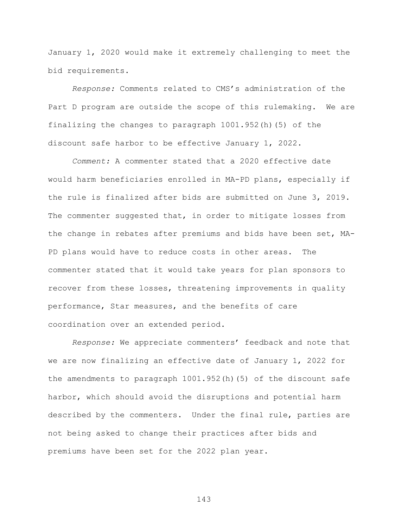January 1, 2020 would make it extremely challenging to meet the bid requirements.

*Response:* Comments related to CMS's administration of the Part D program are outside the scope of this rulemaking. We are finalizing the changes to paragraph 1001.952(h)(5) of the discount safe harbor to be effective January 1, 2022.

*Comment:* A commenter stated that a 2020 effective date would harm beneficiaries enrolled in MA-PD plans, especially if the rule is finalized after bids are submitted on June 3, 2019. The commenter suggested that, in order to mitigate losses from the change in rebates after premiums and bids have been set, MA-PD plans would have to reduce costs in other areas. The commenter stated that it would take years for plan sponsors to recover from these losses, threatening improvements in quality performance, Star measures, and the benefits of care coordination over an extended period.

*Response:* We appreciate commenters' feedback and note that we are now finalizing an effective date of January 1, 2022 for the amendments to paragraph 1001.952(h)(5) of the discount safe harbor, which should avoid the disruptions and potential harm described by the commenters. Under the final rule, parties are not being asked to change their practices after bids and premiums have been set for the 2022 plan year.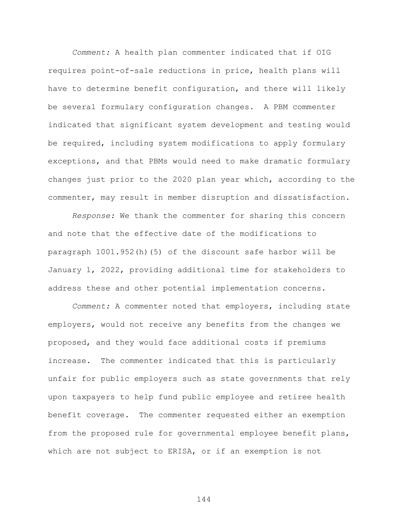*Comment:* A health plan commenter indicated that if OIG requires point-of-sale reductions in price, health plans will have to determine benefit configuration, and there will likely be several formulary configuration changes. A PBM commenter indicated that significant system development and testing would be required, including system modifications to apply formulary exceptions, and that PBMs would need to make dramatic formulary changes just prior to the 2020 plan year which, according to the commenter, may result in member disruption and dissatisfaction.

*Response:* We thank the commenter for sharing this concern and note that the effective date of the modifications to paragraph 1001.952(h)(5) of the discount safe harbor will be January 1, 2022, providing additional time for stakeholders to address these and other potential implementation concerns.

*Comment:* A commenter noted that employers, including state employers, would not receive any benefits from the changes we proposed, and they would face additional costs if premiums increase. The commenter indicated that this is particularly unfair for public employers such as state governments that rely upon taxpayers to help fund public employee and retiree health benefit coverage. The commenter requested either an exemption from the proposed rule for governmental employee benefit plans, which are not subject to ERISA, or if an exemption is not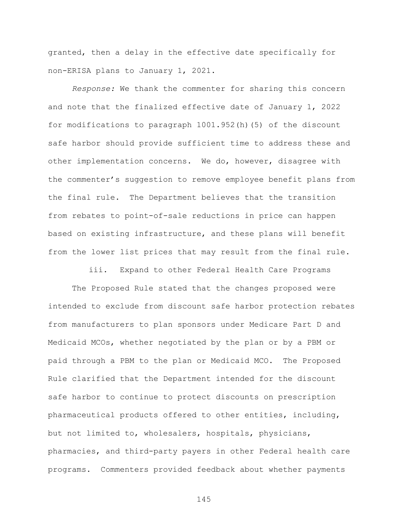granted, then a delay in the effective date specifically for non-ERISA plans to January 1, 2021.

*Response:* We thank the commenter for sharing this concern and note that the finalized effective date of January 1, 2022 for modifications to paragraph 1001.952(h)(5) of the discount safe harbor should provide sufficient time to address these and other implementation concerns. We do, however, disagree with the commenter's suggestion to remove employee benefit plans from the final rule. The Department believes that the transition from rebates to point-of-sale reductions in price can happen based on existing infrastructure, and these plans will benefit from the lower list prices that may result from the final rule.

iii. Expand to other Federal Health Care Programs

The Proposed Rule stated that the changes proposed were intended to exclude from discount safe harbor protection rebates from manufacturers to plan sponsors under Medicare Part D and Medicaid MCOs, whether negotiated by the plan or by a PBM or paid through a PBM to the plan or Medicaid MCO. The Proposed Rule clarified that the Department intended for the discount safe harbor to continue to protect discounts on prescription pharmaceutical products offered to other entities, including, but not limited to, wholesalers, hospitals, physicians, pharmacies, and third-party payers in other Federal health care programs. Commenters provided feedback about whether payments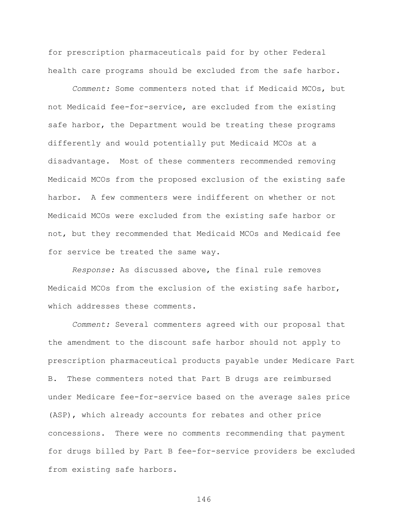for prescription pharmaceuticals paid for by other Federal health care programs should be excluded from the safe harbor.

*Comment:* Some commenters noted that if Medicaid MCOs, but not Medicaid fee-for-service, are excluded from the existing safe harbor, the Department would be treating these programs differently and would potentially put Medicaid MCOs at a disadvantage. Most of these commenters recommended removing Medicaid MCOs from the proposed exclusion of the existing safe harbor. A few commenters were indifferent on whether or not Medicaid MCOs were excluded from the existing safe harbor or not, but they recommended that Medicaid MCOs and Medicaid fee for service be treated the same way.

*Response:* As discussed above, the final rule removes Medicaid MCOs from the exclusion of the existing safe harbor, which addresses these comments.

*Comment:* Several commenters agreed with our proposal that the amendment to the discount safe harbor should not apply to prescription pharmaceutical products payable under Medicare Part B. These commenters noted that Part B drugs are reimbursed under Medicare fee-for-service based on the average sales price (ASP), which already accounts for rebates and other price concessions. There were no comments recommending that payment for drugs billed by Part B fee-for-service providers be excluded from existing safe harbors.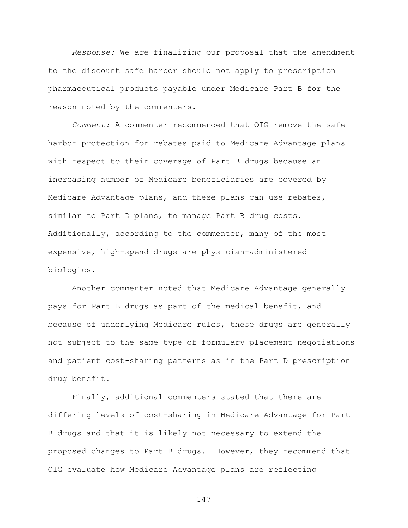*Response:* We are finalizing our proposal that the amendment to the discount safe harbor should not apply to prescription pharmaceutical products payable under Medicare Part B for the reason noted by the commenters.

*Comment:* A commenter recommended that OIG remove the safe harbor protection for rebates paid to Medicare Advantage plans with respect to their coverage of Part B drugs because an increasing number of Medicare beneficiaries are covered by Medicare Advantage plans, and these plans can use rebates, similar to Part D plans, to manage Part B drug costs. Additionally, according to the commenter, many of the most expensive, high-spend drugs are physician-administered biologics.

Another commenter noted that Medicare Advantage generally pays for Part B drugs as part of the medical benefit, and because of underlying Medicare rules, these drugs are generally not subject to the same type of formulary placement negotiations and patient cost-sharing patterns as in the Part D prescription drug benefit.

Finally, additional commenters stated that there are differing levels of cost-sharing in Medicare Advantage for Part B drugs and that it is likely not necessary to extend the proposed changes to Part B drugs. However, they recommend that OIG evaluate how Medicare Advantage plans are reflecting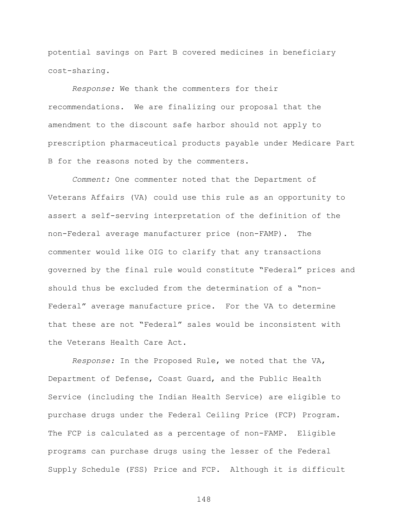potential savings on Part B covered medicines in beneficiary cost-sharing.

*Response:* We thank the commenters for their recommendations. We are finalizing our proposal that the amendment to the discount safe harbor should not apply to prescription pharmaceutical products payable under Medicare Part B for the reasons noted by the commenters.

*Comment:* One commenter noted that the Department of Veterans Affairs (VA) could use this rule as an opportunity to assert a self-serving interpretation of the definition of the non-Federal average manufacturer price (non-FAMP). The commenter would like OIG to clarify that any transactions governed by the final rule would constitute "Federal" prices and should thus be excluded from the determination of a "non-Federal" average manufacture price. For the VA to determine that these are not "Federal" sales would be inconsistent with the Veterans Health Care Act.

*Response:* In the Proposed Rule, we noted that the VA, Department of Defense, Coast Guard, and the Public Health Service (including the Indian Health Service) are eligible to purchase drugs under the Federal Ceiling Price (FCP) Program. The FCP is calculated as a percentage of non-FAMP. Eligible programs can purchase drugs using the lesser of the Federal Supply Schedule (FSS) Price and FCP. Although it is difficult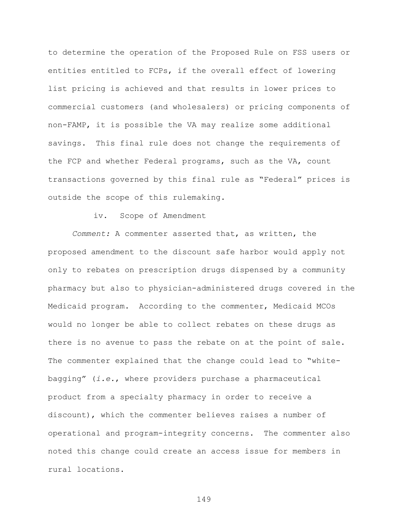to determine the operation of the Proposed Rule on FSS users or entities entitled to FCPs, if the overall effect of lowering list pricing is achieved and that results in lower prices to commercial customers (and wholesalers) or pricing components of non-FAMP, it is possible the VA may realize some additional savings. This final rule does not change the requirements of the FCP and whether Federal programs, such as the VA, count transactions governed by this final rule as "Federal" prices is outside the scope of this rulemaking.

## iv. Scope of Amendment

*Comment:* A commenter asserted that, as written, the proposed amendment to the discount safe harbor would apply not only to rebates on prescription drugs dispensed by a community pharmacy but also to physician-administered drugs covered in the Medicaid program. According to the commenter, Medicaid MCOs would no longer be able to collect rebates on these drugs as there is no avenue to pass the rebate on at the point of sale. The commenter explained that the change could lead to "whitebagging" (*i.e.*, where providers purchase a pharmaceutical product from a specialty pharmacy in order to receive a discount), which the commenter believes raises a number of operational and program-integrity concerns. The commenter also noted this change could create an access issue for members in rural locations.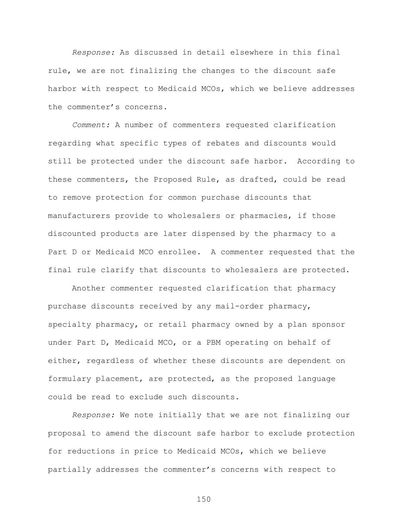*Response:* As discussed in detail elsewhere in this final rule, we are not finalizing the changes to the discount safe harbor with respect to Medicaid MCOs, which we believe addresses the commenter's concerns.

*Comment:* A number of commenters requested clarification regarding what specific types of rebates and discounts would still be protected under the discount safe harbor. According to these commenters, the Proposed Rule, as drafted, could be read to remove protection for common purchase discounts that manufacturers provide to wholesalers or pharmacies, if those discounted products are later dispensed by the pharmacy to a Part D or Medicaid MCO enrollee. A commenter requested that the final rule clarify that discounts to wholesalers are protected.

Another commenter requested clarification that pharmacy purchase discounts received by any mail-order pharmacy, specialty pharmacy, or retail pharmacy owned by a plan sponsor under Part D, Medicaid MCO, or a PBM operating on behalf of either, regardless of whether these discounts are dependent on formulary placement, are protected, as the proposed language could be read to exclude such discounts.

*Response:* We note initially that we are not finalizing our proposal to amend the discount safe harbor to exclude protection for reductions in price to Medicaid MCOs, which we believe partially addresses the commenter's concerns with respect to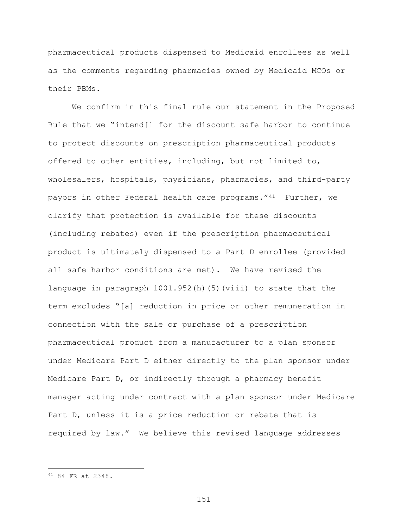pharmaceutical products dispensed to Medicaid enrollees as well as the comments regarding pharmacies owned by Medicaid MCOs or their PBMs.

We confirm in this final rule our statement in the Proposed Rule that we "intend[] for the discount safe harbor to continue to protect discounts on prescription pharmaceutical products offered to other entities, including, but not limited to, wholesalers, hospitals, physicians, pharmacies, and third-party payors in other Federal health care programs."[41](#page-150-0) Further, we clarify that protection is available for these discounts (including rebates) even if the prescription pharmaceutical product is ultimately dispensed to a Part D enrollee (provided all safe harbor conditions are met). We have revised the language in paragraph 1001.952(h)(5)(viii) to state that the term excludes "[a] reduction in price or other remuneration in connection with the sale or purchase of a prescription pharmaceutical product from a manufacturer to a plan sponsor under Medicare Part D either directly to the plan sponsor under Medicare Part D, or indirectly through a pharmacy benefit manager acting under contract with a plan sponsor under Medicare Part D, unless it is a price reduction or rebate that is required by law." We believe this revised language addresses

 $\overline{a}$ 

<span id="page-150-0"></span><sup>41</sup> 84 FR at 2348.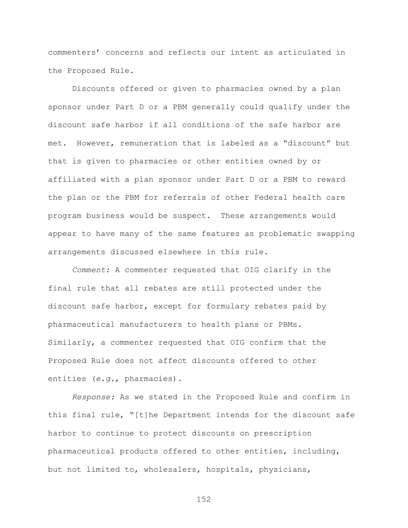commenters' concerns and reflects our intent as articulated in the Proposed Rule.

Discounts offered or given to pharmacies owned by a plan sponsor under Part D or a PBM generally could qualify under the discount safe harbor if all conditions of the safe harbor are met. However, remuneration that is labeled as a "discount" but that is given to pharmacies or other entities owned by or affiliated with a plan sponsor under Part D or a PBM to reward the plan or the PBM for referrals of other Federal health care program business would be suspect. These arrangements would appear to have many of the same features as problematic swapping arrangements discussed elsewhere in this rule.

*Comment:* A commenter requested that OIG clarify in the final rule that all rebates are still protected under the discount safe harbor, except for formulary rebates paid by pharmaceutical manufacturers to health plans or PBMs. Similarly, a commenter requested that OIG confirm that the Proposed Rule does not affect discounts offered to other entities (*e.g.*, pharmacies).

*Response:* As we stated in the Proposed Rule and confirm in this final rule, "[t]he Department intends for the discount safe harbor to continue to protect discounts on prescription pharmaceutical products offered to other entities, including, but not limited to, wholesalers, hospitals, physicians,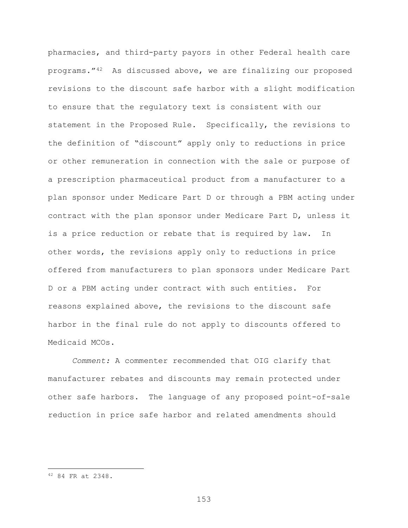pharmacies, and third-party payors in other Federal health care programs."[42](#page-152-0) As discussed above, we are finalizing our proposed revisions to the discount safe harbor with a slight modification to ensure that the regulatory text is consistent with our statement in the Proposed Rule. Specifically, the revisions to the definition of "discount" apply only to reductions in price or other remuneration in connection with the sale or purpose of a prescription pharmaceutical product from a manufacturer to a plan sponsor under Medicare Part D or through a PBM acting under contract with the plan sponsor under Medicare Part D, unless it is a price reduction or rebate that is required by law. In other words, the revisions apply only to reductions in price offered from manufacturers to plan sponsors under Medicare Part D or a PBM acting under contract with such entities. For reasons explained above, the revisions to the discount safe harbor in the final rule do not apply to discounts offered to Medicaid MCOs.

*Comment:* A commenter recommended that OIG clarify that manufacturer rebates and discounts may remain protected under other safe harbors. The language of any proposed point-of-sale reduction in price safe harbor and related amendments should

 $\overline{a}$ 

<span id="page-152-0"></span><sup>42</sup> 84 FR at 2348.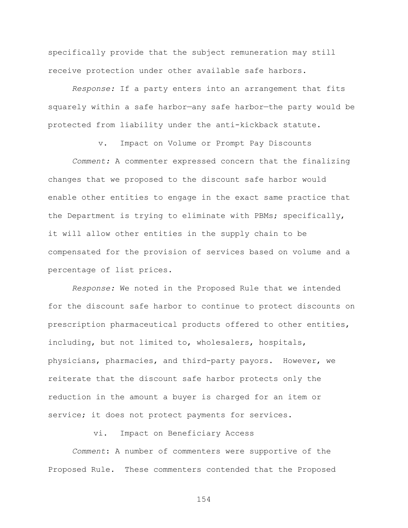specifically provide that the subject remuneration may still receive protection under other available safe harbors.

*Response:* If a party enters into an arrangement that fits squarely within a safe harbor—any safe harbor—the party would be protected from liability under the anti-kickback statute.

v. Impact on Volume or Prompt Pay Discounts

*Comment:* A commenter expressed concern that the finalizing changes that we proposed to the discount safe harbor would enable other entities to engage in the exact same practice that the Department is trying to eliminate with PBMs; specifically, it will allow other entities in the supply chain to be compensated for the provision of services based on volume and a percentage of list prices.

*Response:* We noted in the Proposed Rule that we intended for the discount safe harbor to continue to protect discounts on prescription pharmaceutical products offered to other entities, including, but not limited to, wholesalers, hospitals, physicians, pharmacies, and third-party payors. However, we reiterate that the discount safe harbor protects only the reduction in the amount a buyer is charged for an item or service; it does not protect payments for services.

vi. Impact on Beneficiary Access

*Comment*: A number of commenters were supportive of the Proposed Rule. These commenters contended that the Proposed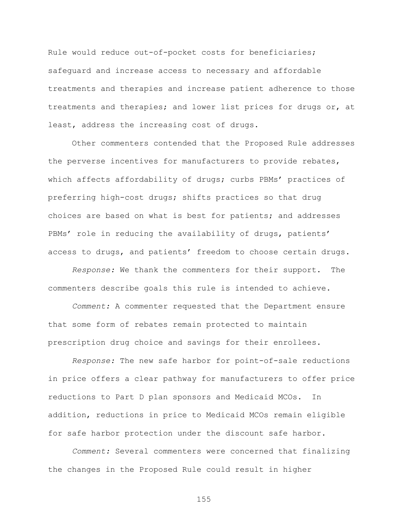Rule would reduce out-of-pocket costs for beneficiaries; safeguard and increase access to necessary and affordable treatments and therapies and increase patient adherence to those treatments and therapies; and lower list prices for drugs or, at least, address the increasing cost of drugs.

Other commenters contended that the Proposed Rule addresses the perverse incentives for manufacturers to provide rebates, which affects affordability of drugs; curbs PBMs' practices of preferring high-cost drugs; shifts practices so that drug choices are based on what is best for patients; and addresses PBMs' role in reducing the availability of drugs, patients' access to drugs, and patients' freedom to choose certain drugs.

*Response:* We thank the commenters for their support. The commenters describe goals this rule is intended to achieve.

*Comment:* A commenter requested that the Department ensure that some form of rebates remain protected to maintain prescription drug choice and savings for their enrollees.

*Response:* The new safe harbor for point-of-sale reductions in price offers a clear pathway for manufacturers to offer price reductions to Part D plan sponsors and Medicaid MCOs. In addition, reductions in price to Medicaid MCOs remain eligible for safe harbor protection under the discount safe harbor.

*Comment:* Several commenters were concerned that finalizing the changes in the Proposed Rule could result in higher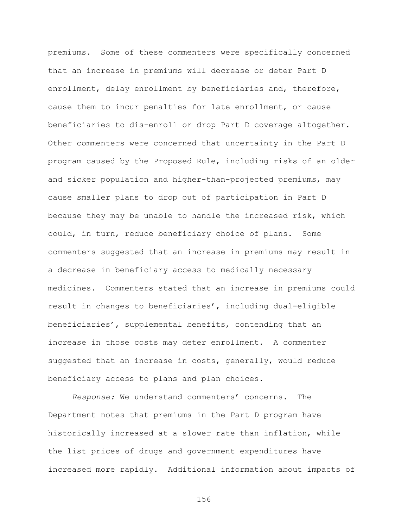premiums. Some of these commenters were specifically concerned that an increase in premiums will decrease or deter Part D enrollment, delay enrollment by beneficiaries and, therefore, cause them to incur penalties for late enrollment, or cause beneficiaries to dis-enroll or drop Part D coverage altogether. Other commenters were concerned that uncertainty in the Part D program caused by the Proposed Rule, including risks of an older and sicker population and higher-than-projected premiums, may cause smaller plans to drop out of participation in Part D because they may be unable to handle the increased risk, which could, in turn, reduce beneficiary choice of plans. Some commenters suggested that an increase in premiums may result in a decrease in beneficiary access to medically necessary medicines. Commenters stated that an increase in premiums could result in changes to beneficiaries', including dual-eligible beneficiaries', supplemental benefits, contending that an increase in those costs may deter enrollment. A commenter suggested that an increase in costs, generally, would reduce beneficiary access to plans and plan choices.

*Response:* We understand commenters' concerns. The Department notes that premiums in the Part D program have historically increased at a slower rate than inflation, while the list prices of drugs and government expenditures have increased more rapidly. Additional information about impacts of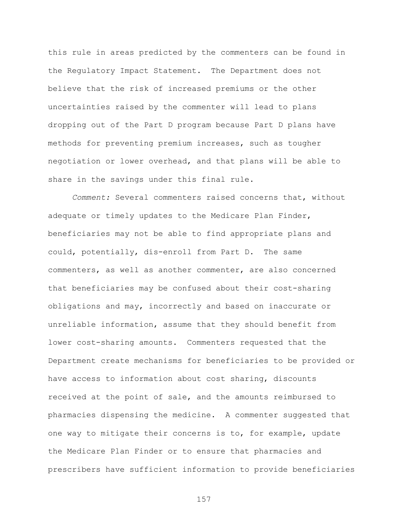this rule in areas predicted by the commenters can be found in the Regulatory Impact Statement. The Department does not believe that the risk of increased premiums or the other uncertainties raised by the commenter will lead to plans dropping out of the Part D program because Part D plans have methods for preventing premium increases, such as tougher negotiation or lower overhead, and that plans will be able to share in the savings under this final rule.

*Comment:* Several commenters raised concerns that, without adequate or timely updates to the Medicare Plan Finder, beneficiaries may not be able to find appropriate plans and could, potentially, dis-enroll from Part D. The same commenters, as well as another commenter, are also concerned that beneficiaries may be confused about their cost-sharing obligations and may, incorrectly and based on inaccurate or unreliable information, assume that they should benefit from lower cost-sharing amounts. Commenters requested that the Department create mechanisms for beneficiaries to be provided or have access to information about cost sharing, discounts received at the point of sale, and the amounts reimbursed to pharmacies dispensing the medicine. A commenter suggested that one way to mitigate their concerns is to, for example, update the Medicare Plan Finder or to ensure that pharmacies and prescribers have sufficient information to provide beneficiaries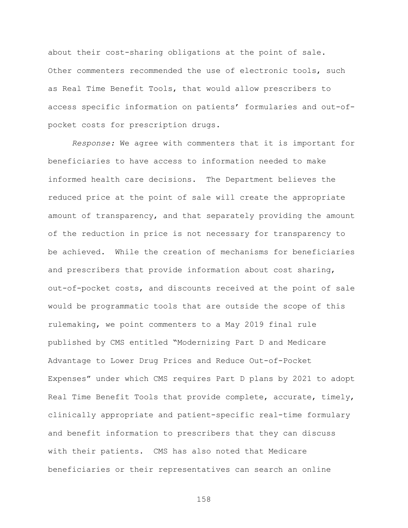about their cost-sharing obligations at the point of sale. Other commenters recommended the use of electronic tools, such as Real Time Benefit Tools, that would allow prescribers to access specific information on patients' formularies and out-ofpocket costs for prescription drugs.

*Response:* We agree with commenters that it is important for beneficiaries to have access to information needed to make informed health care decisions. The Department believes the reduced price at the point of sale will create the appropriate amount of transparency, and that separately providing the amount of the reduction in price is not necessary for transparency to be achieved. While the creation of mechanisms for beneficiaries and prescribers that provide information about cost sharing, out-of-pocket costs, and discounts received at the point of sale would be programmatic tools that are outside the scope of this rulemaking, we point commenters to a May 2019 final rule published by CMS entitled "Modernizing Part D and Medicare Advantage to Lower Drug Prices and Reduce Out-of-Pocket Expenses" under which CMS requires Part D plans by 2021 to adopt Real Time Benefit Tools that provide complete, accurate, timely, clinically appropriate and patient-specific real-time formulary and benefit information to prescribers that they can discuss with their patients. CMS has also noted that Medicare beneficiaries or their representatives can search an online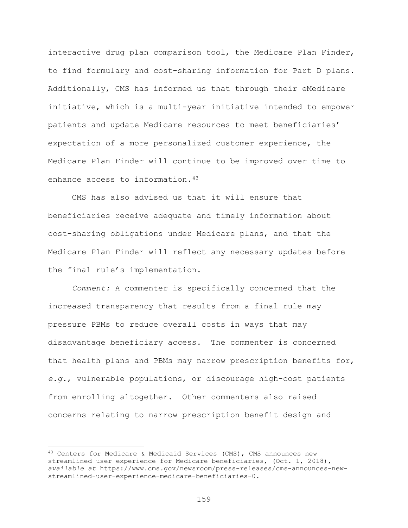interactive drug plan comparison tool, the Medicare Plan Finder, to find formulary and cost-sharing information for Part D plans. Additionally, CMS has informed us that through their eMedicare initiative, which is a multi-year initiative intended to empower patients and update Medicare resources to meet beneficiaries' expectation of a more personalized customer experience, the Medicare Plan Finder will continue to be improved over time to enhance access to information.[43](#page-158-0)

CMS has also advised us that it will ensure that beneficiaries receive adequate and timely information about cost-sharing obligations under Medicare plans, and that the Medicare Plan Finder will reflect any necessary updates before the final rule's implementation.

*Comment:* A commenter is specifically concerned that the increased transparency that results from a final rule may pressure PBMs to reduce overall costs in ways that may disadvantage beneficiary access. The commenter is concerned that health plans and PBMs may narrow prescription benefits for, *e.g.*, vulnerable populations, or discourage high-cost patients from enrolling altogether. Other commenters also raised concerns relating to narrow prescription benefit design and

 $\overline{a}$ 

<span id="page-158-0"></span><sup>&</sup>lt;sup>43</sup> Centers for Medicare & Medicaid Services (CMS), CMS announces new streamlined user experience for Medicare beneficiaries, (Oct. 1, 2018), *available at* https://www.cms.gov/newsroom/press-releases/cms-announces-newstreamlined-user-experience-medicare-beneficiaries-0.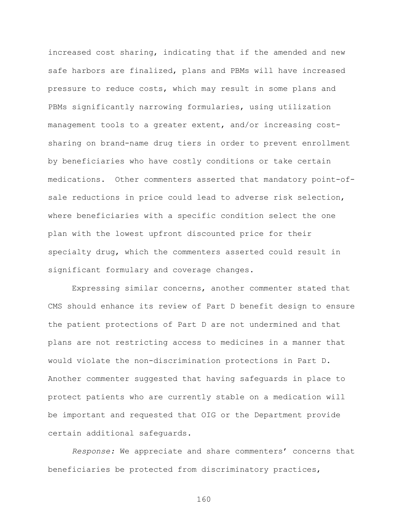increased cost sharing, indicating that if the amended and new safe harbors are finalized, plans and PBMs will have increased pressure to reduce costs, which may result in some plans and PBMs significantly narrowing formularies, using utilization management tools to a greater extent, and/or increasing costsharing on brand-name drug tiers in order to prevent enrollment by beneficiaries who have costly conditions or take certain medications. Other commenters asserted that mandatory point-ofsale reductions in price could lead to adverse risk selection, where beneficiaries with a specific condition select the one plan with the lowest upfront discounted price for their specialty drug, which the commenters asserted could result in significant formulary and coverage changes.

Expressing similar concerns, another commenter stated that CMS should enhance its review of Part D benefit design to ensure the patient protections of Part D are not undermined and that plans are not restricting access to medicines in a manner that would violate the non-discrimination protections in Part D. Another commenter suggested that having safeguards in place to protect patients who are currently stable on a medication will be important and requested that OIG or the Department provide certain additional safeguards.

*Response:* We appreciate and share commenters' concerns that beneficiaries be protected from discriminatory practices,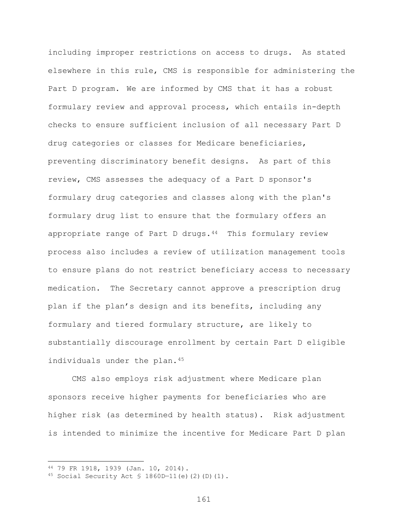including improper restrictions on access to drugs. As stated elsewhere in this rule, CMS is responsible for administering the Part D program. We are informed by CMS that it has a robust formulary review and approval process, which entails in-depth checks to ensure sufficient inclusion of all necessary Part D drug categories or classes for Medicare beneficiaries, preventing discriminatory benefit designs. As part of this review, CMS assesses the adequacy of a Part D sponsor's formulary drug categories and classes along with the plan's formulary drug list to ensure that the formulary offers an appropriate range of Part D drugs. $44$  This formulary review process also includes a review of utilization management tools to ensure plans do not restrict beneficiary access to necessary medication. The Secretary cannot approve a prescription drug plan if the plan's design and its benefits, including any formulary and tiered formulary structure, are likely to substantially discourage enrollment by certain Part D eligible individuals under the plan.<sup>45</sup>

CMS also employs risk adjustment where Medicare plan sponsors receive higher payments for beneficiaries who are higher risk (as determined by health status). Risk adjustment is intended to minimize the incentive for Medicare Part D plan

 $\overline{a}$ 

<span id="page-160-0"></span><sup>44</sup> 79 FR 1918, 1939 (Jan. 10, 2014).

<span id="page-160-1"></span><sup>45</sup> Social Security Act  $$ 1860D-11(e) (2) (D) (1)$ .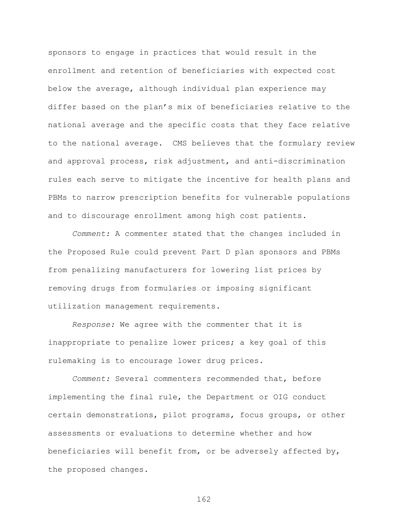sponsors to engage in practices that would result in the enrollment and retention of beneficiaries with expected cost below the average, although individual plan experience may differ based on the plan's mix of beneficiaries relative to the national average and the specific costs that they face relative to the national average. CMS believes that the formulary review and approval process, risk adjustment, and anti-discrimination rules each serve to mitigate the incentive for health plans and PBMs to narrow prescription benefits for vulnerable populations and to discourage enrollment among high cost patients.

*Comment:* A commenter stated that the changes included in the Proposed Rule could prevent Part D plan sponsors and PBMs from penalizing manufacturers for lowering list prices by removing drugs from formularies or imposing significant utilization management requirements.

*Response:* We agree with the commenter that it is inappropriate to penalize lower prices; a key goal of this rulemaking is to encourage lower drug prices.

*Comment:* Several commenters recommended that, before implementing the final rule, the Department or OIG conduct certain demonstrations, pilot programs, focus groups, or other assessments or evaluations to determine whether and how beneficiaries will benefit from, or be adversely affected by, the proposed changes.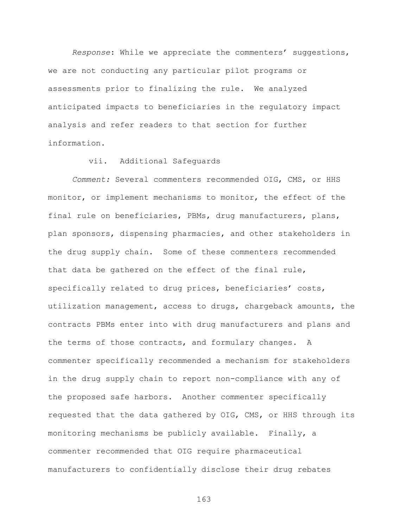*Response*: While we appreciate the commenters' suggestions, we are not conducting any particular pilot programs or assessments prior to finalizing the rule. We analyzed anticipated impacts to beneficiaries in the regulatory impact analysis and refer readers to that section for further information.

## vii. Additional Safeguards

*Comment:* Several commenters recommended OIG, CMS, or HHS monitor, or implement mechanisms to monitor, the effect of the final rule on beneficiaries, PBMs, drug manufacturers, plans, plan sponsors, dispensing pharmacies, and other stakeholders in the drug supply chain. Some of these commenters recommended that data be gathered on the effect of the final rule, specifically related to drug prices, beneficiaries' costs, utilization management, access to drugs, chargeback amounts, the contracts PBMs enter into with drug manufacturers and plans and the terms of those contracts, and formulary changes. A commenter specifically recommended a mechanism for stakeholders in the drug supply chain to report non-compliance with any of the proposed safe harbors. Another commenter specifically requested that the data gathered by OIG, CMS, or HHS through its monitoring mechanisms be publicly available. Finally, a commenter recommended that OIG require pharmaceutical manufacturers to confidentially disclose their drug rebates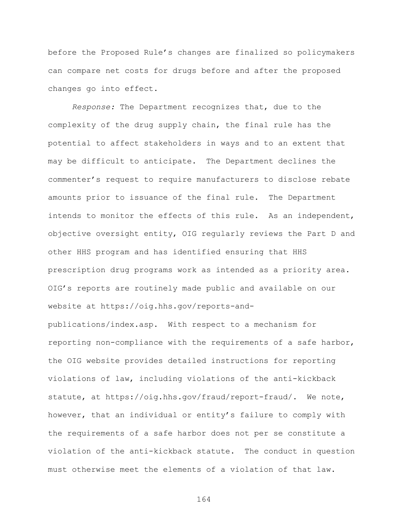before the Proposed Rule's changes are finalized so policymakers can compare net costs for drugs before and after the proposed changes go into effect.

*Response:* The Department recognizes that, due to the complexity of the drug supply chain, the final rule has the potential to affect stakeholders in ways and to an extent that may be difficult to anticipate. The Department declines the commenter's request to require manufacturers to disclose rebate amounts prior to issuance of the final rule. The Department intends to monitor the effects of this rule. As an independent, objective oversight entity, OIG regularly reviews the Part D and other HHS program and has identified ensuring that HHS prescription drug programs work as intended as a priority area. OIG's reports are routinely made public and available on our website at https://oig.hhs.gov/reports-and-

publications/index.asp. With respect to a mechanism for reporting non-compliance with the requirements of a safe harbor, the OIG website provides detailed instructions for reporting violations of law, including violations of the anti-kickback statute, at https://oig.hhs.gov/fraud/report-fraud/. We note, however, that an individual or entity's failure to comply with the requirements of a safe harbor does not per se constitute a violation of the anti-kickback statute. The conduct in question must otherwise meet the elements of a violation of that law.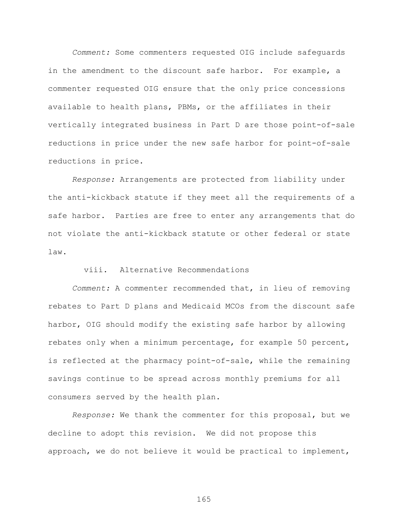*Comment:* Some commenters requested OIG include safeguards in the amendment to the discount safe harbor. For example, a commenter requested OIG ensure that the only price concessions available to health plans, PBMs, or the affiliates in their vertically integrated business in Part D are those point-of-sale reductions in price under the new safe harbor for point-of-sale reductions in price.

*Response:* Arrangements are protected from liability under the anti-kickback statute if they meet all the requirements of a safe harbor. Parties are free to enter any arrangements that do not violate the anti-kickback statute or other federal or state law.

## viii. Alternative Recommendations

*Comment:* A commenter recommended that, in lieu of removing rebates to Part D plans and Medicaid MCOs from the discount safe harbor, OIG should modify the existing safe harbor by allowing rebates only when a minimum percentage, for example 50 percent, is reflected at the pharmacy point-of-sale, while the remaining savings continue to be spread across monthly premiums for all consumers served by the health plan.

*Response:* We thank the commenter for this proposal, but we decline to adopt this revision. We did not propose this approach, we do not believe it would be practical to implement,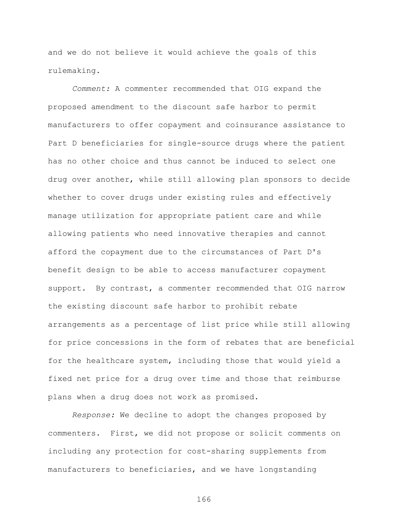and we do not believe it would achieve the goals of this rulemaking.

*Comment:* A commenter recommended that OIG expand the proposed amendment to the discount safe harbor to permit manufacturers to offer copayment and coinsurance assistance to Part D beneficiaries for single-source drugs where the patient has no other choice and thus cannot be induced to select one drug over another, while still allowing plan sponsors to decide whether to cover drugs under existing rules and effectively manage utilization for appropriate patient care and while allowing patients who need innovative therapies and cannot afford the copayment due to the circumstances of Part D's benefit design to be able to access manufacturer copayment support. By contrast, a commenter recommended that OIG narrow the existing discount safe harbor to prohibit rebate arrangements as a percentage of list price while still allowing for price concessions in the form of rebates that are beneficial for the healthcare system, including those that would yield a fixed net price for a drug over time and those that reimburse plans when a drug does not work as promised.

*Response:* We decline to adopt the changes proposed by commenters. First, we did not propose or solicit comments on including any protection for cost-sharing supplements from manufacturers to beneficiaries, and we have longstanding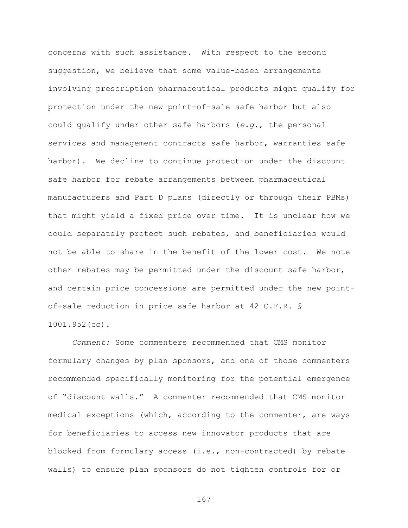concerns with such assistance. With respect to the second suggestion, we believe that some value-based arrangements involving prescription pharmaceutical products might qualify for protection under the new point-of-sale safe harbor but also could qualify under other safe harbors (*e.g.*, the personal services and management contracts safe harbor, warranties safe harbor). We decline to continue protection under the discount safe harbor for rebate arrangements between pharmaceutical manufacturers and Part D plans (directly or through their PBMs) that might yield a fixed price over time. It is unclear how we could separately protect such rebates, and beneficiaries would not be able to share in the benefit of the lower cost. We note other rebates may be permitted under the discount safe harbor, and certain price concessions are permitted under the new pointof-sale reduction in price safe harbor at 42 C.F.R. § 1001.952(cc).

*Comment:* Some commenters recommended that CMS monitor formulary changes by plan sponsors, and one of those commenters recommended specifically monitoring for the potential emergence of "discount walls." A commenter recommended that CMS monitor medical exceptions (which, according to the commenter, are ways for beneficiaries to access new innovator products that are blocked from formulary access (i.e., non-contracted) by rebate walls) to ensure plan sponsors do not tighten controls for or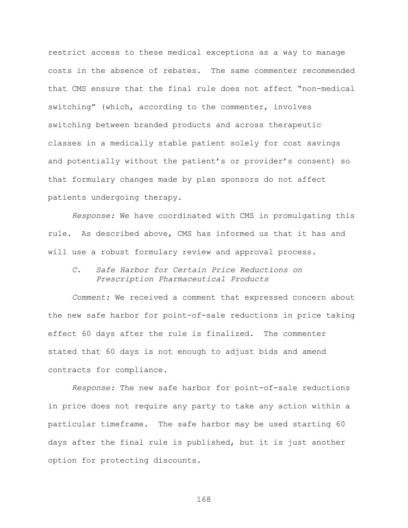restrict access to these medical exceptions as a way to manage costs in the absence of rebates. The same commenter recommended that CMS ensure that the final rule does not affect "non-medical switching" (which, according to the commenter, involves switching between branded products and across therapeutic classes in a medically stable patient solely for cost savings and potentially without the patient's or provider's consent) so that formulary changes made by plan sponsors do not affect patients undergoing therapy.

*Response:* We have coordinated with CMS in promulgating this rule. As described above, CMS has informed us that it has and will use a robust formulary review and approval process.

*C. Safe Harbor for Certain Price Reductions on Prescription Pharmaceutical Products*

*Comment:* We received a comment that expressed concern about the new safe harbor for point-of-sale reductions in price taking effect 60 days after the rule is finalized. The commenter stated that 60 days is not enough to adjust bids and amend contracts for compliance.

*Response:* The new safe harbor for point-of-sale reductions in price does not require any party to take any action within a particular timeframe. The safe harbor may be used starting 60 days after the final rule is published, but it is just another option for protecting discounts.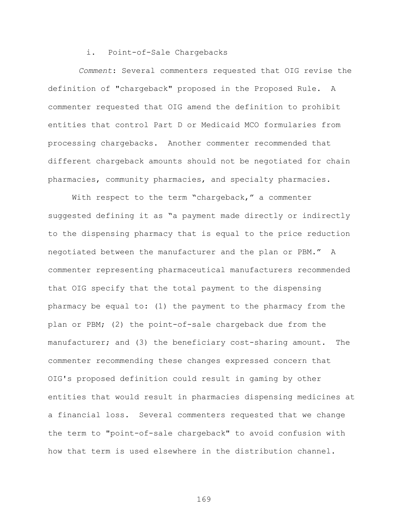## i. Point-of-Sale Chargebacks

*Comment*: Several commenters requested that OIG revise the definition of "chargeback" proposed in the Proposed Rule. A commenter requested that OIG amend the definition to prohibit entities that control Part D or Medicaid MCO formularies from processing chargebacks. Another commenter recommended that different chargeback amounts should not be negotiated for chain pharmacies, community pharmacies, and specialty pharmacies.

With respect to the term "chargeback," a commenter suggested defining it as "a payment made directly or indirectly to the dispensing pharmacy that is equal to the price reduction negotiated between the manufacturer and the plan or PBM." A commenter representing pharmaceutical manufacturers recommended that OIG specify that the total payment to the dispensing pharmacy be equal to: (1) the payment to the pharmacy from the plan or PBM; (2) the point-of-sale chargeback due from the manufacturer; and (3) the beneficiary cost-sharing amount. The commenter recommending these changes expressed concern that OIG's proposed definition could result in gaming by other entities that would result in pharmacies dispensing medicines at a financial loss. Several commenters requested that we change the term to "point-of-sale chargeback" to avoid confusion with how that term is used elsewhere in the distribution channel.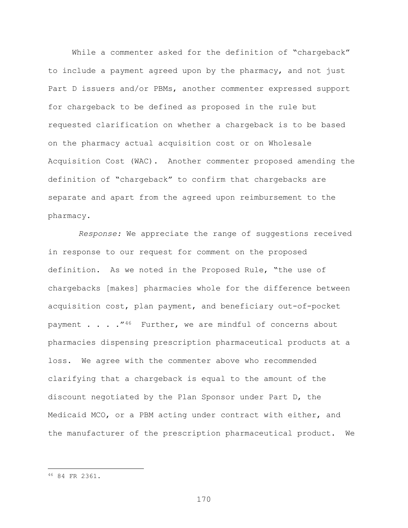While a commenter asked for the definition of "chargeback" to include a payment agreed upon by the pharmacy, and not just Part D issuers and/or PBMs, another commenter expressed support for chargeback to be defined as proposed in the rule but requested clarification on whether a chargeback is to be based on the pharmacy actual acquisition cost or on Wholesale Acquisition Cost (WAC). Another commenter proposed amending the definition of "chargeback" to confirm that chargebacks are separate and apart from the agreed upon reimbursement to the pharmacy.

*Response:* We appreciate the range of suggestions received in response to our request for comment on the proposed definition. As we noted in the Proposed Rule, "the use of chargebacks [makes] pharmacies whole for the difference between acquisition cost, plan payment, and beneficiary out-of-pocket payment  $\ldots$  . . . "<sup>[46](#page-169-0)</sup> Further, we are mindful of concerns about pharmacies dispensing prescription pharmaceutical products at a loss. We agree with the commenter above who recommended clarifying that a chargeback is equal to the amount of the discount negotiated by the Plan Sponsor under Part D, the Medicaid MCO, or a PBM acting under contract with either, and the manufacturer of the prescription pharmaceutical product. We

 $\overline{a}$ 

<span id="page-169-0"></span><sup>46</sup> 84 FR 2361.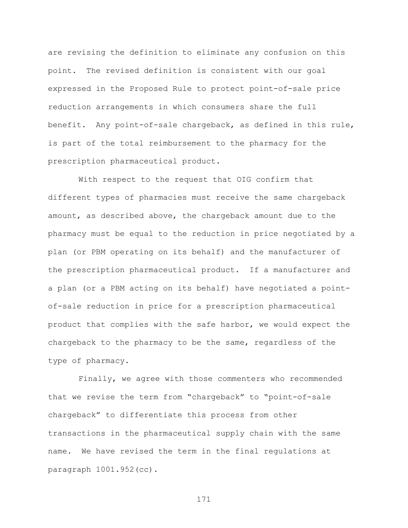are revising the definition to eliminate any confusion on this point. The revised definition is consistent with our goal expressed in the Proposed Rule to protect point-of-sale price reduction arrangements in which consumers share the full benefit. Any point-of-sale chargeback, as defined in this rule, is part of the total reimbursement to the pharmacy for the prescription pharmaceutical product.

With respect to the request that OIG confirm that different types of pharmacies must receive the same chargeback amount, as described above, the chargeback amount due to the pharmacy must be equal to the reduction in price negotiated by a plan (or PBM operating on its behalf) and the manufacturer of the prescription pharmaceutical product. If a manufacturer and a plan (or a PBM acting on its behalf) have negotiated a pointof-sale reduction in price for a prescription pharmaceutical product that complies with the safe harbor, we would expect the chargeback to the pharmacy to be the same, regardless of the type of pharmacy.

Finally, we agree with those commenters who recommended that we revise the term from "chargeback" to "point-of-sale chargeback" to differentiate this process from other transactions in the pharmaceutical supply chain with the same name. We have revised the term in the final regulations at paragraph 1001.952(cc).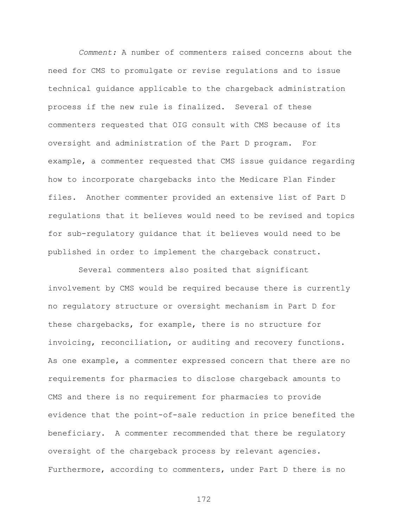*Comment:* A number of commenters raised concerns about the need for CMS to promulgate or revise regulations and to issue technical guidance applicable to the chargeback administration process if the new rule is finalized. Several of these commenters requested that OIG consult with CMS because of its oversight and administration of the Part D program. For example, a commenter requested that CMS issue guidance regarding how to incorporate chargebacks into the Medicare Plan Finder files. Another commenter provided an extensive list of Part D regulations that it believes would need to be revised and topics for sub-regulatory guidance that it believes would need to be published in order to implement the chargeback construct.

Several commenters also posited that significant involvement by CMS would be required because there is currently no regulatory structure or oversight mechanism in Part D for these chargebacks, for example, there is no structure for invoicing, reconciliation, or auditing and recovery functions. As one example, a commenter expressed concern that there are no requirements for pharmacies to disclose chargeback amounts to CMS and there is no requirement for pharmacies to provide evidence that the point-of-sale reduction in price benefited the beneficiary. A commenter recommended that there be regulatory oversight of the chargeback process by relevant agencies. Furthermore, according to commenters, under Part D there is no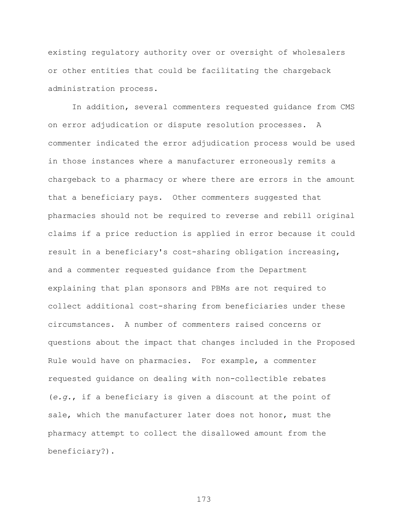existing regulatory authority over or oversight of wholesalers or other entities that could be facilitating the chargeback administration process.

In addition, several commenters requested guidance from CMS on error adjudication or dispute resolution processes. A commenter indicated the error adjudication process would be used in those instances where a manufacturer erroneously remits a chargeback to a pharmacy or where there are errors in the amount that a beneficiary pays. Other commenters suggested that pharmacies should not be required to reverse and rebill original claims if a price reduction is applied in error because it could result in a beneficiary's cost-sharing obligation increasing, and a commenter requested guidance from the Department explaining that plan sponsors and PBMs are not required to collect additional cost-sharing from beneficiaries under these circumstances. A number of commenters raised concerns or questions about the impact that changes included in the Proposed Rule would have on pharmacies. For example, a commenter requested guidance on dealing with non-collectible rebates (*e.g.*, if a beneficiary is given a discount at the point of sale, which the manufacturer later does not honor, must the pharmacy attempt to collect the disallowed amount from the beneficiary?).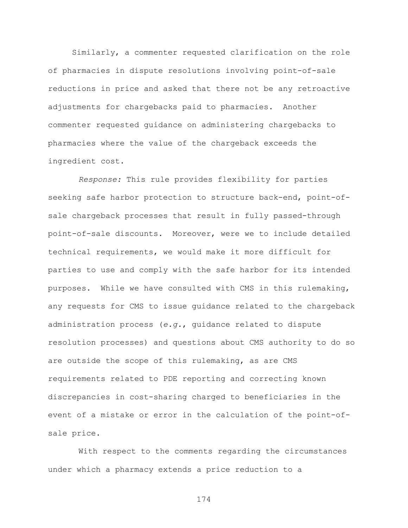Similarly, a commenter requested clarification on the role of pharmacies in dispute resolutions involving point-of-sale reductions in price and asked that there not be any retroactive adjustments for chargebacks paid to pharmacies. Another commenter requested guidance on administering chargebacks to pharmacies where the value of the chargeback exceeds the ingredient cost.

*Response:* This rule provides flexibility for parties seeking safe harbor protection to structure back-end, point-ofsale chargeback processes that result in fully passed-through point-of-sale discounts. Moreover, were we to include detailed technical requirements, we would make it more difficult for parties to use and comply with the safe harbor for its intended purposes. While we have consulted with CMS in this rulemaking, any requests for CMS to issue guidance related to the chargeback administration process (*e.g.*, guidance related to dispute resolution processes) and questions about CMS authority to do so are outside the scope of this rulemaking, as are CMS requirements related to PDE reporting and correcting known discrepancies in cost-sharing charged to beneficiaries in the event of a mistake or error in the calculation of the point-ofsale price.

With respect to the comments regarding the circumstances under which a pharmacy extends a price reduction to a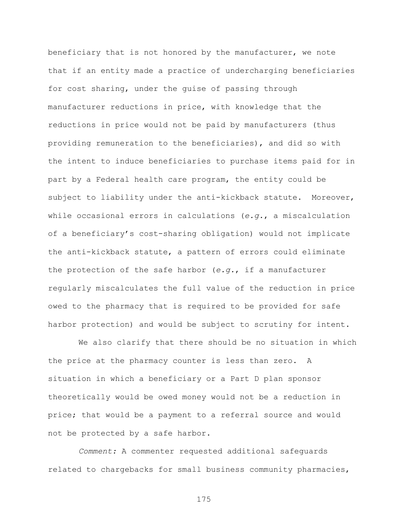beneficiary that is not honored by the manufacturer, we note that if an entity made a practice of undercharging beneficiaries for cost sharing, under the guise of passing through manufacturer reductions in price, with knowledge that the reductions in price would not be paid by manufacturers (thus providing remuneration to the beneficiaries), and did so with the intent to induce beneficiaries to purchase items paid for in part by a Federal health care program, the entity could be subject to liability under the anti-kickback statute. Moreover, while occasional errors in calculations (*e.g.*, a miscalculation of a beneficiary's cost-sharing obligation) would not implicate the anti-kickback statute, a pattern of errors could eliminate the protection of the safe harbor (*e.g.*, if a manufacturer regularly miscalculates the full value of the reduction in price owed to the pharmacy that is required to be provided for safe harbor protection) and would be subject to scrutiny for intent.

We also clarify that there should be no situation in which the price at the pharmacy counter is less than zero. A situation in which a beneficiary or a Part D plan sponsor theoretically would be owed money would not be a reduction in price; that would be a payment to a referral source and would not be protected by a safe harbor.

*Comment:* A commenter requested additional safeguards related to chargebacks for small business community pharmacies,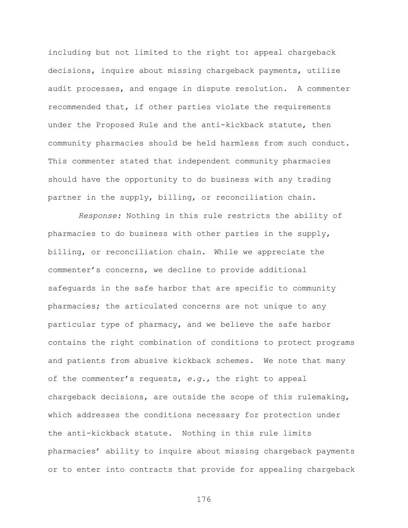including but not limited to the right to: appeal chargeback decisions, inquire about missing chargeback payments, utilize audit processes, and engage in dispute resolution. A commenter recommended that, if other parties violate the requirements under the Proposed Rule and the anti-kickback statute, then community pharmacies should be held harmless from such conduct. This commenter stated that independent community pharmacies should have the opportunity to do business with any trading partner in the supply, billing, or reconciliation chain.

*Response:* Nothing in this rule restricts the ability of pharmacies to do business with other parties in the supply, billing, or reconciliation chain. While we appreciate the commenter's concerns, we decline to provide additional safeguards in the safe harbor that are specific to community pharmacies; the articulated concerns are not unique to any particular type of pharmacy, and we believe the safe harbor contains the right combination of conditions to protect programs and patients from abusive kickback schemes. We note that many of the commenter's requests, *e.g.*, the right to appeal chargeback decisions, are outside the scope of this rulemaking, which addresses the conditions necessary for protection under the anti-kickback statute. Nothing in this rule limits pharmacies' ability to inquire about missing chargeback payments or to enter into contracts that provide for appealing chargeback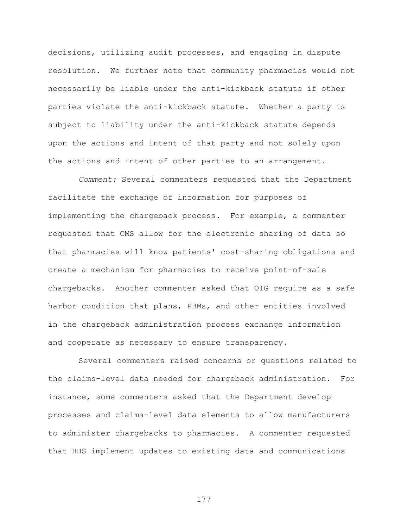decisions, utilizing audit processes, and engaging in dispute resolution. We further note that community pharmacies would not necessarily be liable under the anti-kickback statute if other parties violate the anti-kickback statute. Whether a party is subject to liability under the anti-kickback statute depends upon the actions and intent of that party and not solely upon the actions and intent of other parties to an arrangement.

*Comment:* Several commenters requested that the Department facilitate the exchange of information for purposes of implementing the chargeback process. For example, a commenter requested that CMS allow for the electronic sharing of data so that pharmacies will know patients' cost-sharing obligations and create a mechanism for pharmacies to receive point-of-sale chargebacks. Another commenter asked that OIG require as a safe harbor condition that plans, PBMs, and other entities involved in the chargeback administration process exchange information and cooperate as necessary to ensure transparency.

Several commenters raised concerns or questions related to the claims-level data needed for chargeback administration. For instance, some commenters asked that the Department develop processes and claims-level data elements to allow manufacturers to administer chargebacks to pharmacies. A commenter requested that HHS implement updates to existing data and communications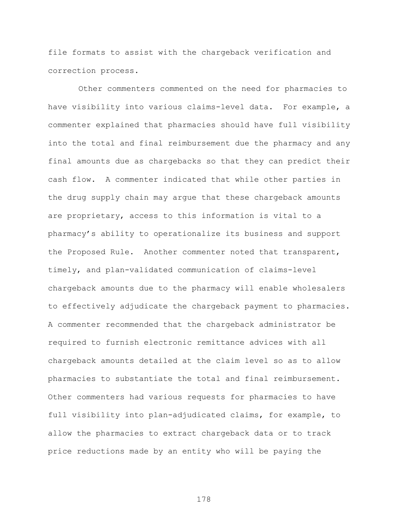file formats to assist with the chargeback verification and correction process.

Other commenters commented on the need for pharmacies to have visibility into various claims-level data. For example, a commenter explained that pharmacies should have full visibility into the total and final reimbursement due the pharmacy and any final amounts due as chargebacks so that they can predict their cash flow. A commenter indicated that while other parties in the drug supply chain may argue that these chargeback amounts are proprietary, access to this information is vital to a pharmacy's ability to operationalize its business and support the Proposed Rule. Another commenter noted that transparent, timely, and plan-validated communication of claims-level chargeback amounts due to the pharmacy will enable wholesalers to effectively adjudicate the chargeback payment to pharmacies. A commenter recommended that the chargeback administrator be required to furnish electronic remittance advices with all chargeback amounts detailed at the claim level so as to allow pharmacies to substantiate the total and final reimbursement. Other commenters had various requests for pharmacies to have full visibility into plan-adjudicated claims, for example, to allow the pharmacies to extract chargeback data or to track price reductions made by an entity who will be paying the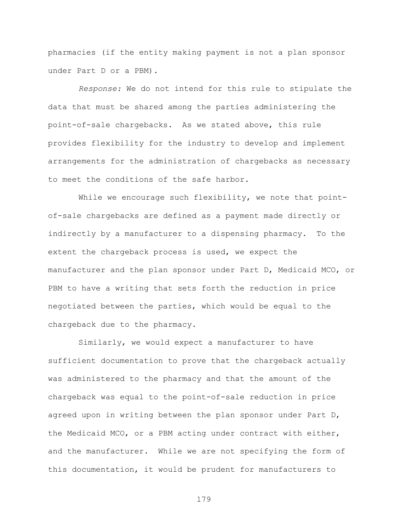pharmacies (if the entity making payment is not a plan sponsor under Part D or a PBM).

*Response:* We do not intend for this rule to stipulate the data that must be shared among the parties administering the point-of-sale chargebacks. As we stated above, this rule provides flexibility for the industry to develop and implement arrangements for the administration of chargebacks as necessary to meet the conditions of the safe harbor.

While we encourage such flexibility, we note that pointof-sale chargebacks are defined as a payment made directly or indirectly by a manufacturer to a dispensing pharmacy. To the extent the chargeback process is used, we expect the manufacturer and the plan sponsor under Part D, Medicaid MCO, or PBM to have a writing that sets forth the reduction in price negotiated between the parties, which would be equal to the chargeback due to the pharmacy.

Similarly, we would expect a manufacturer to have sufficient documentation to prove that the chargeback actually was administered to the pharmacy and that the amount of the chargeback was equal to the point-of-sale reduction in price agreed upon in writing between the plan sponsor under Part D, the Medicaid MCO, or a PBM acting under contract with either, and the manufacturer. While we are not specifying the form of this documentation, it would be prudent for manufacturers to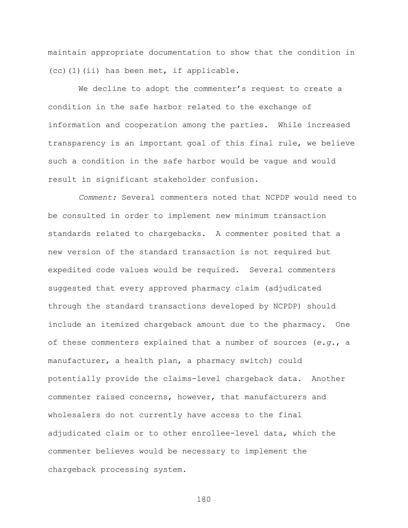maintain appropriate documentation to show that the condition in (cc)(1)(ii) has been met, if applicable.

We decline to adopt the commenter's request to create a condition in the safe harbor related to the exchange of information and cooperation among the parties. While increased transparency is an important goal of this final rule, we believe such a condition in the safe harbor would be vague and would result in significant stakeholder confusion.

*Comment:* Several commenters noted that NCPDP would need to be consulted in order to implement new minimum transaction standards related to chargebacks. A commenter posited that a new version of the standard transaction is not required but expedited code values would be required. Several commenters suggested that every approved pharmacy claim (adjudicated through the standard transactions developed by NCPDP) should include an itemized chargeback amount due to the pharmacy. One of these commenters explained that a number of sources (*e.g.*, a manufacturer, a health plan, a pharmacy switch) could potentially provide the claims-level chargeback data. Another commenter raised concerns, however, that manufacturers and wholesalers do not currently have access to the final adjudicated claim or to other enrollee-level data, which the commenter believes would be necessary to implement the chargeback processing system.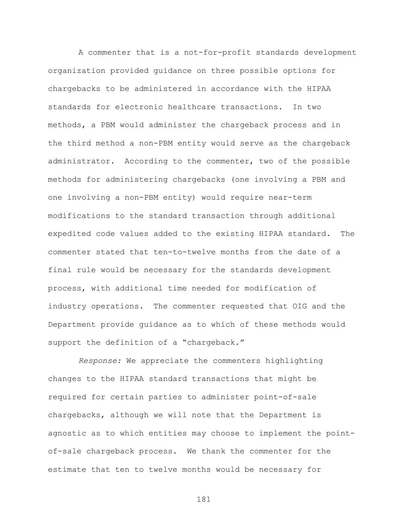A commenter that is a not-for-profit standards development organization provided guidance on three possible options for chargebacks to be administered in accordance with the HIPAA standards for electronic healthcare transactions. In two methods, a PBM would administer the chargeback process and in the third method a non-PBM entity would serve as the chargeback administrator. According to the commenter, two of the possible methods for administering chargebacks (one involving a PBM and one involving a non-PBM entity) would require near-term modifications to the standard transaction through additional expedited code values added to the existing HIPAA standard. The commenter stated that ten-to-twelve months from the date of a final rule would be necessary for the standards development process, with additional time needed for modification of industry operations. The commenter requested that OIG and the Department provide guidance as to which of these methods would support the definition of a "chargeback."

*Response:* We appreciate the commenters highlighting changes to the HIPAA standard transactions that might be required for certain parties to administer point-of-sale chargebacks, although we will note that the Department is agnostic as to which entities may choose to implement the pointof-sale chargeback process. We thank the commenter for the estimate that ten to twelve months would be necessary for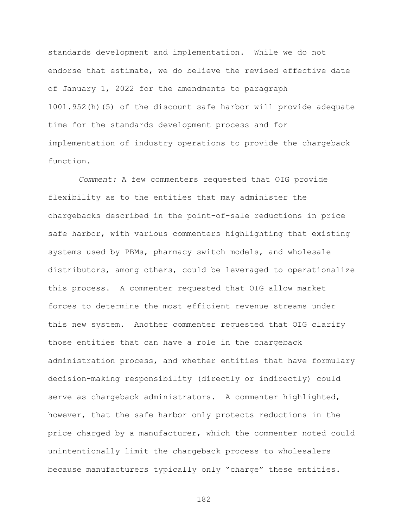standards development and implementation. While we do not endorse that estimate, we do believe the revised effective date of January 1, 2022 for the amendments to paragraph 1001.952(h)(5) of the discount safe harbor will provide adequate time for the standards development process and for implementation of industry operations to provide the chargeback function.

*Comment:* A few commenters requested that OIG provide flexibility as to the entities that may administer the chargebacks described in the point-of-sale reductions in price safe harbor, with various commenters highlighting that existing systems used by PBMs, pharmacy switch models, and wholesale distributors, among others, could be leveraged to operationalize this process. A commenter requested that OIG allow market forces to determine the most efficient revenue streams under this new system. Another commenter requested that OIG clarify those entities that can have a role in the chargeback administration process, and whether entities that have formulary decision-making responsibility (directly or indirectly) could serve as chargeback administrators. A commenter highlighted, however, that the safe harbor only protects reductions in the price charged by a manufacturer, which the commenter noted could unintentionally limit the chargeback process to wholesalers because manufacturers typically only "charge" these entities.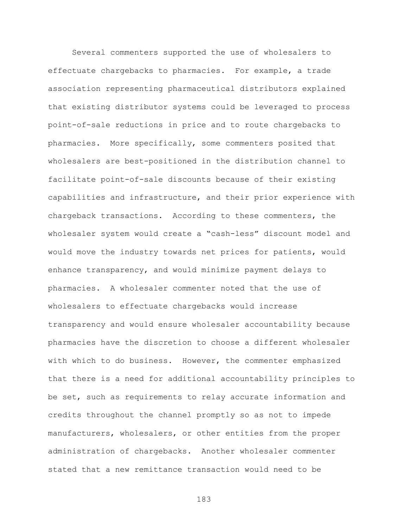Several commenters supported the use of wholesalers to effectuate chargebacks to pharmacies. For example, a trade association representing pharmaceutical distributors explained that existing distributor systems could be leveraged to process point-of-sale reductions in price and to route chargebacks to pharmacies. More specifically, some commenters posited that wholesalers are best-positioned in the distribution channel to facilitate point-of-sale discounts because of their existing capabilities and infrastructure, and their prior experience with chargeback transactions. According to these commenters, the wholesaler system would create a "cash-less" discount model and would move the industry towards net prices for patients, would enhance transparency, and would minimize payment delays to pharmacies. A wholesaler commenter noted that the use of wholesalers to effectuate chargebacks would increase transparency and would ensure wholesaler accountability because pharmacies have the discretion to choose a different wholesaler with which to do business. However, the commenter emphasized that there is a need for additional accountability principles to be set, such as requirements to relay accurate information and credits throughout the channel promptly so as not to impede manufacturers, wholesalers, or other entities from the proper administration of chargebacks. Another wholesaler commenter stated that a new remittance transaction would need to be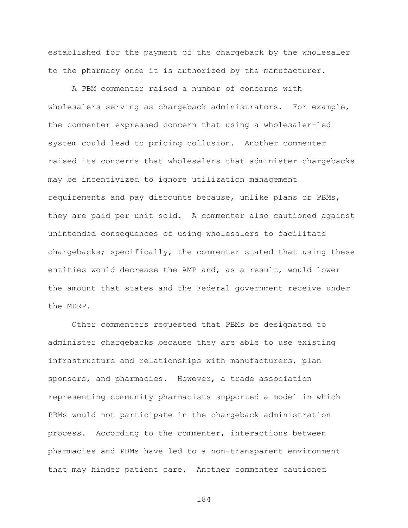established for the payment of the chargeback by the wholesaler to the pharmacy once it is authorized by the manufacturer.

A PBM commenter raised a number of concerns with wholesalers serving as chargeback administrators. For example, the commenter expressed concern that using a wholesaler-led system could lead to pricing collusion. Another commenter raised its concerns that wholesalers that administer chargebacks may be incentivized to ignore utilization management requirements and pay discounts because, unlike plans or PBMs, they are paid per unit sold. A commenter also cautioned against unintended consequences of using wholesalers to facilitate chargebacks; specifically, the commenter stated that using these entities would decrease the AMP and, as a result, would lower the amount that states and the Federal government receive under the MDRP.

Other commenters requested that PBMs be designated to administer chargebacks because they are able to use existing infrastructure and relationships with manufacturers, plan sponsors, and pharmacies. However, a trade association representing community pharmacists supported a model in which PBMs would not participate in the chargeback administration process. According to the commenter, interactions between pharmacies and PBMs have led to a non-transparent environment that may hinder patient care. Another commenter cautioned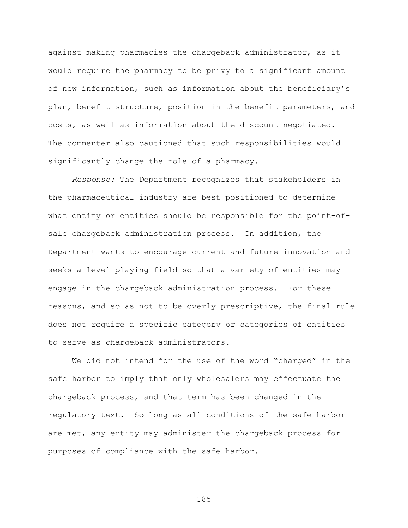against making pharmacies the chargeback administrator, as it would require the pharmacy to be privy to a significant amount of new information, such as information about the beneficiary's plan, benefit structure, position in the benefit parameters, and costs, as well as information about the discount negotiated. The commenter also cautioned that such responsibilities would significantly change the role of a pharmacy.

*Response:* The Department recognizes that stakeholders in the pharmaceutical industry are best positioned to determine what entity or entities should be responsible for the point-ofsale chargeback administration process. In addition, the Department wants to encourage current and future innovation and seeks a level playing field so that a variety of entities may engage in the chargeback administration process. For these reasons, and so as not to be overly prescriptive, the final rule does not require a specific category or categories of entities to serve as chargeback administrators.

We did not intend for the use of the word "charged" in the safe harbor to imply that only wholesalers may effectuate the chargeback process, and that term has been changed in the regulatory text. So long as all conditions of the safe harbor are met, any entity may administer the chargeback process for purposes of compliance with the safe harbor.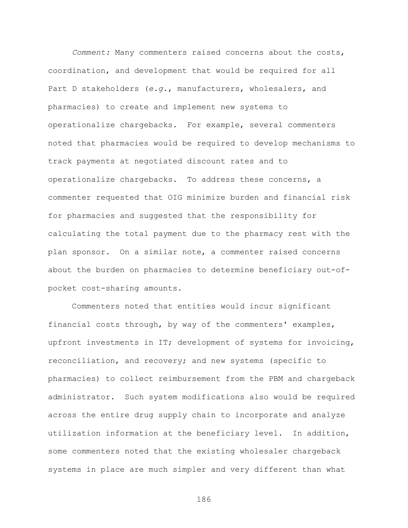*Comment:* Many commenters raised concerns about the costs, coordination, and development that would be required for all Part D stakeholders (*e.g.*, manufacturers, wholesalers, and pharmacies) to create and implement new systems to operationalize chargebacks. For example, several commenters noted that pharmacies would be required to develop mechanisms to track payments at negotiated discount rates and to operationalize chargebacks. To address these concerns, a commenter requested that OIG minimize burden and financial risk for pharmacies and suggested that the responsibility for calculating the total payment due to the pharmacy rest with the plan sponsor. On a similar note, a commenter raised concerns about the burden on pharmacies to determine beneficiary out-ofpocket cost-sharing amounts.

Commenters noted that entities would incur significant financial costs through, by way of the commenters' examples, upfront investments in IT; development of systems for invoicing, reconciliation, and recovery; and new systems (specific to pharmacies) to collect reimbursement from the PBM and chargeback administrator. Such system modifications also would be required across the entire drug supply chain to incorporate and analyze utilization information at the beneficiary level. In addition, some commenters noted that the existing wholesaler chargeback systems in place are much simpler and very different than what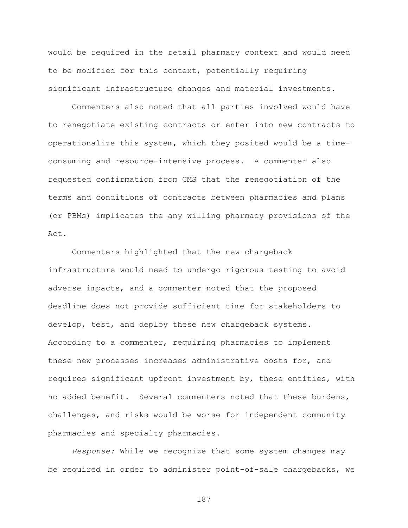would be required in the retail pharmacy context and would need to be modified for this context, potentially requiring significant infrastructure changes and material investments.

Commenters also noted that all parties involved would have to renegotiate existing contracts or enter into new contracts to operationalize this system, which they posited would be a timeconsuming and resource-intensive process. A commenter also requested confirmation from CMS that the renegotiation of the terms and conditions of contracts between pharmacies and plans (or PBMs) implicates the any willing pharmacy provisions of the Act.

Commenters highlighted that the new chargeback infrastructure would need to undergo rigorous testing to avoid adverse impacts, and a commenter noted that the proposed deadline does not provide sufficient time for stakeholders to develop, test, and deploy these new chargeback systems. According to a commenter, requiring pharmacies to implement these new processes increases administrative costs for, and requires significant upfront investment by, these entities, with no added benefit. Several commenters noted that these burdens, challenges, and risks would be worse for independent community pharmacies and specialty pharmacies.

*Response:* While we recognize that some system changes may be required in order to administer point-of-sale chargebacks, we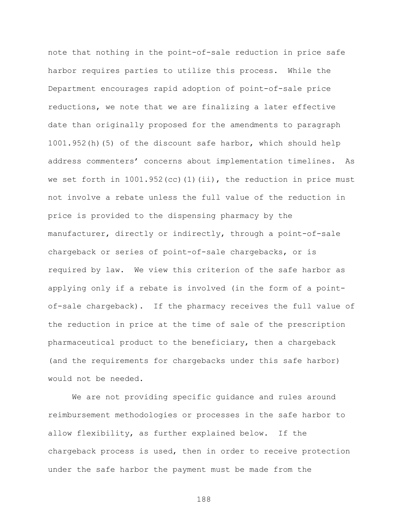note that nothing in the point-of-sale reduction in price safe harbor requires parties to utilize this process. While the Department encourages rapid adoption of point-of-sale price reductions, we note that we are finalizing a later effective date than originally proposed for the amendments to paragraph 1001.952(h)(5) of the discount safe harbor, which should help address commenters' concerns about implementation timelines. As we set forth in  $1001.952$  (cc)  $(1)$  (ii), the reduction in price must not involve a rebate unless the full value of the reduction in price is provided to the dispensing pharmacy by the manufacturer, directly or indirectly, through a point-of-sale chargeback or series of point-of-sale chargebacks, or is required by law. We view this criterion of the safe harbor as applying only if a rebate is involved (in the form of a pointof-sale chargeback). If the pharmacy receives the full value of the reduction in price at the time of sale of the prescription pharmaceutical product to the beneficiary, then a chargeback (and the requirements for chargebacks under this safe harbor) would not be needed.

We are not providing specific guidance and rules around reimbursement methodologies or processes in the safe harbor to allow flexibility, as further explained below. If the chargeback process is used, then in order to receive protection under the safe harbor the payment must be made from the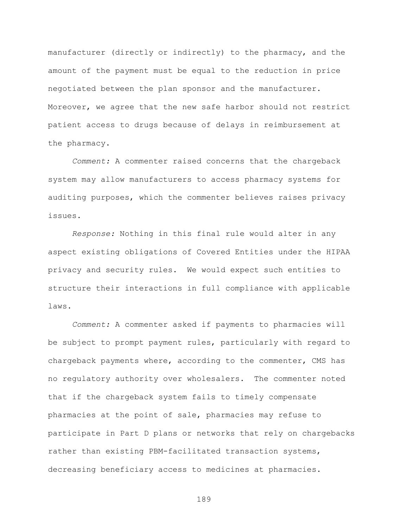manufacturer (directly or indirectly) to the pharmacy, and the amount of the payment must be equal to the reduction in price negotiated between the plan sponsor and the manufacturer. Moreover, we agree that the new safe harbor should not restrict patient access to drugs because of delays in reimbursement at the pharmacy.

*Comment:* A commenter raised concerns that the chargeback system may allow manufacturers to access pharmacy systems for auditing purposes, which the commenter believes raises privacy issues.

*Response:* Nothing in this final rule would alter in any aspect existing obligations of Covered Entities under the HIPAA privacy and security rules. We would expect such entities to structure their interactions in full compliance with applicable laws.

*Comment:* A commenter asked if payments to pharmacies will be subject to prompt payment rules, particularly with regard to chargeback payments where, according to the commenter, CMS has no regulatory authority over wholesalers. The commenter noted that if the chargeback system fails to timely compensate pharmacies at the point of sale, pharmacies may refuse to participate in Part D plans or networks that rely on chargebacks rather than existing PBM-facilitated transaction systems, decreasing beneficiary access to medicines at pharmacies.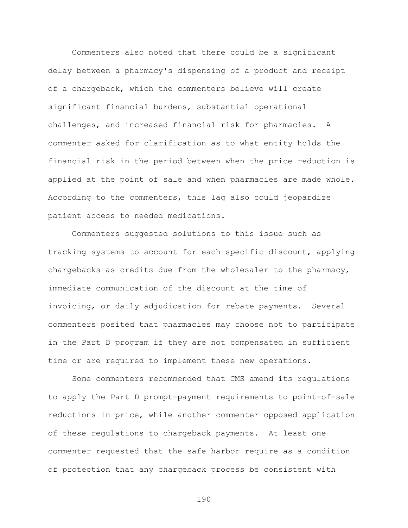Commenters also noted that there could be a significant delay between a pharmacy's dispensing of a product and receipt of a chargeback, which the commenters believe will create significant financial burdens, substantial operational challenges, and increased financial risk for pharmacies. A commenter asked for clarification as to what entity holds the financial risk in the period between when the price reduction is applied at the point of sale and when pharmacies are made whole. According to the commenters, this lag also could jeopardize patient access to needed medications.

Commenters suggested solutions to this issue such as tracking systems to account for each specific discount, applying chargebacks as credits due from the wholesaler to the pharmacy, immediate communication of the discount at the time of invoicing, or daily adjudication for rebate payments. Several commenters posited that pharmacies may choose not to participate in the Part D program if they are not compensated in sufficient time or are required to implement these new operations.

Some commenters recommended that CMS amend its regulations to apply the Part D prompt-payment requirements to point-of-sale reductions in price, while another commenter opposed application of these regulations to chargeback payments. At least one commenter requested that the safe harbor require as a condition of protection that any chargeback process be consistent with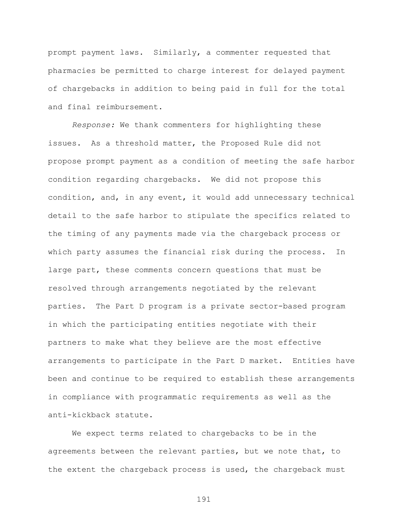prompt payment laws. Similarly, a commenter requested that pharmacies be permitted to charge interest for delayed payment of chargebacks in addition to being paid in full for the total and final reimbursement.

*Response:* We thank commenters for highlighting these issues. As a threshold matter, the Proposed Rule did not propose prompt payment as a condition of meeting the safe harbor condition regarding chargebacks. We did not propose this condition, and, in any event, it would add unnecessary technical detail to the safe harbor to stipulate the specifics related to the timing of any payments made via the chargeback process or which party assumes the financial risk during the process. In large part, these comments concern questions that must be resolved through arrangements negotiated by the relevant parties. The Part D program is a private sector-based program in which the participating entities negotiate with their partners to make what they believe are the most effective arrangements to participate in the Part D market. Entities have been and continue to be required to establish these arrangements in compliance with programmatic requirements as well as the anti-kickback statute.

We expect terms related to chargebacks to be in the agreements between the relevant parties, but we note that, to the extent the chargeback process is used, the chargeback must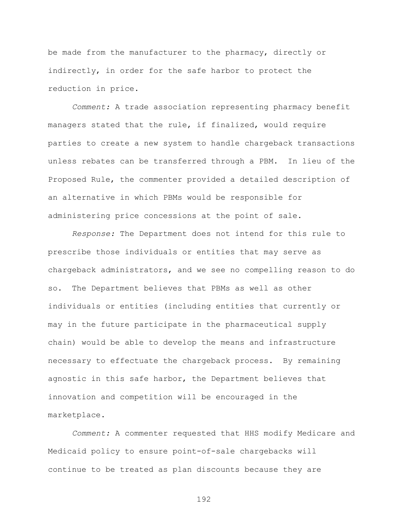be made from the manufacturer to the pharmacy, directly or indirectly, in order for the safe harbor to protect the reduction in price.

*Comment:* A trade association representing pharmacy benefit managers stated that the rule, if finalized, would require parties to create a new system to handle chargeback transactions unless rebates can be transferred through a PBM. In lieu of the Proposed Rule, the commenter provided a detailed description of an alternative in which PBMs would be responsible for administering price concessions at the point of sale.

*Response:* The Department does not intend for this rule to prescribe those individuals or entities that may serve as chargeback administrators, and we see no compelling reason to do so. The Department believes that PBMs as well as other individuals or entities (including entities that currently or may in the future participate in the pharmaceutical supply chain) would be able to develop the means and infrastructure necessary to effectuate the chargeback process. By remaining agnostic in this safe harbor, the Department believes that innovation and competition will be encouraged in the marketplace.

*Comment:* A commenter requested that HHS modify Medicare and Medicaid policy to ensure point-of-sale chargebacks will continue to be treated as plan discounts because they are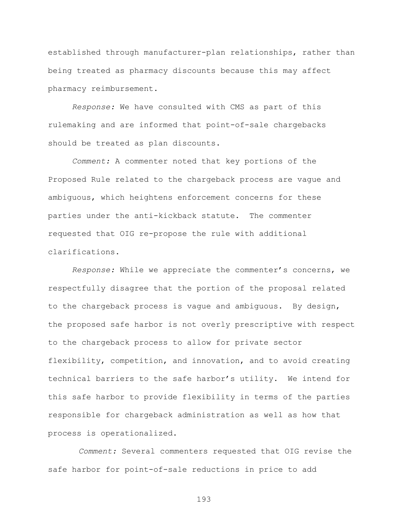established through manufacturer-plan relationships, rather than being treated as pharmacy discounts because this may affect pharmacy reimbursement.

*Response:* We have consulted with CMS as part of this rulemaking and are informed that point-of-sale chargebacks should be treated as plan discounts.

*Comment:* A commenter noted that key portions of the Proposed Rule related to the chargeback process are vague and ambiguous, which heightens enforcement concerns for these parties under the anti-kickback statute. The commenter requested that OIG re-propose the rule with additional clarifications.

*Response:* While we appreciate the commenter's concerns, we respectfully disagree that the portion of the proposal related to the chargeback process is vague and ambiguous. By design, the proposed safe harbor is not overly prescriptive with respect to the chargeback process to allow for private sector flexibility, competition, and innovation, and to avoid creating technical barriers to the safe harbor's utility. We intend for this safe harbor to provide flexibility in terms of the parties responsible for chargeback administration as well as how that process is operationalized.

*Comment:* Several commenters requested that OIG revise the safe harbor for point-of-sale reductions in price to add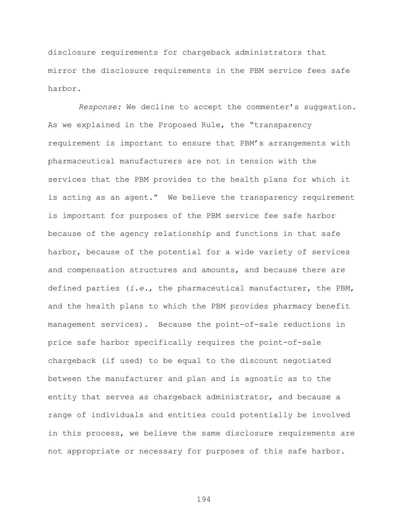disclosure requirements for chargeback administrators that mirror the disclosure requirements in the PBM service fees safe harbor.

*Response:* We decline to accept the commenter's suggestion. As we explained in the Proposed Rule, the "transparency requirement is important to ensure that PBM's arrangements with pharmaceutical manufacturers are not in tension with the services that the PBM provides to the health plans for which it is acting as an agent." We believe the transparency requirement is important for purposes of the PBM service fee safe harbor because of the agency relationship and functions in that safe harbor, because of the potential for a wide variety of services and compensation structures and amounts, and because there are defined parties (*i.e.*, the pharmaceutical manufacturer, the PBM, and the health plans to which the PBM provides pharmacy benefit management services). Because the point-of-sale reductions in price safe harbor specifically requires the point-of-sale chargeback (if used) to be equal to the discount negotiated between the manufacturer and plan and is agnostic as to the entity that serves as chargeback administrator, and because a range of individuals and entities could potentially be involved in this process, we believe the same disclosure requirements are not appropriate or necessary for purposes of this safe harbor.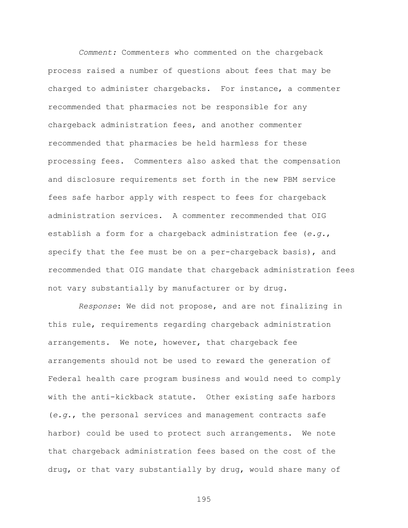*Comment:* Commenters who commented on the chargeback process raised a number of questions about fees that may be charged to administer chargebacks. For instance, a commenter recommended that pharmacies not be responsible for any chargeback administration fees, and another commenter recommended that pharmacies be held harmless for these processing fees. Commenters also asked that the compensation and disclosure requirements set forth in the new PBM service fees safe harbor apply with respect to fees for chargeback administration services. A commenter recommended that OIG establish a form for a chargeback administration fee (*e.g.*, specify that the fee must be on a per-chargeback basis), and recommended that OIG mandate that chargeback administration fees not vary substantially by manufacturer or by drug.

*Response*: We did not propose, and are not finalizing in this rule, requirements regarding chargeback administration arrangements. We note, however, that chargeback fee arrangements should not be used to reward the generation of Federal health care program business and would need to comply with the anti-kickback statute. Other existing safe harbors (*e.g.*, the personal services and management contracts safe harbor) could be used to protect such arrangements. We note that chargeback administration fees based on the cost of the drug, or that vary substantially by drug, would share many of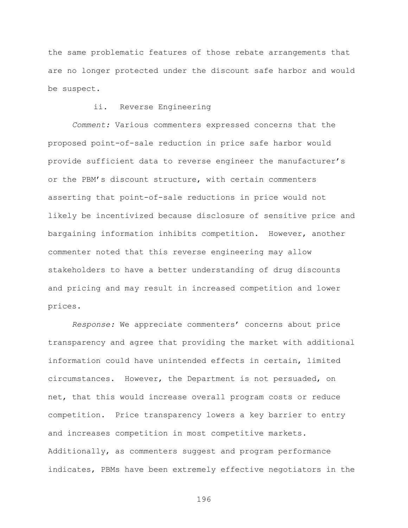the same problematic features of those rebate arrangements that are no longer protected under the discount safe harbor and would be suspect.

## ii. Reverse Engineering

*Comment:* Various commenters expressed concerns that the proposed point-of-sale reduction in price safe harbor would provide sufficient data to reverse engineer the manufacturer's or the PBM's discount structure, with certain commenters asserting that point-of-sale reductions in price would not likely be incentivized because disclosure of sensitive price and bargaining information inhibits competition. However, another commenter noted that this reverse engineering may allow stakeholders to have a better understanding of drug discounts and pricing and may result in increased competition and lower prices.

*Response:* We appreciate commenters' concerns about price transparency and agree that providing the market with additional information could have unintended effects in certain, limited circumstances. However, the Department is not persuaded, on net, that this would increase overall program costs or reduce competition. Price transparency lowers a key barrier to entry and increases competition in most competitive markets. Additionally, as commenters suggest and program performance indicates, PBMs have been extremely effective negotiators in the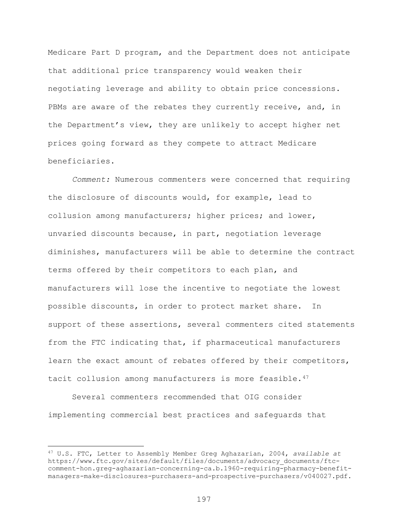Medicare Part D program, and the Department does not anticipate that additional price transparency would weaken their negotiating leverage and ability to obtain price concessions. PBMs are aware of the rebates they currently receive, and, in the Department's view, they are unlikely to accept higher net prices going forward as they compete to attract Medicare beneficiaries.

*Comment:* Numerous commenters were concerned that requiring the disclosure of discounts would, for example, lead to collusion among manufacturers; higher prices; and lower, unvaried discounts because, in part, negotiation leverage diminishes, manufacturers will be able to determine the contract terms offered by their competitors to each plan, and manufacturers will lose the incentive to negotiate the lowest possible discounts, in order to protect market share. In support of these assertions, several commenters cited statements from the FTC indicating that, if pharmaceutical manufacturers learn the exact amount of rebates offered by their competitors, tacit collusion among manufacturers is more feasible.<sup>47</sup>

Several commenters recommended that OIG consider implementing commercial best practices and safeguards that

 $\overline{a}$ 

<span id="page-196-0"></span><sup>47</sup> U.S. FTC, Letter to Assembly Member Greg Aghazarian, 2004, *available at* https://www.ftc.gov/sites/default/files/documents/advocacy\_documents/ftccomment-hon.greg-aghazarian-concerning-ca.b.1960-requiring-pharmacy-benefitmanagers-make-disclosures-purchasers-and-prospective-purchasers/v040027.pdf.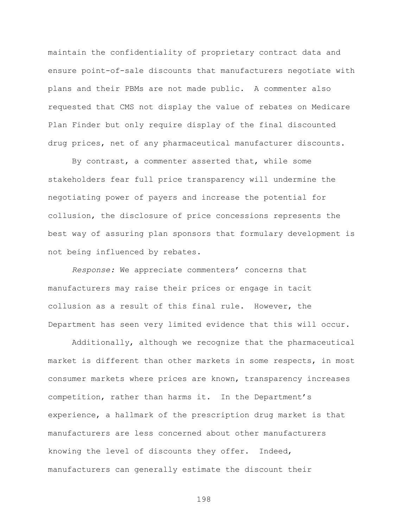maintain the confidentiality of proprietary contract data and ensure point-of-sale discounts that manufacturers negotiate with plans and their PBMs are not made public. A commenter also requested that CMS not display the value of rebates on Medicare Plan Finder but only require display of the final discounted drug prices, net of any pharmaceutical manufacturer discounts.

By contrast, a commenter asserted that, while some stakeholders fear full price transparency will undermine the negotiating power of payers and increase the potential for collusion, the disclosure of price concessions represents the best way of assuring plan sponsors that formulary development is not being influenced by rebates.

*Response:* We appreciate commenters' concerns that manufacturers may raise their prices or engage in tacit collusion as a result of this final rule. However, the Department has seen very limited evidence that this will occur.

Additionally, although we recognize that the pharmaceutical market is different than other markets in some respects, in most consumer markets where prices are known, transparency increases competition, rather than harms it. In the Department's experience, a hallmark of the prescription drug market is that manufacturers are less concerned about other manufacturers knowing the level of discounts they offer. Indeed, manufacturers can generally estimate the discount their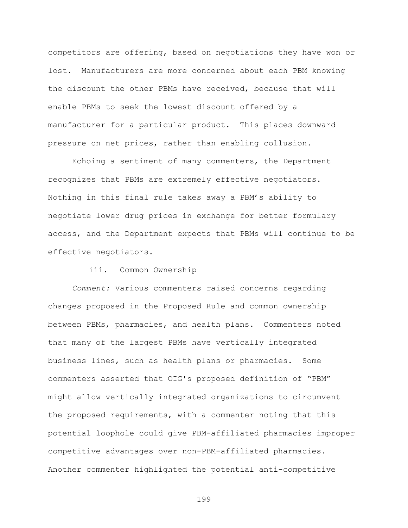competitors are offering, based on negotiations they have won or lost. Manufacturers are more concerned about each PBM knowing the discount the other PBMs have received, because that will enable PBMs to seek the lowest discount offered by a manufacturer for a particular product. This places downward pressure on net prices, rather than enabling collusion.

Echoing a sentiment of many commenters, the Department recognizes that PBMs are extremely effective negotiators. Nothing in this final rule takes away a PBM's ability to negotiate lower drug prices in exchange for better formulary access, and the Department expects that PBMs will continue to be effective negotiators.

## iii. Common Ownership

*Comment:* Various commenters raised concerns regarding changes proposed in the Proposed Rule and common ownership between PBMs, pharmacies, and health plans. Commenters noted that many of the largest PBMs have vertically integrated business lines, such as health plans or pharmacies. Some commenters asserted that OIG's proposed definition of "PBM" might allow vertically integrated organizations to circumvent the proposed requirements, with a commenter noting that this potential loophole could give PBM-affiliated pharmacies improper competitive advantages over non-PBM-affiliated pharmacies. Another commenter highlighted the potential anti-competitive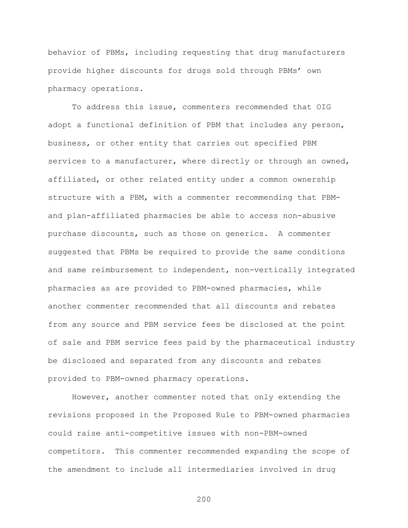behavior of PBMs, including requesting that drug manufacturers provide higher discounts for drugs sold through PBMs' own pharmacy operations.

To address this issue, commenters recommended that OIG adopt a functional definition of PBM that includes any person, business, or other entity that carries out specified PBM services to a manufacturer, where directly or through an owned, affiliated, or other related entity under a common ownership structure with a PBM, with a commenter recommending that PBMand plan-affiliated pharmacies be able to access non-abusive purchase discounts, such as those on generics. A commenter suggested that PBMs be required to provide the same conditions and same reimbursement to independent, non-vertically integrated pharmacies as are provided to PBM-owned pharmacies, while another commenter recommended that all discounts and rebates from any source and PBM service fees be disclosed at the point of sale and PBM service fees paid by the pharmaceutical industry be disclosed and separated from any discounts and rebates provided to PBM-owned pharmacy operations.

However, another commenter noted that only extending the revisions proposed in the Proposed Rule to PBM-owned pharmacies could raise anti-competitive issues with non-PBM-owned competitors. This commenter recommended expanding the scope of the amendment to include all intermediaries involved in drug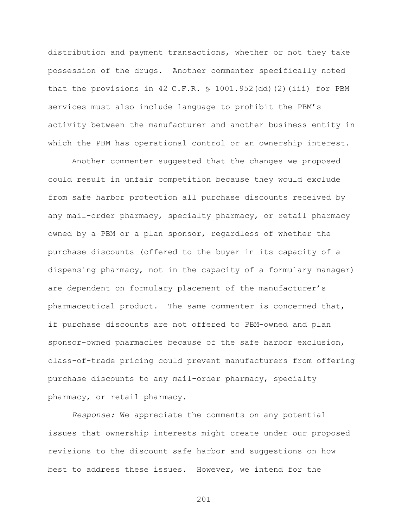distribution and payment transactions, whether or not they take possession of the drugs. Another commenter specifically noted that the provisions in 42 C.F.R.  $\frac{1}{2}$  1001.952(dd)(2)(iii) for PBM services must also include language to prohibit the PBM's activity between the manufacturer and another business entity in which the PBM has operational control or an ownership interest.

Another commenter suggested that the changes we proposed could result in unfair competition because they would exclude from safe harbor protection all purchase discounts received by any mail-order pharmacy, specialty pharmacy, or retail pharmacy owned by a PBM or a plan sponsor, regardless of whether the purchase discounts (offered to the buyer in its capacity of a dispensing pharmacy, not in the capacity of a formulary manager) are dependent on formulary placement of the manufacturer's pharmaceutical product. The same commenter is concerned that, if purchase discounts are not offered to PBM-owned and plan sponsor-owned pharmacies because of the safe harbor exclusion, class-of-trade pricing could prevent manufacturers from offering purchase discounts to any mail-order pharmacy, specialty pharmacy, or retail pharmacy.

*Response:* We appreciate the comments on any potential issues that ownership interests might create under our proposed revisions to the discount safe harbor and suggestions on how best to address these issues. However, we intend for the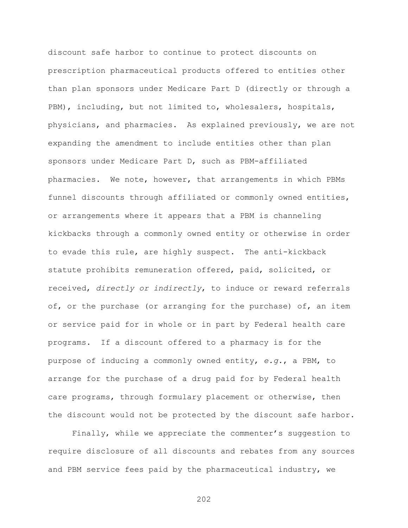discount safe harbor to continue to protect discounts on prescription pharmaceutical products offered to entities other than plan sponsors under Medicare Part D (directly or through a PBM), including, but not limited to, wholesalers, hospitals, physicians, and pharmacies. As explained previously, we are not expanding the amendment to include entities other than plan sponsors under Medicare Part D, such as PBM-affiliated pharmacies. We note, however, that arrangements in which PBMs funnel discounts through affiliated or commonly owned entities, or arrangements where it appears that a PBM is channeling kickbacks through a commonly owned entity or otherwise in order to evade this rule, are highly suspect. The anti-kickback statute prohibits remuneration offered, paid, solicited, or received, *directly or indirectly*, to induce or reward referrals of, or the purchase (or arranging for the purchase) of, an item or service paid for in whole or in part by Federal health care programs. If a discount offered to a pharmacy is for the purpose of inducing a commonly owned entity, *e.g.*, a PBM, to arrange for the purchase of a drug paid for by Federal health care programs, through formulary placement or otherwise, then the discount would not be protected by the discount safe harbor.

Finally, while we appreciate the commenter's suggestion to require disclosure of all discounts and rebates from any sources and PBM service fees paid by the pharmaceutical industry, we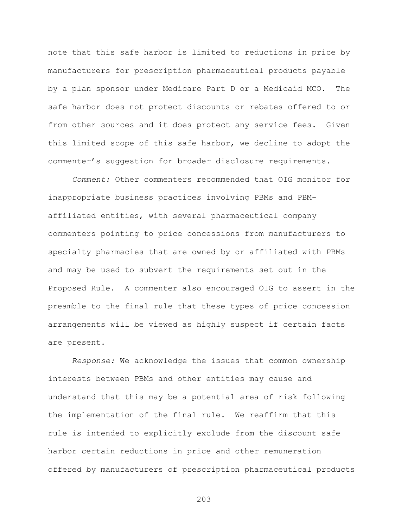note that this safe harbor is limited to reductions in price by manufacturers for prescription pharmaceutical products payable by a plan sponsor under Medicare Part D or a Medicaid MCO. The safe harbor does not protect discounts or rebates offered to or from other sources and it does protect any service fees. Given this limited scope of this safe harbor, we decline to adopt the commenter's suggestion for broader disclosure requirements.

*Comment:* Other commenters recommended that OIG monitor for inappropriate business practices involving PBMs and PBMaffiliated entities, with several pharmaceutical company commenters pointing to price concessions from manufacturers to specialty pharmacies that are owned by or affiliated with PBMs and may be used to subvert the requirements set out in the Proposed Rule. A commenter also encouraged OIG to assert in the preamble to the final rule that these types of price concession arrangements will be viewed as highly suspect if certain facts are present.

*Response:* We acknowledge the issues that common ownership interests between PBMs and other entities may cause and understand that this may be a potential area of risk following the implementation of the final rule. We reaffirm that this rule is intended to explicitly exclude from the discount safe harbor certain reductions in price and other remuneration offered by manufacturers of prescription pharmaceutical products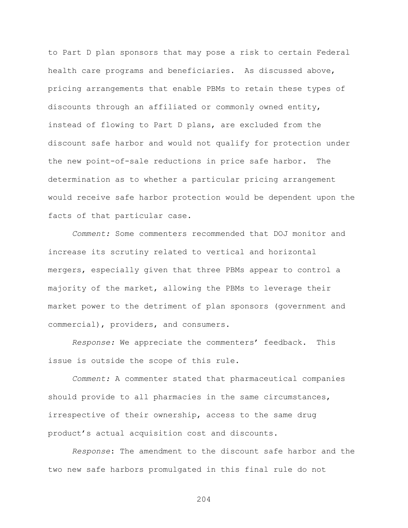to Part D plan sponsors that may pose a risk to certain Federal health care programs and beneficiaries. As discussed above, pricing arrangements that enable PBMs to retain these types of discounts through an affiliated or commonly owned entity, instead of flowing to Part D plans, are excluded from the discount safe harbor and would not qualify for protection under the new point-of-sale reductions in price safe harbor. The determination as to whether a particular pricing arrangement would receive safe harbor protection would be dependent upon the facts of that particular case.

*Comment:* Some commenters recommended that DOJ monitor and increase its scrutiny related to vertical and horizontal mergers, especially given that three PBMs appear to control a majority of the market, allowing the PBMs to leverage their market power to the detriment of plan sponsors (government and commercial), providers, and consumers.

*Response:* We appreciate the commenters' feedback. This issue is outside the scope of this rule.

*Comment:* A commenter stated that pharmaceutical companies should provide to all pharmacies in the same circumstances, irrespective of their ownership, access to the same drug product's actual acquisition cost and discounts.

*Response*: The amendment to the discount safe harbor and the two new safe harbors promulgated in this final rule do not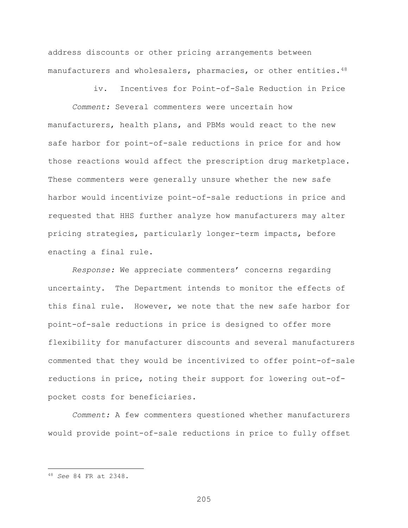address discounts or other pricing arrangements between manufacturers and wholesalers, pharmacies, or other entities.<sup>[48](#page-204-0)</sup>

iv. Incentives for Point-of-Sale Reduction in Price

*Comment:* Several commenters were uncertain how manufacturers, health plans, and PBMs would react to the new safe harbor for point-of-sale reductions in price for and how those reactions would affect the prescription drug marketplace. These commenters were generally unsure whether the new safe harbor would incentivize point-of-sale reductions in price and requested that HHS further analyze how manufacturers may alter pricing strategies, particularly longer-term impacts, before enacting a final rule.

*Response:* We appreciate commenters' concerns regarding uncertainty. The Department intends to monitor the effects of this final rule. However, we note that the new safe harbor for point-of-sale reductions in price is designed to offer more flexibility for manufacturer discounts and several manufacturers commented that they would be incentivized to offer point-of-sale reductions in price, noting their support for lowering out-ofpocket costs for beneficiaries.

*Comment:* A few commenters questioned whether manufacturers would provide point-of-sale reductions in price to fully offset

 $\overline{a}$ 

<span id="page-204-0"></span><sup>48</sup> *See* 84 FR at 2348.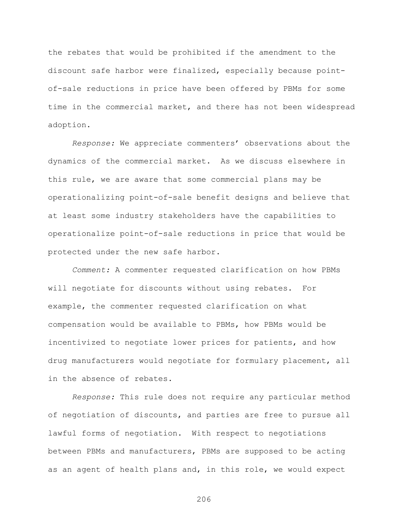the rebates that would be prohibited if the amendment to the discount safe harbor were finalized, especially because pointof-sale reductions in price have been offered by PBMs for some time in the commercial market, and there has not been widespread adoption.

*Response:* We appreciate commenters' observations about the dynamics of the commercial market. As we discuss elsewhere in this rule, we are aware that some commercial plans may be operationalizing point-of-sale benefit designs and believe that at least some industry stakeholders have the capabilities to operationalize point-of-sale reductions in price that would be protected under the new safe harbor.

*Comment:* A commenter requested clarification on how PBMs will negotiate for discounts without using rebates. For example, the commenter requested clarification on what compensation would be available to PBMs, how PBMs would be incentivized to negotiate lower prices for patients, and how drug manufacturers would negotiate for formulary placement, all in the absence of rebates.

*Response:* This rule does not require any particular method of negotiation of discounts, and parties are free to pursue all lawful forms of negotiation. With respect to negotiations between PBMs and manufacturers, PBMs are supposed to be acting as an agent of health plans and, in this role, we would expect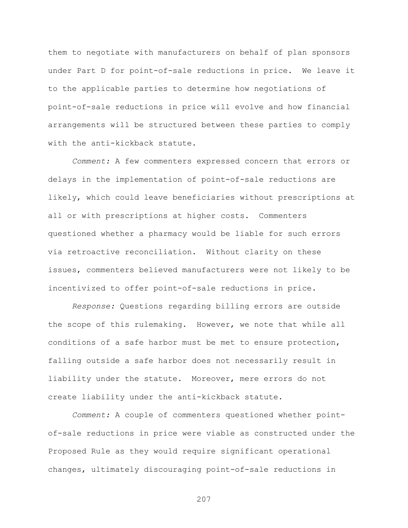them to negotiate with manufacturers on behalf of plan sponsors under Part D for point-of-sale reductions in price. We leave it to the applicable parties to determine how negotiations of point-of-sale reductions in price will evolve and how financial arrangements will be structured between these parties to comply with the anti-kickback statute.

*Comment:* A few commenters expressed concern that errors or delays in the implementation of point-of-sale reductions are likely, which could leave beneficiaries without prescriptions at all or with prescriptions at higher costs. Commenters questioned whether a pharmacy would be liable for such errors via retroactive reconciliation. Without clarity on these issues, commenters believed manufacturers were not likely to be incentivized to offer point-of-sale reductions in price.

*Response:* Questions regarding billing errors are outside the scope of this rulemaking. However, we note that while all conditions of a safe harbor must be met to ensure protection, falling outside a safe harbor does not necessarily result in liability under the statute. Moreover, mere errors do not create liability under the anti-kickback statute.

*Comment:* A couple of commenters questioned whether pointof-sale reductions in price were viable as constructed under the Proposed Rule as they would require significant operational changes, ultimately discouraging point-of-sale reductions in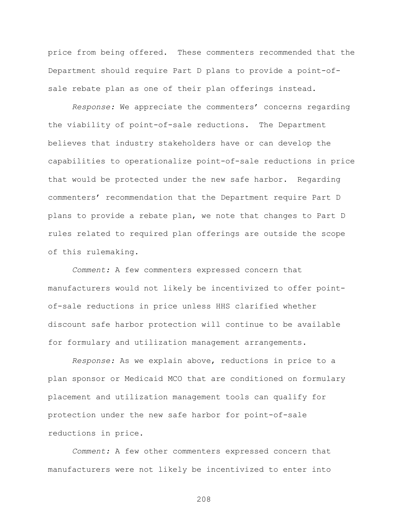price from being offered. These commenters recommended that the Department should require Part D plans to provide a point-ofsale rebate plan as one of their plan offerings instead.

*Response:* We appreciate the commenters' concerns regarding the viability of point-of-sale reductions. The Department believes that industry stakeholders have or can develop the capabilities to operationalize point-of-sale reductions in price that would be protected under the new safe harbor. Regarding commenters' recommendation that the Department require Part D plans to provide a rebate plan, we note that changes to Part D rules related to required plan offerings are outside the scope of this rulemaking.

*Comment:* A few commenters expressed concern that manufacturers would not likely be incentivized to offer pointof-sale reductions in price unless HHS clarified whether discount safe harbor protection will continue to be available for formulary and utilization management arrangements.

*Response:* As we explain above, reductions in price to a plan sponsor or Medicaid MCO that are conditioned on formulary placement and utilization management tools can qualify for protection under the new safe harbor for point-of-sale reductions in price.

*Comment:* A few other commenters expressed concern that manufacturers were not likely be incentivized to enter into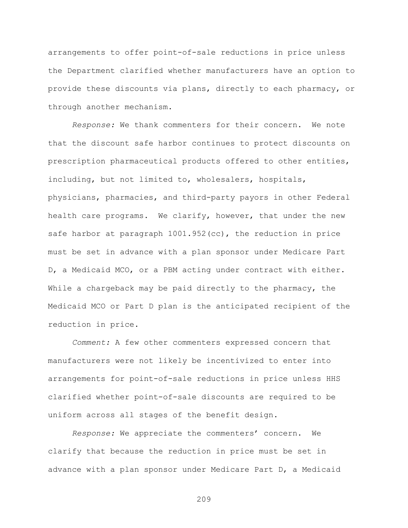arrangements to offer point-of-sale reductions in price unless the Department clarified whether manufacturers have an option to provide these discounts via plans, directly to each pharmacy, or through another mechanism.

*Response:* We thank commenters for their concern. We note that the discount safe harbor continues to protect discounts on prescription pharmaceutical products offered to other entities, including, but not limited to, wholesalers, hospitals, physicians, pharmacies, and third-party payors in other Federal health care programs. We clarify, however, that under the new safe harbor at paragraph 1001.952(cc), the reduction in price must be set in advance with a plan sponsor under Medicare Part D, a Medicaid MCO, or a PBM acting under contract with either. While a chargeback may be paid directly to the pharmacy, the Medicaid MCO or Part D plan is the anticipated recipient of the reduction in price.

*Comment:* A few other commenters expressed concern that manufacturers were not likely be incentivized to enter into arrangements for point-of-sale reductions in price unless HHS clarified whether point-of-sale discounts are required to be uniform across all stages of the benefit design.

*Response:* We appreciate the commenters' concern. We clarify that because the reduction in price must be set in advance with a plan sponsor under Medicare Part D, a Medicaid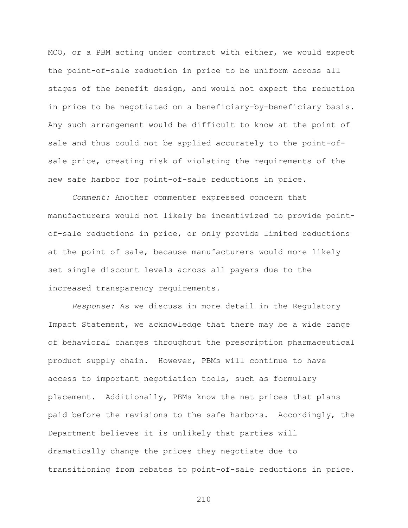MCO, or a PBM acting under contract with either, we would expect the point-of-sale reduction in price to be uniform across all stages of the benefit design, and would not expect the reduction in price to be negotiated on a beneficiary-by-beneficiary basis. Any such arrangement would be difficult to know at the point of sale and thus could not be applied accurately to the point-ofsale price, creating risk of violating the requirements of the new safe harbor for point-of-sale reductions in price.

*Comment:* Another commenter expressed concern that manufacturers would not likely be incentivized to provide pointof-sale reductions in price, or only provide limited reductions at the point of sale, because manufacturers would more likely set single discount levels across all payers due to the increased transparency requirements.

*Response:* As we discuss in more detail in the Regulatory Impact Statement, we acknowledge that there may be a wide range of behavioral changes throughout the prescription pharmaceutical product supply chain. However, PBMs will continue to have access to important negotiation tools, such as formulary placement. Additionally, PBMs know the net prices that plans paid before the revisions to the safe harbors. Accordingly, the Department believes it is unlikely that parties will dramatically change the prices they negotiate due to transitioning from rebates to point-of-sale reductions in price.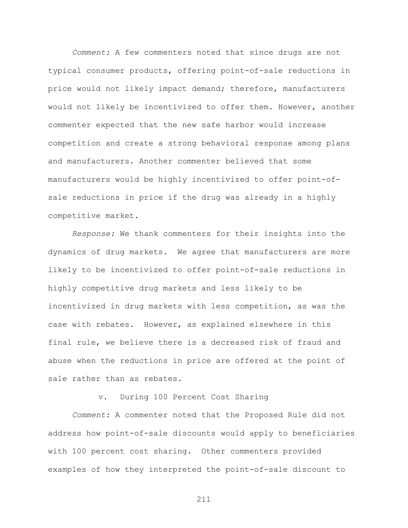*Comment:* A few commenters noted that since drugs are not typical consumer products, offering point-of-sale reductions in price would not likely impact demand; therefore, manufacturers would not likely be incentivized to offer them. However, another commenter expected that the new safe harbor would increase competition and create a strong behavioral response among plans and manufacturers. Another commenter believed that some manufacturers would be highly incentivized to offer point-ofsale reductions in price if the drug was already in a highly competitive market.

*Response:* We thank commenters for their insights into the dynamics of drug markets. We agree that manufacturers are more likely to be incentivized to offer point-of-sale reductions in highly competitive drug markets and less likely to be incentivized in drug markets with less competition, as was the case with rebates. However, as explained elsewhere in this final rule, we believe there is a decreased risk of fraud and abuse when the reductions in price are offered at the point of sale rather than as rebates.

v. During 100 Percent Cost Sharing

*Comment:* A commenter noted that the Proposed Rule did not address how point-of-sale discounts would apply to beneficiaries with 100 percent cost sharing. Other commenters provided examples of how they interpreted the point-of-sale discount to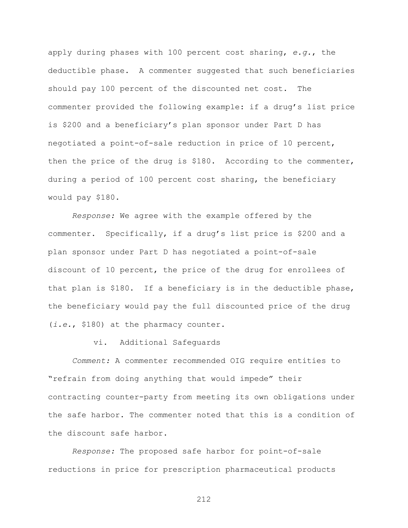apply during phases with 100 percent cost sharing, *e.g.*, the deductible phase. A commenter suggested that such beneficiaries should pay 100 percent of the discounted net cost. The commenter provided the following example: if a drug's list price is \$200 and a beneficiary's plan sponsor under Part D has negotiated a point-of-sale reduction in price of 10 percent, then the price of the drug is \$180. According to the commenter, during a period of 100 percent cost sharing, the beneficiary would pay \$180.

*Response:* We agree with the example offered by the commenter. Specifically, if a drug's list price is \$200 and a plan sponsor under Part D has negotiated a point-of-sale discount of 10 percent, the price of the drug for enrollees of that plan is \$180. If a beneficiary is in the deductible phase, the beneficiary would pay the full discounted price of the drug (*i.e.*, \$180) at the pharmacy counter.

vi. Additional Safeguards

*Comment:* A commenter recommended OIG require entities to "refrain from doing anything that would impede" their contracting counter-party from meeting its own obligations under the safe harbor. The commenter noted that this is a condition of the discount safe harbor.

*Response:* The proposed safe harbor for point-of-sale reductions in price for prescription pharmaceutical products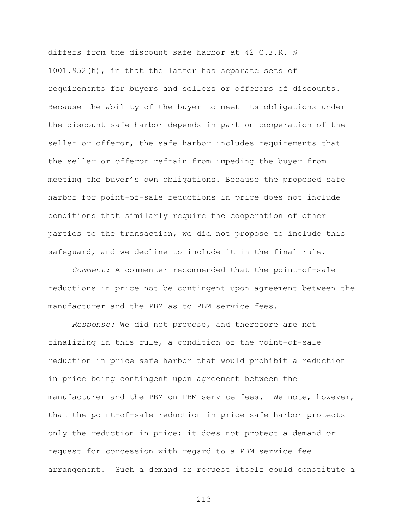differs from the discount safe harbor at 42 C.F.R. § 1001.952(h), in that the latter has separate sets of requirements for buyers and sellers or offerors of discounts. Because the ability of the buyer to meet its obligations under the discount safe harbor depends in part on cooperation of the seller or offeror, the safe harbor includes requirements that the seller or offeror refrain from impeding the buyer from meeting the buyer's own obligations. Because the proposed safe harbor for point-of-sale reductions in price does not include conditions that similarly require the cooperation of other parties to the transaction, we did not propose to include this safeguard, and we decline to include it in the final rule.

*Comment:* A commenter recommended that the point-of-sale reductions in price not be contingent upon agreement between the manufacturer and the PBM as to PBM service fees.

*Response:* We did not propose, and therefore are not finalizing in this rule, a condition of the point-of-sale reduction in price safe harbor that would prohibit a reduction in price being contingent upon agreement between the manufacturer and the PBM on PBM service fees. We note, however, that the point-of-sale reduction in price safe harbor protects only the reduction in price; it does not protect a demand or request for concession with regard to a PBM service fee arrangement. Such a demand or request itself could constitute a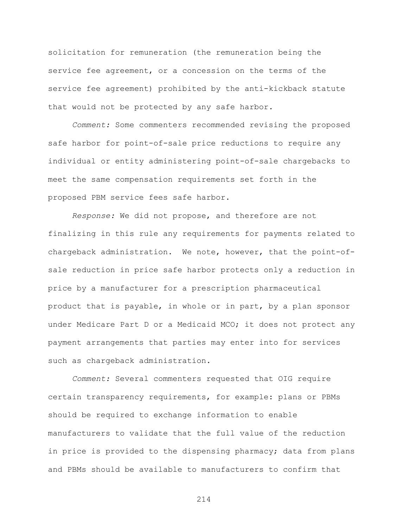solicitation for remuneration (the remuneration being the service fee agreement, or a concession on the terms of the service fee agreement) prohibited by the anti-kickback statute that would not be protected by any safe harbor.

*Comment:* Some commenters recommended revising the proposed safe harbor for point-of-sale price reductions to require any individual or entity administering point-of-sale chargebacks to meet the same compensation requirements set forth in the proposed PBM service fees safe harbor.

*Response:* We did not propose, and therefore are not finalizing in this rule any requirements for payments related to chargeback administration. We note, however, that the point-ofsale reduction in price safe harbor protects only a reduction in price by a manufacturer for a prescription pharmaceutical product that is payable, in whole or in part, by a plan sponsor under Medicare Part D or a Medicaid MCO; it does not protect any payment arrangements that parties may enter into for services such as chargeback administration.

*Comment:* Several commenters requested that OIG require certain transparency requirements, for example: plans or PBMs should be required to exchange information to enable manufacturers to validate that the full value of the reduction in price is provided to the dispensing pharmacy; data from plans and PBMs should be available to manufacturers to confirm that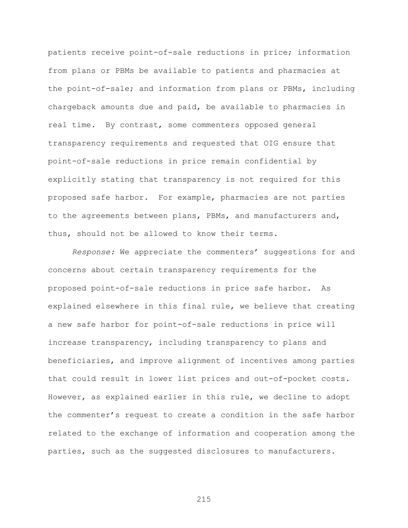patients receive point-of-sale reductions in price; information from plans or PBMs be available to patients and pharmacies at the point-of-sale; and information from plans or PBMs, including chargeback amounts due and paid, be available to pharmacies in real time. By contrast, some commenters opposed general transparency requirements and requested that OIG ensure that point-of-sale reductions in price remain confidential by explicitly stating that transparency is not required for this proposed safe harbor. For example, pharmacies are not parties to the agreements between plans, PBMs, and manufacturers and, thus, should not be allowed to know their terms.

*Response:* We appreciate the commenters' suggestions for and concerns about certain transparency requirements for the proposed point-of-sale reductions in price safe harbor. As explained elsewhere in this final rule, we believe that creating a new safe harbor for point-of-sale reductions in price will increase transparency, including transparency to plans and beneficiaries, and improve alignment of incentives among parties that could result in lower list prices and out-of-pocket costs. However, as explained earlier in this rule, we decline to adopt the commenter's request to create a condition in the safe harbor related to the exchange of information and cooperation among the parties, such as the suggested disclosures to manufacturers.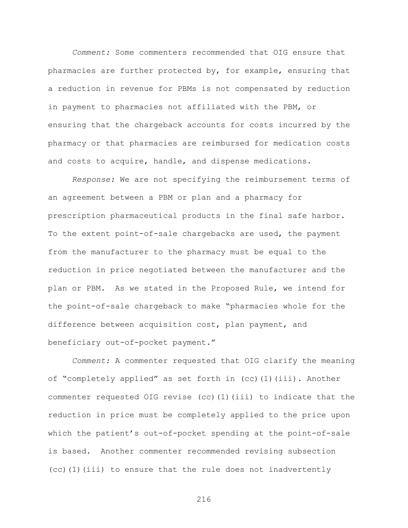*Comment:* Some commenters recommended that OIG ensure that pharmacies are further protected by, for example, ensuring that a reduction in revenue for PBMs is not compensated by reduction in payment to pharmacies not affiliated with the PBM, or ensuring that the chargeback accounts for costs incurred by the pharmacy or that pharmacies are reimbursed for medication costs and costs to acquire, handle, and dispense medications.

*Response:* We are not specifying the reimbursement terms of an agreement between a PBM or plan and a pharmacy for prescription pharmaceutical products in the final safe harbor. To the extent point-of-sale chargebacks are used, the payment from the manufacturer to the pharmacy must be equal to the reduction in price negotiated between the manufacturer and the plan or PBM. As we stated in the Proposed Rule, we intend for the point-of-sale chargeback to make "pharmacies whole for the difference between acquisition cost, plan payment, and beneficiary out-of-pocket payment."

*Comment:* A commenter requested that OIG clarify the meaning of "completely applied" as set forth in (cc)(1)(iii). Another commenter requested OIG revise (cc)(1)(iii) to indicate that the reduction in price must be completely applied to the price upon which the patient's out-of-pocket spending at the point-of-sale is based. Another commenter recommended revising subsection (cc)(1)(iii) to ensure that the rule does not inadvertently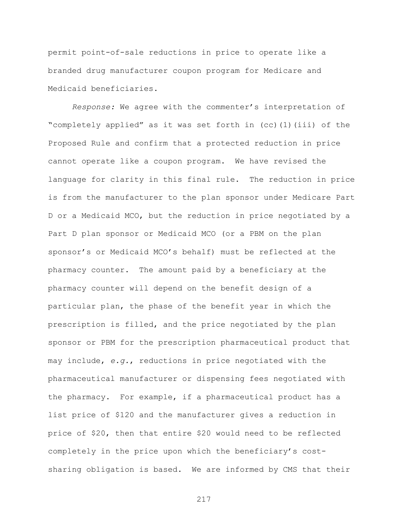permit point-of-sale reductions in price to operate like a branded drug manufacturer coupon program for Medicare and Medicaid beneficiaries.

*Response:* We agree with the commenter's interpretation of "completely applied" as it was set forth in (cc)(1)(iii) of the Proposed Rule and confirm that a protected reduction in price cannot operate like a coupon program. We have revised the language for clarity in this final rule. The reduction in price is from the manufacturer to the plan sponsor under Medicare Part D or a Medicaid MCO, but the reduction in price negotiated by a Part D plan sponsor or Medicaid MCO (or a PBM on the plan sponsor's or Medicaid MCO's behalf) must be reflected at the pharmacy counter. The amount paid by a beneficiary at the pharmacy counter will depend on the benefit design of a particular plan, the phase of the benefit year in which the prescription is filled, and the price negotiated by the plan sponsor or PBM for the prescription pharmaceutical product that may include, *e.g.*, reductions in price negotiated with the pharmaceutical manufacturer or dispensing fees negotiated with the pharmacy. For example, if a pharmaceutical product has a list price of \$120 and the manufacturer gives a reduction in price of \$20, then that entire \$20 would need to be reflected completely in the price upon which the beneficiary's costsharing obligation is based. We are informed by CMS that their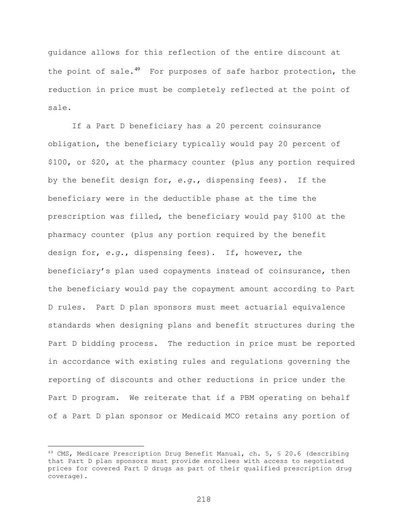guidance allows for this reflection of the entire discount at the point of sale.<sup>[49](#page-217-0)</sup> For purposes of safe harbor protection, the reduction in price must be completely reflected at the point of sale.

If a Part D beneficiary has a 20 percent coinsurance obligation, the beneficiary typically would pay 20 percent of \$100, or \$20, at the pharmacy counter (plus any portion required by the benefit design for, *e.g.*, dispensing fees). If the beneficiary were in the deductible phase at the time the prescription was filled, the beneficiary would pay \$100 at the pharmacy counter (plus any portion required by the benefit design for, *e.g.*, dispensing fees). If, however, the beneficiary's plan used copayments instead of coinsurance, then the beneficiary would pay the copayment amount according to Part D rules. Part D plan sponsors must meet actuarial equivalence standards when designing plans and benefit structures during the Part D bidding process. The reduction in price must be reported in accordance with existing rules and regulations governing the reporting of discounts and other reductions in price under the Part D program. We reiterate that if a PBM operating on behalf of a Part D plan sponsor or Medicaid MCO retains any portion of

 $\overline{a}$ 

<span id="page-217-0"></span><sup>49</sup> CMS, Medicare Prescription Drug Benefit Manual, ch. 5, § 20.6 (describing that Part D plan sponsors must provide enrollees with access to negotiated prices for covered Part D drugs as part of their qualified prescription drug coverage).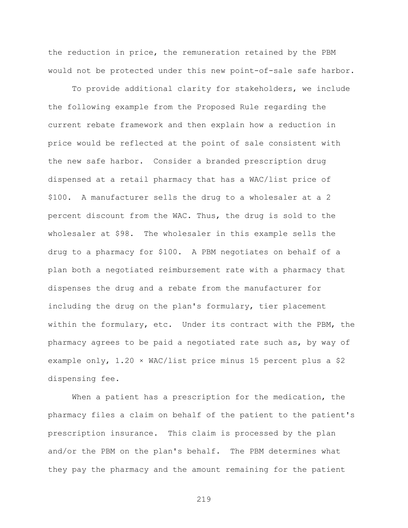the reduction in price, the remuneration retained by the PBM would not be protected under this new point-of-sale safe harbor.

To provide additional clarity for stakeholders, we include the following example from the Proposed Rule regarding the current rebate framework and then explain how a reduction in price would be reflected at the point of sale consistent with the new safe harbor. Consider a branded prescription drug dispensed at a retail pharmacy that has a WAC/list price of \$100. A manufacturer sells the drug to a wholesaler at a 2 percent discount from the WAC. Thus, the drug is sold to the wholesaler at \$98. The wholesaler in this example sells the drug to a pharmacy for \$100. A PBM negotiates on behalf of a plan both a negotiated reimbursement rate with a pharmacy that dispenses the drug and a rebate from the manufacturer for including the drug on the plan's formulary, tier placement within the formulary, etc. Under its contract with the PBM, the pharmacy agrees to be paid a negotiated rate such as, by way of example only, 1.20 × WAC/list price minus 15 percent plus a \$2 dispensing fee.

When a patient has a prescription for the medication, the pharmacy files a claim on behalf of the patient to the patient's prescription insurance. This claim is processed by the plan and/or the PBM on the plan's behalf. The PBM determines what they pay the pharmacy and the amount remaining for the patient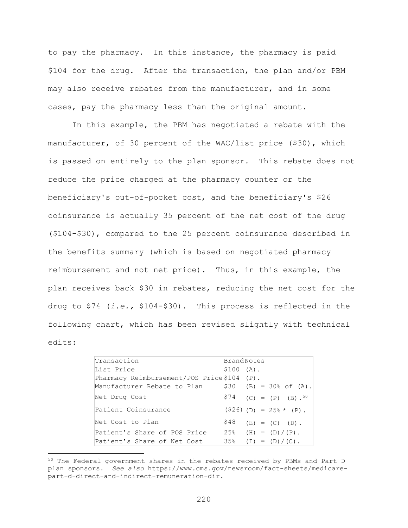to pay the pharmacy. In this instance, the pharmacy is paid \$104 for the drug. After the transaction, the plan and/or PBM may also receive rebates from the manufacturer, and in some cases, pay the pharmacy less than the original amount.

In this example, the PBM has negotiated a rebate with the manufacturer, of 30 percent of the WAC/list price (\$30), which is passed on entirely to the plan sponsor. This rebate does not reduce the price charged at the pharmacy counter or the beneficiary's out-of-pocket cost, and the beneficiary's \$26 coinsurance is actually 35 percent of the net cost of the drug (\$104-\$30), compared to the 25 percent coinsurance described in the benefits summary (which is based on negotiated pharmacy reimbursement and not net price). Thus, in this example, the plan receives back \$30 in rebates, reducing the net cost for the drug to \$74 (*i.e.,* \$104-\$30). This process is reflected in the following chart, which has been revised slightly with technical edits:

| Transaction                                | <b>BrandNotes</b>                    |
|--------------------------------------------|--------------------------------------|
| List Price                                 | \$100 (A).                           |
| Pharmacy Reimbursement/POS Price\$104 (P). |                                      |
| Manufacturer Rebate to Plan                | $$30$ (B) = 30% of (A).              |
| Net Drug Cost                              | $$74$ (C) = (P) - (B). <sup>50</sup> |
| Patient Coinsurance                        | $(S26)$ (D) = 25% * (P).             |
| Net Cost to Plan                           | \$48<br>$(E) = (C) - (D)$ .          |
| Patient's Share of POS Price               | $25\%$ (H) = (D)/(P).                |
| Patient's Share of Net Cost                | $35\%$ (I) = (D)/(C).                |

<span id="page-219-0"></span><sup>&</sup>lt;sup>50</sup> The Federal government shares in the rebates received by PBMs and Part D plan sponsors. *See also* https://www.cms.gov/newsroom/fact-sheets/medicarepart-d-direct-and-indirect-remuneration-dir.

 $\overline{a}$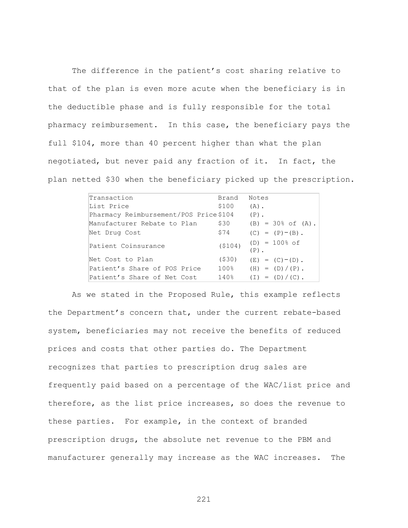The difference in the patient's cost sharing relative to that of the plan is even more acute when the beneficiary is in the deductible phase and is fully responsible for the total pharmacy reimbursement. In this case, the beneficiary pays the full \$104, more than 40 percent higher than what the plan negotiated, but never paid any fraction of it. In fact, the plan netted \$30 when the beneficiary picked up the prescription.

| Transaction                           | Brand    | Notes                          |
|---------------------------------------|----------|--------------------------------|
| List Price                            | \$100    | $(A)$ .                        |
| Pharmacy Reimbursement/POS Price\$104 |          | $(P)$ .                        |
| Manufacturer Rebate to Plan           | \$30     | $(B) = 30\% \text{ of } (A)$ . |
| Net Drug Cost                         | \$74     | $(C) = (P) - (B)$ .            |
| Patient Coinsurance                   | ( \$104) | $(D) = 100\%$ of<br>$(P)$ .    |
| Net Cost to Plan                      | ( \$30)  | $(E) = (C) - (D)$ .            |
| Patient's Share of POS Price          | 100%     | $(H) = (D) / (P)$ .            |
| Patient's Share of Net Cost           | 140%     | $(I) = (D) / (C)$ .            |

As we stated in the Proposed Rule, this example reflects the Department's concern that, under the current rebate-based system, beneficiaries may not receive the benefits of reduced prices and costs that other parties do. The Department recognizes that parties to prescription drug sales are frequently paid based on a percentage of the WAC/list price and therefore, as the list price increases, so does the revenue to these parties. For example, in the context of branded prescription drugs, the absolute net revenue to the PBM and manufacturer generally may increase as the WAC increases. The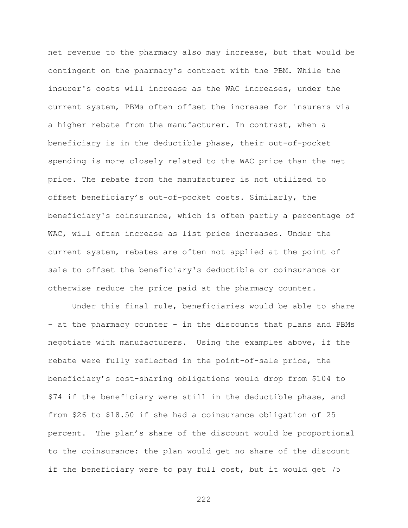net revenue to the pharmacy also may increase, but that would be contingent on the pharmacy's contract with the PBM. While the insurer's costs will increase as the WAC increases, under the current system, PBMs often offset the increase for insurers via a higher rebate from the manufacturer. In contrast, when a beneficiary is in the deductible phase, their out-of-pocket spending is more closely related to the WAC price than the net price. The rebate from the manufacturer is not utilized to offset beneficiary's out-of-pocket costs. Similarly, the beneficiary's coinsurance, which is often partly a percentage of WAC, will often increase as list price increases. Under the current system, rebates are often not applied at the point of sale to offset the beneficiary's deductible or coinsurance or otherwise reduce the price paid at the pharmacy counter.

Under this final rule, beneficiaries would be able to share – at the pharmacy counter - in the discounts that plans and PBMs negotiate with manufacturers. Using the examples above, if the rebate were fully reflected in the point-of-sale price, the beneficiary's cost-sharing obligations would drop from \$104 to \$74 if the beneficiary were still in the deductible phase, and from \$26 to \$18.50 if she had a coinsurance obligation of 25 percent. The plan's share of the discount would be proportional to the coinsurance: the plan would get no share of the discount if the beneficiary were to pay full cost, but it would get 75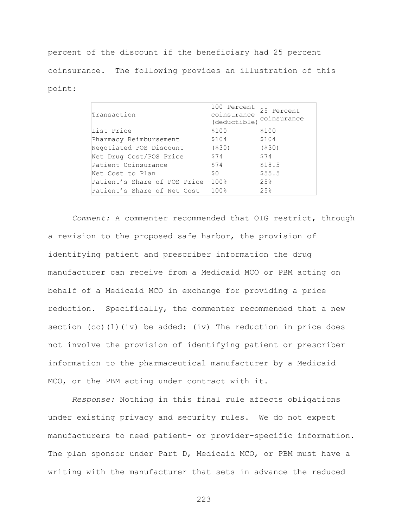percent of the discount if the beneficiary had 25 percent coinsurance. The following provides an illustration of this point:

| Transaction                  | 100 Percent<br>coinsurance<br>(deductible) | 25 Percent<br>coinsurance |
|------------------------------|--------------------------------------------|---------------------------|
| List Price                   | \$100                                      | \$100                     |
| Pharmacy Reimbursement       | \$104                                      | \$104                     |
| Negotiated POS Discount      | ( \$30)                                    | ( \$30)                   |
| Net Drug Cost/POS Price      | \$74                                       | \$74                      |
| Patient Coinsurance          | \$74                                       | \$18.5                    |
| Net Cost to Plan             | S O                                        | \$55.5                    |
| Patient's Share of POS Price | 100%                                       | 25%                       |
| Patient's Share of Net Cost  | 100%                                       | 25%                       |

*Comment:* A commenter recommended that OIG restrict, through a revision to the proposed safe harbor, the provision of identifying patient and prescriber information the drug manufacturer can receive from a Medicaid MCO or PBM acting on behalf of a Medicaid MCO in exchange for providing a price reduction. Specifically, the commenter recommended that a new section (cc)(1)(iv) be added: (iv) The reduction in price does not involve the provision of identifying patient or prescriber information to the pharmaceutical manufacturer by a Medicaid MCO, or the PBM acting under contract with it.

*Response:* Nothing in this final rule affects obligations under existing privacy and security rules. We do not expect manufacturers to need patient- or provider-specific information. The plan sponsor under Part D, Medicaid MCO, or PBM must have a writing with the manufacturer that sets in advance the reduced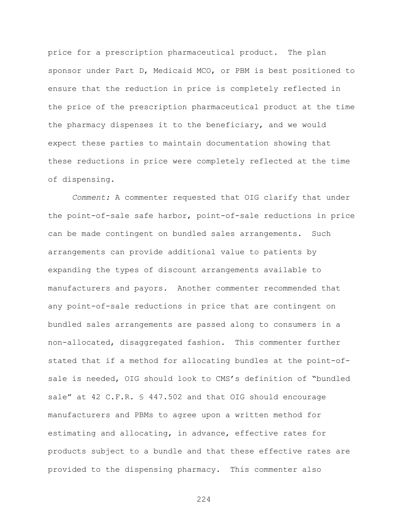price for a prescription pharmaceutical product. The plan sponsor under Part D, Medicaid MCO, or PBM is best positioned to ensure that the reduction in price is completely reflected in the price of the prescription pharmaceutical product at the time the pharmacy dispenses it to the beneficiary, and we would expect these parties to maintain documentation showing that these reductions in price were completely reflected at the time of dispensing.

*Comment:* A commenter requested that OIG clarify that under the point-of-sale safe harbor, point-of-sale reductions in price can be made contingent on bundled sales arrangements. Such arrangements can provide additional value to patients by expanding the types of discount arrangements available to manufacturers and payors. Another commenter recommended that any point-of-sale reductions in price that are contingent on bundled sales arrangements are passed along to consumers in a non-allocated, disaggregated fashion. This commenter further stated that if a method for allocating bundles at the point-ofsale is needed, OIG should look to CMS's definition of "bundled sale" at 42 C.F.R. § 447.502 and that OIG should encourage manufacturers and PBMs to agree upon a written method for estimating and allocating, in advance, effective rates for products subject to a bundle and that these effective rates are provided to the dispensing pharmacy. This commenter also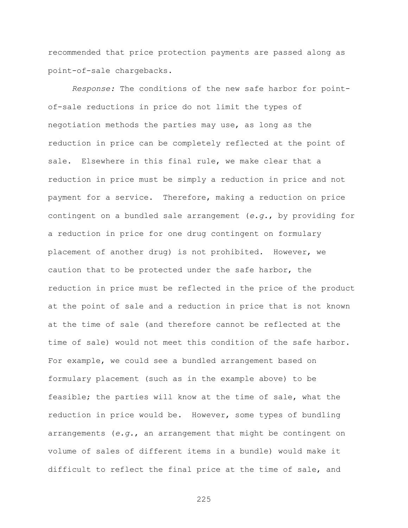recommended that price protection payments are passed along as point-of-sale chargebacks.

*Response:* The conditions of the new safe harbor for pointof-sale reductions in price do not limit the types of negotiation methods the parties may use, as long as the reduction in price can be completely reflected at the point of sale. Elsewhere in this final rule, we make clear that a reduction in price must be simply a reduction in price and not payment for a service. Therefore, making a reduction on price contingent on a bundled sale arrangement (*e.g.*, by providing for a reduction in price for one drug contingent on formulary placement of another drug) is not prohibited. However, we caution that to be protected under the safe harbor, the reduction in price must be reflected in the price of the product at the point of sale and a reduction in price that is not known at the time of sale (and therefore cannot be reflected at the time of sale) would not meet this condition of the safe harbor. For example, we could see a bundled arrangement based on formulary placement (such as in the example above) to be feasible; the parties will know at the time of sale, what the reduction in price would be. However, some types of bundling arrangements (*e.g.*, an arrangement that might be contingent on volume of sales of different items in a bundle) would make it difficult to reflect the final price at the time of sale, and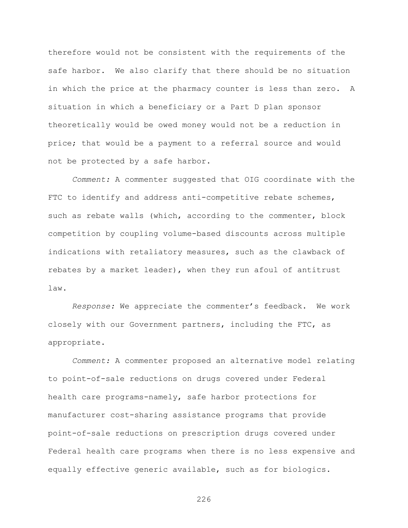therefore would not be consistent with the requirements of the safe harbor. We also clarify that there should be no situation in which the price at the pharmacy counter is less than zero. A situation in which a beneficiary or a Part D plan sponsor theoretically would be owed money would not be a reduction in price; that would be a payment to a referral source and would not be protected by a safe harbor.

*Comment:* A commenter suggested that OIG coordinate with the FTC to identify and address anti-competitive rebate schemes, such as rebate walls (which, according to the commenter, block competition by coupling volume-based discounts across multiple indications with retaliatory measures, such as the clawback of rebates by a market leader), when they run afoul of antitrust law.

*Response:* We appreciate the commenter's feedback. We work closely with our Government partners, including the FTC, as appropriate.

*Comment:* A commenter proposed an alternative model relating to point-of-sale reductions on drugs covered under Federal health care programs-namely, safe harbor protections for manufacturer cost-sharing assistance programs that provide point-of-sale reductions on prescription drugs covered under Federal health care programs when there is no less expensive and equally effective generic available, such as for biologics.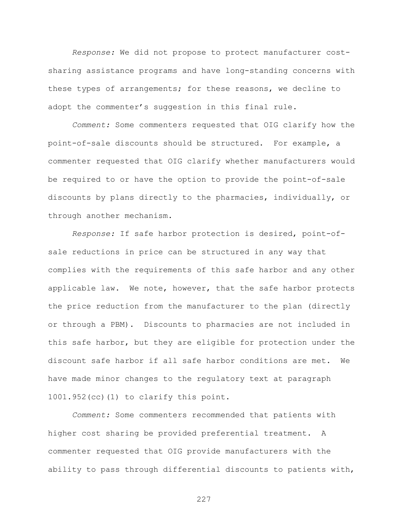*Response:* We did not propose to protect manufacturer costsharing assistance programs and have long-standing concerns with these types of arrangements; for these reasons, we decline to adopt the commenter's suggestion in this final rule.

*Comment:* Some commenters requested that OIG clarify how the point-of-sale discounts should be structured. For example, a commenter requested that OIG clarify whether manufacturers would be required to or have the option to provide the point-of-sale discounts by plans directly to the pharmacies, individually, or through another mechanism.

*Response:* If safe harbor protection is desired, point-ofsale reductions in price can be structured in any way that complies with the requirements of this safe harbor and any other applicable law. We note, however, that the safe harbor protects the price reduction from the manufacturer to the plan (directly or through a PBM). Discounts to pharmacies are not included in this safe harbor, but they are eligible for protection under the discount safe harbor if all safe harbor conditions are met. We have made minor changes to the regulatory text at paragraph 1001.952(cc)(1) to clarify this point.

*Comment:* Some commenters recommended that patients with higher cost sharing be provided preferential treatment. A commenter requested that OIG provide manufacturers with the ability to pass through differential discounts to patients with,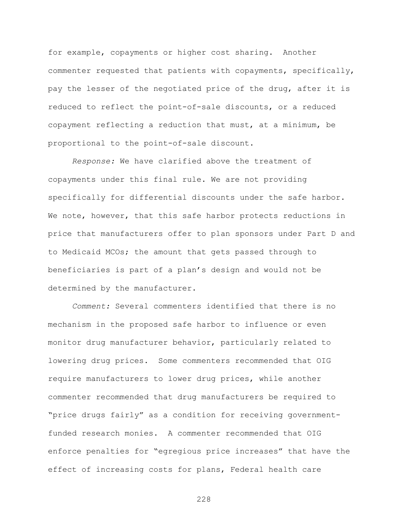for example, copayments or higher cost sharing. Another commenter requested that patients with copayments, specifically, pay the lesser of the negotiated price of the drug, after it is reduced to reflect the point-of-sale discounts, or a reduced copayment reflecting a reduction that must, at a minimum, be proportional to the point-of-sale discount.

*Response:* We have clarified above the treatment of copayments under this final rule. We are not providing specifically for differential discounts under the safe harbor. We note, however, that this safe harbor protects reductions in price that manufacturers offer to plan sponsors under Part D and to Medicaid MCOs; the amount that gets passed through to beneficiaries is part of a plan's design and would not be determined by the manufacturer.

*Comment:* Several commenters identified that there is no mechanism in the proposed safe harbor to influence or even monitor drug manufacturer behavior, particularly related to lowering drug prices. Some commenters recommended that OIG require manufacturers to lower drug prices, while another commenter recommended that drug manufacturers be required to "price drugs fairly" as a condition for receiving governmentfunded research monies. A commenter recommended that OIG enforce penalties for "egregious price increases" that have the effect of increasing costs for plans, Federal health care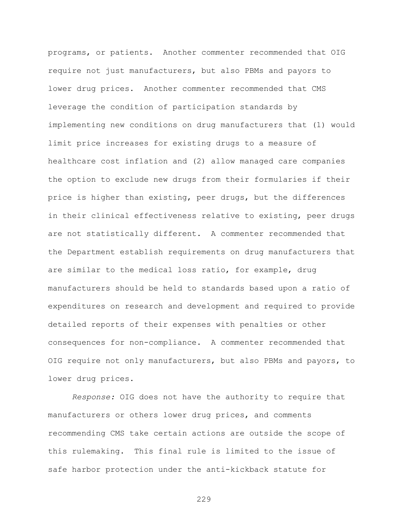programs, or patients. Another commenter recommended that OIG require not just manufacturers, but also PBMs and payors to lower drug prices. Another commenter recommended that CMS leverage the condition of participation standards by implementing new conditions on drug manufacturers that (1) would limit price increases for existing drugs to a measure of healthcare cost inflation and (2) allow managed care companies the option to exclude new drugs from their formularies if their price is higher than existing, peer drugs, but the differences in their clinical effectiveness relative to existing, peer drugs are not statistically different. A commenter recommended that the Department establish requirements on drug manufacturers that are similar to the medical loss ratio, for example, drug manufacturers should be held to standards based upon a ratio of expenditures on research and development and required to provide detailed reports of their expenses with penalties or other consequences for non-compliance. A commenter recommended that OIG require not only manufacturers, but also PBMs and payors, to lower drug prices.

*Response:* OIG does not have the authority to require that manufacturers or others lower drug prices, and comments recommending CMS take certain actions are outside the scope of this rulemaking. This final rule is limited to the issue of safe harbor protection under the anti-kickback statute for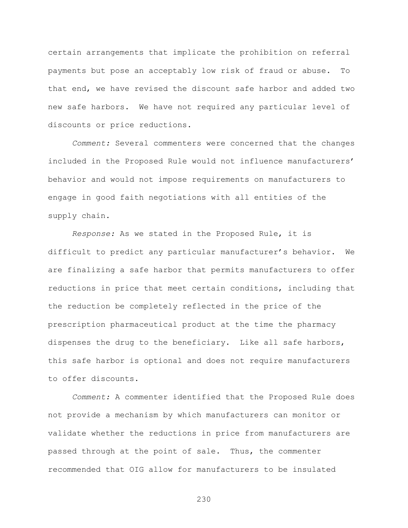certain arrangements that implicate the prohibition on referral payments but pose an acceptably low risk of fraud or abuse. To that end, we have revised the discount safe harbor and added two new safe harbors. We have not required any particular level of discounts or price reductions.

*Comment:* Several commenters were concerned that the changes included in the Proposed Rule would not influence manufacturers' behavior and would not impose requirements on manufacturers to engage in good faith negotiations with all entities of the supply chain.

*Response:* As we stated in the Proposed Rule, it is difficult to predict any particular manufacturer's behavior. We are finalizing a safe harbor that permits manufacturers to offer reductions in price that meet certain conditions, including that the reduction be completely reflected in the price of the prescription pharmaceutical product at the time the pharmacy dispenses the drug to the beneficiary. Like all safe harbors, this safe harbor is optional and does not require manufacturers to offer discounts.

*Comment:* A commenter identified that the Proposed Rule does not provide a mechanism by which manufacturers can monitor or validate whether the reductions in price from manufacturers are passed through at the point of sale. Thus, the commenter recommended that OIG allow for manufacturers to be insulated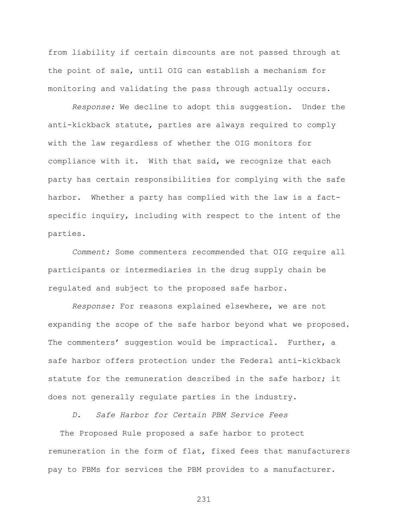from liability if certain discounts are not passed through at the point of sale, until OIG can establish a mechanism for monitoring and validating the pass through actually occurs.

*Response:* We decline to adopt this suggestion. Under the anti-kickback statute, parties are always required to comply with the law regardless of whether the OIG monitors for compliance with it. With that said, we recognize that each party has certain responsibilities for complying with the safe harbor. Whether a party has complied with the law is a factspecific inquiry, including with respect to the intent of the parties.

*Comment:* Some commenters recommended that OIG require all participants or intermediaries in the drug supply chain be regulated and subject to the proposed safe harbor.

*Response:* For reasons explained elsewhere, we are not expanding the scope of the safe harbor beyond what we proposed. The commenters' suggestion would be impractical. Further, a safe harbor offers protection under the Federal anti-kickback statute for the remuneration described in the safe harbor; it does not generally regulate parties in the industry.

*D. Safe Harbor for Certain PBM Service Fees* 

The Proposed Rule proposed a safe harbor to protect remuneration in the form of flat, fixed fees that manufacturers pay to PBMs for services the PBM provides to a manufacturer.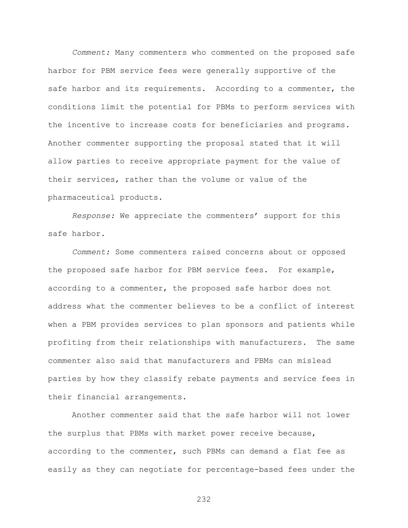*Comment:* Many commenters who commented on the proposed safe harbor for PBM service fees were generally supportive of the safe harbor and its requirements. According to a commenter, the conditions limit the potential for PBMs to perform services with the incentive to increase costs for beneficiaries and programs. Another commenter supporting the proposal stated that it will allow parties to receive appropriate payment for the value of their services, rather than the volume or value of the pharmaceutical products.

*Response:* We appreciate the commenters' support for this safe harbor.

*Comment:* Some commenters raised concerns about or opposed the proposed safe harbor for PBM service fees. For example, according to a commenter, the proposed safe harbor does not address what the commenter believes to be a conflict of interest when a PBM provides services to plan sponsors and patients while profiting from their relationships with manufacturers. The same commenter also said that manufacturers and PBMs can mislead parties by how they classify rebate payments and service fees in their financial arrangements.

Another commenter said that the safe harbor will not lower the surplus that PBMs with market power receive because, according to the commenter, such PBMs can demand a flat fee as easily as they can negotiate for percentage-based fees under the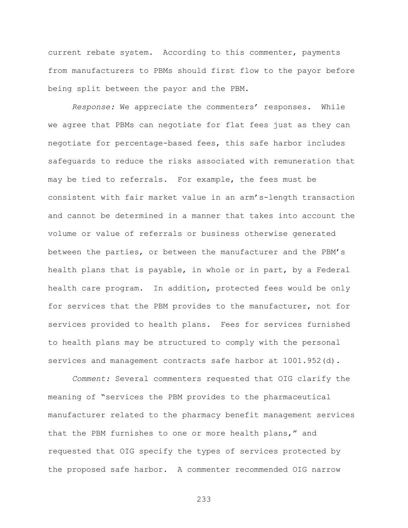current rebate system. According to this commenter, payments from manufacturers to PBMs should first flow to the payor before being split between the payor and the PBM.

*Response:* We appreciate the commenters' responses. While we agree that PBMs can negotiate for flat fees just as they can negotiate for percentage-based fees, this safe harbor includes safeguards to reduce the risks associated with remuneration that may be tied to referrals. For example, the fees must be consistent with fair market value in an arm's-length transaction and cannot be determined in a manner that takes into account the volume or value of referrals or business otherwise generated between the parties, or between the manufacturer and the PBM's health plans that is payable, in whole or in part, by a Federal health care program. In addition, protected fees would be only for services that the PBM provides to the manufacturer, not for services provided to health plans. Fees for services furnished to health plans may be structured to comply with the personal services and management contracts safe harbor at 1001.952(d).

*Comment:* Several commenters requested that OIG clarify the meaning of "services the PBM provides to the pharmaceutical manufacturer related to the pharmacy benefit management services that the PBM furnishes to one or more health plans," and requested that OIG specify the types of services protected by the proposed safe harbor. A commenter recommended OIG narrow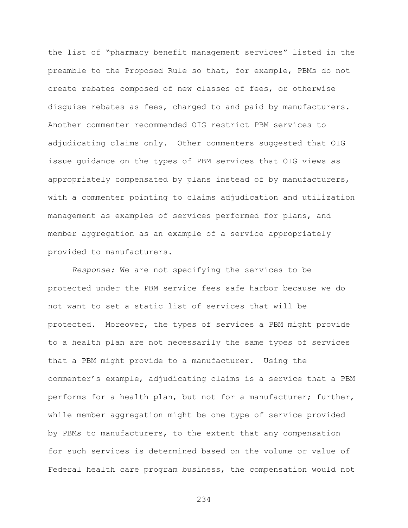the list of "pharmacy benefit management services" listed in the preamble to the Proposed Rule so that, for example, PBMs do not create rebates composed of new classes of fees, or otherwise disguise rebates as fees, charged to and paid by manufacturers. Another commenter recommended OIG restrict PBM services to adjudicating claims only. Other commenters suggested that OIG issue guidance on the types of PBM services that OIG views as appropriately compensated by plans instead of by manufacturers, with a commenter pointing to claims adjudication and utilization management as examples of services performed for plans, and member aggregation as an example of a service appropriately provided to manufacturers.

*Response:* We are not specifying the services to be protected under the PBM service fees safe harbor because we do not want to set a static list of services that will be protected. Moreover, the types of services a PBM might provide to a health plan are not necessarily the same types of services that a PBM might provide to a manufacturer. Using the commenter's example, adjudicating claims is a service that a PBM performs for a health plan, but not for a manufacturer; further, while member aggregation might be one type of service provided by PBMs to manufacturers, to the extent that any compensation for such services is determined based on the volume or value of Federal health care program business, the compensation would not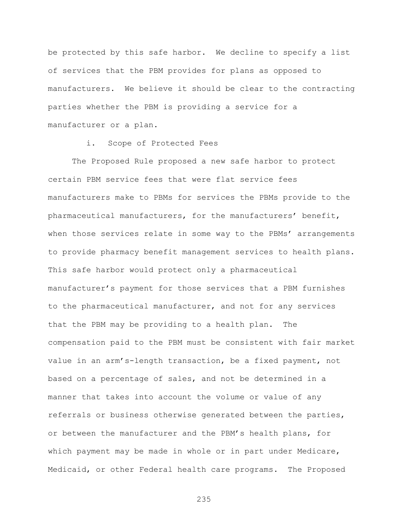be protected by this safe harbor. We decline to specify a list of services that the PBM provides for plans as opposed to manufacturers. We believe it should be clear to the contracting parties whether the PBM is providing a service for a manufacturer or a plan.

## i. Scope of Protected Fees

The Proposed Rule proposed a new safe harbor to protect certain PBM service fees that were flat service fees manufacturers make to PBMs for services the PBMs provide to the pharmaceutical manufacturers, for the manufacturers' benefit, when those services relate in some way to the PBMs' arrangements to provide pharmacy benefit management services to health plans. This safe harbor would protect only a pharmaceutical manufacturer's payment for those services that a PBM furnishes to the pharmaceutical manufacturer, and not for any services that the PBM may be providing to a health plan. The compensation paid to the PBM must be consistent with fair market value in an arm's-length transaction, be a fixed payment, not based on a percentage of sales, and not be determined in a manner that takes into account the volume or value of any referrals or business otherwise generated between the parties, or between the manufacturer and the PBM's health plans, for which payment may be made in whole or in part under Medicare, Medicaid, or other Federal health care programs. The Proposed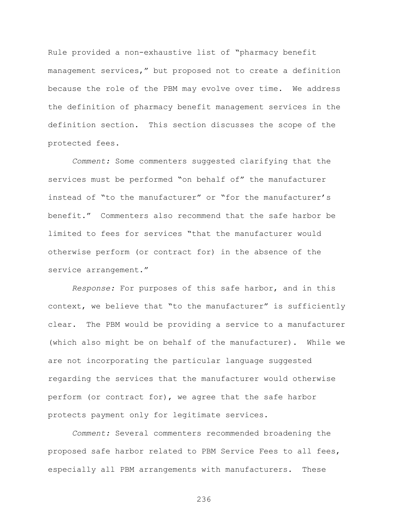Rule provided a non-exhaustive list of "pharmacy benefit management services," but proposed not to create a definition because the role of the PBM may evolve over time. We address the definition of pharmacy benefit management services in the definition section. This section discusses the scope of the protected fees.

*Comment:* Some commenters suggested clarifying that the services must be performed "on behalf of" the manufacturer instead of "to the manufacturer" or "for the manufacturer's benefit." Commenters also recommend that the safe harbor be limited to fees for services "that the manufacturer would otherwise perform (or contract for) in the absence of the service arrangement."

*Response:* For purposes of this safe harbor, and in this context, we believe that "to the manufacturer" is sufficiently clear. The PBM would be providing a service to a manufacturer (which also might be on behalf of the manufacturer). While we are not incorporating the particular language suggested regarding the services that the manufacturer would otherwise perform (or contract for), we agree that the safe harbor protects payment only for legitimate services.

*Comment:* Several commenters recommended broadening the proposed safe harbor related to PBM Service Fees to all fees, especially all PBM arrangements with manufacturers. These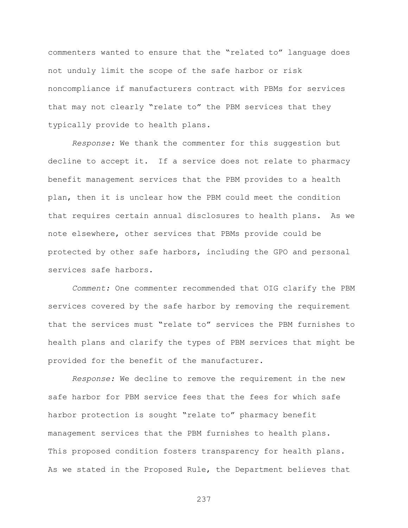commenters wanted to ensure that the "related to" language does not unduly limit the scope of the safe harbor or risk noncompliance if manufacturers contract with PBMs for services that may not clearly "relate to" the PBM services that they typically provide to health plans.

*Response:* We thank the commenter for this suggestion but decline to accept it. If a service does not relate to pharmacy benefit management services that the PBM provides to a health plan, then it is unclear how the PBM could meet the condition that requires certain annual disclosures to health plans. As we note elsewhere, other services that PBMs provide could be protected by other safe harbors, including the GPO and personal services safe harbors.

*Comment:* One commenter recommended that OIG clarify the PBM services covered by the safe harbor by removing the requirement that the services must "relate to" services the PBM furnishes to health plans and clarify the types of PBM services that might be provided for the benefit of the manufacturer.

*Response:* We decline to remove the requirement in the new safe harbor for PBM service fees that the fees for which safe harbor protection is sought "relate to" pharmacy benefit management services that the PBM furnishes to health plans. This proposed condition fosters transparency for health plans. As we stated in the Proposed Rule, the Department believes that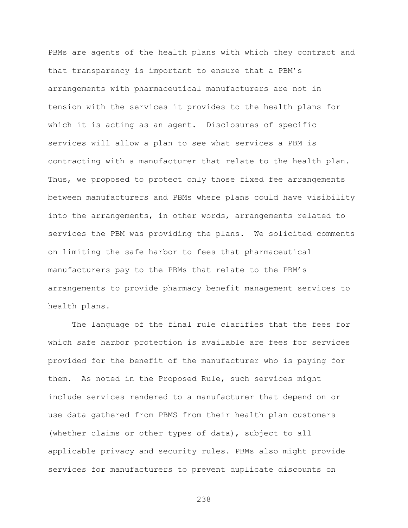PBMs are agents of the health plans with which they contract and that transparency is important to ensure that a PBM's arrangements with pharmaceutical manufacturers are not in tension with the services it provides to the health plans for which it is acting as an agent. Disclosures of specific services will allow a plan to see what services a PBM is contracting with a manufacturer that relate to the health plan. Thus, we proposed to protect only those fixed fee arrangements between manufacturers and PBMs where plans could have visibility into the arrangements, in other words, arrangements related to services the PBM was providing the plans. We solicited comments on limiting the safe harbor to fees that pharmaceutical manufacturers pay to the PBMs that relate to the PBM's arrangements to provide pharmacy benefit management services to health plans.

The language of the final rule clarifies that the fees for which safe harbor protection is available are fees for services provided for the benefit of the manufacturer who is paying for them. As noted in the Proposed Rule, such services might include services rendered to a manufacturer that depend on or use data gathered from PBMS from their health plan customers (whether claims or other types of data), subject to all applicable privacy and security rules. PBMs also might provide services for manufacturers to prevent duplicate discounts on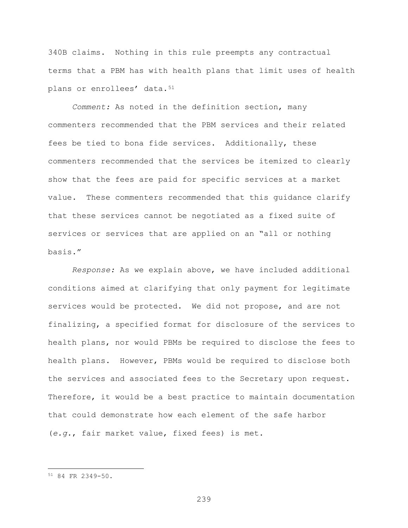340B claims. Nothing in this rule preempts any contractual terms that a PBM has with health plans that limit uses of health plans or enrollees' data.<sup>[51](#page-238-0)</sup>

*Comment:* As noted in the definition section, many commenters recommended that the PBM services and their related fees be tied to bona fide services. Additionally, these commenters recommended that the services be itemized to clearly show that the fees are paid for specific services at a market value. These commenters recommended that this guidance clarify that these services cannot be negotiated as a fixed suite of services or services that are applied on an "all or nothing basis."

*Response:* As we explain above, we have included additional conditions aimed at clarifying that only payment for legitimate services would be protected. We did not propose, and are not finalizing, a specified format for disclosure of the services to health plans, nor would PBMs be required to disclose the fees to health plans. However, PBMs would be required to disclose both the services and associated fees to the Secretary upon request. Therefore, it would be a best practice to maintain documentation that could demonstrate how each element of the safe harbor (*e.g.*, fair market value, fixed fees) is met.

 $\overline{a}$ 

<span id="page-238-0"></span><sup>51</sup> 84 FR 2349-50.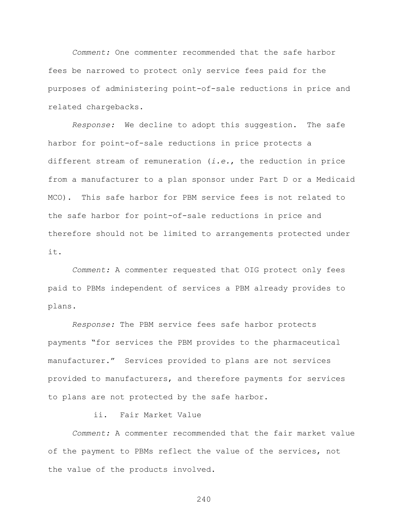*Comment:* One commenter recommended that the safe harbor fees be narrowed to protect only service fees paid for the purposes of administering point-of-sale reductions in price and related chargebacks.

*Response:* We decline to adopt this suggestion. The safe harbor for point-of-sale reductions in price protects a different stream of remuneration (*i.e.*, the reduction in price from a manufacturer to a plan sponsor under Part D or a Medicaid MCO). This safe harbor for PBM service fees is not related to the safe harbor for point-of-sale reductions in price and therefore should not be limited to arrangements protected under it.

*Comment:* A commenter requested that OIG protect only fees paid to PBMs independent of services a PBM already provides to plans.

*Response:* The PBM service fees safe harbor protects payments "for services the PBM provides to the pharmaceutical manufacturer." Services provided to plans are not services provided to manufacturers, and therefore payments for services to plans are not protected by the safe harbor.

ii. Fair Market Value

*Comment:* A commenter recommended that the fair market value of the payment to PBMs reflect the value of the services, not the value of the products involved.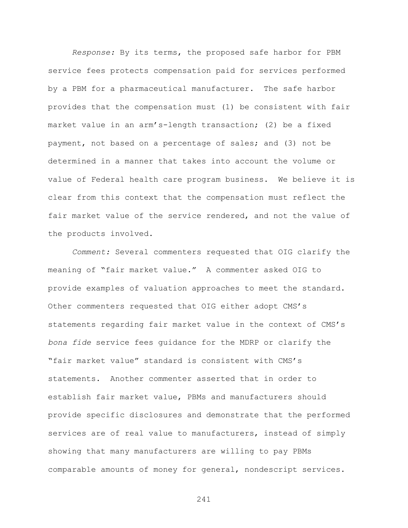*Response:* By its terms, the proposed safe harbor for PBM service fees protects compensation paid for services performed by a PBM for a pharmaceutical manufacturer. The safe harbor provides that the compensation must (1) be consistent with fair market value in an arm's-length transaction; (2) be a fixed payment, not based on a percentage of sales; and (3) not be determined in a manner that takes into account the volume or value of Federal health care program business. We believe it is clear from this context that the compensation must reflect the fair market value of the service rendered, and not the value of the products involved.

*Comment:* Several commenters requested that OIG clarify the meaning of "fair market value." A commenter asked OIG to provide examples of valuation approaches to meet the standard. Other commenters requested that OIG either adopt CMS's statements regarding fair market value in the context of CMS's *bona fide* service fees guidance for the MDRP or clarify the "fair market value" standard is consistent with CMS's statements. Another commenter asserted that in order to establish fair market value, PBMs and manufacturers should provide specific disclosures and demonstrate that the performed services are of real value to manufacturers, instead of simply showing that many manufacturers are willing to pay PBMs comparable amounts of money for general, nondescript services.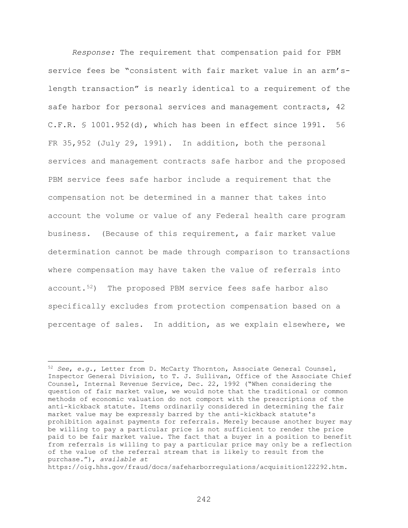*Response:* The requirement that compensation paid for PBM service fees be "consistent with fair market value in an arm'slength transaction" is nearly identical to a requirement of the safe harbor for personal services and management contracts, 42 C.F.R. § 1001.952(d), which has been in effect since 1991. 56 FR 35,952 (July 29, 1991). In addition, both the personal services and management contracts safe harbor and the proposed PBM service fees safe harbor include a requirement that the compensation not be determined in a manner that takes into account the volume or value of any Federal health care program business. (Because of this requirement, a fair market value determination cannot be made through comparison to transactions where compensation may have taken the value of referrals into account.<sup>52</sup>) The proposed PBM service fees safe harbor also specifically excludes from protection compensation based on a percentage of sales. In addition, as we explain elsewhere, we

 $\overline{a}$ 

https://oig.hhs.gov/fraud/docs/safeharborregulations/acquisition122292.htm.

<span id="page-241-0"></span><sup>52</sup> *See*, *e.g.*, Letter from D. McCarty Thornton, Associate General Counsel, Inspector General Division, to T. J. Sullivan, Office of the Associate Chief Counsel, Internal Revenue Service, Dec. 22, 1992 ("When considering the question of fair market value, we would note that the traditional or common methods of economic valuation do not comport with the prescriptions of the anti-kickback statute. Items ordinarily considered in determining the fair market value may be expressly barred by the anti-kickback statute's prohibition against payments for referrals. Merely because another buyer may be willing to pay a particular price is not sufficient to render the price paid to be fair market value. The fact that a buyer in a position to benefit from referrals is willing to pay a particular price may only be a reflection of the value of the referral stream that is likely to result from the purchase."), *available at*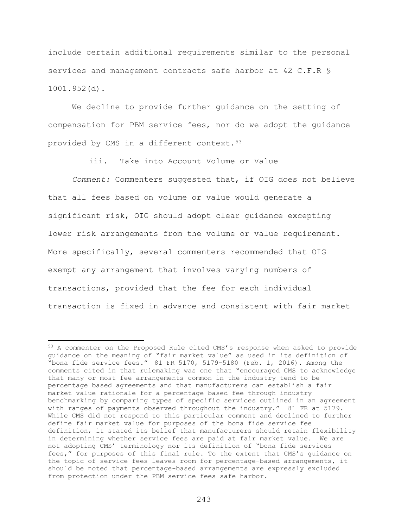include certain additional requirements similar to the personal services and management contracts safe harbor at 42 C.F.R \$ 1001.952(d).

We decline to provide further guidance on the setting of compensation for PBM service fees, nor do we adopt the guidance provided by CMS in a different context.<sup>53</sup>

iii. Take into Account Volume or Value

*Comment:* Commenters suggested that, if OIG does not believe that all fees based on volume or value would generate a significant risk, OIG should adopt clear guidance excepting lower risk arrangements from the volume or value requirement. More specifically, several commenters recommended that OIG exempt any arrangement that involves varying numbers of transactions, provided that the fee for each individual transaction is fixed in advance and consistent with fair market

 $\overline{a}$ 

<span id="page-242-0"></span><sup>53</sup> A commenter on the Proposed Rule cited CMS's response when asked to provide guidance on the meaning of "fair market value" as used in its definition of "bona fide service fees." 81 FR 5170, 5179-5180 (Feb. 1, 2016). Among the comments cited in that rulemaking was one that "encouraged CMS to acknowledge that many or most fee arrangements common in the industry tend to be percentage based agreements and that manufacturers can establish a fair market value rationale for a percentage based fee through industry benchmarking by comparing types of specific services outlined in an agreement with ranges of payments observed throughout the industry." 81 FR at 5179. While CMS did not respond to this particular comment and declined to further define fair market value for purposes of the bona fide service fee definition, it stated its belief that manufacturers should retain flexibility in determining whether service fees are paid at fair market value. We are not adopting CMS' terminology nor its definition of "bona fide services fees," for purposes of this final rule. To the extent that CMS's guidance on the topic of service fees leaves room for percentage-based arrangements, it should be noted that percentage-based arrangements are expressly excluded from protection under the PBM service fees safe harbor.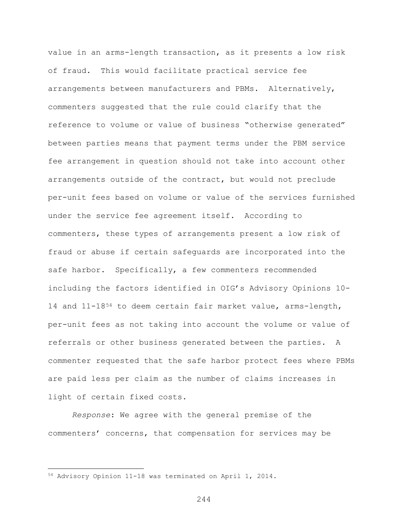value in an arms-length transaction, as it presents a low risk of fraud. This would facilitate practical service fee arrangements between manufacturers and PBMs. Alternatively, commenters suggested that the rule could clarify that the reference to volume or value of business "otherwise generated" between parties means that payment terms under the PBM service fee arrangement in question should not take into account other arrangements outside of the contract, but would not preclude per-unit fees based on volume or value of the services furnished under the service fee agreement itself. According to commenters, these types of arrangements present a low risk of fraud or abuse if certain safeguards are incorporated into the safe harbor. Specifically, a few commenters recommended including the factors identified in OIG's Advisory Opinions 10- 14 and 11-18<sup>[54](#page-243-0)</sup> to deem certain fair market value, arms-length, per-unit fees as not taking into account the volume or value of referrals or other business generated between the parties. A commenter requested that the safe harbor protect fees where PBMs are paid less per claim as the number of claims increases in light of certain fixed costs.

*Response*: We agree with the general premise of the commenters' concerns, that compensation for services may be

 $\overline{a}$ 

<span id="page-243-0"></span><sup>54</sup> Advisory Opinion 11-18 was terminated on April 1, 2014.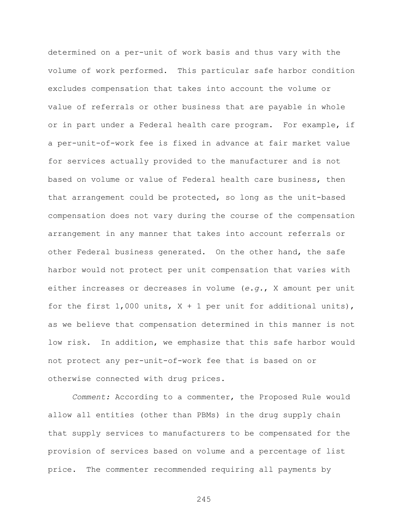determined on a per-unit of work basis and thus vary with the volume of work performed. This particular safe harbor condition excludes compensation that takes into account the volume or value of referrals or other business that are payable in whole or in part under a Federal health care program. For example, if a per-unit-of-work fee is fixed in advance at fair market value for services actually provided to the manufacturer and is not based on volume or value of Federal health care business, then that arrangement could be protected, so long as the unit-based compensation does not vary during the course of the compensation arrangement in any manner that takes into account referrals or other Federal business generated. On the other hand, the safe harbor would not protect per unit compensation that varies with either increases or decreases in volume (*e.g.*, X amount per unit for the first  $1,000$  units,  $X + 1$  per unit for additional units), as we believe that compensation determined in this manner is not low risk. In addition, we emphasize that this safe harbor would not protect any per-unit-of-work fee that is based on or otherwise connected with drug prices.

*Comment:* According to a commenter, the Proposed Rule would allow all entities (other than PBMs) in the drug supply chain that supply services to manufacturers to be compensated for the provision of services based on volume and a percentage of list price. The commenter recommended requiring all payments by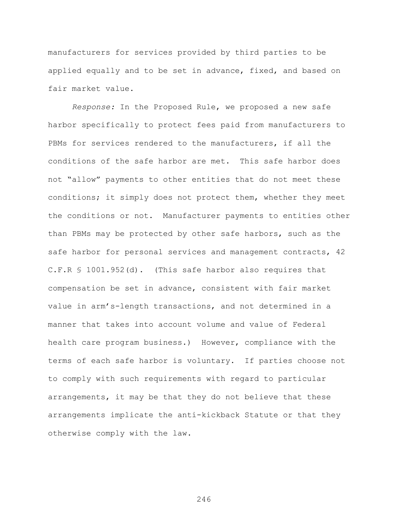manufacturers for services provided by third parties to be applied equally and to be set in advance, fixed, and based on fair market value.

*Response:* In the Proposed Rule, we proposed a new safe harbor specifically to protect fees paid from manufacturers to PBMs for services rendered to the manufacturers, if all the conditions of the safe harbor are met. This safe harbor does not "allow" payments to other entities that do not meet these conditions; it simply does not protect them, whether they meet the conditions or not. Manufacturer payments to entities other than PBMs may be protected by other safe harbors, such as the safe harbor for personal services and management contracts, 42 C.F.R § 1001.952(d). (This safe harbor also requires that compensation be set in advance, consistent with fair market value in arm's-length transactions, and not determined in a manner that takes into account volume and value of Federal health care program business.) However, compliance with the terms of each safe harbor is voluntary. If parties choose not to comply with such requirements with regard to particular arrangements, it may be that they do not believe that these arrangements implicate the anti-kickback Statute or that they otherwise comply with the law.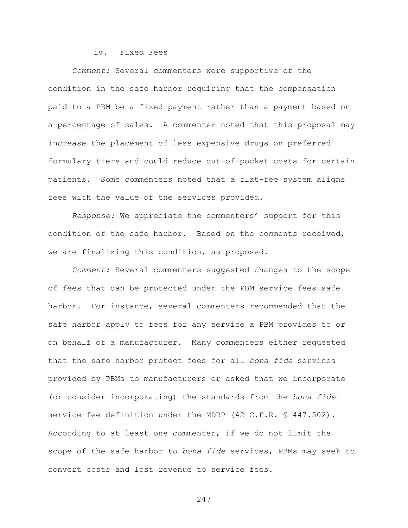## iv. Fixed Fees

*Comment:* Several commenters were supportive of the condition in the safe harbor requiring that the compensation paid to a PBM be a fixed payment rather than a payment based on a percentage of sales. A commenter noted that this proposal may increase the placement of less expensive drugs on preferred formulary tiers and could reduce out-of-pocket costs for certain patients. Some commenters noted that a flat-fee system aligns fees with the value of the services provided.

*Response:* We appreciate the commenters' support for this condition of the safe harbor. Based on the comments received, we are finalizing this condition, as proposed.

*Comment:* Several commenters suggested changes to the scope of fees that can be protected under the PBM service fees safe harbor. For instance, several commenters recommended that the safe harbor apply to fees for any service a PBM provides to or on behalf of a manufacturer. Many commenters either requested that the safe harbor protect fees for all *bona fide* services provided by PBMs to manufacturers or asked that we incorporate (or consider incorporating) the standards from the *bona fide* service fee definition under the MDRP (42 C.F.R. § 447.502). According to at least one commenter, if we do not limit the scope of the safe harbor to *bona fide* services, PBMs may seek to convert costs and lost revenue to service fees.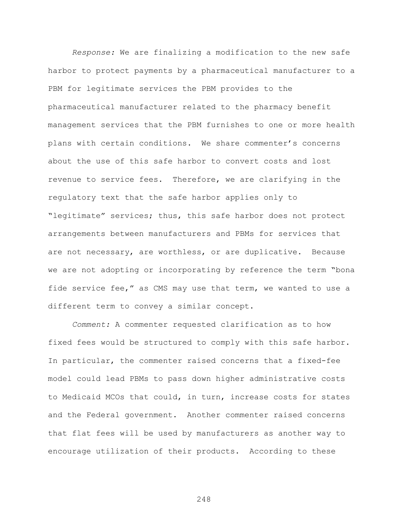*Response:* We are finalizing a modification to the new safe harbor to protect payments by a pharmaceutical manufacturer to a PBM for legitimate services the PBM provides to the pharmaceutical manufacturer related to the pharmacy benefit management services that the PBM furnishes to one or more health plans with certain conditions. We share commenter's concerns about the use of this safe harbor to convert costs and lost revenue to service fees. Therefore, we are clarifying in the regulatory text that the safe harbor applies only to "legitimate" services; thus, this safe harbor does not protect arrangements between manufacturers and PBMs for services that are not necessary, are worthless, or are duplicative. Because we are not adopting or incorporating by reference the term "bona fide service fee," as CMS may use that term, we wanted to use a different term to convey a similar concept.

*Comment:* A commenter requested clarification as to how fixed fees would be structured to comply with this safe harbor. In particular, the commenter raised concerns that a fixed-fee model could lead PBMs to pass down higher administrative costs to Medicaid MCOs that could, in turn, increase costs for states and the Federal government. Another commenter raised concerns that flat fees will be used by manufacturers as another way to encourage utilization of their products. According to these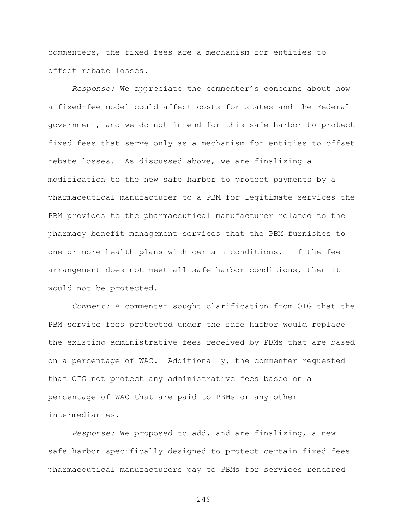commenters, the fixed fees are a mechanism for entities to offset rebate losses.

*Response:* We appreciate the commenter's concerns about how a fixed-fee model could affect costs for states and the Federal government, and we do not intend for this safe harbor to protect fixed fees that serve only as a mechanism for entities to offset rebate losses. As discussed above, we are finalizing a modification to the new safe harbor to protect payments by a pharmaceutical manufacturer to a PBM for legitimate services the PBM provides to the pharmaceutical manufacturer related to the pharmacy benefit management services that the PBM furnishes to one or more health plans with certain conditions. If the fee arrangement does not meet all safe harbor conditions, then it would not be protected.

*Comment:* A commenter sought clarification from OIG that the PBM service fees protected under the safe harbor would replace the existing administrative fees received by PBMs that are based on a percentage of WAC. Additionally, the commenter requested that OIG not protect any administrative fees based on a percentage of WAC that are paid to PBMs or any other intermediaries.

*Response:* We proposed to add, and are finalizing, a new safe harbor specifically designed to protect certain fixed fees pharmaceutical manufacturers pay to PBMs for services rendered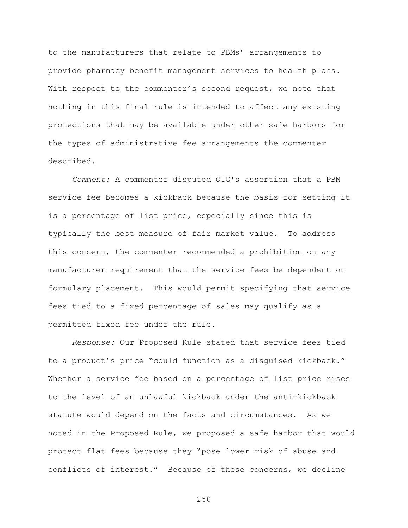to the manufacturers that relate to PBMs' arrangements to provide pharmacy benefit management services to health plans. With respect to the commenter's second request, we note that nothing in this final rule is intended to affect any existing protections that may be available under other safe harbors for the types of administrative fee arrangements the commenter described.

*Comment:* A commenter disputed OIG's assertion that a PBM service fee becomes a kickback because the basis for setting it is a percentage of list price, especially since this is typically the best measure of fair market value. To address this concern, the commenter recommended a prohibition on any manufacturer requirement that the service fees be dependent on formulary placement. This would permit specifying that service fees tied to a fixed percentage of sales may qualify as a permitted fixed fee under the rule.

*Response:* Our Proposed Rule stated that service fees tied to a product's price "could function as a disguised kickback." Whether a service fee based on a percentage of list price rises to the level of an unlawful kickback under the anti-kickback statute would depend on the facts and circumstances. As we noted in the Proposed Rule, we proposed a safe harbor that would protect flat fees because they "pose lower risk of abuse and conflicts of interest." Because of these concerns, we decline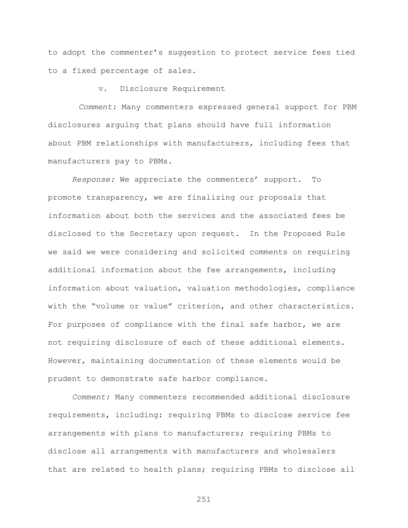to adopt the commenter's suggestion to protect service fees tied to a fixed percentage of sales.

v. Disclosure Requirement

*Comment:* Many commenters expressed general support for PBM disclosures arguing that plans should have full information about PBM relationships with manufacturers, including fees that manufacturers pay to PBMs.

*Response:* We appreciate the commenters' support. To promote transparency, we are finalizing our proposals that information about both the services and the associated fees be disclosed to the Secretary upon request. In the Proposed Rule we said we were considering and solicited comments on requiring additional information about the fee arrangements, including information about valuation, valuation methodologies, compliance with the "volume or value" criterion, and other characteristics. For purposes of compliance with the final safe harbor, we are not requiring disclosure of each of these additional elements. However, maintaining documentation of these elements would be prudent to demonstrate safe harbor compliance.

*Comment:* Many commenters recommended additional disclosure requirements, including: requiring PBMs to disclose service fee arrangements with plans to manufacturers; requiring PBMs to disclose all arrangements with manufacturers and wholesalers that are related to health plans; requiring PBMs to disclose all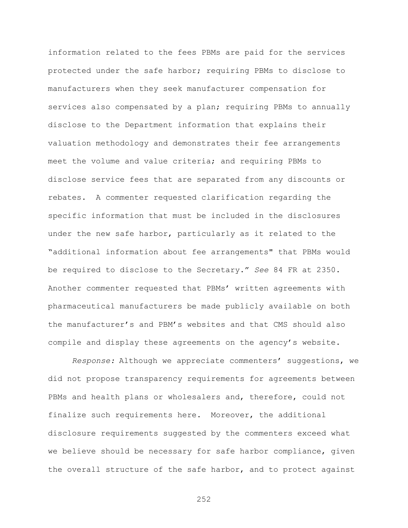information related to the fees PBMs are paid for the services protected under the safe harbor; requiring PBMs to disclose to manufacturers when they seek manufacturer compensation for services also compensated by a plan; requiring PBMs to annually disclose to the Department information that explains their valuation methodology and demonstrates their fee arrangements meet the volume and value criteria; and requiring PBMs to disclose service fees that are separated from any discounts or rebates. A commenter requested clarification regarding the specific information that must be included in the disclosures under the new safe harbor, particularly as it related to the "additional information about fee arrangements" that PBMs would be required to disclose to the Secretary." *See* 84 FR at 2350. Another commenter requested that PBMs' written agreements with pharmaceutical manufacturers be made publicly available on both the manufacturer's and PBM's websites and that CMS should also compile and display these agreements on the agency's website.

*Response:* Although we appreciate commenters' suggestions, we did not propose transparency requirements for agreements between PBMs and health plans or wholesalers and, therefore, could not finalize such requirements here. Moreover, the additional disclosure requirements suggested by the commenters exceed what we believe should be necessary for safe harbor compliance, given the overall structure of the safe harbor, and to protect against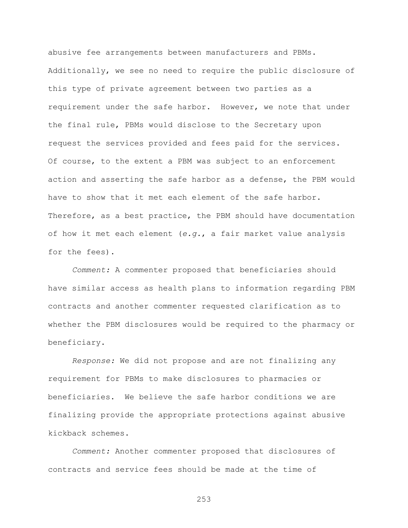abusive fee arrangements between manufacturers and PBMs. Additionally, we see no need to require the public disclosure of this type of private agreement between two parties as a requirement under the safe harbor. However, we note that under the final rule, PBMs would disclose to the Secretary upon request the services provided and fees paid for the services. Of course, to the extent a PBM was subject to an enforcement action and asserting the safe harbor as a defense, the PBM would have to show that it met each element of the safe harbor. Therefore, as a best practice, the PBM should have documentation of how it met each element (*e.g.*, a fair market value analysis for the fees).

*Comment:* A commenter proposed that beneficiaries should have similar access as health plans to information regarding PBM contracts and another commenter requested clarification as to whether the PBM disclosures would be required to the pharmacy or beneficiary.

*Response:* We did not propose and are not finalizing any requirement for PBMs to make disclosures to pharmacies or beneficiaries. We believe the safe harbor conditions we are finalizing provide the appropriate protections against abusive kickback schemes.

*Comment:* Another commenter proposed that disclosures of contracts and service fees should be made at the time of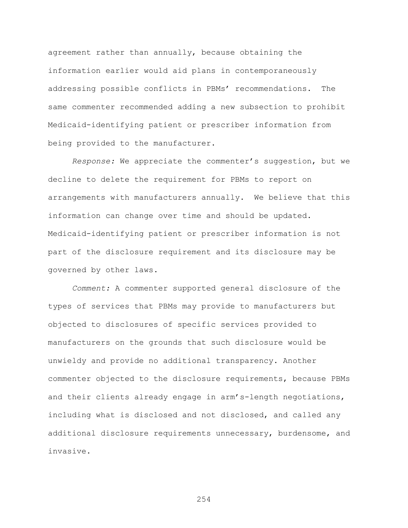agreement rather than annually, because obtaining the information earlier would aid plans in contemporaneously addressing possible conflicts in PBMs' recommendations. The same commenter recommended adding a new subsection to prohibit Medicaid-identifying patient or prescriber information from being provided to the manufacturer.

*Response:* We appreciate the commenter's suggestion, but we decline to delete the requirement for PBMs to report on arrangements with manufacturers annually. We believe that this information can change over time and should be updated. Medicaid-identifying patient or prescriber information is not part of the disclosure requirement and its disclosure may be governed by other laws.

*Comment:* A commenter supported general disclosure of the types of services that PBMs may provide to manufacturers but objected to disclosures of specific services provided to manufacturers on the grounds that such disclosure would be unwieldy and provide no additional transparency. Another commenter objected to the disclosure requirements, because PBMs and their clients already engage in arm's-length negotiations, including what is disclosed and not disclosed, and called any additional disclosure requirements unnecessary, burdensome, and invasive.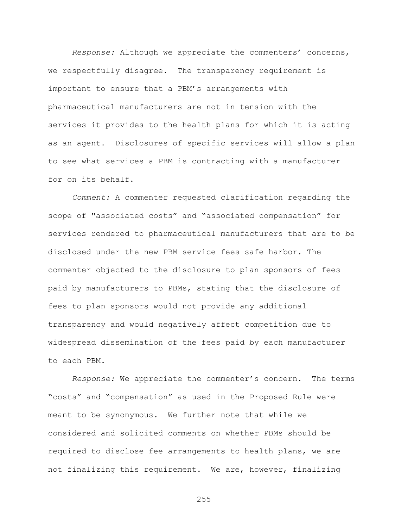*Response:* Although we appreciate the commenters' concerns, we respectfully disagree. The transparency requirement is important to ensure that a PBM's arrangements with pharmaceutical manufacturers are not in tension with the services it provides to the health plans for which it is acting as an agent. Disclosures of specific services will allow a plan to see what services a PBM is contracting with a manufacturer for on its behalf.

*Comment:* A commenter requested clarification regarding the scope of "associated costs" and "associated compensation" for services rendered to pharmaceutical manufacturers that are to be disclosed under the new PBM service fees safe harbor. The commenter objected to the disclosure to plan sponsors of fees paid by manufacturers to PBMs, stating that the disclosure of fees to plan sponsors would not provide any additional transparency and would negatively affect competition due to widespread dissemination of the fees paid by each manufacturer to each PBM.

*Response:* We appreciate the commenter's concern. The terms "costs" and "compensation" as used in the Proposed Rule were meant to be synonymous. We further note that while we considered and solicited comments on whether PBMs should be required to disclose fee arrangements to health plans, we are not finalizing this requirement. We are, however, finalizing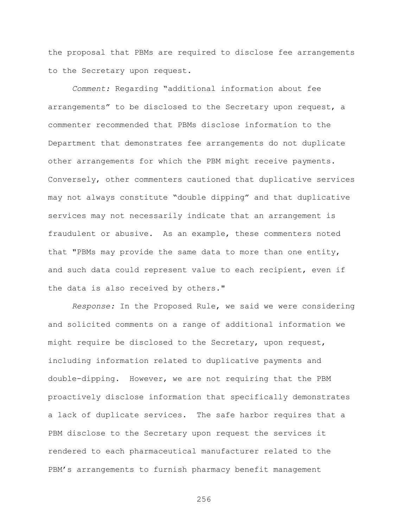the proposal that PBMs are required to disclose fee arrangements to the Secretary upon request.

*Comment:* Regarding "additional information about fee arrangements" to be disclosed to the Secretary upon request, a commenter recommended that PBMs disclose information to the Department that demonstrates fee arrangements do not duplicate other arrangements for which the PBM might receive payments. Conversely, other commenters cautioned that duplicative services may not always constitute "double dipping" and that duplicative services may not necessarily indicate that an arrangement is fraudulent or abusive. As an example, these commenters noted that "PBMs may provide the same data to more than one entity, and such data could represent value to each recipient, even if the data is also received by others."

*Response:* In the Proposed Rule, we said we were considering and solicited comments on a range of additional information we might require be disclosed to the Secretary, upon request, including information related to duplicative payments and double-dipping. However, we are not requiring that the PBM proactively disclose information that specifically demonstrates a lack of duplicate services. The safe harbor requires that a PBM disclose to the Secretary upon request the services it rendered to each pharmaceutical manufacturer related to the PBM's arrangements to furnish pharmacy benefit management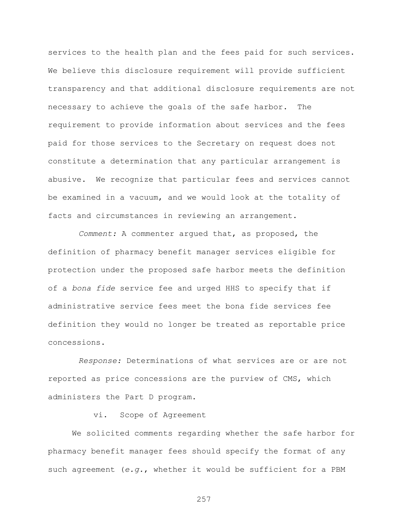services to the health plan and the fees paid for such services. We believe this disclosure requirement will provide sufficient transparency and that additional disclosure requirements are not necessary to achieve the goals of the safe harbor. The requirement to provide information about services and the fees paid for those services to the Secretary on request does not constitute a determination that any particular arrangement is abusive. We recognize that particular fees and services cannot be examined in a vacuum, and we would look at the totality of facts and circumstances in reviewing an arrangement.

*Comment:* A commenter argued that, as proposed, the definition of pharmacy benefit manager services eligible for protection under the proposed safe harbor meets the definition of a *bona fide* service fee and urged HHS to specify that if administrative service fees meet the bona fide services fee definition they would no longer be treated as reportable price concessions.

*Response:* Determinations of what services are or are not reported as price concessions are the purview of CMS, which administers the Part D program.

### vi. Scope of Agreement

We solicited comments regarding whether the safe harbor for pharmacy benefit manager fees should specify the format of any such agreement (*e.g.*, whether it would be sufficient for a PBM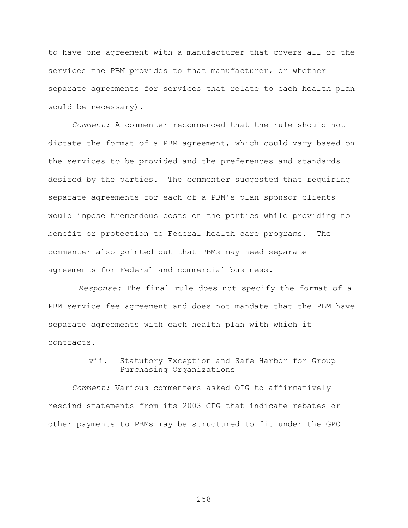to have one agreement with a manufacturer that covers all of the services the PBM provides to that manufacturer, or whether separate agreements for services that relate to each health plan would be necessary).

*Comment:* A commenter recommended that the rule should not dictate the format of a PBM agreement, which could vary based on the services to be provided and the preferences and standards desired by the parties. The commenter suggested that requiring separate agreements for each of a PBM's plan sponsor clients would impose tremendous costs on the parties while providing no benefit or protection to Federal health care programs. The commenter also pointed out that PBMs may need separate agreements for Federal and commercial business.

*Response:* The final rule does not specify the format of a PBM service fee agreement and does not mandate that the PBM have separate agreements with each health plan with which it contracts.

> vii. Statutory Exception and Safe Harbor for Group Purchasing Organizations

*Comment:* Various commenters asked OIG to affirmatively rescind statements from its 2003 CPG that indicate rebates or other payments to PBMs may be structured to fit under the GPO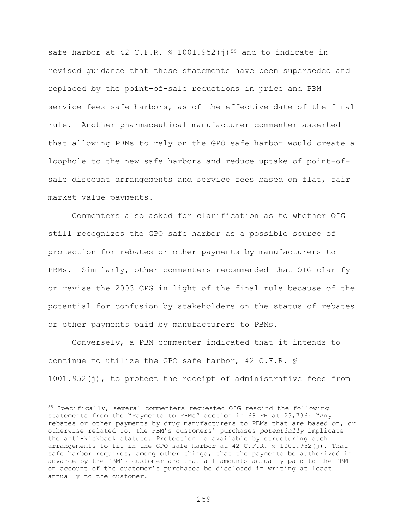safe harbor at 42 C.F.R.  $\frac{1001.952(j)^{55}}{1001.952(j)^{55}}$  $\frac{1001.952(j)^{55}}{1001.952(j)^{55}}$  $\frac{1001.952(j)^{55}}{1001.952(j)^{55}}$  and to indicate in revised guidance that these statements have been superseded and replaced by the point-of-sale reductions in price and PBM service fees safe harbors, as of the effective date of the final rule. Another pharmaceutical manufacturer commenter asserted that allowing PBMs to rely on the GPO safe harbor would create a loophole to the new safe harbors and reduce uptake of point-ofsale discount arrangements and service fees based on flat, fair market value payments.

Commenters also asked for clarification as to whether OIG still recognizes the GPO safe harbor as a possible source of protection for rebates or other payments by manufacturers to PBMs. Similarly, other commenters recommended that OIG clarify or revise the 2003 CPG in light of the final rule because of the potential for confusion by stakeholders on the status of rebates or other payments paid by manufacturers to PBMs.

Conversely, a PBM commenter indicated that it intends to continue to utilize the GPO safe harbor, 42 C.F.R. § 1001.952(j), to protect the receipt of administrative fees from

<span id="page-258-0"></span><sup>55</sup> Specifically, several commenters requested OIG rescind the following statements from the "Payments to PBMs" section in 68 FR at 23,736: "Any rebates or other payments by drug manufacturers to PBMs that are based on, or otherwise related to, the PBM's customers' purchases *potentially* implicate the anti-kickback statute. Protection is available by structuring such arrangements to fit in the GPO safe harbor at 42 C.F.R. § 1001.952(j). That safe harbor requires, among other things, that the payments be authorized in advance by the PBM's customer and that all amounts actually paid to the PBM on account of the customer's purchases be disclosed in writing at least annually to the customer.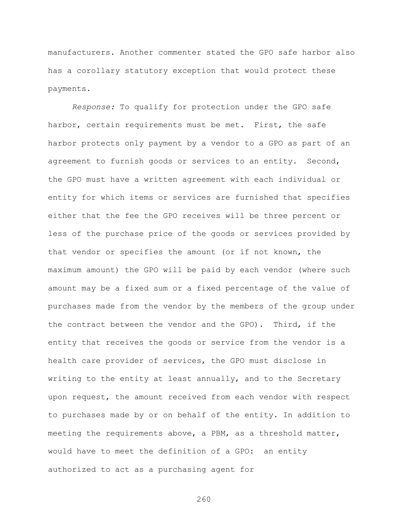manufacturers. Another commenter stated the GPO safe harbor also has a corollary statutory exception that would protect these payments.

*Response:* To qualify for protection under the GPO safe harbor, certain requirements must be met. First, the safe harbor protects only payment by a vendor to a GPO as part of an agreement to furnish goods or services to an entity. Second, the GPO must have a written agreement with each individual or entity for which items or services are furnished that specifies either that the fee the GPO receives will be three percent or less of the purchase price of the goods or services provided by that vendor or specifies the amount (or if not known, the maximum amount) the GPO will be paid by each vendor (where such amount may be a fixed sum or a fixed percentage of the value of purchases made from the vendor by the members of the group under the contract between the vendor and the GPO). Third, if the entity that receives the goods or service from the vendor is a health care provider of services, the GPO must disclose in writing to the entity at least annually, and to the Secretary upon request, the amount received from each vendor with respect to purchases made by or on behalf of the entity. In addition to meeting the requirements above, a PBM, as a threshold matter, would have to meet the definition of a GPO: an entity authorized to act as a purchasing agent for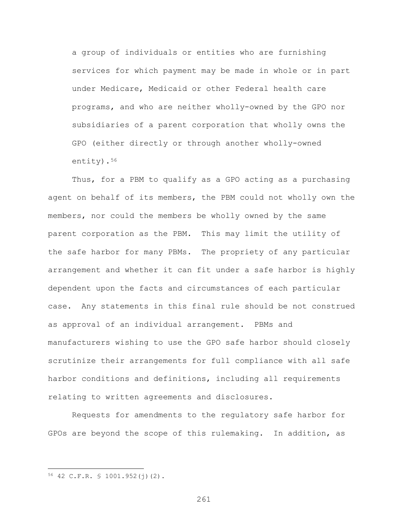a group of individuals or entities who are furnishing services for which payment may be made in whole or in part under Medicare, Medicaid or other Federal health care programs, and who are neither wholly-owned by the GPO nor subsidiaries of a parent corporation that wholly owns the GPO (either directly or through another wholly-owned entity).[56](#page-260-0)

Thus, for a PBM to qualify as a GPO acting as a purchasing agent on behalf of its members, the PBM could not wholly own the members, nor could the members be wholly owned by the same parent corporation as the PBM. This may limit the utility of the safe harbor for many PBMs. The propriety of any particular arrangement and whether it can fit under a safe harbor is highly dependent upon the facts and circumstances of each particular case. Any statements in this final rule should be not construed as approval of an individual arrangement. PBMs and manufacturers wishing to use the GPO safe harbor should closely scrutinize their arrangements for full compliance with all safe harbor conditions and definitions, including all requirements relating to written agreements and disclosures.

Requests for amendments to the regulatory safe harbor for GPOs are beyond the scope of this rulemaking. In addition, as

 $\overline{a}$ 

<span id="page-260-0"></span><sup>56</sup> 42 C.F.R. § 1001.952(j)(2).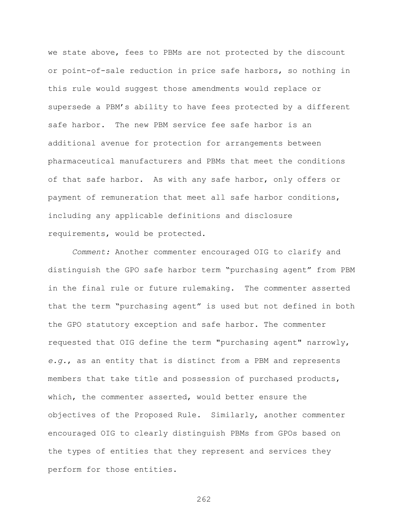we state above, fees to PBMs are not protected by the discount or point-of-sale reduction in price safe harbors, so nothing in this rule would suggest those amendments would replace or supersede a PBM's ability to have fees protected by a different safe harbor. The new PBM service fee safe harbor is an additional avenue for protection for arrangements between pharmaceutical manufacturers and PBMs that meet the conditions of that safe harbor. As with any safe harbor, only offers or payment of remuneration that meet all safe harbor conditions, including any applicable definitions and disclosure requirements, would be protected.

*Comment:* Another commenter encouraged OIG to clarify and distinguish the GPO safe harbor term "purchasing agent" from PBM in the final rule or future rulemaking. The commenter asserted that the term "purchasing agent" is used but not defined in both the GPO statutory exception and safe harbor. The commenter requested that OIG define the term "purchasing agent" narrowly, *e.g.*, as an entity that is distinct from a PBM and represents members that take title and possession of purchased products, which, the commenter asserted, would better ensure the objectives of the Proposed Rule. Similarly, another commenter encouraged OIG to clearly distinguish PBMs from GPOs based on the types of entities that they represent and services they perform for those entities.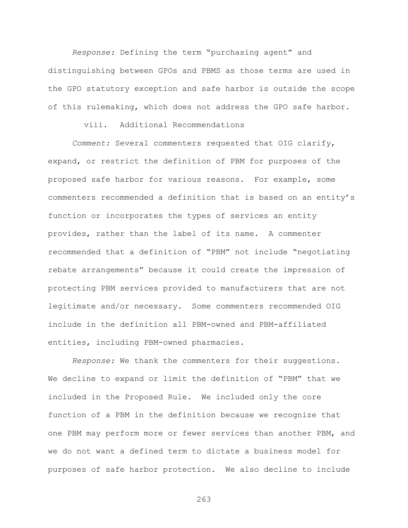*Response:* Defining the term "purchasing agent" and distinguishing between GPOs and PBMS as those terms are used in the GPO statutory exception and safe harbor is outside the scope of this rulemaking, which does not address the GPO safe harbor.

# viii. Additional Recommendations

*Comment:* Several commenters requested that OIG clarify, expand, or restrict the definition of PBM for purposes of the proposed safe harbor for various reasons. For example, some commenters recommended a definition that is based on an entity's function or incorporates the types of services an entity provides, rather than the label of its name. A commenter recommended that a definition of "PBM" not include "negotiating rebate arrangements" because it could create the impression of protecting PBM services provided to manufacturers that are not legitimate and/or necessary. Some commenters recommended OIG include in the definition all PBM-owned and PBM-affiliated entities, including PBM-owned pharmacies.

*Response:* We thank the commenters for their suggestions. We decline to expand or limit the definition of "PBM" that we included in the Proposed Rule. We included only the core function of a PBM in the definition because we recognize that one PBM may perform more or fewer services than another PBM, and we do not want a defined term to dictate a business model for purposes of safe harbor protection. We also decline to include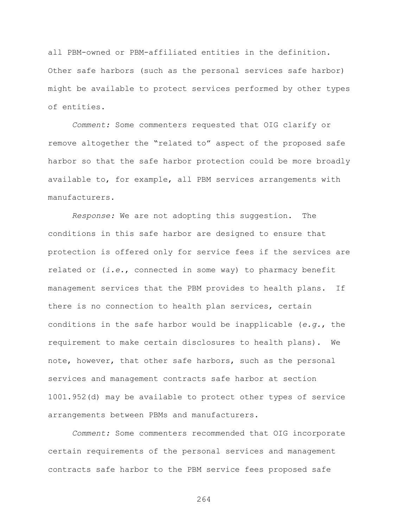all PBM-owned or PBM-affiliated entities in the definition. Other safe harbors (such as the personal services safe harbor) might be available to protect services performed by other types of entities.

*Comment:* Some commenters requested that OIG clarify or remove altogether the "related to" aspect of the proposed safe harbor so that the safe harbor protection could be more broadly available to, for example, all PBM services arrangements with manufacturers.

*Response:* We are not adopting this suggestion. The conditions in this safe harbor are designed to ensure that protection is offered only for service fees if the services are related or (*i.e.*, connected in some way) to pharmacy benefit management services that the PBM provides to health plans. If there is no connection to health plan services, certain conditions in the safe harbor would be inapplicable (*e.g.*, the requirement to make certain disclosures to health plans). We note, however, that other safe harbors, such as the personal services and management contracts safe harbor at section 1001.952(d) may be available to protect other types of service arrangements between PBMs and manufacturers.

*Comment:* Some commenters recommended that OIG incorporate certain requirements of the personal services and management contracts safe harbor to the PBM service fees proposed safe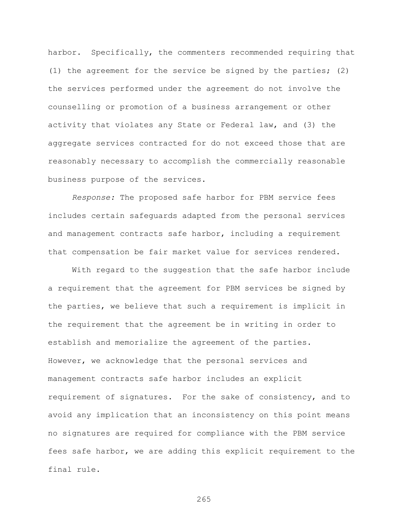harbor. Specifically, the commenters recommended requiring that (1) the agreement for the service be signed by the parties; (2) the services performed under the agreement do not involve the counselling or promotion of a business arrangement or other activity that violates any State or Federal law, and (3) the aggregate services contracted for do not exceed those that are reasonably necessary to accomplish the commercially reasonable business purpose of the services.

*Response:* The proposed safe harbor for PBM service fees includes certain safeguards adapted from the personal services and management contracts safe harbor, including a requirement that compensation be fair market value for services rendered.

With regard to the suggestion that the safe harbor include a requirement that the agreement for PBM services be signed by the parties, we believe that such a requirement is implicit in the requirement that the agreement be in writing in order to establish and memorialize the agreement of the parties. However, we acknowledge that the personal services and management contracts safe harbor includes an explicit requirement of signatures. For the sake of consistency, and to avoid any implication that an inconsistency on this point means no signatures are required for compliance with the PBM service fees safe harbor, we are adding this explicit requirement to the final rule.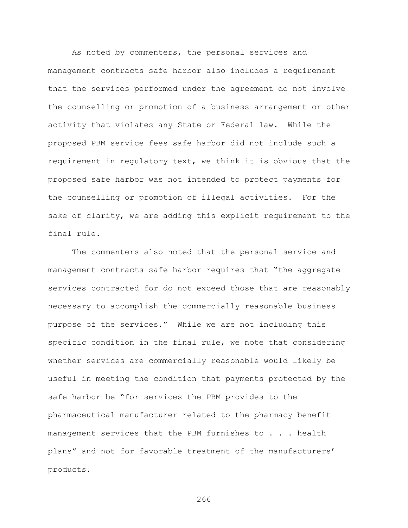As noted by commenters, the personal services and management contracts safe harbor also includes a requirement that the services performed under the agreement do not involve the counselling or promotion of a business arrangement or other activity that violates any State or Federal law. While the proposed PBM service fees safe harbor did not include such a requirement in regulatory text, we think it is obvious that the proposed safe harbor was not intended to protect payments for the counselling or promotion of illegal activities. For the sake of clarity, we are adding this explicit requirement to the final rule.

The commenters also noted that the personal service and management contracts safe harbor requires that "the aggregate services contracted for do not exceed those that are reasonably necessary to accomplish the commercially reasonable business purpose of the services." While we are not including this specific condition in the final rule, we note that considering whether services are commercially reasonable would likely be useful in meeting the condition that payments protected by the safe harbor be "for services the PBM provides to the pharmaceutical manufacturer related to the pharmacy benefit management services that the PBM furnishes to . . . health plans" and not for favorable treatment of the manufacturers' products.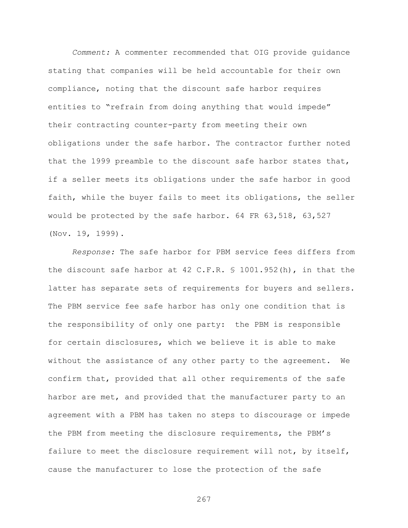*Comment:* A commenter recommended that OIG provide guidance stating that companies will be held accountable for their own compliance, noting that the discount safe harbor requires entities to "refrain from doing anything that would impede" their contracting counter-party from meeting their own obligations under the safe harbor. The contractor further noted that the 1999 preamble to the discount safe harbor states that, if a seller meets its obligations under the safe harbor in good faith, while the buyer fails to meet its obligations, the seller would be protected by the safe harbor. 64 FR 63,518, 63,527 (Nov. 19, 1999).

*Response:* The safe harbor for PBM service fees differs from the discount safe harbor at 42 C.F.R. § 1001.952(h), in that the latter has separate sets of requirements for buyers and sellers. The PBM service fee safe harbor has only one condition that is the responsibility of only one party: the PBM is responsible for certain disclosures, which we believe it is able to make without the assistance of any other party to the agreement. We confirm that, provided that all other requirements of the safe harbor are met, and provided that the manufacturer party to an agreement with a PBM has taken no steps to discourage or impede the PBM from meeting the disclosure requirements, the PBM's failure to meet the disclosure requirement will not, by itself, cause the manufacturer to lose the protection of the safe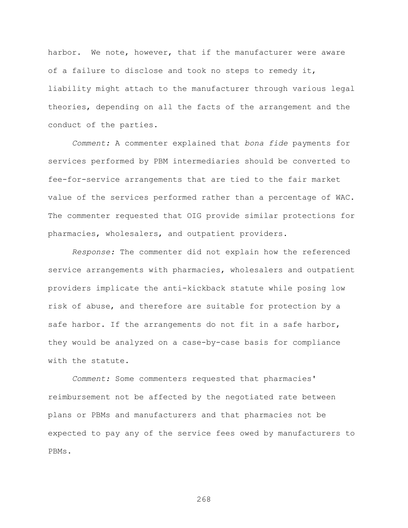harbor. We note, however, that if the manufacturer were aware of a failure to disclose and took no steps to remedy it, liability might attach to the manufacturer through various legal theories, depending on all the facts of the arrangement and the conduct of the parties.

*Comment:* A commenter explained that *bona fide* payments for services performed by PBM intermediaries should be converted to fee-for-service arrangements that are tied to the fair market value of the services performed rather than a percentage of WAC. The commenter requested that OIG provide similar protections for pharmacies, wholesalers, and outpatient providers.

*Response:* The commenter did not explain how the referenced service arrangements with pharmacies, wholesalers and outpatient providers implicate the anti-kickback statute while posing low risk of abuse, and therefore are suitable for protection by a safe harbor. If the arrangements do not fit in a safe harbor, they would be analyzed on a case-by-case basis for compliance with the statute.

*Comment:* Some commenters requested that pharmacies' reimbursement not be affected by the negotiated rate between plans or PBMs and manufacturers and that pharmacies not be expected to pay any of the service fees owed by manufacturers to PBMs.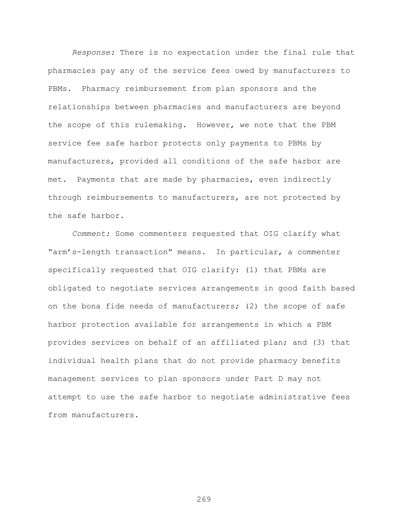*Response:* There is no expectation under the final rule that pharmacies pay any of the service fees owed by manufacturers to PBMs. Pharmacy reimbursement from plan sponsors and the relationships between pharmacies and manufacturers are beyond the scope of this rulemaking. However, we note that the PBM service fee safe harbor protects only payments to PBMs by manufacturers, provided all conditions of the safe harbor are met. Payments that are made by pharmacies, even indirectly through reimbursements to manufacturers, are not protected by the safe harbor.

*Comment:* Some commenters requested that OIG clarify what "arm's-length transaction" means. In particular, a commenter specifically requested that OIG clarify: (1) that PBMs are obligated to negotiate services arrangements in good faith based on the bona fide needs of manufacturers; (2) the scope of safe harbor protection available for arrangements in which a PBM provides services on behalf of an affiliated plan; and (3) that individual health plans that do not provide pharmacy benefits management services to plan sponsors under Part D may not attempt to use the safe harbor to negotiate administrative fees from manufacturers.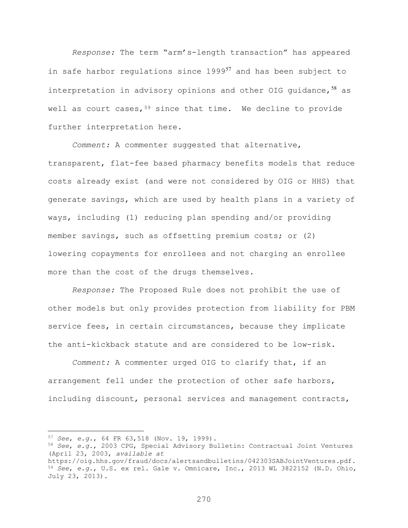*Response:* The term "arm's-length transaction" has appeared in safe harbor regulations since 1999<sup>[57](#page-269-0)</sup> and has been subject to interpretation in advisory opinions and other OIG guidance,  $58$  as well as court cases,<sup>[59](#page-269-2)</sup> since that time. We decline to provide further interpretation here.

*Comment:* A commenter suggested that alternative, transparent, flat-fee based pharmacy benefits models that reduce costs already exist (and were not considered by OIG or HHS) that generate savings, which are used by health plans in a variety of ways, including (1) reducing plan spending and/or providing member savings, such as offsetting premium costs; or (2) lowering copayments for enrollees and not charging an enrollee more than the cost of the drugs themselves.

*Response:* The Proposed Rule does not prohibit the use of other models but only provides protection from liability for PBM service fees, in certain circumstances, because they implicate the anti-kickback statute and are considered to be low-risk.

*Comment:* A commenter urged OIG to clarify that, if an arrangement fell under the protection of other safe harbors, including discount, personal services and management contracts,

<span id="page-269-0"></span><sup>57</sup> *See*, *e.g.*, 64 FR 63,518 (Nov. 19, 1999).

<span id="page-269-1"></span><sup>58</sup> *See*, *e.g.*, 2003 CPG, Special Advisory Bulletin: Contractual Joint Ventures (April 23, 2003, *available at*

<span id="page-269-2"></span>https://oig.hhs.gov/fraud/docs/alertsandbulletins/042303SABJointVentures.pdf. <sup>59</sup> *See*, *e.g.*, U.S. ex rel. Gale v. Omnicare, Inc., 2013 WL 3822152 (N.D. Ohio, July 23, 2013).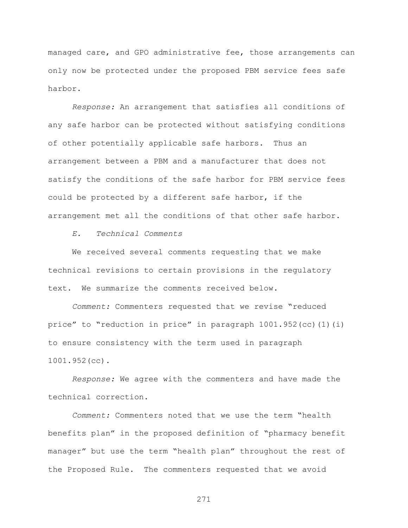managed care, and GPO administrative fee, those arrangements can only now be protected under the proposed PBM service fees safe harbor.

*Response:* An arrangement that satisfies all conditions of any safe harbor can be protected without satisfying conditions of other potentially applicable safe harbors. Thus an arrangement between a PBM and a manufacturer that does not satisfy the conditions of the safe harbor for PBM service fees could be protected by a different safe harbor, if the arrangement met all the conditions of that other safe harbor.

*E. Technical Comments*

We received several comments requesting that we make technical revisions to certain provisions in the regulatory text. We summarize the comments received below.

*Comment:* Commenters requested that we revise "reduced price" to "reduction in price" in paragraph 1001.952(cc)(1)(i) to ensure consistency with the term used in paragraph 1001.952(cc).

*Response:* We agree with the commenters and have made the technical correction.

*Comment:* Commenters noted that we use the term "health benefits plan" in the proposed definition of "pharmacy benefit manager" but use the term "health plan" throughout the rest of the Proposed Rule. The commenters requested that we avoid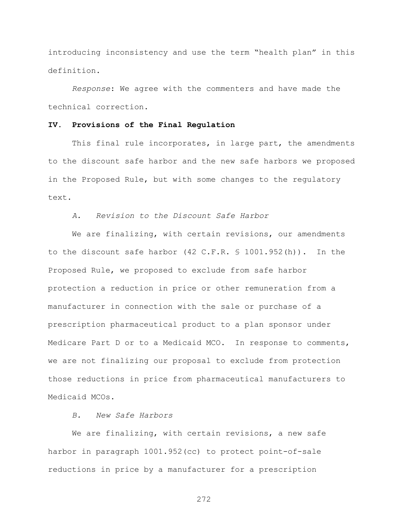introducing inconsistency and use the term "health plan" in this definition.

*Response*: We agree with the commenters and have made the technical correction.

## **IV. Provisions of the Final Regulation**

This final rule incorporates, in large part, the amendments to the discount safe harbor and the new safe harbors we proposed in the Proposed Rule, but with some changes to the regulatory text.

*A. Revision to the Discount Safe Harbor*

We are finalizing, with certain revisions, our amendments to the discount safe harbor (42 C.F.R. § 1001.952(h)). In the Proposed Rule, we proposed to exclude from safe harbor protection a reduction in price or other remuneration from a manufacturer in connection with the sale or purchase of a prescription pharmaceutical product to a plan sponsor under Medicare Part D or to a Medicaid MCO. In response to comments, we are not finalizing our proposal to exclude from protection those reductions in price from pharmaceutical manufacturers to Medicaid MCOs.

# *B. New Safe Harbors*

We are finalizing, with certain revisions, a new safe harbor in paragraph 1001.952(cc) to protect point-of-sale reductions in price by a manufacturer for a prescription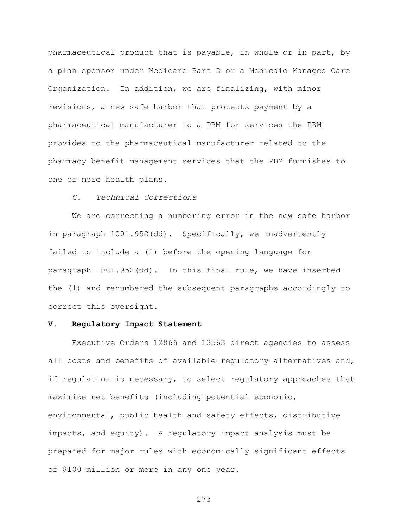pharmaceutical product that is payable, in whole or in part, by a plan sponsor under Medicare Part D or a Medicaid Managed Care Organization. In addition, we are finalizing, with minor revisions, a new safe harbor that protects payment by a pharmaceutical manufacturer to a PBM for services the PBM provides to the pharmaceutical manufacturer related to the pharmacy benefit management services that the PBM furnishes to one or more health plans.

## *C. Technical Corrections*

We are correcting a numbering error in the new safe harbor in paragraph 1001.952(dd). Specifically, we inadvertently failed to include a (1) before the opening language for paragraph 1001.952(dd). In this final rule, we have inserted the (1) and renumbered the subsequent paragraphs accordingly to correct this oversight.

### **V. Regulatory Impact Statement**

Executive Orders 12866 and 13563 direct agencies to assess all costs and benefits of available regulatory alternatives and, if regulation is necessary, to select regulatory approaches that maximize net benefits (including potential economic, environmental, public health and safety effects, distributive impacts, and equity). A regulatory impact analysis must be prepared for major rules with economically significant effects of \$100 million or more in any one year.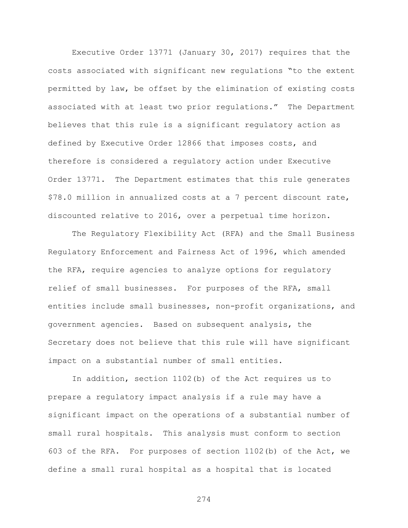Executive Order 13771 (January 30, 2017) requires that the costs associated with significant new regulations "to the extent permitted by law, be offset by the elimination of existing costs associated with at least two prior regulations." The Department believes that this rule is a significant regulatory action as defined by Executive Order 12866 that imposes costs, and therefore is considered a regulatory action under Executive Order 13771. The Department estimates that this rule generates \$78.0 million in annualized costs at a 7 percent discount rate, discounted relative to 2016, over a perpetual time horizon.

The Regulatory Flexibility Act (RFA) and the Small Business Regulatory Enforcement and Fairness Act of 1996, which amended the RFA, require agencies to analyze options for regulatory relief of small businesses. For purposes of the RFA, small entities include small businesses, non-profit organizations, and government agencies. Based on subsequent analysis, the Secretary does not believe that this rule will have significant impact on a substantial number of small entities.

In addition, section 1102(b) of the Act requires us to prepare a regulatory impact analysis if a rule may have a significant impact on the operations of a substantial number of small rural hospitals. This analysis must conform to section 603 of the RFA. For purposes of section 1102(b) of the Act, we define a small rural hospital as a hospital that is located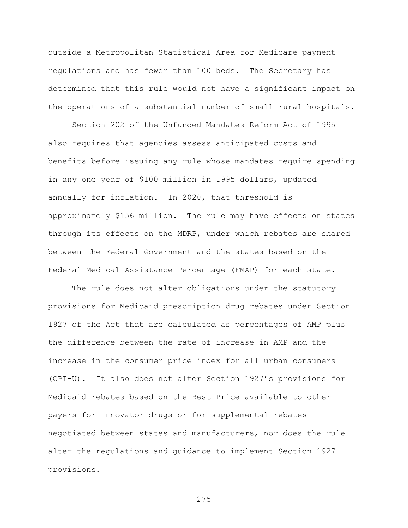outside a Metropolitan Statistical Area for Medicare payment regulations and has fewer than 100 beds. The Secretary has determined that this rule would not have a significant impact on the operations of a substantial number of small rural hospitals.

Section 202 of the Unfunded Mandates Reform Act of 1995 also requires that agencies assess anticipated costs and benefits before issuing any rule whose mandates require spending in any one year of \$100 million in 1995 dollars, updated annually for inflation. In 2020, that threshold is approximately \$156 million. The rule may have effects on states through its effects on the MDRP, under which rebates are shared between the Federal Government and the states based on the Federal Medical Assistance Percentage (FMAP) for each state.

The rule does not alter obligations under the statutory provisions for Medicaid prescription drug rebates under Section 1927 of the Act that are calculated as percentages of AMP plus the difference between the rate of increase in AMP and the increase in the consumer price index for all urban consumers (CPI-U). It also does not alter Section 1927's provisions for Medicaid rebates based on the Best Price available to other payers for innovator drugs or for supplemental rebates negotiated between states and manufacturers, nor does the rule alter the regulations and guidance to implement Section 1927 provisions.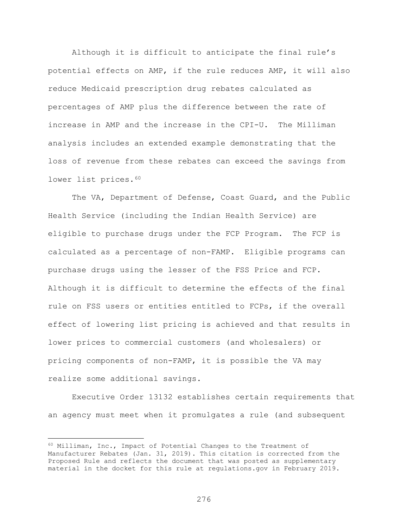Although it is difficult to anticipate the final rule's potential effects on AMP, if the rule reduces AMP, it will also reduce Medicaid prescription drug rebates calculated as percentages of AMP plus the difference between the rate of increase in AMP and the increase in the CPI-U. The Milliman analysis includes an extended example demonstrating that the loss of revenue from these rebates can exceed the savings from lower list prices. 60

The VA, Department of Defense, Coast Guard, and the Public Health Service (including the Indian Health Service) are eligible to purchase drugs under the FCP Program. The FCP is calculated as a percentage of non-FAMP. Eligible programs can purchase drugs using the lesser of the FSS Price and FCP. Although it is difficult to determine the effects of the final rule on FSS users or entities entitled to FCPs, if the overall effect of lowering list pricing is achieved and that results in lower prices to commercial customers (and wholesalers) or pricing components of non-FAMP, it is possible the VA may realize some additional savings.

Executive Order 13132 establishes certain requirements that an agency must meet when it promulgates a rule (and subsequent

<span id="page-275-0"></span><sup>60</sup> Milliman, Inc., Impact of Potential Changes to the Treatment of Manufacturer Rebates (Jan. 31, 2019). This citation is corrected from the Proposed Rule and reflects the document that was posted as supplementary material in the docket for this rule at regulations.gov in February 2019.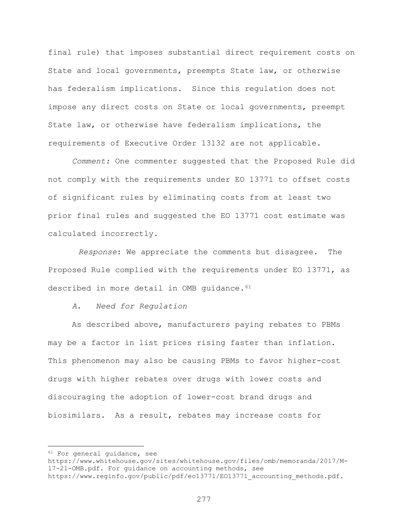final rule) that imposes substantial direct requirement costs on State and local governments, preempts State law, or otherwise has federalism implications. Since this regulation does not impose any direct costs on State or local governments, preempt State law, or otherwise have federalism implications, the requirements of Executive Order 13132 are not applicable.

*Comment:* One commenter suggested that the Proposed Rule did not comply with the requirements under EO 13771 to offset costs of significant rules by eliminating costs from at least two prior final rules and suggested the EO 13771 cost estimate was calculated incorrectly.

*Response*: We appreciate the comments but disagree. The Proposed Rule complied with the requirements under EO 13771, as described in more detail in OMB quidance. [61](#page-276-0)

*A. Need for Regulation* 

As described above, manufacturers paying rebates to PBMs may be a factor in list prices rising faster than inflation. This phenomenon may also be causing PBMs to favor higher-cost drugs with higher rebates over drugs with lower costs and discouraging the adoption of lower-cost brand drugs and biosimilars. As a result, rebates may increase costs for

<span id="page-276-0"></span><sup>&</sup>lt;sup>61</sup> For general guidance, see

https://www.whitehouse.gov/sites/whitehouse.gov/files/omb/memoranda/2017/M-17-21-OMB.pdf. For guidance on accounting methods, see https://www.reginfo.gov/public/pdf/eo13771/EO13771\_accounting\_methods.pdf.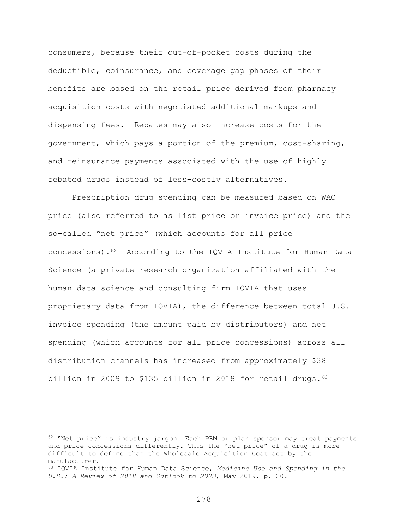consumers, because their out-of-pocket costs during the deductible, coinsurance, and coverage gap phases of their benefits are based on the retail price derived from pharmacy acquisition costs with negotiated additional markups and dispensing fees. Rebates may also increase costs for the government, which pays a portion of the premium, cost-sharing, and reinsurance payments associated with the use of highly rebated drugs instead of less-costly alternatives.

Prescription drug spending can be measured based on WAC price (also referred to as list price or invoice price) and the so-called "net price" (which accounts for all price concessions).[62](#page-277-0) According to the IQVIA Institute for Human Data Science (a private research organization affiliated with the human data science and consulting firm IQVIA that uses proprietary data from IQVIA), the difference between total U.S. invoice spending (the amount paid by distributors) and net spending (which accounts for all price concessions) across all distribution channels has increased from approximately \$38 billion in 2009 to \$135 billion in 2018 for retail drugs.<sup>[63](#page-277-1)</sup>

<span id="page-277-0"></span> $62$  "Net price" is industry jargon. Each PBM or plan sponsor may treat payments and price concessions differently. Thus the "net price" of a drug is more difficult to define than the Wholesale Acquisition Cost set by the manufacturer.

<span id="page-277-1"></span><sup>63</sup> IQVIA Institute for Human Data Science, *Medicine Use and Spending in the U.S.: A Review of 2018 and Outlook to 2023*, May 2019, p. 20.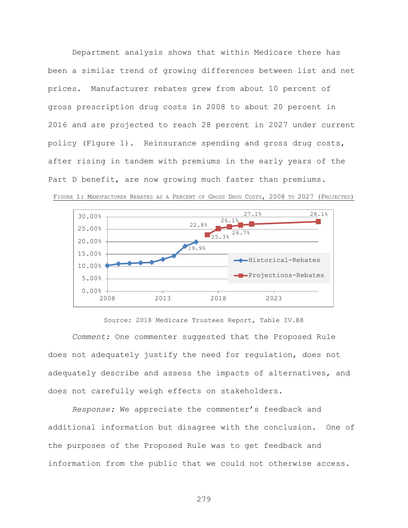Department analysis shows that within Medicare there has been a similar trend of growing differences between list and net prices. Manufacturer rebates grew from about 10 percent of gross prescription drug costs in 2008 to about 20 percent in 2016 and are projected to reach 28 percent in 2027 under current policy (Figure 1). Reinsurance spending and gross drug costs, after rising in tandem with premiums in the early years of the Part D benefit, are now growing much faster than premiums.





Source: 2018 Medicare Trustees Report, Table IV.B8 *Comment:* One commenter suggested that the Proposed Rule does not adequately justify the need for regulation, does not adequately describe and assess the impacts of alternatives, and does not carefully weigh effects on stakeholders.

*Response:* We appreciate the commenter's feedback and additional information but disagree with the conclusion. One of the purposes of the Proposed Rule was to get feedback and information from the public that we could not otherwise access.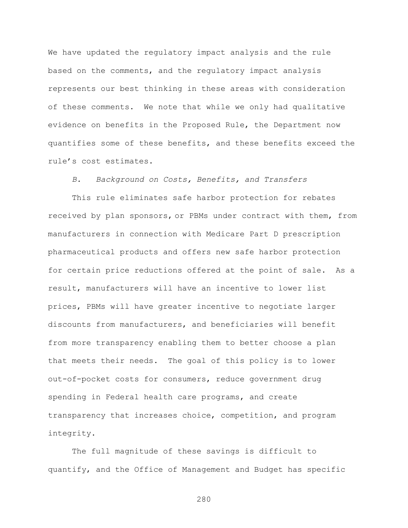We have updated the regulatory impact analysis and the rule based on the comments, and the regulatory impact analysis represents our best thinking in these areas with consideration of these comments. We note that while we only had qualitative evidence on benefits in the Proposed Rule, the Department now quantifies some of these benefits, and these benefits exceed the rule's cost estimates.

*B. Background on Costs, Benefits, and Transfers*

This rule eliminates safe harbor protection for rebates received by plan sponsors, or PBMs under contract with them, from manufacturers in connection with Medicare Part D prescription pharmaceutical products and offers new safe harbor protection for certain price reductions offered at the point of sale. As a result, manufacturers will have an incentive to lower list prices, PBMs will have greater incentive to negotiate larger discounts from manufacturers, and beneficiaries will benefit from more transparency enabling them to better choose a plan that meets their needs. The goal of this policy is to lower out-of-pocket costs for consumers, reduce government drug spending in Federal health care programs, and create transparency that increases choice, competition, and program integrity.

The full magnitude of these savings is difficult to quantify, and the Office of Management and Budget has specific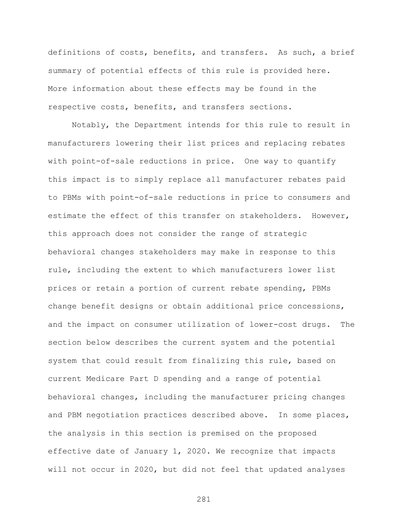definitions of costs, benefits, and transfers. As such, a brief summary of potential effects of this rule is provided here. More information about these effects may be found in the respective costs, benefits, and transfers sections.

Notably, the Department intends for this rule to result in manufacturers lowering their list prices and replacing rebates with point-of-sale reductions in price. One way to quantify this impact is to simply replace all manufacturer rebates paid to PBMs with point-of-sale reductions in price to consumers and estimate the effect of this transfer on stakeholders. However, this approach does not consider the range of strategic behavioral changes stakeholders may make in response to this rule, including the extent to which manufacturers lower list prices or retain a portion of current rebate spending, PBMs change benefit designs or obtain additional price concessions, and the impact on consumer utilization of lower-cost drugs. The section below describes the current system and the potential system that could result from finalizing this rule, based on current Medicare Part D spending and a range of potential behavioral changes, including the manufacturer pricing changes and PBM negotiation practices described above. In some places, the analysis in this section is premised on the proposed effective date of January 1, 2020. We recognize that impacts will not occur in 2020, but did not feel that updated analyses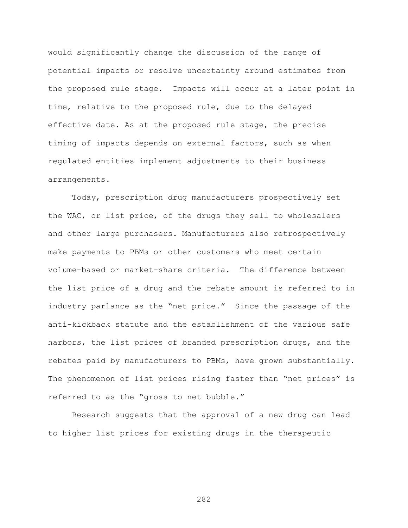would significantly change the discussion of the range of potential impacts or resolve uncertainty around estimates from the proposed rule stage. Impacts will occur at a later point in time, relative to the proposed rule, due to the delayed effective date. As at the proposed rule stage, the precise timing of impacts depends on external factors, such as when regulated entities implement adjustments to their business arrangements.

Today, prescription drug manufacturers prospectively set the WAC, or list price, of the drugs they sell to wholesalers and other large purchasers. Manufacturers also retrospectively make payments to PBMs or other customers who meet certain volume-based or market-share criteria. The difference between the list price of a drug and the rebate amount is referred to in industry parlance as the "net price." Since the passage of the anti-kickback statute and the establishment of the various safe harbors, the list prices of branded prescription drugs, and the rebates paid by manufacturers to PBMs, have grown substantially. The phenomenon of list prices rising faster than "net prices" is referred to as the "gross to net bubble."

Research suggests that the approval of a new drug can lead to higher list prices for existing drugs in the therapeutic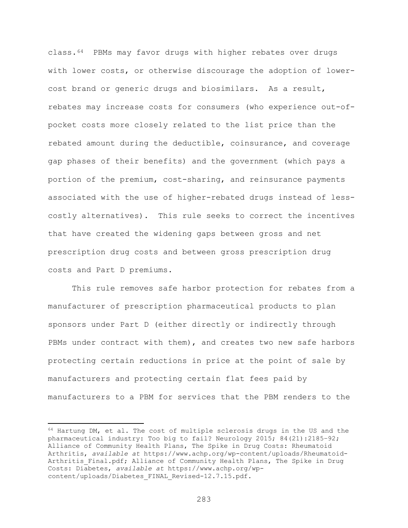class.[64](#page-282-0) PBMs may favor drugs with higher rebates over drugs with lower costs, or otherwise discourage the adoption of lowercost brand or generic drugs and biosimilars. As a result, rebates may increase costs for consumers (who experience out-ofpocket costs more closely related to the list price than the rebated amount during the deductible, coinsurance, and coverage gap phases of their benefits) and the government (which pays a portion of the premium, cost-sharing, and reinsurance payments associated with the use of higher-rebated drugs instead of lesscostly alternatives). This rule seeks to correct the incentives that have created the widening gaps between gross and net prescription drug costs and between gross prescription drug costs and Part D premiums.

This rule removes safe harbor protection for rebates from a manufacturer of prescription pharmaceutical products to plan sponsors under Part D (either directly or indirectly through PBMs under contract with them), and creates two new safe harbors protecting certain reductions in price at the point of sale by manufacturers and protecting certain flat fees paid by manufacturers to a PBM for services that the PBM renders to the

<span id="page-282-0"></span> $64$  Hartung DM, et al. The cost of multiple sclerosis drugs in the US and the pharmaceutical industry: Too big to fail? Neurology 2015; 84(21):2185–92; Alliance of Community Health Plans, The Spike in Drug Costs: Rheumatoid Arthritis, *available at* https://www.achp.org/wp-content/uploads/Rheumatoid-Arthritis Final.pdf; Alliance of Community Health Plans, The Spike in Drug Costs: Diabetes, *available at* https://www.achp.org/wpcontent/uploads/Diabetes\_FINAL\_Revised-12.7.15.pdf.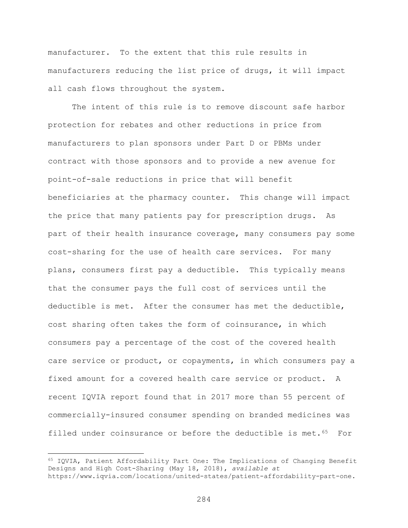manufacturer. To the extent that this rule results in manufacturers reducing the list price of drugs, it will impact all cash flows throughout the system.

The intent of this rule is to remove discount safe harbor protection for rebates and other reductions in price from manufacturers to plan sponsors under Part D or PBMs under contract with those sponsors and to provide a new avenue for point-of-sale reductions in price that will benefit beneficiaries at the pharmacy counter. This change will impact the price that many patients pay for prescription drugs. As part of their health insurance coverage, many consumers pay some cost-sharing for the use of health care services. For many plans, consumers first pay a deductible. This typically means that the consumer pays the full cost of services until the deductible is met. After the consumer has met the deductible, cost sharing often takes the form of coinsurance, in which consumers pay a percentage of the cost of the covered health care service or product, or copayments, in which consumers pay a fixed amount for a covered health care service or product. A recent IQVIA report found that in 2017 more than 55 percent of commercially-insured consumer spending on branded medicines was filled under coinsurance or before the deductible is met.<sup>65</sup> For

 $\overline{a}$ 

<span id="page-283-0"></span><sup>65</sup> IQVIA, Patient Affordability Part One: The Implications of Changing Benefit Designs and High Cost-Sharing (May 18, 2018), *available at* https://www.iqvia.com/locations/united-states/patient-affordability-part-one.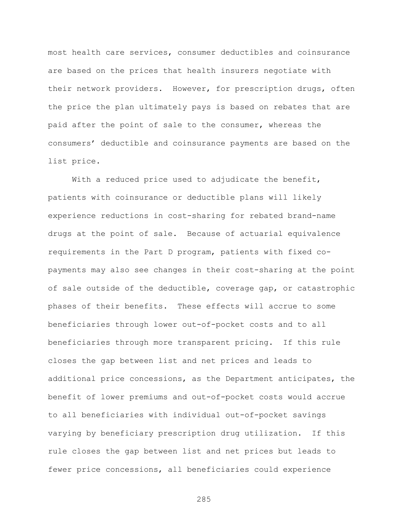most health care services, consumer deductibles and coinsurance are based on the prices that health insurers negotiate with their network providers. However, for prescription drugs, often the price the plan ultimately pays is based on rebates that are paid after the point of sale to the consumer, whereas the consumers' deductible and coinsurance payments are based on the list price.

With a reduced price used to adjudicate the benefit, patients with coinsurance or deductible plans will likely experience reductions in cost-sharing for rebated brand-name drugs at the point of sale. Because of actuarial equivalence requirements in the Part D program, patients with fixed copayments may also see changes in their cost-sharing at the point of sale outside of the deductible, coverage gap, or catastrophic phases of their benefits. These effects will accrue to some beneficiaries through lower out-of-pocket costs and to all beneficiaries through more transparent pricing. If this rule closes the gap between list and net prices and leads to additional price concessions, as the Department anticipates, the benefit of lower premiums and out-of-pocket costs would accrue to all beneficiaries with individual out-of-pocket savings varying by beneficiary prescription drug utilization. If this rule closes the gap between list and net prices but leads to fewer price concessions, all beneficiaries could experience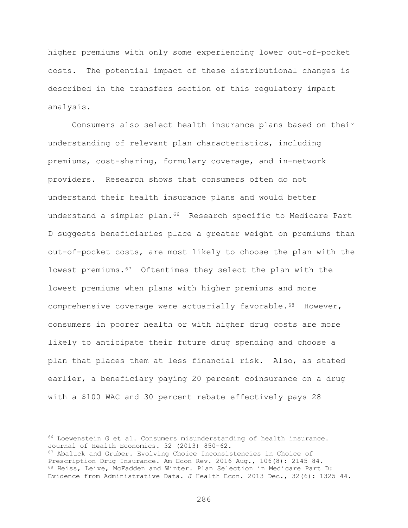higher premiums with only some experiencing lower out-of-pocket costs. The potential impact of these distributional changes is described in the transfers section of this regulatory impact analysis.

Consumers also select health insurance plans based on their understanding of relevant plan characteristics, including premiums, cost-sharing, formulary coverage, and in-network providers. Research shows that consumers often do not understand their health insurance plans and would better understand a simpler plan.<sup>[66](#page-285-0)</sup> Research specific to Medicare Part D suggests beneficiaries place a greater weight on premiums than out-of-pocket costs, are most likely to choose the plan with the lowest premiums.[67](#page-285-1) Oftentimes they select the plan with the lowest premiums when plans with higher premiums and more comprehensive coverage were actuarially favorable.<sup>[68](#page-285-2)</sup> However, consumers in poorer health or with higher drug costs are more likely to anticipate their future drug spending and choose a plan that places them at less financial risk. Also, as stated earlier, a beneficiary paying 20 percent coinsurance on a drug with a \$100 WAC and 30 percent rebate effectively pays 28

<span id="page-285-0"></span><sup>66</sup> Loewenstein G et al. Consumers misunderstanding of health insurance. Journal of Health Economics. 32 (2013) 850-62.

<span id="page-285-2"></span><span id="page-285-1"></span><sup>67</sup> Abaluck and Gruber. Evolving Choice Inconsistencies in Choice of Prescription Drug Insurance. Am Econ Rev. 2016 Aug., 106(8): 2145-84. 68 Heiss, Leive, McFadden and Winter. Plan Selection in Medicare Part D: Evidence from Administrative Data. J Health Econ. 2013 Dec., 32(6): 1325–44.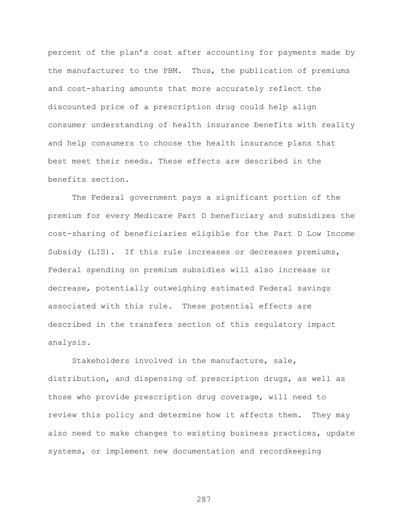percent of the plan's cost after accounting for payments made by the manufacturer to the PBM. Thus, the publication of premiums and cost-sharing amounts that more accurately reflect the discounted price of a prescription drug could help align consumer understanding of health insurance benefits with reality and help consumers to choose the health insurance plans that best meet their needs. These effects are described in the benefits section.

The Federal government pays a significant portion of the premium for every Medicare Part D beneficiary and subsidizes the cost-sharing of beneficiaries eligible for the Part D Low Income Subsidy (LIS). If this rule increases or decreases premiums, Federal spending on premium subsidies will also increase or decrease, potentially outweighing estimated Federal savings associated with this rule. These potential effects are described in the transfers section of this regulatory impact analysis.

Stakeholders involved in the manufacture, sale, distribution, and dispensing of prescription drugs, as well as those who provide prescription drug coverage, will need to review this policy and determine how it affects them. They may also need to make changes to existing business practices, update systems, or implement new documentation and recordkeeping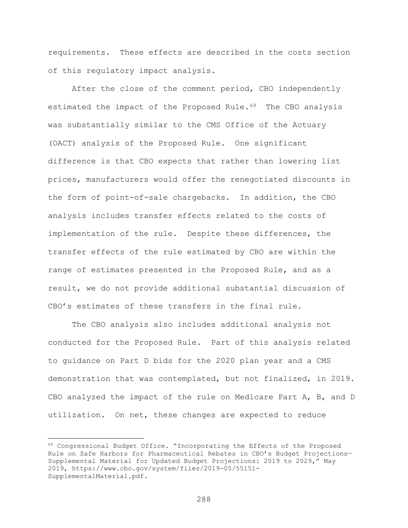requirements. These effects are described in the costs section of this regulatory impact analysis.

After the close of the comment period, CBO independently estimated the impact of the Proposed Rule.<sup>[69](#page-287-0)</sup> The CBO analysis was substantially similar to the CMS Office of the Actuary (OACT) analysis of the Proposed Rule. One significant difference is that CBO expects that rather than lowering list prices, manufacturers would offer the renegotiated discounts in the form of point-of-sale chargebacks. In addition, the CBO analysis includes transfer effects related to the costs of implementation of the rule. Despite these differences, the transfer effects of the rule estimated by CBO are within the range of estimates presented in the Proposed Rule, and as a result, we do not provide additional substantial discussion of CBO's estimates of these transfers in the final rule.

The CBO analysis also includes additional analysis not conducted for the Proposed Rule. Part of this analysis related to guidance on Part D bids for the 2020 plan year and a CMS demonstration that was contemplated, but not finalized, in 2019. CBO analyzed the impact of the rule on Medicare Part A, B, and D utilization. On net, these changes are expected to reduce

<span id="page-287-0"></span><sup>&</sup>lt;sup>69</sup> Congressional Budget Office. "Incorporating the Effects of the Proposed Rule on Safe Harbors for Pharmaceutical Rebates in CBO's Budget Projections— Supplemental Material for Updated Budget Projections: 2019 to 2029," May 2019, https://www.cbo.gov/system/files/2019-05/55151- SupplementalMaterial.pdf.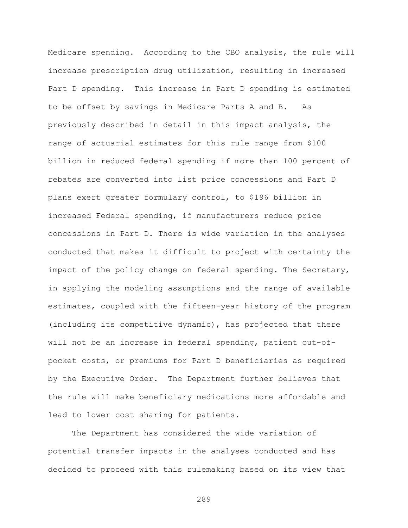Medicare spending. According to the CBO analysis, the rule will increase prescription drug utilization, resulting in increased Part D spending. This increase in Part D spending is estimated to be offset by savings in Medicare Parts A and B. As previously described in detail in this impact analysis, the range of actuarial estimates for this rule range from \$100 billion in reduced federal spending if more than 100 percent of rebates are converted into list price concessions and Part D plans exert greater formulary control, to \$196 billion in increased Federal spending, if manufacturers reduce price concessions in Part D. There is wide variation in the analyses conducted that makes it difficult to project with certainty the impact of the policy change on federal spending. The Secretary, in applying the modeling assumptions and the range of available estimates, coupled with the fifteen-year history of the program (including its competitive dynamic), has projected that there will not be an increase in federal spending, patient out-ofpocket costs, or premiums for Part D beneficiaries as required by the Executive Order. The Department further believes that the rule will make beneficiary medications more affordable and lead to lower cost sharing for patients.

The Department has considered the wide variation of potential transfer impacts in the analyses conducted and has decided to proceed with this rulemaking based on its view that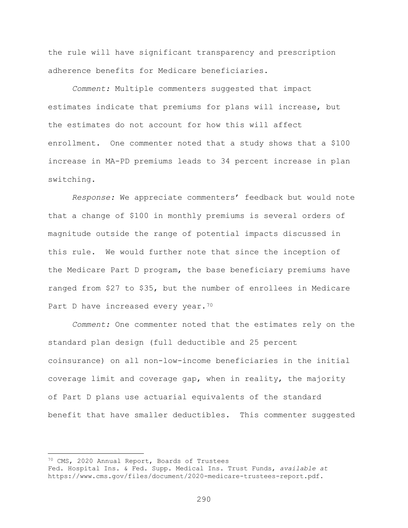the rule will have significant transparency and prescription adherence benefits for Medicare beneficiaries.

*Comment:* Multiple commenters suggested that impact estimates indicate that premiums for plans will increase, but the estimates do not account for how this will affect enrollment. One commenter noted that a study shows that a \$100 increase in MA-PD premiums leads to 34 percent increase in plan switching.

*Response:* We appreciate commenters' feedback but would note that a change of \$100 in monthly premiums is several orders of magnitude outside the range of potential impacts discussed in this rule. We would further note that since the inception of the Medicare Part D program, the base beneficiary premiums have ranged from \$27 to \$35, but the number of enrollees in Medicare Part D have increased every year.<sup>[70](#page-289-0)</sup>

*Comment:* One commenter noted that the estimates rely on the standard plan design (full deductible and 25 percent coinsurance) on all non-low-income beneficiaries in the initial coverage limit and coverage gap, when in reality, the majority of Part D plans use actuarial equivalents of the standard benefit that have smaller deductibles. This commenter suggested

<span id="page-289-0"></span><sup>70</sup> CMS, 2020 Annual Report, Boards of Trustees

Fed. Hospital Ins. & Fed. Supp. Medical Ins. Trust Funds, *available at*  https://www.cms.gov/files/document/2020-medicare-trustees-report.pdf.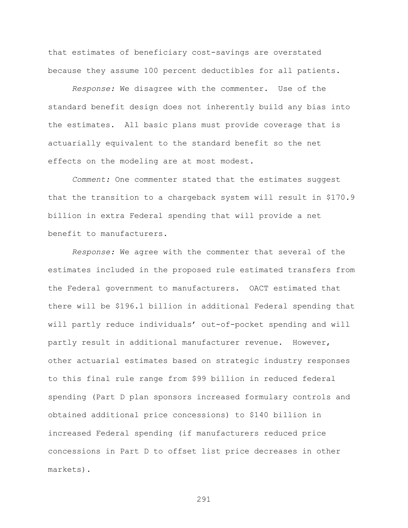that estimates of beneficiary cost-savings are overstated because they assume 100 percent deductibles for all patients.

*Response:* We disagree with the commenter. Use of the standard benefit design does not inherently build any bias into the estimates. All basic plans must provide coverage that is actuarially equivalent to the standard benefit so the net effects on the modeling are at most modest.

*Comment:* One commenter stated that the estimates suggest that the transition to a chargeback system will result in \$170.9 billion in extra Federal spending that will provide a net benefit to manufacturers.

*Response:* We agree with the commenter that several of the estimates included in the proposed rule estimated transfers from the Federal government to manufacturers. OACT estimated that there will be \$196.1 billion in additional Federal spending that will partly reduce individuals' out-of-pocket spending and will partly result in additional manufacturer revenue. However, other actuarial estimates based on strategic industry responses to this final rule range from \$99 billion in reduced federal spending (Part D plan sponsors increased formulary controls and obtained additional price concessions) to \$140 billion in increased Federal spending (if manufacturers reduced price concessions in Part D to offset list price decreases in other markets).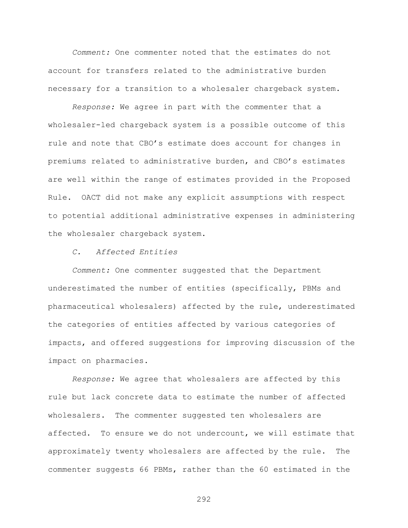*Comment:* One commenter noted that the estimates do not account for transfers related to the administrative burden necessary for a transition to a wholesaler chargeback system.

*Response:* We agree in part with the commenter that a wholesaler-led chargeback system is a possible outcome of this rule and note that CBO's estimate does account for changes in premiums related to administrative burden, and CBO's estimates are well within the range of estimates provided in the Proposed Rule. OACT did not make any explicit assumptions with respect to potential additional administrative expenses in administering the wholesaler chargeback system.

## *C. Affected Entities*

*Comment:* One commenter suggested that the Department underestimated the number of entities (specifically, PBMs and pharmaceutical wholesalers) affected by the rule, underestimated the categories of entities affected by various categories of impacts, and offered suggestions for improving discussion of the impact on pharmacies.

*Response:* We agree that wholesalers are affected by this rule but lack concrete data to estimate the number of affected wholesalers. The commenter suggested ten wholesalers are affected. To ensure we do not undercount, we will estimate that approximately twenty wholesalers are affected by the rule. The commenter suggests 66 PBMs, rather than the 60 estimated in the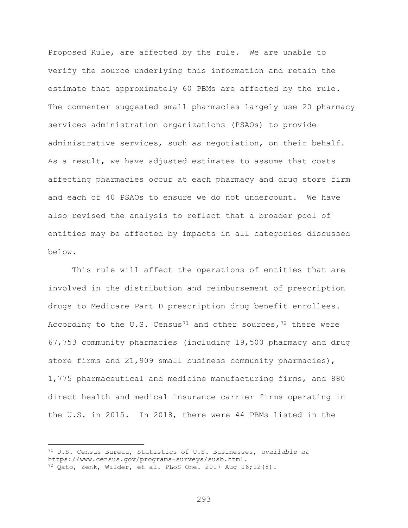Proposed Rule, are affected by the rule. We are unable to verify the source underlying this information and retain the estimate that approximately 60 PBMs are affected by the rule. The commenter suggested small pharmacies largely use 20 pharmacy services administration organizations (PSAOs) to provide administrative services, such as negotiation, on their behalf. As a result, we have adjusted estimates to assume that costs affecting pharmacies occur at each pharmacy and drug store firm and each of 40 PSAOs to ensure we do not undercount. We have also revised the analysis to reflect that a broader pool of entities may be affected by impacts in all categories discussed below.

This rule will affect the operations of entities that are involved in the distribution and reimbursement of prescription drugs to Medicare Part D prescription drug benefit enrollees. According to the U.S. Census<sup>[71](#page-292-0)</sup> and other sources,  $72$  there were 67,753 community pharmacies (including 19,500 pharmacy and drug store firms and 21,909 small business community pharmacies), 1,775 pharmaceutical and medicine manufacturing firms, and 880 direct health and medical insurance carrier firms operating in the U.S. in 2015. In 2018, there were 44 PBMs listed in the

 $\overline{a}$ 

<span id="page-292-0"></span><sup>71</sup> U.S. Census Bureau, Statistics of U.S. Businesses, *available at* 

https://www.census.gov/programs-surveys/susb.html.

<span id="page-292-1"></span> $72$  Qato, Zenk, Wilder, et al. PLoS One. 2017 Aug 16;12(8).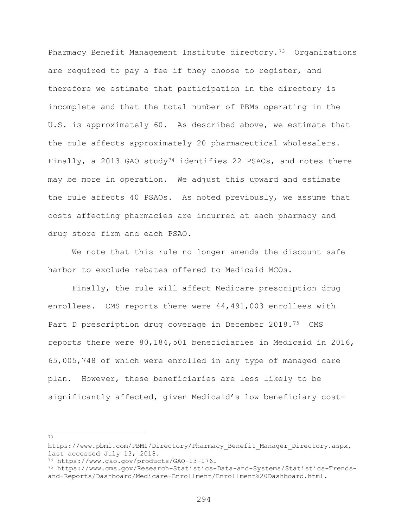Pharmacy Benefit Management Institute directory.<sup>73</sup> Organizations are required to pay a fee if they choose to register, and therefore we estimate that participation in the directory is incomplete and that the total number of PBMs operating in the U.S. is approximately 60. As described above, we estimate that the rule affects approximately 20 pharmaceutical wholesalers. Finally, a 2013 GAO study<sup>[74](#page-293-1)</sup> identifies 22 PSAOs, and notes there may be more in operation. We adjust this upward and estimate the rule affects 40 PSAOs. As noted previously, we assume that costs affecting pharmacies are incurred at each pharmacy and drug store firm and each PSAO.

We note that this rule no longer amends the discount safe harbor to exclude rebates offered to Medicaid MCOs.

Finally, the rule will affect Medicare prescription drug enrollees. CMS reports there were 44,491,003 enrollees with Part D prescription drug coverage in December 2018.<sup>[75](#page-293-2)</sup> CMS reports there were 80,184,501 beneficiaries in Medicaid in 2016, 65,005,748 of which were enrolled in any type of managed care plan. However, these beneficiaries are less likely to be significantly affected, given Medicaid's low beneficiary cost-

<span id="page-293-0"></span>https://www.pbmi.com/PBMI/Directory/Pharmacy\_Benefit\_Manager\_Directory.aspx,<br>last accessed July 13, 2018.

<span id="page-293-2"></span><span id="page-293-1"></span><sup>&</sup>lt;sup>74</sup> https://www.gao.gov/products/GAO-13-176.<br><sup>75</sup> https://www.cms.gov/Research-Statistics-Data-and-Systems/Statistics-Trendsand-Reports/Dashboard/Medicare-Enrollment/Enrollment%20Dashboard.html.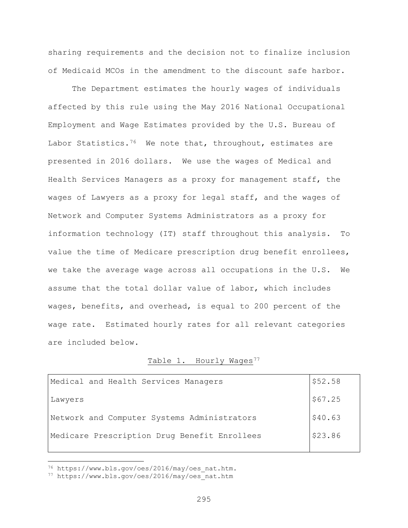sharing requirements and the decision not to finalize inclusion of Medicaid MCOs in the amendment to the discount safe harbor.

The Department estimates the hourly wages of individuals affected by this rule using the May 2016 National Occupational Employment and Wage Estimates provided by the U.S. Bureau of Labor Statistics.<sup>76</sup> We note that, throughout, estimates are presented in 2016 dollars. We use the wages of Medical and Health Services Managers as a proxy for management staff, the wages of Lawyers as a proxy for legal staff, and the wages of Network and Computer Systems Administrators as a proxy for information technology (IT) staff throughout this analysis. To value the time of Medicare prescription drug benefit enrollees, we take the average wage across all occupations in the U.S. We assume that the total dollar value of labor, which includes wages, benefits, and overhead, is equal to 200 percent of the wage rate. Estimated hourly rates for all relevant categories are included below.

## Table 1. Hourly Wages<sup>[77](#page-294-1)</sup>

| Medical and Health Services Managers         | \$52.58 |
|----------------------------------------------|---------|
| Lawyers                                      | \$67.25 |
| Network and Computer Systems Administrators  | \$40.63 |
| Medicare Prescription Drug Benefit Enrollees | \$23.86 |
|                                              |         |

<span id="page-294-0"></span><sup>76</sup> https://www.bls.gov/oes/2016/may/oes\_nat.htm.

<span id="page-294-1"></span><sup>77</sup> https://www.bls.gov/oes/2016/may/oes\_nat.htm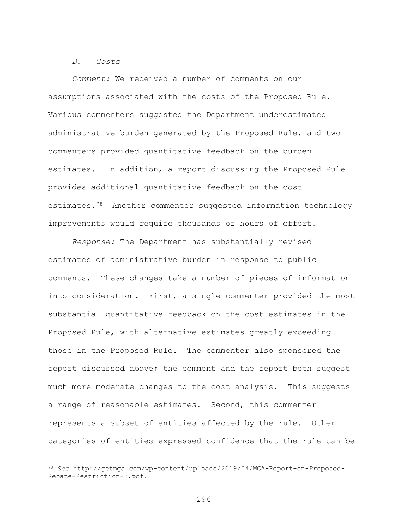#### *D. Costs*

 $\overline{a}$ 

*Comment:* We received a number of comments on our assumptions associated with the costs of the Proposed Rule. Various commenters suggested the Department underestimated administrative burden generated by the Proposed Rule, and two commenters provided quantitative feedback on the burden estimates. In addition, a report discussing the Proposed Rule provides additional quantitative feedback on the cost estimates.[78](#page-295-0) Another commenter suggested information technology improvements would require thousands of hours of effort.

*Response:* The Department has substantially revised estimates of administrative burden in response to public comments. These changes take a number of pieces of information into consideration. First, a single commenter provided the most substantial quantitative feedback on the cost estimates in the Proposed Rule, with alternative estimates greatly exceeding those in the Proposed Rule. The commenter also sponsored the report discussed above; the comment and the report both suggest much more moderate changes to the cost analysis. This suggests a range of reasonable estimates. Second, this commenter represents a subset of entities affected by the rule. Other categories of entities expressed confidence that the rule can be

<span id="page-295-0"></span><sup>78</sup> *See* http://getmga.com/wp-content/uploads/2019/04/MGA-Report-on-Proposed-Rebate-Restriction-3.pdf.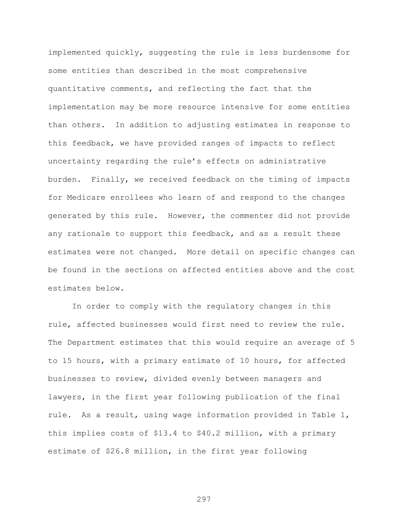implemented quickly, suggesting the rule is less burdensome for some entities than described in the most comprehensive quantitative comments, and reflecting the fact that the implementation may be more resource intensive for some entities than others. In addition to adjusting estimates in response to this feedback, we have provided ranges of impacts to reflect uncertainty regarding the rule's effects on administrative burden. Finally, we received feedback on the timing of impacts for Medicare enrollees who learn of and respond to the changes generated by this rule. However, the commenter did not provide any rationale to support this feedback, and as a result these estimates were not changed. More detail on specific changes can be found in the sections on affected entities above and the cost estimates below.

In order to comply with the regulatory changes in this rule, affected businesses would first need to review the rule. The Department estimates that this would require an average of 5 to 15 hours, with a primary estimate of 10 hours, for affected businesses to review, divided evenly between managers and lawyers, in the first year following publication of the final rule. As a result, using wage information provided in Table 1, this implies costs of \$13.4 to \$40.2 million, with a primary estimate of \$26.8 million, in the first year following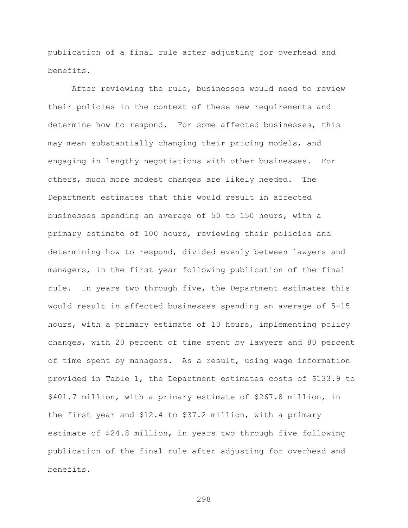publication of a final rule after adjusting for overhead and benefits.

After reviewing the rule, businesses would need to review their policies in the context of these new requirements and determine how to respond. For some affected businesses, this may mean substantially changing their pricing models, and engaging in lengthy negotiations with other businesses. For others, much more modest changes are likely needed. The Department estimates that this would result in affected businesses spending an average of 50 to 150 hours, with a primary estimate of 100 hours, reviewing their policies and determining how to respond, divided evenly between lawyers and managers, in the first year following publication of the final rule. In years two through five, the Department estimates this would result in affected businesses spending an average of 5-15 hours, with a primary estimate of 10 hours, implementing policy changes, with 20 percent of time spent by lawyers and 80 percent of time spent by managers. As a result, using wage information provided in Table 1, the Department estimates costs of \$133.9 to \$401.7 million, with a primary estimate of \$267.8 million, in the first year and \$12.4 to \$37.2 million, with a primary estimate of \$24.8 million, in years two through five following publication of the final rule after adjusting for overhead and benefits.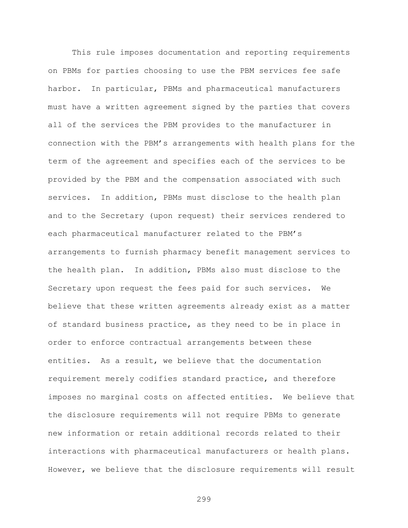This rule imposes documentation and reporting requirements on PBMs for parties choosing to use the PBM services fee safe harbor. In particular, PBMs and pharmaceutical manufacturers must have a written agreement signed by the parties that covers all of the services the PBM provides to the manufacturer in connection with the PBM's arrangements with health plans for the term of the agreement and specifies each of the services to be provided by the PBM and the compensation associated with such services. In addition, PBMs must disclose to the health plan and to the Secretary (upon request) their services rendered to each pharmaceutical manufacturer related to the PBM's arrangements to furnish pharmacy benefit management services to the health plan. In addition, PBMs also must disclose to the Secretary upon request the fees paid for such services. We believe that these written agreements already exist as a matter of standard business practice, as they need to be in place in order to enforce contractual arrangements between these entities. As a result, we believe that the documentation requirement merely codifies standard practice, and therefore imposes no marginal costs on affected entities. We believe that the disclosure requirements will not require PBMs to generate new information or retain additional records related to their interactions with pharmaceutical manufacturers or health plans. However, we believe that the disclosure requirements will result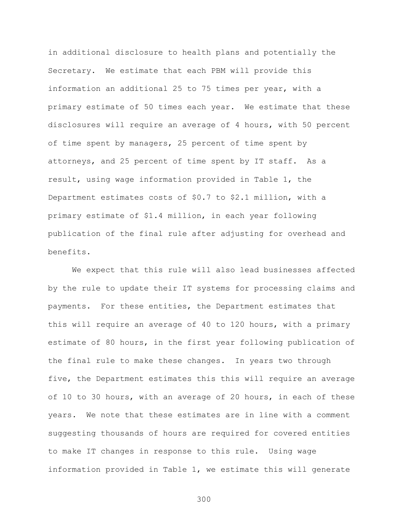in additional disclosure to health plans and potentially the Secretary. We estimate that each PBM will provide this information an additional 25 to 75 times per year, with a primary estimate of 50 times each year. We estimate that these disclosures will require an average of 4 hours, with 50 percent of time spent by managers, 25 percent of time spent by attorneys, and 25 percent of time spent by IT staff. As a result, using wage information provided in Table 1, the Department estimates costs of \$0.7 to \$2.1 million, with a primary estimate of \$1.4 million, in each year following publication of the final rule after adjusting for overhead and benefits.

We expect that this rule will also lead businesses affected by the rule to update their IT systems for processing claims and payments. For these entities, the Department estimates that this will require an average of 40 to 120 hours, with a primary estimate of 80 hours, in the first year following publication of the final rule to make these changes. In years two through five, the Department estimates this this will require an average of 10 to 30 hours, with an average of 20 hours, in each of these years. We note that these estimates are in line with a comment suggesting thousands of hours are required for covered entities to make IT changes in response to this rule. Using wage information provided in Table 1, we estimate this will generate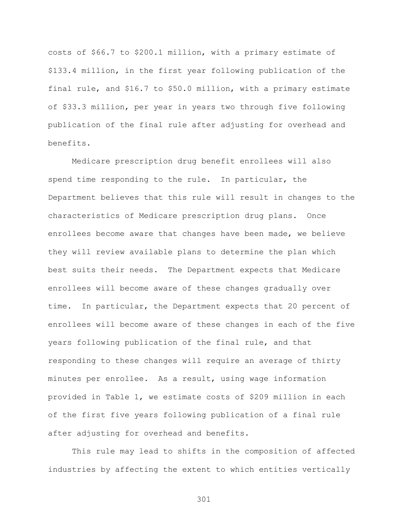costs of \$66.7 to \$200.1 million, with a primary estimate of \$133.4 million, in the first year following publication of the final rule, and \$16.7 to \$50.0 million, with a primary estimate of \$33.3 million, per year in years two through five following publication of the final rule after adjusting for overhead and benefits.

Medicare prescription drug benefit enrollees will also spend time responding to the rule. In particular, the Department believes that this rule will result in changes to the characteristics of Medicare prescription drug plans. Once enrollees become aware that changes have been made, we believe they will review available plans to determine the plan which best suits their needs. The Department expects that Medicare enrollees will become aware of these changes gradually over time. In particular, the Department expects that 20 percent of enrollees will become aware of these changes in each of the five years following publication of the final rule, and that responding to these changes will require an average of thirty minutes per enrollee. As a result, using wage information provided in Table 1, we estimate costs of \$209 million in each of the first five years following publication of a final rule after adjusting for overhead and benefits.

This rule may lead to shifts in the composition of affected industries by affecting the extent to which entities vertically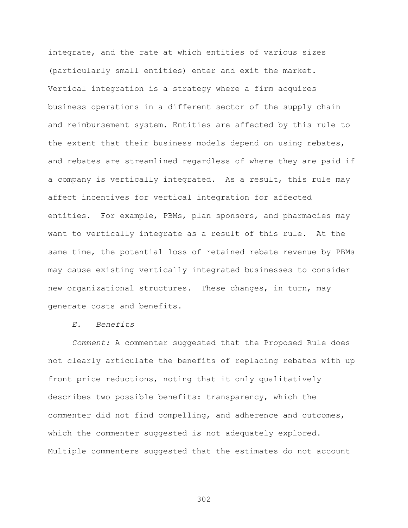integrate, and the rate at which entities of various sizes (particularly small entities) enter and exit the market. Vertical integration is a strategy where a firm acquires business operations in a different sector of the supply chain and reimbursement system. Entities are affected by this rule to the extent that their business models depend on using rebates, and rebates are streamlined regardless of where they are paid if a company is vertically integrated. As a result, this rule may affect incentives for vertical integration for affected entities. For example, PBMs, plan sponsors, and pharmacies may want to vertically integrate as a result of this rule. At the same time, the potential loss of retained rebate revenue by PBMs may cause existing vertically integrated businesses to consider new organizational structures. These changes, in turn, may generate costs and benefits.

## *E. Benefits*

*Comment:* A commenter suggested that the Proposed Rule does not clearly articulate the benefits of replacing rebates with up front price reductions, noting that it only qualitatively describes two possible benefits: transparency, which the commenter did not find compelling, and adherence and outcomes, which the commenter suggested is not adequately explored. Multiple commenters suggested that the estimates do not account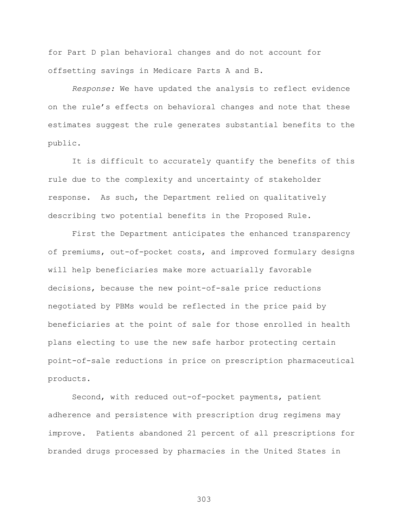for Part D plan behavioral changes and do not account for offsetting savings in Medicare Parts A and B.

*Response:* We have updated the analysis to reflect evidence on the rule's effects on behavioral changes and note that these estimates suggest the rule generates substantial benefits to the public.

It is difficult to accurately quantify the benefits of this rule due to the complexity and uncertainty of stakeholder response. As such, the Department relied on qualitatively describing two potential benefits in the Proposed Rule.

First the Department anticipates the enhanced transparency of premiums, out-of-pocket costs, and improved formulary designs will help beneficiaries make more actuarially favorable decisions, because the new point-of-sale price reductions negotiated by PBMs would be reflected in the price paid by beneficiaries at the point of sale for those enrolled in health plans electing to use the new safe harbor protecting certain point-of-sale reductions in price on prescription pharmaceutical products.

Second, with reduced out-of-pocket payments, patient adherence and persistence with prescription drug regimens may improve. Patients abandoned 21 percent of all prescriptions for branded drugs processed by pharmacies in the United States in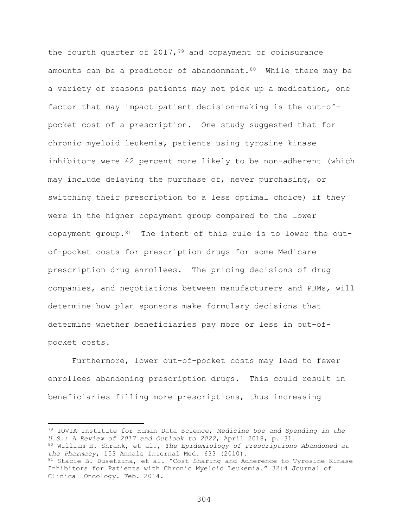the fourth quarter of  $2017,79$  $2017,79$  and copayment or coinsurance amounts can be a predictor of abandonment.  $80$  While there may be a variety of reasons patients may not pick up a medication, one factor that may impact patient decision-making is the out-ofpocket cost of a prescription. One study suggested that for chronic myeloid leukemia, patients using tyrosine kinase inhibitors were 42 percent more likely to be non-adherent (which may include delaying the purchase of, never purchasing, or switching their prescription to a less optimal choice) if they were in the higher copayment group compared to the lower copayment group. $81$  The intent of this rule is to lower the outof-pocket costs for prescription drugs for some Medicare prescription drug enrollees. The pricing decisions of drug companies, and negotiations between manufacturers and PBMs, will determine how plan sponsors make formulary decisions that determine whether beneficiaries pay more or less in out-ofpocket costs.

Furthermore, lower out-of-pocket costs may lead to fewer enrollees abandoning prescription drugs. This could result in beneficiaries filling more prescriptions, thus increasing

<span id="page-303-0"></span><sup>79</sup> IQVIA Institute for Human Data Science, *Medicine Use and Spending in the U.S.: A Review of 2017 and Outlook to 2022*, April 2018, p. 31.

<span id="page-303-1"></span><sup>80</sup> William H. Shrank, et al., *The Epidemiology of Prescriptions Abandoned at the Pharmacy*, 153 Annals Internal Med. 633 (2010).

<span id="page-303-2"></span><sup>&</sup>lt;sup>81</sup> Stacie B. Dusetzina, et al. "Cost Sharing and Adherence to Tyrosine Kinase Inhibitors for Patients with Chronic Myeloid Leukemia." 32:4 Journal of Clinical Oncology. Feb. 2014.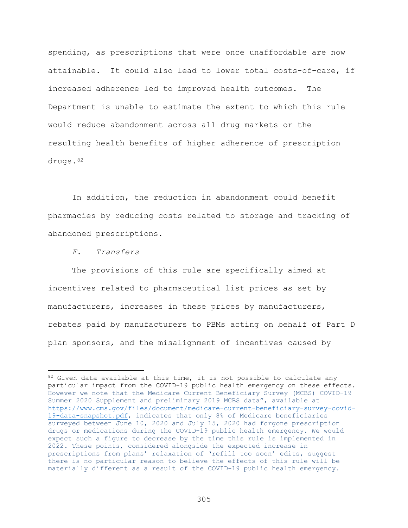spending, as prescriptions that were once unaffordable are now attainable. It could also lead to lower total costs-of-care, if increased adherence led to improved health outcomes. The Department is unable to estimate the extent to which this rule would reduce abandonment across all drug markets or the resulting health benefits of higher adherence of prescription drugs. [82](#page-304-0)

In addition, the reduction in abandonment could benefit pharmacies by reducing costs related to storage and tracking of abandoned prescriptions.

*F. Transfers*

 $\overline{a}$ 

The provisions of this rule are specifically aimed at incentives related to pharmaceutical list prices as set by manufacturers, increases in these prices by manufacturers, rebates paid by manufacturers to PBMs acting on behalf of Part D plan sponsors, and the misalignment of incentives caused by

<span id="page-304-0"></span> $82$  Given data available at this time, it is not possible to calculate any particular impact from the COVID-19 public health emergency on these effects. However we note that the Medicare Current Beneficiary Survey (MCBS) COVID-19 Summer 2020 Supplement and preliminary 2019 MCBS data", available at [https://www.cms.gov/files/document/medicare-current-beneficiary-survey-covid-](https://gcc02.safelinks.protection.outlook.com/?url=https%3A%2F%2Fwww.cms.gov%2Ffiles%2Fdocument%2Fmedicare-current-beneficiary-survey-covid-19-data-snapshot.pdf&data=04%7C01%7CVicki.Robinson%40oig.hhs.gov%7C242b1a8832b94793122708d889ad7644%7Cdad5f89453094df69e48232fdf1502ab%7C0%7C1%7C637410725408825048%7CUnknown%7CTWFpbGZsb3d8eyJWIjoiMC4wLjAwMDAiLCJQIjoiV2luMzIiLCJBTiI6Ik1haWwiLCJXVCI6Mn0%3D%7C1000&sdata=T8uy7CeD%2FMX8D1W8X1IqoVHfL%2BdsqUQOW95kZYVFQmk%3D&reserved=0)[19-data-snapshot.pdf,](https://gcc02.safelinks.protection.outlook.com/?url=https%3A%2F%2Fwww.cms.gov%2Ffiles%2Fdocument%2Fmedicare-current-beneficiary-survey-covid-19-data-snapshot.pdf&data=04%7C01%7CVicki.Robinson%40oig.hhs.gov%7C242b1a8832b94793122708d889ad7644%7Cdad5f89453094df69e48232fdf1502ab%7C0%7C1%7C637410725408825048%7CUnknown%7CTWFpbGZsb3d8eyJWIjoiMC4wLjAwMDAiLCJQIjoiV2luMzIiLCJBTiI6Ik1haWwiLCJXVCI6Mn0%3D%7C1000&sdata=T8uy7CeD%2FMX8D1W8X1IqoVHfL%2BdsqUQOW95kZYVFQmk%3D&reserved=0) indicates that only 8% of Medicare beneficiaries surveyed between June 10, 2020 and July 15, 2020 had forgone prescription drugs or medications during the COVID-19 public health emergency. We would expect such a figure to decrease by the time this rule is implemented in 2022. These points, considered alongside the expected increase in prescriptions from plans' relaxation of 'refill too soon' edits, suggest there is no particular reason to believe the effects of this rule will be materially different as a result of the COVID-19 public health emergency.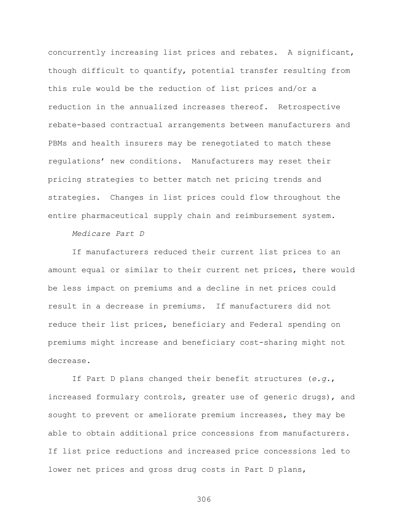concurrently increasing list prices and rebates. A significant, though difficult to quantify, potential transfer resulting from this rule would be the reduction of list prices and/or a reduction in the annualized increases thereof. Retrospective rebate-based contractual arrangements between manufacturers and PBMs and health insurers may be renegotiated to match these regulations' new conditions. Manufacturers may reset their pricing strategies to better match net pricing trends and strategies. Changes in list prices could flow throughout the entire pharmaceutical supply chain and reimbursement system.

### *Medicare Part D*

If manufacturers reduced their current list prices to an amount equal or similar to their current net prices, there would be less impact on premiums and a decline in net prices could result in a decrease in premiums. If manufacturers did not reduce their list prices, beneficiary and Federal spending on premiums might increase and beneficiary cost-sharing might not decrease.

If Part D plans changed their benefit structures (*e.g.*, increased formulary controls, greater use of generic drugs), and sought to prevent or ameliorate premium increases, they may be able to obtain additional price concessions from manufacturers. If list price reductions and increased price concessions led to lower net prices and gross drug costs in Part D plans,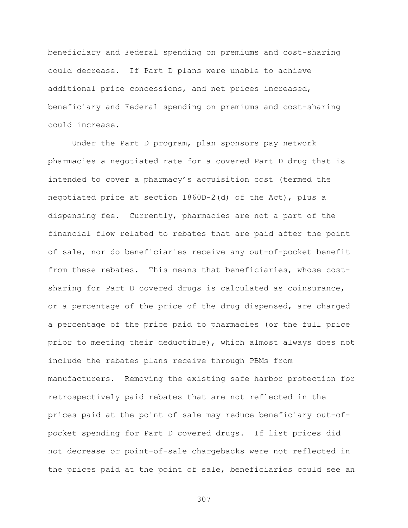beneficiary and Federal spending on premiums and cost-sharing could decrease. If Part D plans were unable to achieve additional price concessions, and net prices increased, beneficiary and Federal spending on premiums and cost-sharing could increase.

Under the Part D program, plan sponsors pay network pharmacies a negotiated rate for a covered Part D drug that is intended to cover a pharmacy's acquisition cost (termed the negotiated price at section 1860D-2(d) of the Act), plus a dispensing fee. Currently, pharmacies are not a part of the financial flow related to rebates that are paid after the point of sale, nor do beneficiaries receive any out-of-pocket benefit from these rebates. This means that beneficiaries, whose costsharing for Part D covered drugs is calculated as coinsurance, or a percentage of the price of the drug dispensed, are charged a percentage of the price paid to pharmacies (or the full price prior to meeting their deductible), which almost always does not include the rebates plans receive through PBMs from manufacturers. Removing the existing safe harbor protection for retrospectively paid rebates that are not reflected in the prices paid at the point of sale may reduce beneficiary out-ofpocket spending for Part D covered drugs. If list prices did not decrease or point-of-sale chargebacks were not reflected in the prices paid at the point of sale, beneficiaries could see an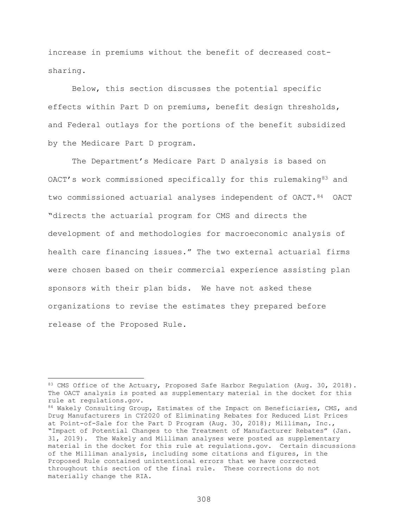increase in premiums without the benefit of decreased costsharing.

Below, this section discusses the potential specific effects within Part D on premiums, benefit design thresholds, and Federal outlays for the portions of the benefit subsidized by the Medicare Part D program.

The Department's Medicare Part D analysis is based on OACT's work commissioned specifically for this rulemaking<sup>[83](#page-307-0)</sup> and two commissioned actuarial analyses independent of OACT. [84](#page-307-1) OACT "directs the actuarial program for CMS and directs the development of and methodologies for macroeconomic analysis of health care financing issues." The two external actuarial firms were chosen based on their commercial experience assisting plan sponsors with their plan bids. We have not asked these organizations to revise the estimates they prepared before release of the Proposed Rule.

<span id="page-307-0"></span><sup>83</sup> CMS Office of the Actuary, Proposed Safe Harbor Regulation (Aug. 30, 2018). The OACT analysis is posted as supplementary material in the docket for this rule at regulations.gov.

<span id="page-307-1"></span><sup>84</sup> Wakely Consulting Group, Estimates of the Impact on Beneficiaries, CMS, and Drug Manufacturers in CY2020 of Eliminating Rebates for Reduced List Prices at Point-of-Sale for the Part D Program (Aug. 30, 2018); Milliman, Inc., "Impact of Potential Changes to the Treatment of Manufacturer Rebates" (Jan. 31, 2019). The Wakely and Milliman analyses were posted as supplementary material in the docket for this rule at regulations.gov. Certain discussions of the Milliman analysis, including some citations and figures, in the Proposed Rule contained unintentional errors that we have corrected throughout this section of the final rule. These corrections do not materially change the RIA.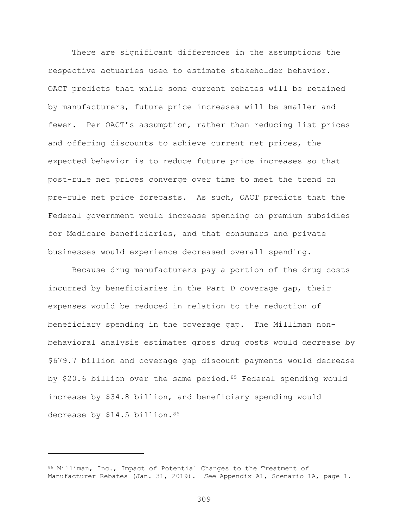There are significant differences in the assumptions the respective actuaries used to estimate stakeholder behavior. OACT predicts that while some current rebates will be retained by manufacturers, future price increases will be smaller and fewer. Per OACT's assumption, rather than reducing list prices and offering discounts to achieve current net prices, the expected behavior is to reduce future price increases so that post-rule net prices converge over time to meet the trend on pre-rule net price forecasts. As such, OACT predicts that the Federal government would increase spending on premium subsidies for Medicare beneficiaries, and that consumers and private businesses would experience decreased overall spending.

Because drug manufacturers pay a portion of the drug costs incurred by beneficiaries in the Part D coverage gap, their expenses would be reduced in relation to the reduction of beneficiary spending in the coverage gap. The Milliman nonbehavioral analysis estimates gross drug costs would decrease by \$679.7 billion and coverage gap discount payments would decrease by \$20.6 billion over the same period. [85](#page-308-0) Federal spending would increase by \$34.8 billion, and beneficiary spending would decrease by \$14.5 billion. [86](#page-308-1)

 $\overline{a}$ 

<span id="page-308-1"></span><span id="page-308-0"></span><sup>86</sup> Milliman, Inc., Impact of Potential Changes to the Treatment of Manufacturer Rebates (Jan. 31, 2019). *See* Appendix A1, Scenario 1A, page 1.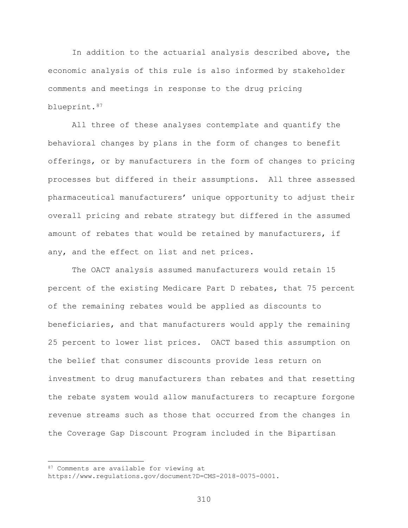In addition to the actuarial analysis described above, the economic analysis of this rule is also informed by stakeholder comments and meetings in response to the drug pricing blueprint.[87](#page-309-0)

All three of these analyses contemplate and quantify the behavioral changes by plans in the form of changes to benefit offerings, or by manufacturers in the form of changes to pricing processes but differed in their assumptions. All three assessed pharmaceutical manufacturers' unique opportunity to adjust their overall pricing and rebate strategy but differed in the assumed amount of rebates that would be retained by manufacturers, if any, and the effect on list and net prices.

The OACT analysis assumed manufacturers would retain 15 percent of the existing Medicare Part D rebates, that 75 percent of the remaining rebates would be applied as discounts to beneficiaries, and that manufacturers would apply the remaining 25 percent to lower list prices. OACT based this assumption on the belief that consumer discounts provide less return on investment to drug manufacturers than rebates and that resetting the rebate system would allow manufacturers to recapture forgone revenue streams such as those that occurred from the changes in the Coverage Gap Discount Program included in the Bipartisan

<span id="page-309-0"></span><sup>87</sup> Comments are available for viewing at

https://www.regulations.gov/document?D=CMS-2018-0075-0001.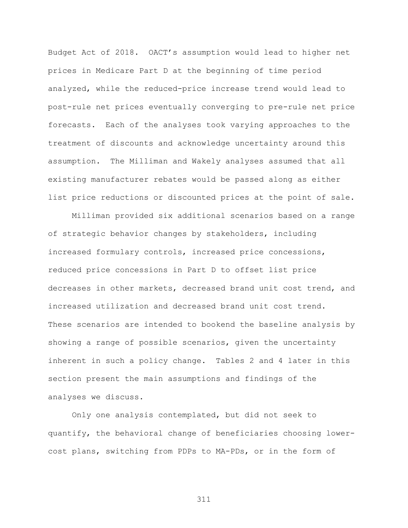Budget Act of 2018. OACT's assumption would lead to higher net prices in Medicare Part D at the beginning of time period analyzed, while the reduced-price increase trend would lead to post-rule net prices eventually converging to pre-rule net price forecasts. Each of the analyses took varying approaches to the treatment of discounts and acknowledge uncertainty around this assumption. The Milliman and Wakely analyses assumed that all existing manufacturer rebates would be passed along as either list price reductions or discounted prices at the point of sale.

Milliman provided six additional scenarios based on a range of strategic behavior changes by stakeholders, including increased formulary controls, increased price concessions, reduced price concessions in Part D to offset list price decreases in other markets, decreased brand unit cost trend, and increased utilization and decreased brand unit cost trend. These scenarios are intended to bookend the baseline analysis by showing a range of possible scenarios, given the uncertainty inherent in such a policy change. Tables 2 and 4 later in this section present the main assumptions and findings of the analyses we discuss.

Only one analysis contemplated, but did not seek to quantify, the behavioral change of beneficiaries choosing lowercost plans, switching from PDPs to MA-PDs, or in the form of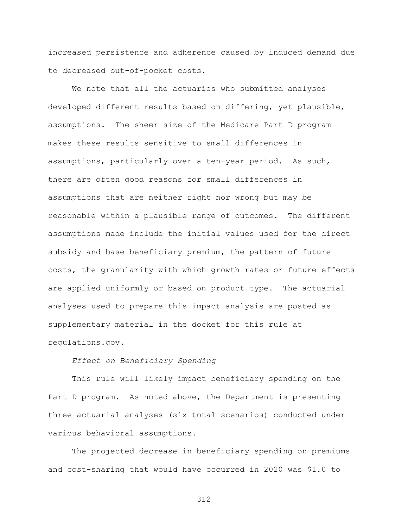increased persistence and adherence caused by induced demand due to decreased out-of-pocket costs.

We note that all the actuaries who submitted analyses developed different results based on differing, yet plausible, assumptions. The sheer size of the Medicare Part D program makes these results sensitive to small differences in assumptions, particularly over a ten-year period. As such, there are often good reasons for small differences in assumptions that are neither right nor wrong but may be reasonable within a plausible range of outcomes. The different assumptions made include the initial values used for the direct subsidy and base beneficiary premium, the pattern of future costs, the granularity with which growth rates or future effects are applied uniformly or based on product type. The actuarial analyses used to prepare this impact analysis are posted as supplementary material in the docket for this rule at regulations.gov.

# *Effect on Beneficiary Spending*

This rule will likely impact beneficiary spending on the Part D program. As noted above, the Department is presenting three actuarial analyses (six total scenarios) conducted under various behavioral assumptions.

The projected decrease in beneficiary spending on premiums and cost-sharing that would have occurred in 2020 was \$1.0 to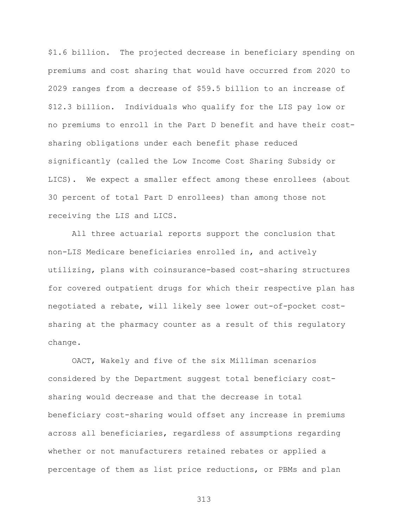\$1.6 billion. The projected decrease in beneficiary spending on premiums and cost sharing that would have occurred from 2020 to 2029 ranges from a decrease of \$59.5 billion to an increase of \$12.3 billion. Individuals who qualify for the LIS pay low or no premiums to enroll in the Part D benefit and have their costsharing obligations under each benefit phase reduced significantly (called the Low Income Cost Sharing Subsidy or LICS). We expect a smaller effect among these enrollees (about 30 percent of total Part D enrollees) than among those not receiving the LIS and LICS.

All three actuarial reports support the conclusion that non-LIS Medicare beneficiaries enrolled in, and actively utilizing, plans with coinsurance-based cost-sharing structures for covered outpatient drugs for which their respective plan has negotiated a rebate, will likely see lower out-of-pocket costsharing at the pharmacy counter as a result of this regulatory change.

OACT, Wakely and five of the six Milliman scenarios considered by the Department suggest total beneficiary costsharing would decrease and that the decrease in total beneficiary cost-sharing would offset any increase in premiums across all beneficiaries, regardless of assumptions regarding whether or not manufacturers retained rebates or applied a percentage of them as list price reductions, or PBMs and plan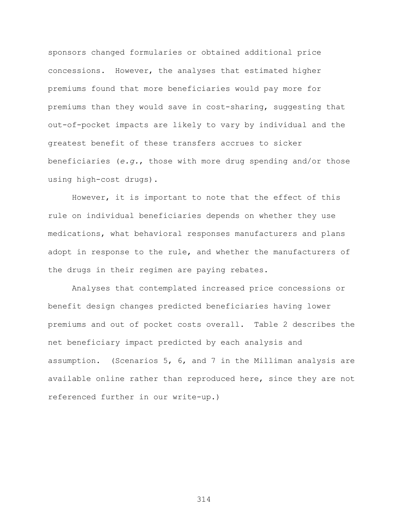sponsors changed formularies or obtained additional price concessions. However, the analyses that estimated higher premiums found that more beneficiaries would pay more for premiums than they would save in cost-sharing, suggesting that out-of-pocket impacts are likely to vary by individual and the greatest benefit of these transfers accrues to sicker beneficiaries (*e.g.*, those with more drug spending and/or those using high-cost drugs).

However, it is important to note that the effect of this rule on individual beneficiaries depends on whether they use medications, what behavioral responses manufacturers and plans adopt in response to the rule, and whether the manufacturers of the drugs in their regimen are paying rebates.

Analyses that contemplated increased price concessions or benefit design changes predicted beneficiaries having lower premiums and out of pocket costs overall. Table 2 describes the net beneficiary impact predicted by each analysis and assumption. (Scenarios 5, 6, and 7 in the Milliman analysis are available online rather than reproduced here, since they are not referenced further in our write-up.)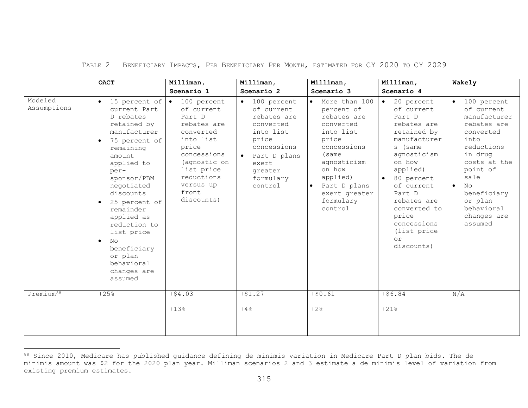|                        | <b>OACT</b>                                                                                                                                                                                                                                                                                                                                                                             | Milliman,                                                                                                                                                                                      | Milliman,                                                                                                                                                           | Milliman,                                                                                                                                                                                           | Milliman,                                                                                                                                                                                                                                                                                   | Wakely                                                                                                                                                                                                                                                   |
|------------------------|-----------------------------------------------------------------------------------------------------------------------------------------------------------------------------------------------------------------------------------------------------------------------------------------------------------------------------------------------------------------------------------------|------------------------------------------------------------------------------------------------------------------------------------------------------------------------------------------------|---------------------------------------------------------------------------------------------------------------------------------------------------------------------|-----------------------------------------------------------------------------------------------------------------------------------------------------------------------------------------------------|---------------------------------------------------------------------------------------------------------------------------------------------------------------------------------------------------------------------------------------------------------------------------------------------|----------------------------------------------------------------------------------------------------------------------------------------------------------------------------------------------------------------------------------------------------------|
|                        |                                                                                                                                                                                                                                                                                                                                                                                         | Scenario 1                                                                                                                                                                                     | Scenario 2                                                                                                                                                          | Scenario 3                                                                                                                                                                                          | Scenario 4                                                                                                                                                                                                                                                                                  |                                                                                                                                                                                                                                                          |
| Modeled<br>Assumptions | 15 percent of<br>$\bullet$<br>current Part<br>D rebates<br>retained by<br>manufacturer<br>75 percent of<br>$\bullet$<br>remaining<br>amount<br>applied to<br>per-<br>sponsor/PBM<br>negotiated<br>discounts<br>25 percent of<br>$\bullet$<br>remainder<br>applied as<br>reduction to<br>list price<br>No<br>$\bullet$<br>beneficiary<br>or plan<br>behavioral<br>changes are<br>assumed | $\bullet$ 100 percent<br>of current<br>Part D<br>rebates are<br>converted<br>into list<br>price<br>concessions<br>(agnostic on<br>list price<br>reductions<br>versus up<br>front<br>discounts) | 100 percent<br>$\bullet$<br>of current<br>rebates are<br>converted<br>into list<br>price<br>concessions<br>Part D plans<br>exert<br>greater<br>formulary<br>control | More than 100<br>percent of<br>rebates are<br>converted<br>into list<br>price<br>concessions<br>(same<br>agnosticism<br>on how<br>applied)<br>Part D plans<br>exert greater<br>formulary<br>control | 20 percent<br>$\bullet$<br>of current<br>Part D<br>rebates are<br>retained by<br>manufacturer<br>s (same<br>agnosticism<br>on how<br>applied)<br>80 percent<br>$\bullet$<br>of current<br>Part D<br>rebates are<br>converted to<br>price<br>concessions<br>(list price)<br>or<br>discounts) | 100 percent<br>$\bullet$<br>of current<br>manufacturer<br>rebates are<br>converted<br>into<br>reductions<br>in drug<br>costs at the<br>point of<br>sale<br>N <sub>O</sub><br>$\bullet$<br>beneficiary<br>or plan<br>behavioral<br>changes are<br>assumed |
| Premium <sup>88</sup>  | $+25%$                                                                                                                                                                                                                                                                                                                                                                                  | $+54.03$                                                                                                                                                                                       | $+ $1.27$                                                                                                                                                           | $+50.61$                                                                                                                                                                                            | $+56.84$                                                                                                                                                                                                                                                                                    | N/A                                                                                                                                                                                                                                                      |
|                        |                                                                                                                                                                                                                                                                                                                                                                                         | $+13%$                                                                                                                                                                                         | $+4%$                                                                                                                                                               | $+2%$                                                                                                                                                                                               | $+21%$                                                                                                                                                                                                                                                                                      |                                                                                                                                                                                                                                                          |

# <span id="page-314-0"></span>TABLE 2 – BENEFICIARY IMPACTS, PER BENEFICIARY PER MONTH, ESTIMATED FOR CY 2020 TO CY 2029

 $^{88}$  Since 2010, Medicare has published guidance defining de minimis variation in Medicare Part D plan bids. The de minimis amount was \$2 for the 2020 plan year. Milliman scenarios 2 and 3 estimate a de minimis level of variation from existing premium estimates.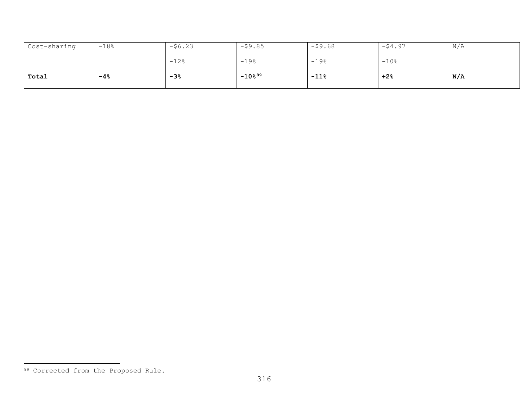<span id="page-315-0"></span>

| Cost-sharing | $-18%$ | $-56.23$ | $-59.85$           | $-59.68$ | $-54.97$ | N/A |
|--------------|--------|----------|--------------------|----------|----------|-----|
|              |        | $-12%$   | $-19%$             | $-19%$   | $-10$ %  |     |
| Total        | $-4%$  | $-3%$    | $-10\frac{889}{ }$ | $-11%$   | $+2%$    | N/A |

<sup>89</sup> Corrected from the Proposed Rule.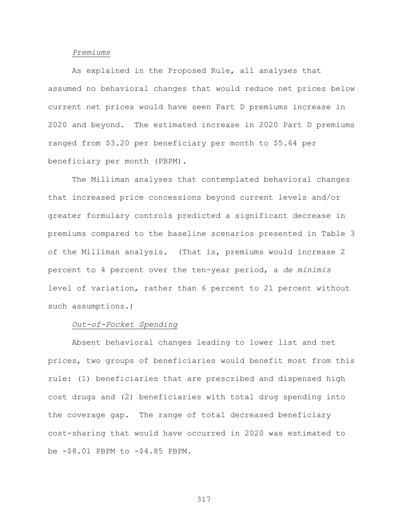#### *Premiums*

As explained in the Proposed Rule, all analyses that assumed no behavioral changes that would reduce net prices below current net prices would have seen Part D premiums increase in 2020 and beyond. The estimated increase in 2020 Part D premiums ranged from \$3.20 per beneficiary per month to \$5.64 per beneficiary per month (PBPM).

The Milliman analyses that contemplated behavioral changes that increased price concessions beyond current levels and/or greater formulary controls predicted a significant decrease in premiums compared to the baseline scenarios presented in Table 3 of the Milliman analysis. (That is, premiums would increase 2 percent to 4 percent over the ten-year period, a *de minimis*  level of variation, rather than 6 percent to 21 percent without such assumptions.)

## *Out-of-Pocket Spending*

Absent behavioral changes leading to lower list and net prices, two groups of beneficiaries would benefit most from this rule: (1) beneficiaries that are prescribed and dispensed high cost drugs and (2) beneficiaries with total drug spending into the coverage gap. The range of total decreased beneficiary cost-sharing that would have occurred in 2020 was estimated to be -\$8.01 PBPM to -\$4.85 PBPM.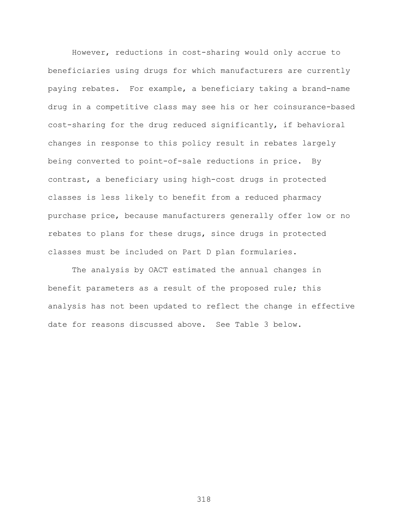However, reductions in cost-sharing would only accrue to beneficiaries using drugs for which manufacturers are currently paying rebates. For example, a beneficiary taking a brand-name drug in a competitive class may see his or her coinsurance-based cost-sharing for the drug reduced significantly, if behavioral changes in response to this policy result in rebates largely being converted to point-of-sale reductions in price. By contrast, a beneficiary using high-cost drugs in protected classes is less likely to benefit from a reduced pharmacy purchase price, because manufacturers generally offer low or no rebates to plans for these drugs, since drugs in protected classes must be included on Part D plan formularies.

The analysis by OACT estimated the annual changes in benefit parameters as a result of the proposed rule; this analysis has not been updated to reflect the change in effective date for reasons discussed above. See Table 3 below.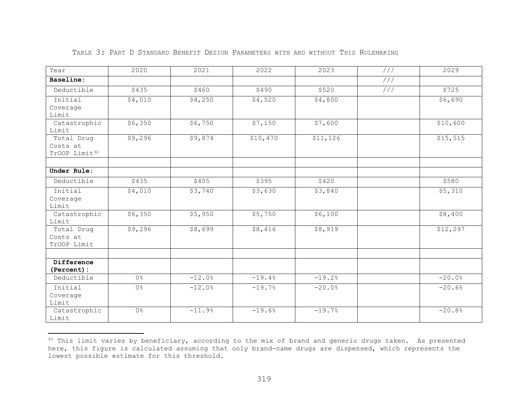| Year                                                | 2020           | 2021     | 2022     | 2023      | 111 | 2029     |
|-----------------------------------------------------|----------------|----------|----------|-----------|-----|----------|
| Baseline:                                           |                |          |          |           | 111 |          |
| Deductible                                          | \$435          | \$460    | \$490    | \$520     | 111 | \$725    |
| Initial<br>Coverage<br>Limit                        | \$4,010        | \$4,250  | \$4,520  | \$4,800   |     | \$6,690  |
| Catastrophic<br>Limit                               | \$6,350        | \$6,750  | \$7,150  | \$7,600   |     | \$10,600 |
| Total Drug<br>Costs at<br>TrOOP Limit <sup>90</sup> | \$9,296        | \$9,874  | \$10,470 | \$11, 126 |     | \$15,515 |
| Under Rule:                                         |                |          |          |           |     |          |
| Deductible                                          | \$435          | \$405    | \$395    | \$420     |     | \$580    |
| Initial<br>Coverage<br>Limit                        | \$4,010        | \$3,740  | \$3,630  | \$3,840   |     | \$5,310  |
| Catastrophic<br>Limit                               | \$6,350        | \$5,950  | \$5,750  | \$6,100   |     | \$8,400  |
| Total Drug<br>Costs at<br>TrOOP Limit               | \$9,296        | \$8,699  | \$8,416  | \$8,919   |     | \$12,297 |
| Difference<br>(Percent):                            |                |          |          |           |     |          |
| Deductible                                          | 0 <sup>°</sup> | $-12.0%$ | $-19.4%$ | $-19.2%$  |     | $-20.0%$ |
| Initial<br>Coverage<br>Limit                        | 0 <sup>°</sup> | $-12.0%$ | $-19.7%$ | $-20.0%$  |     | $-20.6%$ |
| Catastrophic<br>Limit                               | $0\frac{6}{6}$ | $-11.9%$ | $-19.6%$ | $-19.7%$  |     | $-20.8%$ |

# <span id="page-318-0"></span>TABLE 3: PART D STANDARD BENEFIT DESIGN PARAMETERS WITH AND WITHOUT THIS RULEMAKING

 $^{90}$  This limit varies by beneficiary, according to the mix of brand and generic drugs taken. As presented here, this figure is calculated assuming that only brand-name drugs are dispensed, which represents the lowest possible estimate for this threshold.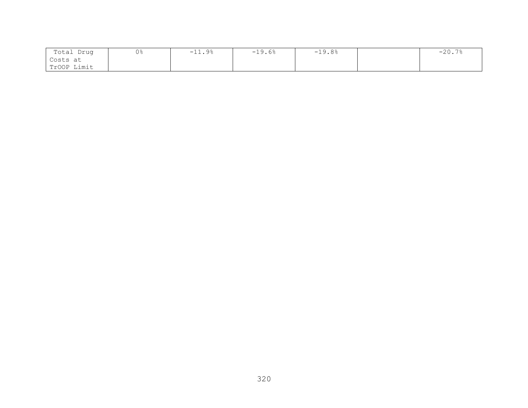| Total Drug   | 0% | $-11.9%$ | $-19.6%$ | $-19.8%$ | $\sim$ $\sim$<br>$-20.$ . |
|--------------|----|----------|----------|----------|---------------------------|
| Costs at     |    |          |          |          |                           |
| 'TrOOP Limit |    |          |          |          |                           |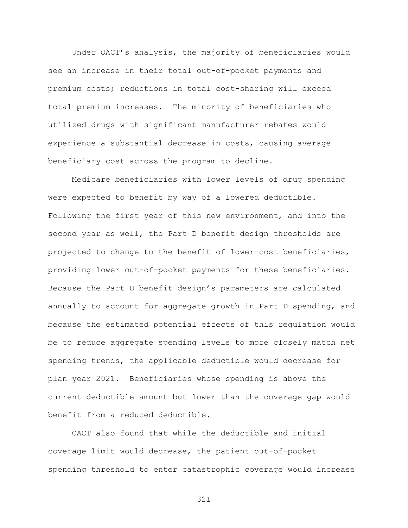Under OACT's analysis, the majority of beneficiaries would see an increase in their total out-of-pocket payments and premium costs; reductions in total cost-sharing will exceed total premium increases. The minority of beneficiaries who utilized drugs with significant manufacturer rebates would experience a substantial decrease in costs, causing average beneficiary cost across the program to decline.

Medicare beneficiaries with lower levels of drug spending were expected to benefit by way of a lowered deductible. Following the first year of this new environment, and into the second year as well, the Part D benefit design thresholds are projected to change to the benefit of lower-cost beneficiaries, providing lower out-of-pocket payments for these beneficiaries. Because the Part D benefit design's parameters are calculated annually to account for aggregate growth in Part D spending, and because the estimated potential effects of this regulation would be to reduce aggregate spending levels to more closely match net spending trends, the applicable deductible would decrease for plan year 2021. Beneficiaries whose spending is above the current deductible amount but lower than the coverage gap would benefit from a reduced deductible.

OACT also found that while the deductible and initial coverage limit would decrease, the patient out-of-pocket spending threshold to enter catastrophic coverage would increase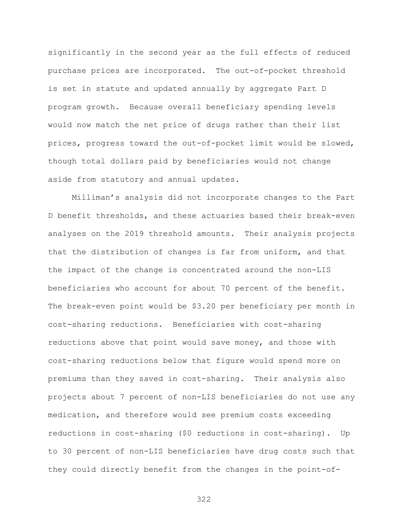significantly in the second year as the full effects of reduced purchase prices are incorporated. The out-of-pocket threshold is set in statute and updated annually by aggregate Part D program growth. Because overall beneficiary spending levels would now match the net price of drugs rather than their list prices, progress toward the out-of-pocket limit would be slowed, though total dollars paid by beneficiaries would not change aside from statutory and annual updates.

Milliman's analysis did not incorporate changes to the Part D benefit thresholds, and these actuaries based their break-even analyses on the 2019 threshold amounts. Their analysis projects that the distribution of changes is far from uniform, and that the impact of the change is concentrated around the non-LIS beneficiaries who account for about 70 percent of the benefit. The break-even point would be \$3.20 per beneficiary per month in cost-sharing reductions. Beneficiaries with cost-sharing reductions above that point would save money, and those with cost-sharing reductions below that figure would spend more on premiums than they saved in cost-sharing. Their analysis also projects about 7 percent of non-LIS beneficiaries do not use any medication, and therefore would see premium costs exceeding reductions in cost-sharing (\$0 reductions in cost-sharing). Up to 30 percent of non-LIS beneficiaries have drug costs such that they could directly benefit from the changes in the point-of-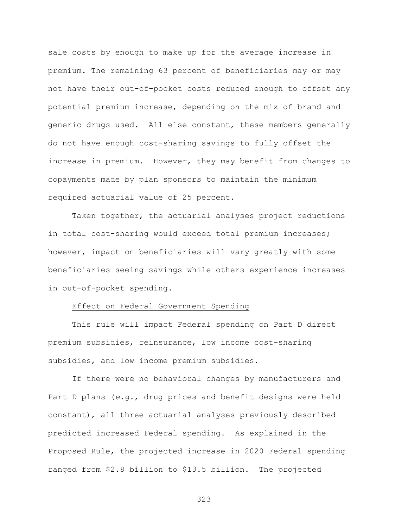sale costs by enough to make up for the average increase in premium. The remaining 63 percent of beneficiaries may or may not have their out-of-pocket costs reduced enough to offset any potential premium increase, depending on the mix of brand and generic drugs used. All else constant, these members generally do not have enough cost-sharing savings to fully offset the increase in premium. However, they may benefit from changes to copayments made by plan sponsors to maintain the minimum required actuarial value of 25 percent.

Taken together, the actuarial analyses project reductions in total cost-sharing would exceed total premium increases; however, impact on beneficiaries will vary greatly with some beneficiaries seeing savings while others experience increases in out-of-pocket spending.

## Effect on Federal Government Spending

This rule will impact Federal spending on Part D direct premium subsidies, reinsurance, low income cost-sharing subsidies, and low income premium subsidies.

If there were no behavioral changes by manufacturers and Part D plans (*e.g.*, drug prices and benefit designs were held constant), all three actuarial analyses previously described predicted increased Federal spending. As explained in the Proposed Rule, the projected increase in 2020 Federal spending ranged from \$2.8 billion to \$13.5 billion. The projected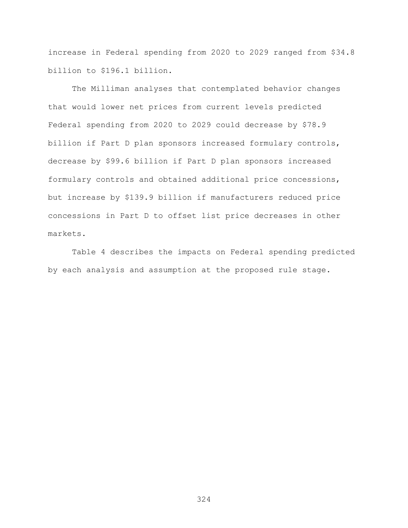increase in Federal spending from 2020 to 2029 ranged from \$34.8 billion to \$196.1 billion.

The Milliman analyses that contemplated behavior changes that would lower net prices from current levels predicted Federal spending from 2020 to 2029 could decrease by \$78.9 billion if Part D plan sponsors increased formulary controls, decrease by \$99.6 billion if Part D plan sponsors increased formulary controls and obtained additional price concessions, but increase by \$139.9 billion if manufacturers reduced price concessions in Part D to offset list price decreases in other markets.

Table 4 describes the impacts on Federal spending predicted by each analysis and assumption at the proposed rule stage.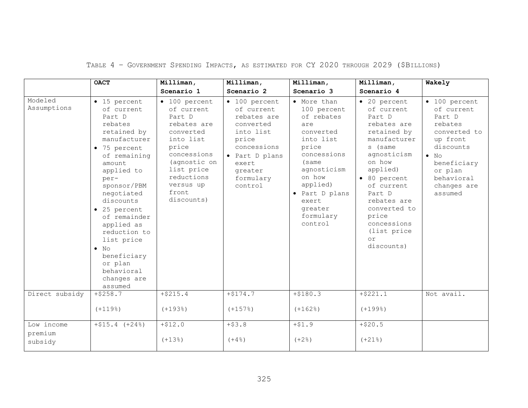| TABLE 4 - GOVERNMENT SPENDING IMPACTS, AS ESTIMATED FOR CY 2020 THROUGH 2029 (SBILLIONS) |  |  |  |
|------------------------------------------------------------------------------------------|--|--|--|
|------------------------------------------------------------------------------------------|--|--|--|

|                        | <b>OACT</b>                                                                                                                                                                                                                                                                                                                                                            | Milliman,                                                                                                                                                                                      | Milliman,                                                                                                                                                          | Milliman,                                                                                                                                                                                                     | Milliman,                                                                                                                                                                                                                                                            | Wakely                                                                                                                                                                              |
|------------------------|------------------------------------------------------------------------------------------------------------------------------------------------------------------------------------------------------------------------------------------------------------------------------------------------------------------------------------------------------------------------|------------------------------------------------------------------------------------------------------------------------------------------------------------------------------------------------|--------------------------------------------------------------------------------------------------------------------------------------------------------------------|---------------------------------------------------------------------------------------------------------------------------------------------------------------------------------------------------------------|----------------------------------------------------------------------------------------------------------------------------------------------------------------------------------------------------------------------------------------------------------------------|-------------------------------------------------------------------------------------------------------------------------------------------------------------------------------------|
|                        |                                                                                                                                                                                                                                                                                                                                                                        | Scenario 1                                                                                                                                                                                     | Scenario 2                                                                                                                                                         | Scenario 3                                                                                                                                                                                                    | Scenario 4                                                                                                                                                                                                                                                           |                                                                                                                                                                                     |
| Modeled<br>Assumptions | $\bullet$ 15 percent<br>of current<br>Part D<br>rebates<br>retained by<br>manufacturer<br>• 75 percent<br>of remaining<br>amount<br>applied to<br>per-<br>sponsor/PBM<br>negotiated<br>discounts<br>$\bullet$ 25 percent<br>of remainder<br>applied as<br>reduction to<br>list price<br>$\bullet$ No<br>beneficiary<br>or plan<br>behavioral<br>changes are<br>assumed | $\bullet$ 100 percent<br>of current<br>Part D<br>rebates are<br>converted<br>into list<br>price<br>concessions<br>(agnostic on<br>list price<br>reductions<br>versus up<br>front<br>discounts) | $\bullet$ 100 percent<br>of current<br>rebates are<br>converted<br>into list<br>price<br>concessions<br>• Part D plans<br>exert<br>greater<br>formulary<br>control | • More than<br>100 percent<br>of rebates<br>are<br>converted<br>into list<br>price<br>concessions<br>(same<br>agnosticism<br>on how<br>applied)<br>• Part D plans<br>exert<br>greater<br>formulary<br>control | · 20 percent<br>of current<br>Part D<br>rebates are<br>retained by<br>manufacturer<br>s (same<br>agnosticism<br>on how<br>applied)<br>• 80 percent<br>of current<br>Part D<br>rebates are<br>converted to<br>price<br>concessions<br>(list price<br>or<br>discounts) | $\bullet$ 100 percent<br>of current<br>Part D<br>rebates<br>converted to<br>up front<br>discounts<br>$\bullet$ No<br>beneficiary<br>or plan<br>behavioral<br>changes are<br>assumed |
| Direct subsidy         | $+ $258.7$                                                                                                                                                                                                                                                                                                                                                             | $+ $215.4$                                                                                                                                                                                     | $+ $174.7$                                                                                                                                                         | $+ $180.3$                                                                                                                                                                                                    | $+$ \$221.1                                                                                                                                                                                                                                                          | Not avail.                                                                                                                                                                          |
|                        | $(+119$ %)                                                                                                                                                                                                                                                                                                                                                             | $(+193)$                                                                                                                                                                                       | $(+157)$                                                                                                                                                           | $(+162)$                                                                                                                                                                                                      | $(+199$ <sup>8</sup> )                                                                                                                                                                                                                                               |                                                                                                                                                                                     |
| Low income             | $+ $15.4$ $(+24%)$                                                                                                                                                                                                                                                                                                                                                     | $+ $12.0$                                                                                                                                                                                      | $+ $3.8$                                                                                                                                                           | $+ $1.9$                                                                                                                                                                                                      | $+ $20.5$                                                                                                                                                                                                                                                            |                                                                                                                                                                                     |
| premium<br>subsidy     |                                                                                                                                                                                                                                                                                                                                                                        | $(+13)$                                                                                                                                                                                        | $(+4.8)$                                                                                                                                                           | $(+2)$                                                                                                                                                                                                        | $(+21$ <sup>8</sup> )                                                                                                                                                                                                                                                |                                                                                                                                                                                     |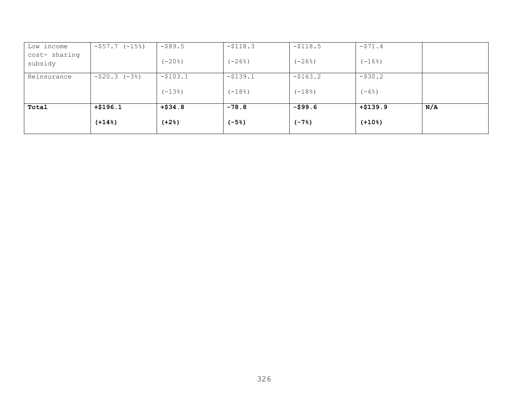| Low income               | $-557.7$<br>$(-15)$   | $-$ \$89.5 | $-5118.3$ | $-5118.5$ | $-571.4$   |     |
|--------------------------|-----------------------|------------|-----------|-----------|------------|-----|
| cost- sharing<br>subsidy |                       | $(-20$ $)$ | $(-268)$  | $(-268)$  | $(-168)$   |     |
| Reinsurance              | $(-3)$<br>$-$ \$20.3  | $-5103.1$  | $-5139.1$ | $-5163.2$ | $-$ \$30.2 |     |
|                          |                       | $(-13)$    | $(-18)$   | $(-18)$   | $(-4.8)$   |     |
| Total                    | $+ $196.1$            | $+ $34.8$  | $-78.8$   | $-599.6$  | $+ $139.9$ | N/A |
|                          | $(+14$ <sup>8</sup> ) | $(+2)$     | $(-5)$    | $(-7)$    | $(+108)$   |     |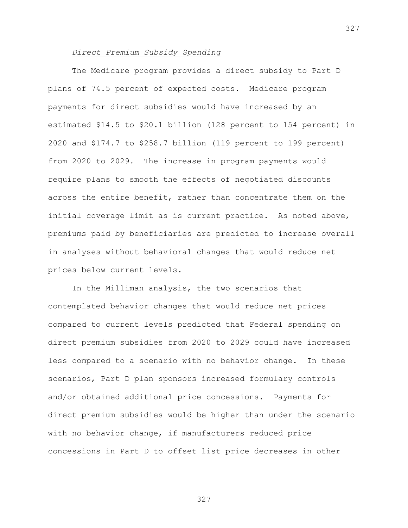#### *Direct Premium Subsidy Spending*

The Medicare program provides a direct subsidy to Part D plans of 74.5 percent of expected costs. Medicare program payments for direct subsidies would have increased by an estimated \$14.5 to \$20.1 billion (128 percent to 154 percent) in 2020 and \$174.7 to \$258.7 billion (119 percent to 199 percent) from 2020 to 2029. The increase in program payments would require plans to smooth the effects of negotiated discounts across the entire benefit, rather than concentrate them on the initial coverage limit as is current practice. As noted above, premiums paid by beneficiaries are predicted to increase overall in analyses without behavioral changes that would reduce net prices below current levels.

In the Milliman analysis, the two scenarios that contemplated behavior changes that would reduce net prices compared to current levels predicted that Federal spending on direct premium subsidies from 2020 to 2029 could have increased less compared to a scenario with no behavior change. In these scenarios, Part D plan sponsors increased formulary controls and/or obtained additional price concessions. Payments for direct premium subsidies would be higher than under the scenario with no behavior change, if manufacturers reduced price concessions in Part D to offset list price decreases in other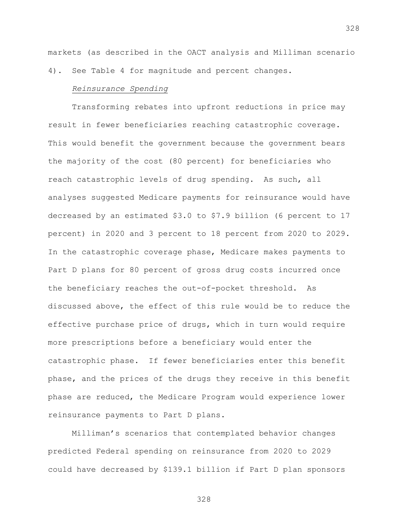markets (as described in the OACT analysis and Milliman scenario 4). See Table 4 for magnitude and percent changes.

## *Reinsurance Spending*

Transforming rebates into upfront reductions in price may result in fewer beneficiaries reaching catastrophic coverage. This would benefit the government because the government bears the majority of the cost (80 percent) for beneficiaries who reach catastrophic levels of drug spending. As such, all analyses suggested Medicare payments for reinsurance would have decreased by an estimated \$3.0 to \$7.9 billion (6 percent to 17 percent) in 2020 and 3 percent to 18 percent from 2020 to 2029. In the catastrophic coverage phase, Medicare makes payments to Part D plans for 80 percent of gross drug costs incurred once the beneficiary reaches the out-of-pocket threshold. As discussed above, the effect of this rule would be to reduce the effective purchase price of drugs, which in turn would require more prescriptions before a beneficiary would enter the catastrophic phase. If fewer beneficiaries enter this benefit phase, and the prices of the drugs they receive in this benefit phase are reduced, the Medicare Program would experience lower reinsurance payments to Part D plans.

Milliman's scenarios that contemplated behavior changes predicted Federal spending on reinsurance from 2020 to 2029 could have decreased by \$139.1 billion if Part D plan sponsors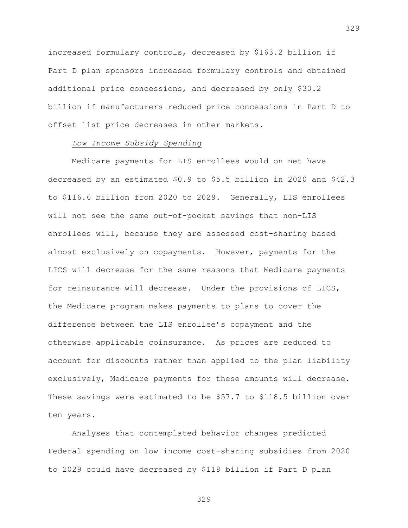increased formulary controls, decreased by \$163.2 billion if Part D plan sponsors increased formulary controls and obtained additional price concessions, and decreased by only \$30.2 billion if manufacturers reduced price concessions in Part D to offset list price decreases in other markets.

### *Low Income Subsidy Spending*

Medicare payments for LIS enrollees would on net have decreased by an estimated \$0.9 to \$5.5 billion in 2020 and \$42.3 to \$116.6 billion from 2020 to 2029. Generally, LIS enrollees will not see the same out-of-pocket savings that non-LIS enrollees will, because they are assessed cost-sharing based almost exclusively on copayments. However, payments for the LICS will decrease for the same reasons that Medicare payments for reinsurance will decrease. Under the provisions of LICS, the Medicare program makes payments to plans to cover the difference between the LIS enrollee's copayment and the otherwise applicable coinsurance. As prices are reduced to account for discounts rather than applied to the plan liability exclusively, Medicare payments for these amounts will decrease. These savings were estimated to be \$57.7 to \$118.5 billion over ten years.

Analyses that contemplated behavior changes predicted Federal spending on low income cost-sharing subsidies from 2020 to 2029 could have decreased by \$118 billion if Part D plan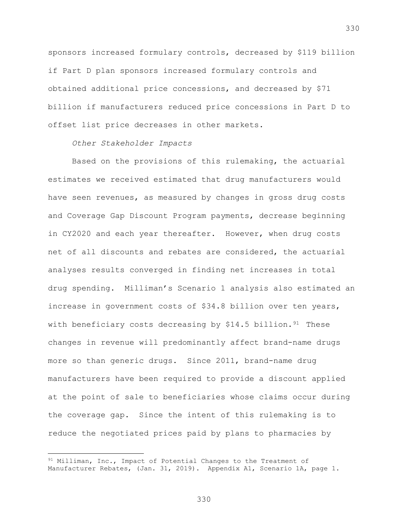sponsors increased formulary controls, decreased by \$119 billion if Part D plan sponsors increased formulary controls and obtained additional price concessions, and decreased by \$71 billion if manufacturers reduced price concessions in Part D to offset list price decreases in other markets.

### *Other Stakeholder Impacts*

 $\overline{a}$ 

Based on the provisions of this rulemaking, the actuarial estimates we received estimated that drug manufacturers would have seen revenues, as measured by changes in gross drug costs and Coverage Gap Discount Program payments, decrease beginning in CY2020 and each year thereafter. However, when drug costs net of all discounts and rebates are considered, the actuarial analyses results converged in finding net increases in total drug spending. Milliman's Scenario 1 analysis also estimated an increase in government costs of \$34.8 billion over ten years, with beneficiary costs decreasing by  $$14.5$  billion.<sup>[91](#page-329-0)</sup> These changes in revenue will predominantly affect brand-name drugs more so than generic drugs. Since 2011, brand-name drug manufacturers have been required to provide a discount applied at the point of sale to beneficiaries whose claims occur during the coverage gap. Since the intent of this rulemaking is to reduce the negotiated prices paid by plans to pharmacies by

<span id="page-329-0"></span><sup>&</sup>lt;sup>91</sup> Milliman, Inc., Impact of Potential Changes to the Treatment of Manufacturer Rebates, (Jan. 31, 2019). Appendix A1, Scenario 1A, page 1.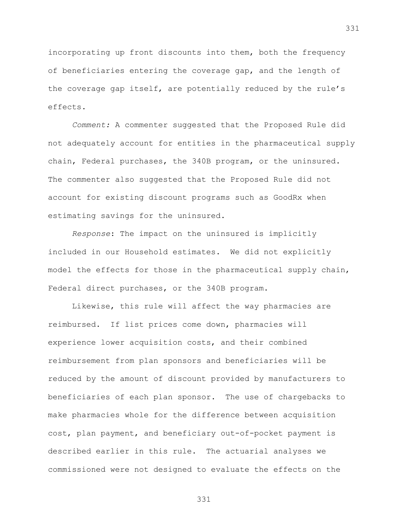incorporating up front discounts into them, both the frequency of beneficiaries entering the coverage gap, and the length of the coverage gap itself, are potentially reduced by the rule's effects.

*Comment:* A commenter suggested that the Proposed Rule did not adequately account for entities in the pharmaceutical supply chain, Federal purchases, the 340B program, or the uninsured. The commenter also suggested that the Proposed Rule did not account for existing discount programs such as GoodRx when estimating savings for the uninsured.

*Response*: The impact on the uninsured is implicitly included in our Household estimates. We did not explicitly model the effects for those in the pharmaceutical supply chain, Federal direct purchases, or the 340B program.

Likewise, this rule will affect the way pharmacies are reimbursed. If list prices come down, pharmacies will experience lower acquisition costs, and their combined reimbursement from plan sponsors and beneficiaries will be reduced by the amount of discount provided by manufacturers to beneficiaries of each plan sponsor. The use of chargebacks to make pharmacies whole for the difference between acquisition cost, plan payment, and beneficiary out-of-pocket payment is described earlier in this rule. The actuarial analyses we commissioned were not designed to evaluate the effects on the

331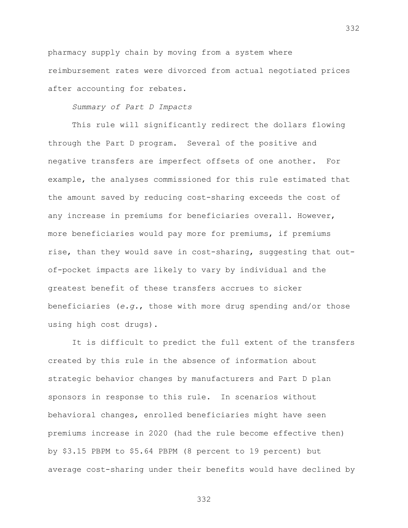pharmacy supply chain by moving from a system where reimbursement rates were divorced from actual negotiated prices after accounting for rebates.

# *Summary of Part D Impacts*

This rule will significantly redirect the dollars flowing through the Part D program. Several of the positive and negative transfers are imperfect offsets of one another. For example, the analyses commissioned for this rule estimated that the amount saved by reducing cost-sharing exceeds the cost of any increase in premiums for beneficiaries overall. However, more beneficiaries would pay more for premiums, if premiums rise, than they would save in cost-sharing, suggesting that outof-pocket impacts are likely to vary by individual and the greatest benefit of these transfers accrues to sicker beneficiaries (*e.g.*, those with more drug spending and/or those using high cost drugs).

It is difficult to predict the full extent of the transfers created by this rule in the absence of information about strategic behavior changes by manufacturers and Part D plan sponsors in response to this rule. In scenarios without behavioral changes, enrolled beneficiaries might have seen premiums increase in 2020 (had the rule become effective then) by \$3.15 PBPM to \$5.64 PBPM (8 percent to 19 percent) but average cost-sharing under their benefits would have declined by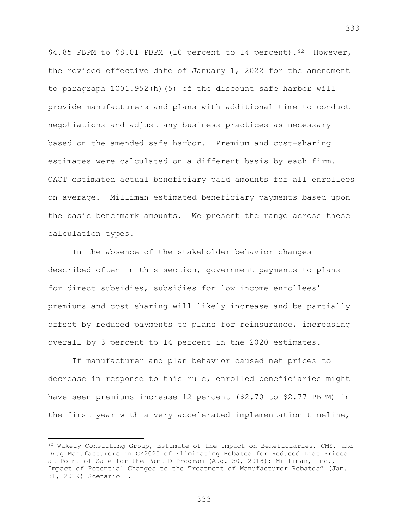\$4.85 PBPM to \$8.01 PBPM (10 percent to 14 percent). [92](#page-332-0) However, the revised effective date of January 1, 2022 for the amendment to paragraph 1001.952(h)(5) of the discount safe harbor will provide manufacturers and plans with additional time to conduct negotiations and adjust any business practices as necessary based on the amended safe harbor. Premium and cost-sharing estimates were calculated on a different basis by each firm. OACT estimated actual beneficiary paid amounts for all enrollees on average. Milliman estimated beneficiary payments based upon the basic benchmark amounts. We present the range across these calculation types.

In the absence of the stakeholder behavior changes described often in this section, government payments to plans for direct subsidies, subsidies for low income enrollees' premiums and cost sharing will likely increase and be partially offset by reduced payments to plans for reinsurance, increasing overall by 3 percent to 14 percent in the 2020 estimates.

If manufacturer and plan behavior caused net prices to decrease in response to this rule, enrolled beneficiaries might have seen premiums increase 12 percent (\$2.70 to \$2.77 PBPM) in the first year with a very accelerated implementation timeline,

 $\overline{a}$ 

<span id="page-332-0"></span> $92$  Wakely Consulting Group, Estimate of the Impact on Beneficiaries, CMS, and Drug Manufacturers in CY2020 of Eliminating Rebates for Reduced List Prices at Point-of Sale for the Part D Program (Aug. 30, 2018); Milliman, Inc., Impact of Potential Changes to the Treatment of Manufacturer Rebates" (Jan. 31, 2019) Scenario 1.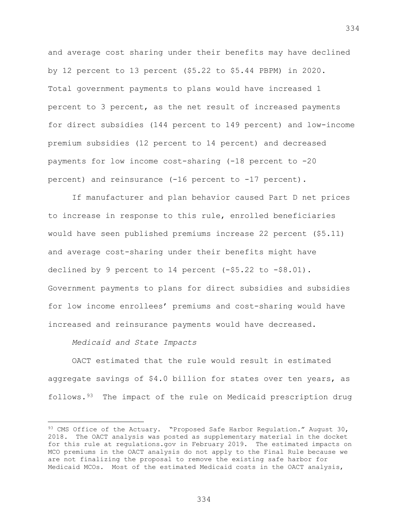and average cost sharing under their benefits may have declined by 12 percent to 13 percent (\$5.22 to \$5.44 PBPM) in 2020. Total government payments to plans would have increased 1 percent to 3 percent, as the net result of increased payments for direct subsidies (144 percent to 149 percent) and low-income premium subsidies (12 percent to 14 percent) and decreased payments for low income cost-sharing (-18 percent to -20 percent) and reinsurance (-16 percent to -17 percent).

If manufacturer and plan behavior caused Part D net prices to increase in response to this rule, enrolled beneficiaries would have seen published premiums increase 22 percent (\$5.11) and average cost-sharing under their benefits might have declined by 9 percent to 14 percent (-\$5.22 to -\$8.01). Government payments to plans for direct subsidies and subsidies for low income enrollees' premiums and cost-sharing would have increased and reinsurance payments would have decreased.

*Medicaid and State Impacts*

 $\overline{a}$ 

OACT estimated that the rule would result in estimated aggregate savings of \$4.0 billion for states over ten years, as follows.[93](#page-333-0) The impact of the rule on Medicaid prescription drug

<span id="page-333-0"></span><sup>&</sup>lt;sup>93</sup> CMS Office of the Actuary. "Proposed Safe Harbor Requlation." August 30, 2018. The OACT analysis was posted as supplementary material in the docket for this rule at regulations.gov in February 2019. The estimated impacts on MCO premiums in the OACT analysis do not apply to the Final Rule because we are not finalizing the proposal to remove the existing safe harbor for Medicaid MCOs. Most of the estimated Medicaid costs in the OACT analysis,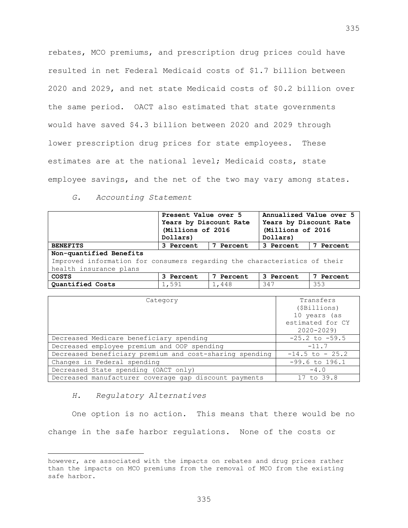rebates, MCO premiums, and prescription drug prices could have resulted in net Federal Medicaid costs of \$1.7 billion between 2020 and 2029, and net state Medicaid costs of \$0.2 billion over the same period. OACT also estimated that state governments would have saved \$4.3 billion between 2020 and 2029 through lower prescription drug prices for state employees. These estimates are at the national level; Medicaid costs, state employee savings, and the net of the two may vary among states.

*G. Accounting Statement*

|                                                                           | Present Value over 5   |           | Annualized Value over 5 |           |  |
|---------------------------------------------------------------------------|------------------------|-----------|-------------------------|-----------|--|
|                                                                           | Years by Discount Rate |           | Years by Discount Rate  |           |  |
|                                                                           | (Millions of 2016      |           | (Millions of 2016       |           |  |
|                                                                           | Dollars)               |           | Dollars)                |           |  |
| <b>BENEFITS</b>                                                           | 7 Percent<br>3 Percent |           | 3 Percent               | 7 Percent |  |
| Non-quantified Benefits                                                   |                        |           |                         |           |  |
| Improved information for consumers regarding the characteristics of their |                        |           |                         |           |  |
| health insurance plans                                                    |                        |           |                         |           |  |
| <b>COSTS</b>                                                              | 3 Percent              | 7 Percent | 3 Percent               | 7 Percent |  |
| Quantified Costs                                                          | 1,591                  | 1,448     | 347                     | 353       |  |

| Category                                                | Transfers          |  |
|---------------------------------------------------------|--------------------|--|
|                                                         | (\$Billions)       |  |
|                                                         | 10 years (as       |  |
|                                                         | estimated for CY   |  |
|                                                         | $2020 - 2029$      |  |
| Decreased Medicare beneficiary spending                 | $-25.2$ to $-59.5$ |  |
| Decreased employee premium and OOP spending             | $-11.7$            |  |
| Decreased beneficiary premium and cost-sharing spending | $-14.5$ to $-25.2$ |  |
| Changes in Federal spending                             | $-99.6$ to 196.1   |  |
| Decreased State spending (OACT only)                    | $-4.0$             |  |
| Decreased manufacturer coverage gap discount payments   | 17 to 39.8         |  |

#### *H. Regulatory Alternatives*

 $\overline{a}$ 

One option is no action. This means that there would be no change in the safe harbor regulations. None of the costs or

however, are associated with the impacts on rebates and drug prices rather than the impacts on MCO premiums from the removal of MCO from the existing safe harbor.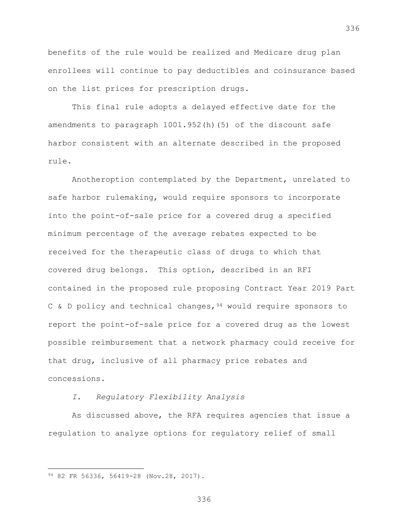benefits of the rule would be realized and Medicare drug plan enrollees will continue to pay deductibles and coinsurance based on the list prices for prescription drugs.

This final rule adopts a delayed effective date for the amendments to paragraph 1001.952(h)(5) of the discount safe harbor consistent with an alternate described in the proposed rule.

Anotheroption contemplated by the Department, unrelated to safe harbor rulemaking, would require sponsors to incorporate into the point-of-sale price for a covered drug a specified minimum percentage of the average rebates expected to be received for the therapeutic class of drugs to which that covered drug belongs. This option, described in an RFI contained in the proposed rule proposing Contract Year 2019 Part C & D policy and technical changes,  $94$  would require sponsors to report the point-of-sale price for a covered drug as the lowest possible reimbursement that a network pharmacy could receive for that drug, inclusive of all pharmacy price rebates and concessions.

### *I. Regulatory Flexibility Analysis*

As discussed above, the RFA requires agencies that issue a regulation to analyze options for regulatory relief of small

 $\overline{a}$ 

336

<span id="page-335-0"></span><sup>94 82</sup> FR 56336, 56419-28 (Nov.28, 2017).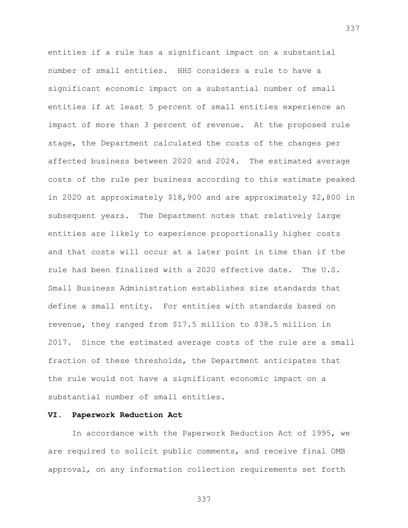entities if a rule has a significant impact on a substantial number of small entities. HHS considers a rule to have a significant economic impact on a substantial number of small entities if at least 5 percent of small entities experience an impact of more than 3 percent of revenue. At the proposed rule stage, the Department calculated the costs of the changes per affected business between 2020 and 2024. The estimated average costs of the rule per business according to this estimate peaked in 2020 at approximately \$18,900 and are approximately \$2,800 in subsequent years. The Department notes that relatively large entities are likely to experience proportionally higher costs and that costs will occur at a later point in time than if the rule had been finalized with a 2020 effective date. The U.S. Small Business Administration establishes size standards that define a small entity. For entities with standards based on revenue, they ranged from \$17.5 million to \$38.5 million in 2017. Since the estimated average costs of the rule are a small fraction of these thresholds, the Department anticipates that the rule would not have a significant economic impact on a substantial number of small entities.

# **VI. Paperwork Reduction Act**

In accordance with the Paperwork Reduction Act of 1995, we are required to solicit public comments, and receive final OMB approval, on any information collection requirements set forth

337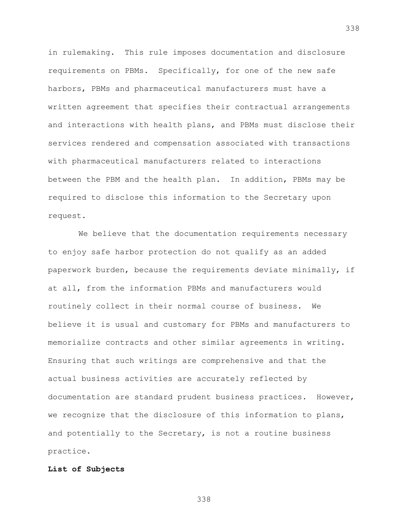in rulemaking. This rule imposes documentation and disclosure requirements on PBMs. Specifically, for one of the new safe harbors, PBMs and pharmaceutical manufacturers must have a written agreement that specifies their contractual arrangements and interactions with health plans, and PBMs must disclose their services rendered and compensation associated with transactions with pharmaceutical manufacturers related to interactions between the PBM and the health plan. In addition, PBMs may be required to disclose this information to the Secretary upon request.

We believe that the documentation requirements necessary to enjoy safe harbor protection do not qualify as an added paperwork burden, because the requirements deviate minimally, if at all, from the information PBMs and manufacturers would routinely collect in their normal course of business. We believe it is usual and customary for PBMs and manufacturers to memorialize contracts and other similar agreements in writing. Ensuring that such writings are comprehensive and that the actual business activities are accurately reflected by documentation are standard prudent business practices. However, we recognize that the disclosure of this information to plans, and potentially to the Secretary, is not a routine business practice.

# **List of Subjects**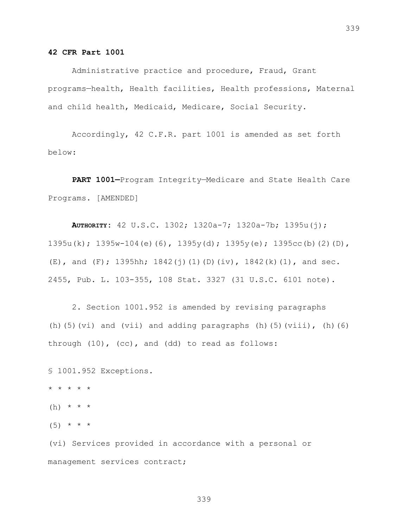### **42 CFR Part 1001**

Administrative practice and procedure, Fraud, Grant programs—health, Health facilities, Health professions, Maternal and child health, Medicaid, Medicare, Social Security.

Accordingly, 42 C.F.R. part 1001 is amended as set forth below:

**PART 1001—**Program Integrity—Medicare and State Health Care Programs. [AMENDED]

**AUTHORITY:** 42 U.S.C. 1302; 1320a-7; 1320a-7b; 1395u(j); 1395u(k); 1395w-104(e)(6), 1395y(d); 1395y(e); 1395cc(b)(2)(D), (E), and (F); 1395hh; 1842(j)(1)(D)(iv), 1842(k)(1), and sec. 2455, Pub. L. 103-355, 108 Stat. 3327 (31 U.S.C. 6101 note).

2. Section 1001.952 is amended by revising paragraphs (h)(5)(vi) and (vii) and adding paragraphs (h)(5)(viii), (h)(6) through (10), (cc), and (dd) to read as follows:

§ 1001.952 Exceptions. \* \* \* \* \* (h)  $* * * *$  $(5)$  \* \* \* (vi) Services provided in accordance with a personal or

management services contract;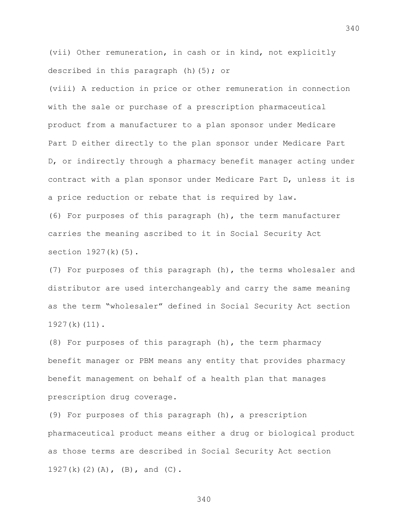(vii) Other remuneration, in cash or in kind, not explicitly described in this paragraph (h)(5); or

(viii) A reduction in price or other remuneration in connection with the sale or purchase of a prescription pharmaceutical product from a manufacturer to a plan sponsor under Medicare Part D either directly to the plan sponsor under Medicare Part D, or indirectly through a pharmacy benefit manager acting under contract with a plan sponsor under Medicare Part D, unless it is a price reduction or rebate that is required by law. (6) For purposes of this paragraph (h), the term manufacturer

carries the meaning ascribed to it in Social Security Act section 1927(k)(5).

(7) For purposes of this paragraph (h), the terms wholesaler and distributor are used interchangeably and carry the same meaning as the term "wholesaler" defined in Social Security Act section 1927(k)(11).

(8) For purposes of this paragraph (h), the term pharmacy benefit manager or PBM means any entity that provides pharmacy benefit management on behalf of a health plan that manages prescription drug coverage.

(9) For purposes of this paragraph (h), a prescription pharmaceutical product means either a drug or biological product as those terms are described in Social Security Act section 1927(k)(2)(A), (B), and (C).

340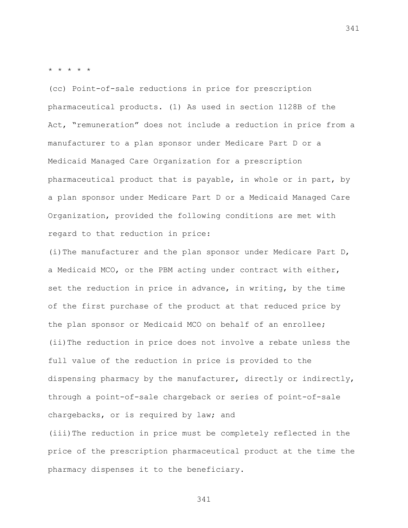\* \* \* \* \*

(cc) Point-of-sale reductions in price for prescription pharmaceutical products. (1) As used in section 1128B of the Act, "remuneration" does not include a reduction in price from a manufacturer to a plan sponsor under Medicare Part D or a Medicaid Managed Care Organization for a prescription pharmaceutical product that is payable, in whole or in part, by a plan sponsor under Medicare Part D or a Medicaid Managed Care Organization, provided the following conditions are met with regard to that reduction in price:

(i)The manufacturer and the plan sponsor under Medicare Part D, a Medicaid MCO, or the PBM acting under contract with either, set the reduction in price in advance, in writing, by the time of the first purchase of the product at that reduced price by the plan sponsor or Medicaid MCO on behalf of an enrollee; (ii)The reduction in price does not involve a rebate unless the full value of the reduction in price is provided to the dispensing pharmacy by the manufacturer, directly or indirectly, through a point-of-sale chargeback or series of point-of-sale chargebacks, or is required by law; and

(iii)The reduction in price must be completely reflected in the price of the prescription pharmaceutical product at the time the pharmacy dispenses it to the beneficiary.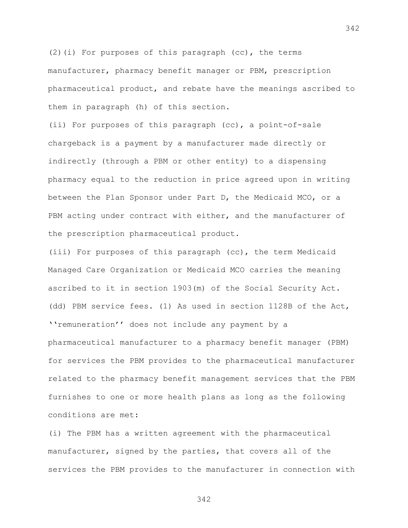(2)(i) For purposes of this paragraph (cc), the terms manufacturer, pharmacy benefit manager or PBM, prescription pharmaceutical product, and rebate have the meanings ascribed to them in paragraph (h) of this section.

(ii) For purposes of this paragraph (cc), a point-of-sale chargeback is a payment by a manufacturer made directly or indirectly (through a PBM or other entity) to a dispensing pharmacy equal to the reduction in price agreed upon in writing between the Plan Sponsor under Part D, the Medicaid MCO, or a PBM acting under contract with either, and the manufacturer of the prescription pharmaceutical product.

(iii) For purposes of this paragraph (cc), the term Medicaid Managed Care Organization or Medicaid MCO carries the meaning ascribed to it in section 1903(m) of the Social Security Act. (dd) PBM service fees. (1) As used in section 1128B of the Act, ''remuneration'' does not include any payment by a pharmaceutical manufacturer to a pharmacy benefit manager (PBM) for services the PBM provides to the pharmaceutical manufacturer related to the pharmacy benefit management services that the PBM furnishes to one or more health plans as long as the following conditions are met:

(i) The PBM has a written agreement with the pharmaceutical manufacturer, signed by the parties, that covers all of the services the PBM provides to the manufacturer in connection with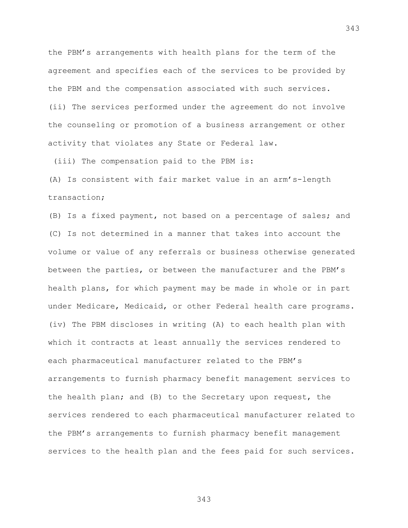the PBM's arrangements with health plans for the term of the agreement and specifies each of the services to be provided by the PBM and the compensation associated with such services. (ii) The services performed under the agreement do not involve the counseling or promotion of a business arrangement or other activity that violates any State or Federal law.

(iii) The compensation paid to the PBM is:

(A) Is consistent with fair market value in an arm's-length transaction;

(B) Is a fixed payment, not based on a percentage of sales; and (C) Is not determined in a manner that takes into account the volume or value of any referrals or business otherwise generated between the parties, or between the manufacturer and the PBM's health plans, for which payment may be made in whole or in part under Medicare, Medicaid, or other Federal health care programs. (iv) The PBM discloses in writing (A) to each health plan with which it contracts at least annually the services rendered to each pharmaceutical manufacturer related to the PBM's arrangements to furnish pharmacy benefit management services to the health plan; and (B) to the Secretary upon request, the services rendered to each pharmaceutical manufacturer related to the PBM's arrangements to furnish pharmacy benefit management services to the health plan and the fees paid for such services.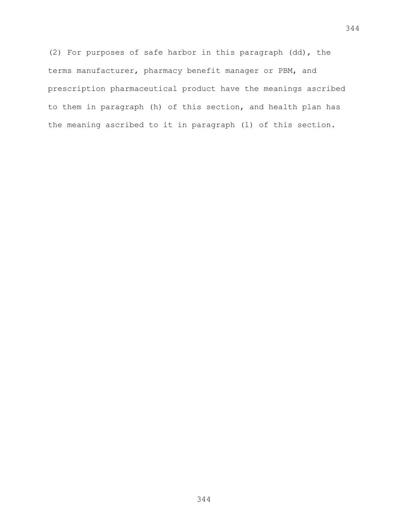(2) For purposes of safe harbor in this paragraph (dd), the terms manufacturer, pharmacy benefit manager or PBM, and prescription pharmaceutical product have the meanings ascribed to them in paragraph (h) of this section, and health plan has the meaning ascribed to it in paragraph (l) of this section.